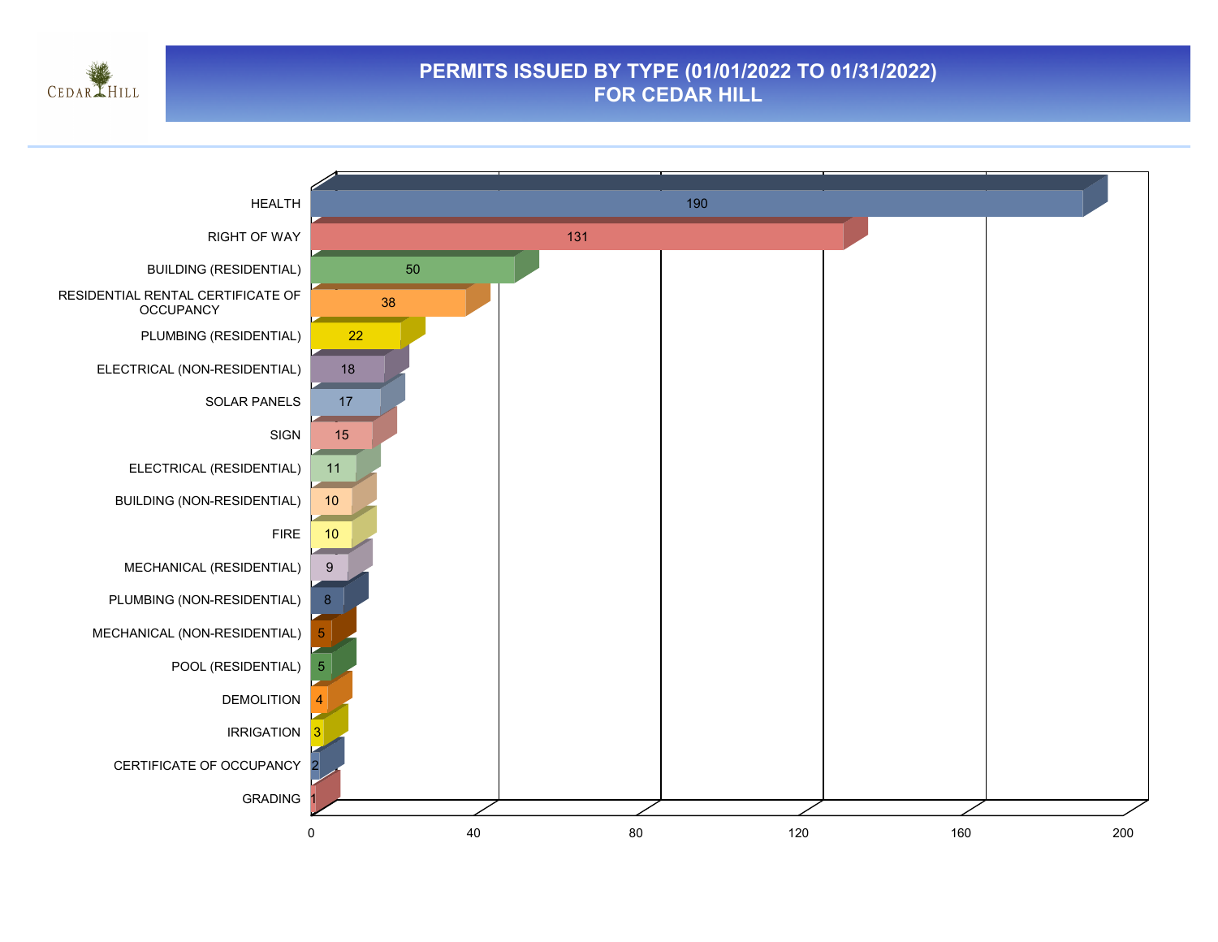

#### **PERMITS ISSUED BY TYPE (01/01/2022 TO 01/31/2022) FOR CEDAR HILL**

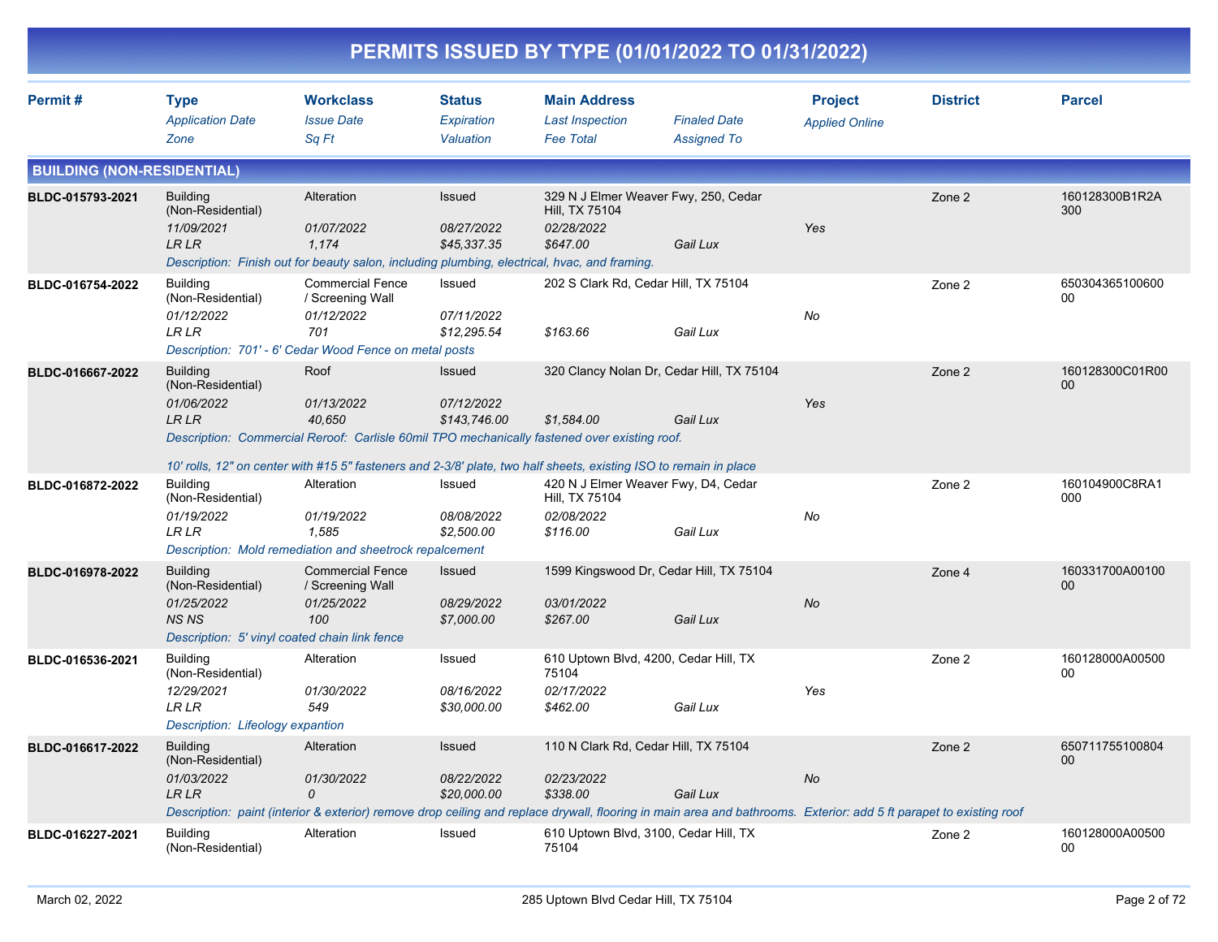|                                   |                                                                                                                     |                                                                                                                                                                                                                                                   |                                             |                                                                                  | PERMITS ISSUED BY TYPE (01/01/2022 TO 01/31/2022)                                                                                                                              |                                         |                 |                       |
|-----------------------------------|---------------------------------------------------------------------------------------------------------------------|---------------------------------------------------------------------------------------------------------------------------------------------------------------------------------------------------------------------------------------------------|---------------------------------------------|----------------------------------------------------------------------------------|--------------------------------------------------------------------------------------------------------------------------------------------------------------------------------|-----------------------------------------|-----------------|-----------------------|
| Permit#                           | <b>Type</b><br><b>Application Date</b><br>Zone                                                                      | <b>Workclass</b><br><b>Issue Date</b><br>Sq Ft                                                                                                                                                                                                    | <b>Status</b><br>Expiration<br>Valuation    | <b>Main Address</b><br><b>Last Inspection</b><br><b>Fee Total</b>                | <b>Finaled Date</b><br><b>Assigned To</b>                                                                                                                                      | <b>Project</b><br><b>Applied Online</b> | <b>District</b> | <b>Parcel</b>         |
| <b>BUILDING (NON-RESIDENTIAL)</b> |                                                                                                                     |                                                                                                                                                                                                                                                   |                                             |                                                                                  |                                                                                                                                                                                |                                         |                 |                       |
| BLDC-015793-2021                  | <b>Building</b><br>(Non-Residential)<br>11/09/2021<br>LR LR                                                         | Alteration<br>01/07/2022<br>1,174<br>Description: Finish out for beauty salon, including plumbing, electrical, hvac, and framing.                                                                                                                 | Issued<br>08/27/2022<br>\$45,337.35         | 329 N J Elmer Weaver Fwy, 250, Cedar<br>Hill, TX 75104<br>02/28/2022<br>\$647.00 | Gail Lux                                                                                                                                                                       | Yes                                     | Zone 2          | 160128300B1R2A<br>300 |
| BLDC-016754-2022                  | <b>Building</b><br>(Non-Residential)<br>01/12/2022<br>LR LR                                                         | <b>Commercial Fence</b><br>/ Screening Wall<br>01/12/2022<br>701<br>Description: 701' - 6' Cedar Wood Fence on metal posts                                                                                                                        | Issued<br>07/11/2022<br>\$12,295.54         | 202 S Clark Rd, Cedar Hill, TX 75104<br>\$163.66                                 | Gail Lux                                                                                                                                                                       | No                                      | Zone 2          | 650304365100600<br>00 |
| BLDC-016667-2022                  | <b>Building</b><br>(Non-Residential)<br>01/06/2022<br>LR LR                                                         | Roof<br>01/13/2022<br>40,650<br>Description: Commercial Reroof: Carlisle 60mil TPO mechanically fastened over existing roof.<br>10' rolls, 12" on center with #15 5" fasteners and 2-3/8' plate, two half sheets, existing ISO to remain in place | Issued<br><i>07/12/2022</i><br>\$143,746.00 | \$1,584.00                                                                       | 320 Clancy Nolan Dr, Cedar Hill, TX 75104<br>Gail Lux                                                                                                                          | Yes                                     | Zone 2          | 160128300C01R00<br>00 |
| BLDC-016872-2022                  | <b>Building</b><br>(Non-Residential)<br>01/19/2022<br>LR LR                                                         | Alteration<br>01/19/2022<br>1,585<br>Description: Mold remediation and sheetrock repalcement                                                                                                                                                      | Issued<br>08/08/2022<br>\$2,500.00          | 420 N J Elmer Weaver Fwy, D4, Cedar<br>Hill, TX 75104<br>02/08/2022<br>\$116.00  | Gail Lux                                                                                                                                                                       | No                                      | Zone 2          | 160104900C8RA1<br>000 |
| BLDC-016978-2022                  | <b>Building</b><br>(Non-Residential)<br>01/25/2022<br><b>NS NS</b><br>Description: 5' vinyl coated chain link fence | <b>Commercial Fence</b><br>/ Screening Wall<br>01/25/2022<br>100                                                                                                                                                                                  | Issued<br>08/29/2022<br>\$7,000.00          | 03/01/2022<br>\$267.00                                                           | 1599 Kingswood Dr, Cedar Hill, TX 75104<br>Gail Lux                                                                                                                            | No                                      | Zone 4          | 160331700A00100<br>00 |
| BLDC-016536-2021                  | <b>Building</b><br>(Non-Residential)<br>12/29/2021<br><b>LRLR</b><br>Description: Lifeology expantion               | Alteration<br>01/30/2022<br>549                                                                                                                                                                                                                   | Issued<br>08/16/2022<br>\$30,000.00         | 610 Uptown Blvd, 4200, Cedar Hill, TX<br>75104<br>02/17/2022<br>\$462.00         | Gail Lux                                                                                                                                                                       | Yes                                     | Zone 2          | 160128000A00500<br>00 |
| BLDC-016617-2022                  | <b>Building</b><br>(Non-Residential)<br>01/03/2022<br><b>LR LR</b>                                                  | Alteration<br>01/30/2022<br>0                                                                                                                                                                                                                     | Issued<br>08/22/2022<br>\$20,000.00         | 110 N Clark Rd, Cedar Hill, TX 75104<br>02/23/2022<br>\$338.00                   | Gail Lux<br>Description: paint (interior & exterior) remove drop ceiling and replace drywall, flooring in main area and bathrooms. Exterior: add 5 ft parapet to existing roof | No                                      | Zone 2          | 650711755100804<br>00 |
| BLDC-016227-2021                  | <b>Building</b><br>(Non-Residential)                                                                                | Alteration                                                                                                                                                                                                                                        | Issued                                      | 610 Uptown Blvd, 3100, Cedar Hill, TX<br>75104                                   |                                                                                                                                                                                |                                         | Zone 2          | 160128000A00500<br>00 |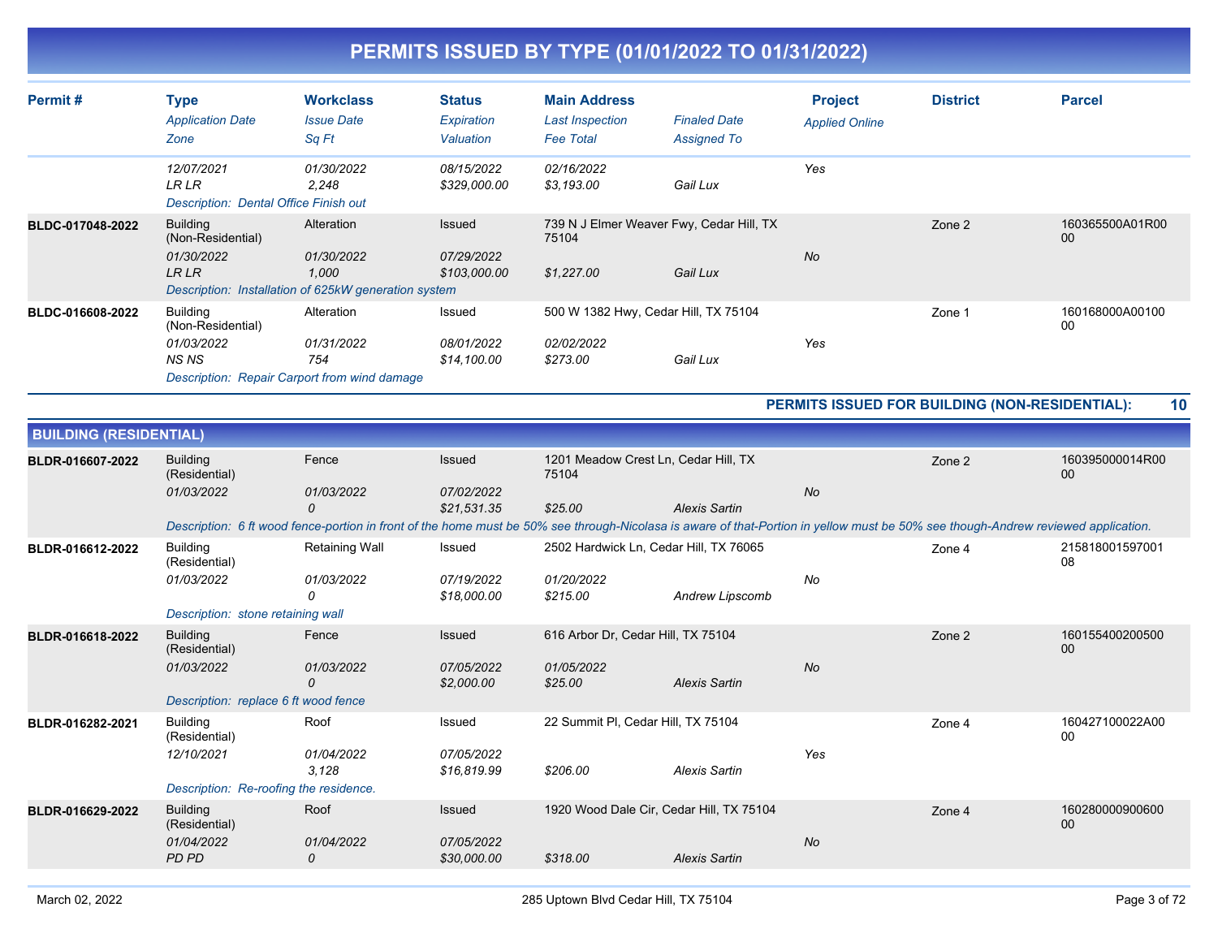| Permit#          | Type<br><b>Application Date</b><br>Zone                                    | <b>Workclass</b><br><b>Issue Date</b><br>Sq Ft                                            | <b>Status</b><br>Expiration<br>Valuation   | <b>Main Address</b><br><b>Last Inspection</b><br><b>Fee Total</b> | <b>Finaled Date</b><br><b>Assigned To</b>            | <b>Project</b><br><b>Applied Online</b> | <b>District</b> | <b>Parcel</b>         |
|------------------|----------------------------------------------------------------------------|-------------------------------------------------------------------------------------------|--------------------------------------------|-------------------------------------------------------------------|------------------------------------------------------|-----------------------------------------|-----------------|-----------------------|
|                  | 12/07/2021<br><b>LR LR</b><br><b>Description: Dental Office Finish out</b> | 01/30/2022<br>2,248                                                                       | 08/15/2022<br>\$329,000.00                 | 02/16/2022<br>\$3,193.00                                          | Gail Lux                                             | Yes                                     |                 |                       |
| BLDC-017048-2022 | <b>Building</b><br>(Non-Residential)<br>01/30/2022<br><b>LR LR</b>         | Alteration<br>01/30/2022<br>1,000<br>Description: Installation of 625kW generation system | Issued<br>07/29/2022<br>\$103,000.00       | 75104<br>\$1,227.00                                               | 739 N J Elmer Weaver Fwy, Cedar Hill, TX<br>Gail Lux | No                                      | Zone 2          | 160365500A01R00<br>00 |
| BLDC-016608-2022 | Building<br>(Non-Residential)<br>01/03/2022<br>NS NS                       | Alteration<br>01/31/2022<br>754<br>Description: Repair Carport from wind damage           | Issued<br><i>08/01/2022</i><br>\$14,100.00 | 02/02/2022<br>\$273.00                                            | 500 W 1382 Hwy, Cedar Hill, TX 75104<br>Gail Lux     | Yes                                     | Zone 1          | 160168000A00100<br>00 |

**PERMITS ISSUED FOR BUILDING (NON-RESIDENTIAL): 10**

| <b>BUILDING (RESIDENTIAL)</b> |                                        |                                                                                                                                                                                   |                           |                                               |                      |           |        |                       |
|-------------------------------|----------------------------------------|-----------------------------------------------------------------------------------------------------------------------------------------------------------------------------------|---------------------------|-----------------------------------------------|----------------------|-----------|--------|-----------------------|
| BLDR-016607-2022              | <b>Building</b><br>(Residential)       | Fence                                                                                                                                                                             | Issued                    | 1201 Meadow Crest Ln, Cedar Hill, TX<br>75104 |                      |           | Zone 2 | 160395000014R00<br>00 |
|                               | 01/03/2022                             | 01/03/2022                                                                                                                                                                        | 07/02/2022                |                                               |                      | <b>No</b> |        |                       |
|                               |                                        | 0                                                                                                                                                                                 | \$21.531.35               | \$25.00                                       | <b>Alexis Sartin</b> |           |        |                       |
|                               |                                        | Description: 6 ft wood fence-portion in front of the home must be 50% see through-Nicolasa is aware of that-Portion in yellow must be 50% see though-Andrew reviewed application. |                           |                                               |                      |           |        |                       |
| BLDR-016612-2022              | <b>Building</b><br>(Residential)       | <b>Retaining Wall</b>                                                                                                                                                             | Issued                    | 2502 Hardwick Ln, Cedar Hill, TX 76065        |                      |           | Zone 4 | 215818001597001<br>08 |
|                               | 01/03/2022                             | 01/03/2022<br>0                                                                                                                                                                   | 07/19/2022<br>\$18,000.00 | 01/20/2022<br>\$215.00                        | Andrew Lipscomb      | No        |        |                       |
|                               | Description: stone retaining wall      |                                                                                                                                                                                   |                           |                                               |                      |           |        |                       |
| BLDR-016618-2022              | <b>Building</b><br>(Residential)       | Fence                                                                                                                                                                             | <b>Issued</b>             | 616 Arbor Dr, Cedar Hill, TX 75104            |                      |           | Zone 2 | 160155400200500<br>00 |
|                               | 01/03/2022                             | 01/03/2022<br>0                                                                                                                                                                   | 07/05/2022<br>\$2,000.00  | 01/05/2022<br>\$25.00                         | <b>Alexis Sartin</b> | <b>No</b> |        |                       |
|                               | Description: replace 6 ft wood fence   |                                                                                                                                                                                   |                           |                                               |                      |           |        |                       |
| BLDR-016282-2021              | <b>Building</b><br>(Residential)       | Roof                                                                                                                                                                              | Issued                    | 22 Summit PI, Cedar Hill, TX 75104            |                      |           | Zone 4 | 160427100022A00<br>00 |
|                               | 12/10/2021                             | 01/04/2022<br>3,128                                                                                                                                                               | 07/05/2022<br>\$16,819.99 | \$206.00                                      | <b>Alexis Sartin</b> | Yes       |        |                       |
|                               | Description: Re-roofing the residence. |                                                                                                                                                                                   |                           |                                               |                      |           |        |                       |
| BLDR-016629-2022              | <b>Building</b><br>(Residential)       | Roof                                                                                                                                                                              | Issued                    | 1920 Wood Dale Cir, Cedar Hill, TX 75104      |                      |           | Zone 4 | 160280000900600<br>00 |
|                               | 01/04/2022<br><b>PD PD</b>             | 01/04/2022<br>0                                                                                                                                                                   | 07/05/2022<br>\$30,000.00 | \$318.00                                      | <b>Alexis Sartin</b> | No        |        |                       |
|                               |                                        |                                                                                                                                                                                   |                           |                                               |                      |           |        |                       |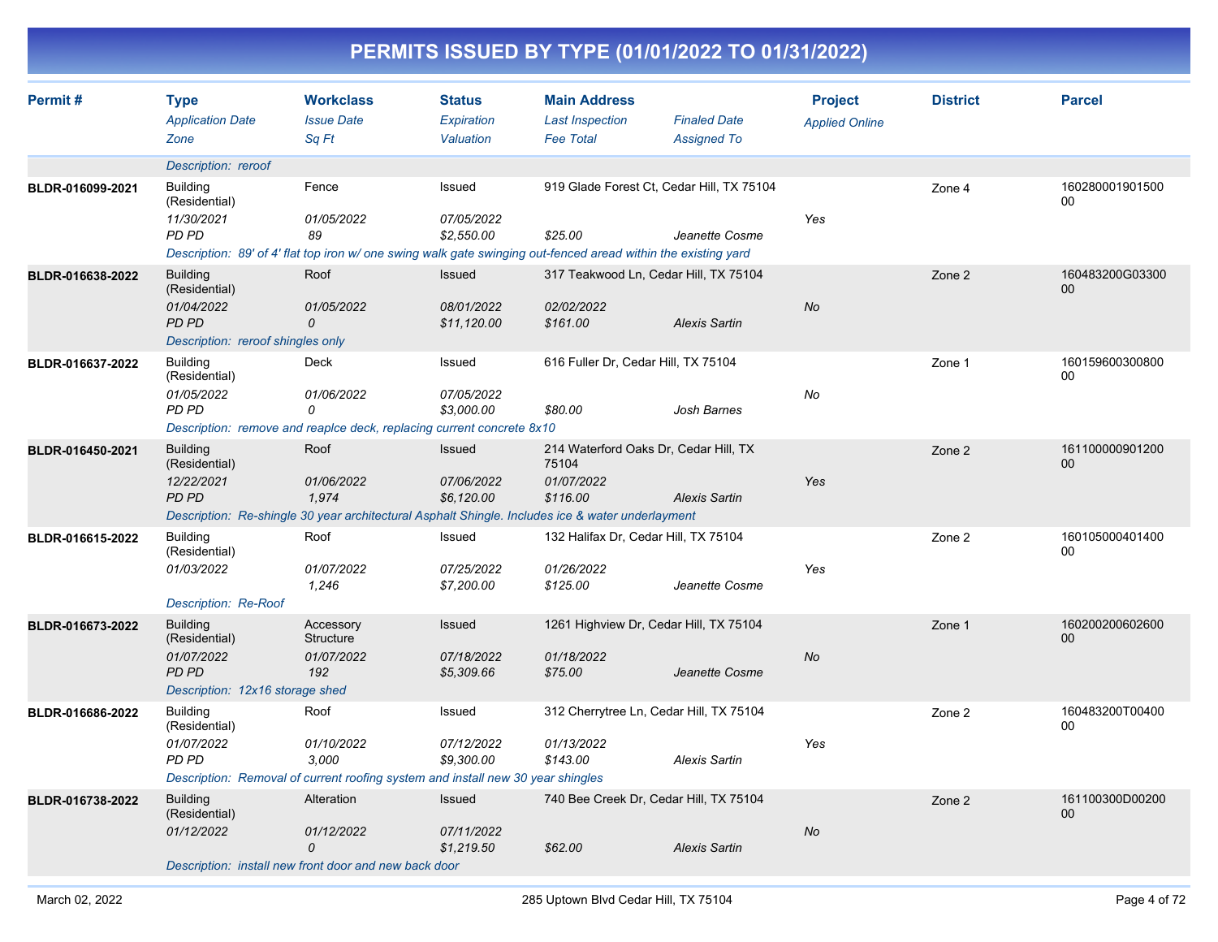| Permit#          | <b>Type</b><br><b>Application Date</b><br>Zone                                             | <b>Workclass</b><br><b>Issue Date</b><br>Sq Ft                                                                                              | <b>Status</b><br><b>Expiration</b><br>Valuation | <b>Main Address</b><br><b>Last Inspection</b><br><b>Fee Total</b>        | <b>Finaled Date</b><br><b>Assigned To</b>                   | <b>Project</b><br><b>Applied Online</b> | <b>District</b> | <b>Parcel</b>         |
|------------------|--------------------------------------------------------------------------------------------|---------------------------------------------------------------------------------------------------------------------------------------------|-------------------------------------------------|--------------------------------------------------------------------------|-------------------------------------------------------------|-----------------------------------------|-----------------|-----------------------|
|                  | Description: reroof                                                                        |                                                                                                                                             |                                                 |                                                                          |                                                             |                                         |                 |                       |
| BLDR-016099-2021 | <b>Building</b><br>(Residential)<br>11/30/2021<br>PD PD                                    | Fence<br>01/05/2022<br>89<br>Description: 89' of 4' flat top iron w/ one swing walk gate swinging out-fenced aread within the existing yard | Issued<br>07/05/2022<br>\$2,550.00              | \$25.00                                                                  | 919 Glade Forest Ct, Cedar Hill, TX 75104<br>Jeanette Cosme | Yes                                     | Zone 4          | 160280001901500<br>00 |
| BLDR-016638-2022 | <b>Building</b>                                                                            | Roof                                                                                                                                        | Issued                                          | 317 Teakwood Ln, Cedar Hill, TX 75104                                    |                                                             |                                         | Zone 2          | 160483200G03300       |
|                  | (Residential)<br>01/04/2022<br><b>PD PD</b><br>Description: reroof shingles only           | 01/05/2022<br>$\mathcal{O}$                                                                                                                 | 08/01/2022<br>\$11,120.00                       | 02/02/2022<br>\$161.00                                                   | <b>Alexis Sartin</b>                                        | <b>No</b>                               |                 | 00                    |
| BLDR-016637-2022 | <b>Building</b><br>(Residential)<br>01/05/2022<br>PD PD                                    | Deck<br>01/06/2022<br>0<br>Description: remove and reaplce deck, replacing current concrete 8x10                                            | Issued<br>07/05/2022<br>\$3,000.00              | 616 Fuller Dr, Cedar Hill, TX 75104<br>\$80.00                           | Josh Barnes                                                 | No                                      | Zone 1          | 160159600300800<br>00 |
| BLDR-016450-2021 | <b>Building</b><br>(Residential)<br>12/22/2021<br><b>PD PD</b>                             | Roof<br>01/06/2022<br>1,974<br>Description: Re-shingle 30 year architectural Asphalt Shingle. Includes ice & water underlayment             | <b>Issued</b><br>07/06/2022<br>\$6,120.00       | 214 Waterford Oaks Dr, Cedar Hill, TX<br>75104<br>01/07/2022<br>\$116.00 | <b>Alexis Sartin</b>                                        | Yes                                     | Zone 2          | 161100000901200<br>00 |
| BLDR-016615-2022 | <b>Building</b><br>(Residential)<br>01/03/2022<br><b>Description: Re-Roof</b>              | Roof<br>01/07/2022<br>1,246                                                                                                                 | Issued<br>07/25/2022<br>\$7,200.00              | 132 Halifax Dr, Cedar Hill, TX 75104<br>01/26/2022<br>\$125.00           | Jeanette Cosme                                              | Yes                                     | Zone 2          | 160105000401400<br>00 |
| BLDR-016673-2022 | <b>Building</b><br>(Residential)<br>01/07/2022<br>PD PD<br>Description: 12x16 storage shed | Accessory<br>Structure<br>01/07/2022<br>192                                                                                                 | <b>Issued</b><br>07/18/2022<br>\$5,309.66       | 1261 Highview Dr, Cedar Hill, TX 75104<br>01/18/2022<br>\$75.00          | Jeanette Cosme                                              | No                                      | Zone 1          | 160200200602600<br>00 |
| BLDR-016686-2022 | <b>Building</b><br>(Residential)<br>01/07/2022<br><b>PD PD</b>                             | Roof<br>01/10/2022<br>3,000<br>Description: Removal of current roofing system and install new 30 year shingles                              | Issued<br>07/12/2022<br>\$9,300.00              | 312 Cherrytree Ln, Cedar Hill, TX 75104<br>01/13/2022<br>\$143.00        | <b>Alexis Sartin</b>                                        | Yes                                     | Zone 2          | 160483200T00400<br>00 |
| BLDR-016738-2022 | <b>Building</b><br>(Residential)<br>01/12/2022                                             | Alteration<br>01/12/2022<br>0<br>Description: install new front door and new back door                                                      | <b>Issued</b><br>07/11/2022<br>\$1,219.50       | 740 Bee Creek Dr, Cedar Hill, TX 75104<br>\$62.00                        | <b>Alexis Sartin</b>                                        | No                                      | Zone 2          | 161100300D00200<br>00 |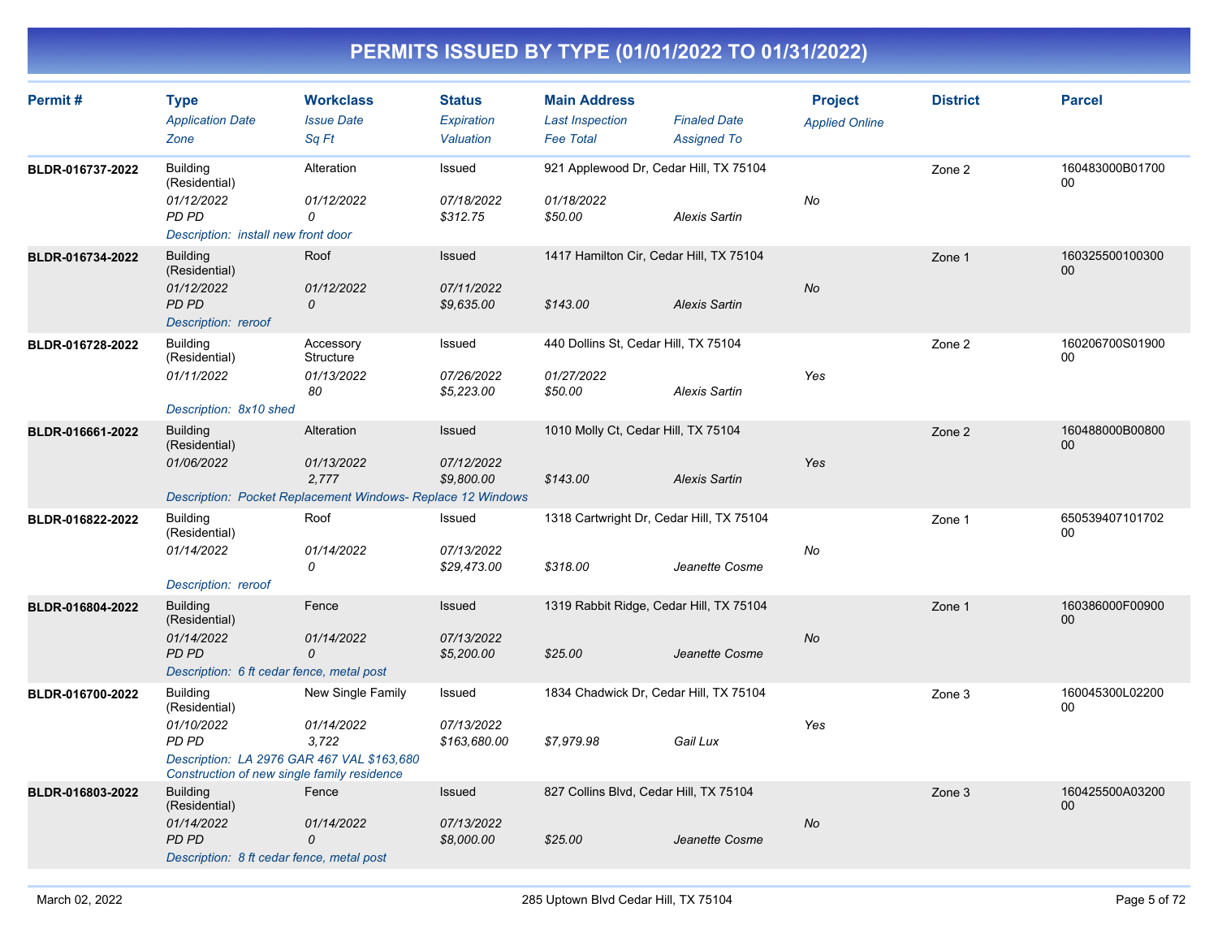| Permit#          | <b>Type</b><br><b>Application Date</b><br>Zone                                                                                                       | <b>Workclass</b><br><b>Issue Date</b><br>Sq Ft                                                   | <b>Status</b><br>Expiration<br>Valuation | <b>Main Address</b><br><b>Last Inspection</b><br><b>Fee Total</b> | <b>Finaled Date</b><br><b>Assigned To</b> | <b>Project</b><br><b>Applied Online</b> | <b>District</b> | <b>Parcel</b>             |
|------------------|------------------------------------------------------------------------------------------------------------------------------------------------------|--------------------------------------------------------------------------------------------------|------------------------------------------|-------------------------------------------------------------------|-------------------------------------------|-----------------------------------------|-----------------|---------------------------|
| BLDR-016737-2022 | <b>Building</b><br>(Residential)<br>01/12/2022<br>PD PD<br>Description: install new front door                                                       | Alteration<br>01/12/2022<br>0                                                                    | Issued<br>07/18/2022<br>\$312.75         | 921 Applewood Dr, Cedar Hill, TX 75104<br>01/18/2022<br>\$50.00   | <b>Alexis Sartin</b>                      | No                                      | Zone 2          | 160483000B01700<br>00     |
| BLDR-016734-2022 | <b>Building</b><br>(Residential)<br>01/12/2022<br>PD PD<br>Description: reroof                                                                       | Roof<br>01/12/2022<br>$\mathcal{O}$                                                              | Issued<br>07/11/2022<br>\$9,635.00       | 1417 Hamilton Cir, Cedar Hill, TX 75104<br>\$143.00               | <b>Alexis Sartin</b>                      | <b>No</b>                               | Zone 1          | 160325500100300<br>00     |
| BLDR-016728-2022 | <b>Building</b><br>(Residential)<br>01/11/2022<br>Description: 8x10 shed                                                                             | Accessory<br>Structure<br>01/13/2022<br>80                                                       | Issued<br>07/26/2022<br>\$5,223.00       | 440 Dollins St, Cedar Hill, TX 75104<br>01/27/2022<br>\$50.00     | <b>Alexis Sartin</b>                      | Yes                                     | Zone 2          | 160206700S01900<br>00     |
| BLDR-016661-2022 | <b>Building</b><br>(Residential)<br>01/06/2022                                                                                                       | Alteration<br>01/13/2022<br>2,777<br>Description: Pocket Replacement Windows- Replace 12 Windows | Issued<br>07/12/2022<br>\$9,800.00       | 1010 Molly Ct, Cedar Hill, TX 75104<br>\$143.00                   | <b>Alexis Sartin</b>                      | Yes                                     | Zone 2          | 160488000B00800<br>00     |
| BLDR-016822-2022 | <b>Building</b><br>(Residential)<br>01/14/2022<br>Description: reroof                                                                                | Roof<br>01/14/2022<br>0                                                                          | Issued<br>07/13/2022<br>\$29,473.00      | 1318 Cartwright Dr, Cedar Hill, TX 75104<br>\$318.00              | Jeanette Cosme                            | No                                      | Zone 1          | 650539407101702<br>00     |
| BLDR-016804-2022 | <b>Building</b><br>(Residential)<br>01/14/2022<br>PD PD<br>Description: 6 ft cedar fence, metal post                                                 | Fence<br>01/14/2022<br>0                                                                         | Issued<br>07/13/2022<br>\$5,200.00       | 1319 Rabbit Ridge, Cedar Hill, TX 75104<br>\$25.00                | Jeanette Cosme                            | No                                      | Zone 1          | 160386000F00900<br>$00\,$ |
| BLDR-016700-2022 | <b>Building</b><br>(Residential)<br>01/10/2022<br>PD PD<br>Description: LA 2976 GAR 467 VAL \$163,680<br>Construction of new single family residence | New Single Family<br>01/14/2022<br>3.722                                                         | Issued<br>07/13/2022<br>\$163,680.00     | 1834 Chadwick Dr, Cedar Hill, TX 75104<br>\$7,979.98              | Gail Lux                                  | Yes                                     | Zone 3          | 160045300L02200<br>00     |
| BLDR-016803-2022 | <b>Building</b><br>(Residential)<br>01/14/2022<br>PD PD<br>Description: 8 ft cedar fence, metal post                                                 | Fence<br>01/14/2022<br>0                                                                         | Issued<br>07/13/2022<br>\$8,000.00       | 827 Collins Blvd, Cedar Hill, TX 75104<br>\$25.00                 | Jeanette Cosme                            | <b>No</b>                               | Zone 3          | 160425500A03200<br>00     |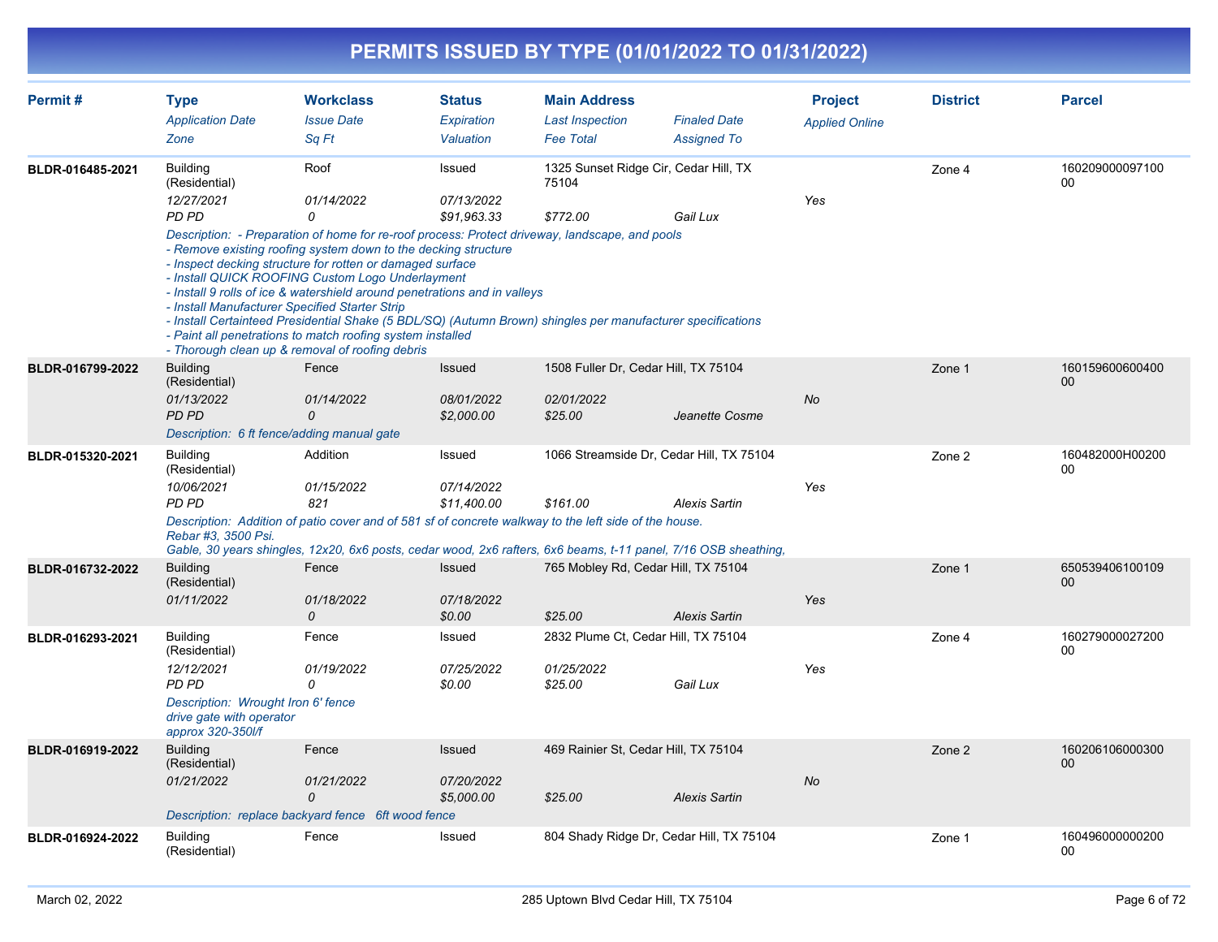#### **PERMITS ISSUED BY TYPE (01/01/2022 TO 01/31/2022) Permit # Type Workclass Status Main Address Project District Parcel** *Application Date Issue Date Expiration Last Inspection Finaled Date Applied Online Zone Sq Ft Valuation Fee Total Assigned To* Building (Residential) Roof 1325 Sunset Ridge Cir, Cedar Hill, TX Issued Zone 4 160209000097100 75104 00 **BLDR-016485-2021** *12/27/2021 01/14/2022 07/13/2022 PD PD 0 \$91,963.33 \$772.00 Gail Lux Yes Description: - Preparation of home for re-roof process: Protect driveway, landscape, and pools - Remove existing roofing system down to the decking structure - Inspect decking structure for rotten or damaged surface - Install QUICK ROOFING Custom Logo Underlayment - Install 9 rolls of ice & watershield around penetrations and in valleys - Install Manufacturer Specified Starter Strip - Install Certainteed Presidential Shake (5 BDL/SQ) (Autumn Brown) shingles per manufacturer specifications - Paint all penetrations to match roofing system installed - Thorough clean up & removal of roofing debris* Building (Residential) Fence Issued 1508 Fuller Dr, Cedar Hill, TX 75104 Zone 1 2008 160159600600400 00 **BLDR-016799-2022** *01/13/2022 01/14/2022 08/01/2022 02/01/2022 PD PD 0 \$2,000.00 \$25.00 Jeanette Cosme No Description: 6 ft fence/adding manual gate* Building (Residential) Addition **Interpret Concerned 1066 Streamside Dr, Cedar Hill, TX 75104 Network 2** 2 160482000H00200 Addition 00 **BLDR-015320-2021** *10/06/2021 01/15/2022 07/14/2022 PD PD 821 \$11,400.00 \$161.00 Alexis Sartin Yes Description: Addition of patio cover and of 581 sf of concrete walkway to the left side of the house. Rebar #3, 3500 Psi. Gable, 30 years shingles, 12x20, 6x6 posts, cedar wood, 2x6 rafters, 6x6 beams, t-11 panel, 7/16 OSB sheathing,* **Building** (Residential) Fence Issued 765 Mobley Rd, Cedar Hill, TX 75104 Zone 1 Zone 1 650539406100109  $0<sub>0</sub>$ **BLDR-016732-2022** *01/11/2022 01/18/2022 07/18/2022 0 \$0.00 \$25.00 Alexis Sartin Yes* Building (Residential) Fence Issued 2832 Plume Ct, Cedar Hill, TX 75104 Zone 4 160279000027200 00 **BLDR-016293-2021** *12/12/2021 01/19/2022 07/25/2022 01/25/2022 PD PD 0 \$0.00 \$25.00 Gail Lux Yes Description: Wrought Iron 6' fence*

|                  | approx 320-350l/f                |                                                    |            |                                          |               |    |        |                       |
|------------------|----------------------------------|----------------------------------------------------|------------|------------------------------------------|---------------|----|--------|-----------------------|
| BLDR-016919-2022 | <b>Building</b><br>(Residential) | Fence                                              | Issued     | 469 Rainier St. Cedar Hill, TX 75104     |               |    | Zone 2 | 160206106000300<br>00 |
|                  | 01/21/2022                       | 01/21/2022                                         | 07/20/2022 |                                          |               | No |        |                       |
|                  |                                  | 0                                                  | \$5,000.00 | \$25.00                                  | Alexis Sartin |    |        |                       |
|                  |                                  | Description: replace backyard fence 6ft wood fence |            |                                          |               |    |        |                       |
| BLDR-016924-2022 | Building<br>(Residential)        | Fence                                              | Issued     | 804 Shady Ridge Dr, Cedar Hill, TX 75104 |               |    | Zone 1 | 160496000000200<br>00 |

*drive gate with operator*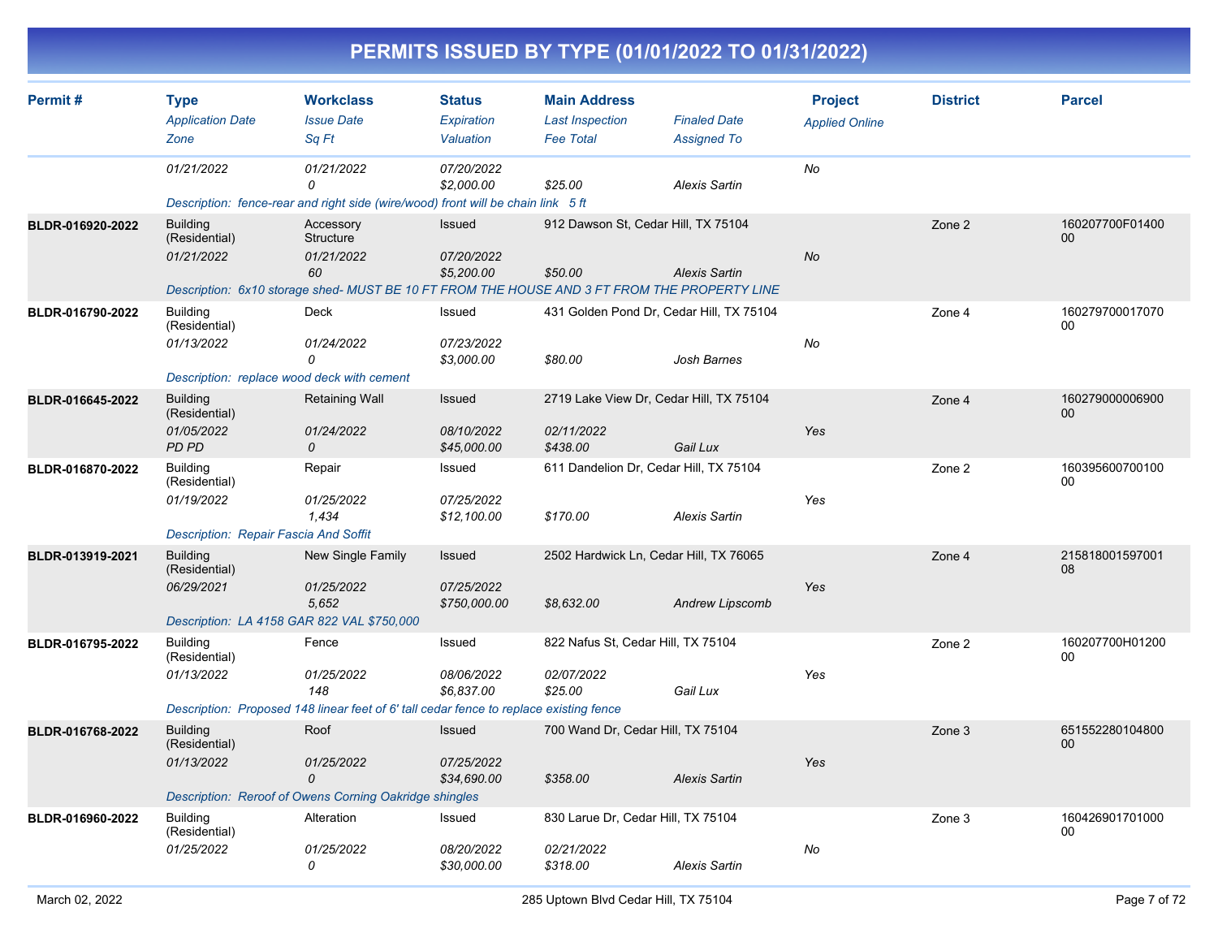| Permit #         | <b>Type</b><br><b>Application Date</b><br>Zone                                               | <b>Workclass</b><br><b>Issue Date</b><br>Sq Ft                                                                                             | <b>Status</b><br>Expiration<br>Valuation | <b>Main Address</b><br><b>Last Inspection</b><br><b>Fee Total</b> | <b>Finaled Date</b><br><b>Assigned To</b> | <b>Project</b><br><b>Applied Online</b> | <b>District</b> | <b>Parcel</b>             |
|------------------|----------------------------------------------------------------------------------------------|--------------------------------------------------------------------------------------------------------------------------------------------|------------------------------------------|-------------------------------------------------------------------|-------------------------------------------|-----------------------------------------|-----------------|---------------------------|
|                  | 01/21/2022                                                                                   | 01/21/2022<br>0<br>Description: fence-rear and right side (wire/wood) front will be chain link 5 ft                                        | 07/20/2022<br>\$2,000.00                 | \$25.00                                                           | <b>Alexis Sartin</b>                      | No                                      |                 |                           |
| BLDR-016920-2022 | <b>Building</b><br>(Residential)<br>01/21/2022                                               | Accessory<br>Structure<br>01/21/2022<br>60<br>Description: 6x10 storage shed- MUST BE 10 FT FROM THE HOUSE AND 3 FT FROM THE PROPERTY LINE | Issued<br>07/20/2022<br>\$5,200.00       | 912 Dawson St, Cedar Hill, TX 75104<br>\$50.00                    | <b>Alexis Sartin</b>                      | No                                      | Zone 2          | 160207700F01400<br>00     |
| BLDR-016790-2022 | <b>Building</b><br>(Residential)<br>01/13/2022<br>Description: replace wood deck with cement | Deck<br>01/24/2022<br>0                                                                                                                    | Issued<br>07/23/2022<br>\$3,000.00       | 431 Golden Pond Dr, Cedar Hill, TX 75104<br>\$80.00               | Josh Barnes                               | No                                      | Zone 4          | 160279700017070<br>00     |
| BLDR-016645-2022 | <b>Building</b><br>(Residential)<br>01/05/2022<br>PD PD                                      | <b>Retaining Wall</b><br>01/24/2022<br>0                                                                                                   | Issued<br>08/10/2022<br>\$45,000.00      | 2719 Lake View Dr, Cedar Hill, TX 75104<br>02/11/2022<br>\$438.00 | Gail Lux                                  | Yes                                     | Zone 4          | 160279000006900<br>00     |
| BLDR-016870-2022 | <b>Building</b><br>(Residential)<br>01/19/2022<br>Description: Repair Fascia And Soffit      | Repair<br>01/25/2022<br>1,434                                                                                                              | Issued<br>07/25/2022<br>\$12,100.00      | 611 Dandelion Dr, Cedar Hill, TX 75104<br>\$170.00                | <b>Alexis Sartin</b>                      | Yes                                     | Zone 2          | 160395600700100<br>00     |
| BLDR-013919-2021 | <b>Building</b><br>(Residential)<br>06/29/2021<br>Description: LA 4158 GAR 822 VAL \$750,000 | New Single Family<br>01/25/2022<br>5,652                                                                                                   | Issued<br>07/25/2022<br>\$750,000.00     | 2502 Hardwick Ln, Cedar Hill, TX 76065<br>\$8,632.00              | <b>Andrew Lipscomb</b>                    | Yes                                     | Zone 4          | 215818001597001<br>08     |
| BLDR-016795-2022 | <b>Building</b><br>(Residential)<br>01/13/2022                                               | Fence<br>01/25/2022<br>148<br>Description: Proposed 148 linear feet of 6' tall cedar fence to replace existing fence                       | Issued<br>08/06/2022<br>\$6,837.00       | 822 Nafus St, Cedar Hill, TX 75104<br>02/07/2022<br>\$25.00       | Gail Lux                                  | Yes                                     | Zone 2          | 160207700H01200<br>00     |
| BLDR-016768-2022 | <b>Building</b><br>(Residential)<br>01/13/2022                                               | Roof<br>01/25/2022<br>0<br>Description: Reroof of Owens Corning Oakridge shingles                                                          | Issued<br>07/25/2022<br>\$34,690.00      | 700 Wand Dr. Cedar Hill, TX 75104<br>\$358.00                     | <b>Alexis Sartin</b>                      | Yes                                     | Zone 3          | 651552280104800<br>$00\,$ |
| BLDR-016960-2022 | <b>Building</b><br>(Residential)<br>01/25/2022                                               | Alteration<br>01/25/2022<br>0                                                                                                              | Issued<br>08/20/2022<br>\$30,000.00      | 830 Larue Dr, Cedar Hill, TX 75104<br>02/21/2022<br>\$318.00      | <b>Alexis Sartin</b>                      | No                                      | Zone 3          | 160426901701000<br>00     |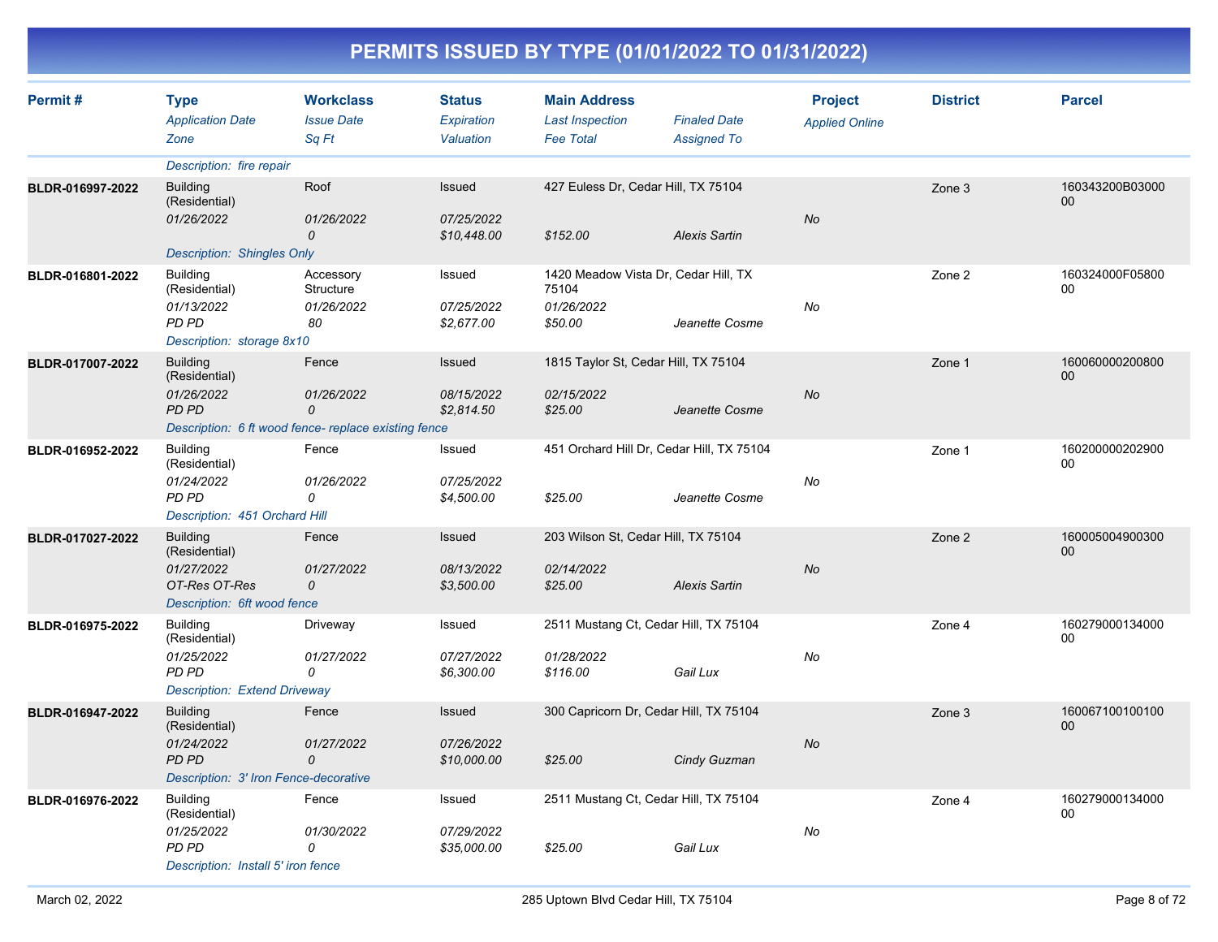| Permit#          | <b>Type</b><br><b>Application Date</b><br>Zone                      | <b>Workclass</b><br><b>Issue Date</b><br>Sq Ft      | <b>Status</b><br><b>Expiration</b><br>Valuation | <b>Main Address</b><br><b>Last Inspection</b><br><b>Fee Total</b> | <b>Finaled Date</b><br><b>Assigned To</b> | <b>Project</b><br><b>Applied Online</b> | <b>District</b> | <b>Parcel</b>             |
|------------------|---------------------------------------------------------------------|-----------------------------------------------------|-------------------------------------------------|-------------------------------------------------------------------|-------------------------------------------|-----------------------------------------|-----------------|---------------------------|
|                  | Description: fire repair                                            |                                                     |                                                 |                                                                   |                                           |                                         |                 |                           |
| BLDR-016997-2022 | <b>Building</b><br>(Residential)<br>01/26/2022                      | Roof<br>01/26/2022                                  | Issued<br>07/25/2022                            | 427 Euless Dr, Cedar Hill, TX 75104                               |                                           | No                                      | Zone 3          | 160343200B03000<br>$00\,$ |
|                  |                                                                     | $\mathcal{O}$                                       | \$10,448.00                                     | \$152.00                                                          | <b>Alexis Sartin</b>                      |                                         |                 |                           |
|                  | <b>Description: Shingles Only</b>                                   |                                                     |                                                 |                                                                   |                                           |                                         |                 |                           |
| BLDR-016801-2022 | <b>Building</b><br>(Residential)                                    | Accessory<br>Structure                              | Issued                                          | 1420 Meadow Vista Dr, Cedar Hill, TX<br>75104                     |                                           |                                         | Zone 2          | 160324000F05800<br>00     |
|                  | 01/13/2022<br>PD PD                                                 | 01/26/2022<br>80                                    | 07/25/2022<br>\$2,677.00                        | 01/26/2022<br>\$50.00                                             | Jeanette Cosme                            | No                                      |                 |                           |
|                  | Description: storage 8x10                                           |                                                     |                                                 |                                                                   |                                           |                                         |                 |                           |
| BLDR-017007-2022 | <b>Building</b><br>(Residential)                                    | Fence                                               | Issued                                          | 1815 Taylor St, Cedar Hill, TX 75104                              |                                           |                                         | Zone 1          | 160060000200800<br>00     |
|                  | 01/26/2022<br><b>PD PD</b>                                          | 01/26/2022<br>$\mathcal{O}$                         | 08/15/2022<br>\$2,814.50                        | 02/15/2022<br>\$25.00                                             | Jeanette Cosme                            | No                                      |                 |                           |
|                  |                                                                     | Description: 6 ft wood fence-replace existing fence |                                                 |                                                                   |                                           |                                         |                 |                           |
| BLDR-016952-2022 | <b>Building</b><br>(Residential)                                    | Fence                                               | Issued                                          |                                                                   | 451 Orchard Hill Dr, Cedar Hill, TX 75104 |                                         | Zone 1          | 160200000202900<br>00     |
|                  | 01/24/2022<br>PD PD<br>Description: 451 Orchard Hill                | 01/26/2022<br>0                                     | 07/25/2022<br>\$4,500.00                        | \$25.00                                                           | Jeanette Cosme                            | No                                      |                 |                           |
| BLDR-017027-2022 | <b>Building</b><br>(Residential)                                    | Fence                                               | Issued                                          | 203 Wilson St, Cedar Hill, TX 75104                               |                                           |                                         | Zone 2          | 160005004900300<br>00     |
|                  | 01/27/2022<br>OT-Res OT-Res<br>Description: 6ft wood fence          | 01/27/2022<br>0                                     | 08/13/2022<br>\$3,500.00                        | 02/14/2022<br>\$25.00                                             | <b>Alexis Sartin</b>                      | No                                      |                 |                           |
| BLDR-016975-2022 | <b>Building</b><br>(Residential)                                    | Driveway                                            | Issued                                          |                                                                   | 2511 Mustang Ct, Cedar Hill, TX 75104     |                                         | Zone 4          | 160279000134000<br>00     |
|                  | 01/25/2022<br>PD PD<br><b>Description: Extend Driveway</b>          | 01/27/2022<br>0                                     | 07/27/2022<br>\$6,300.00                        | 01/28/2022<br>\$116.00                                            | Gail Lux                                  | No                                      |                 |                           |
| BLDR-016947-2022 | <b>Building</b><br>(Residential)                                    | Fence                                               | Issued                                          | 300 Capricorn Dr, Cedar Hill, TX 75104                            |                                           |                                         | Zone 3          | 160067100100100<br>00     |
|                  | 01/24/2022<br><b>PD PD</b><br>Description: 3' Iron Fence-decorative | 01/27/2022<br>0                                     | 07/26/2022<br>\$10,000.00                       | \$25.00                                                           | Cindy Guzman                              | No                                      |                 |                           |
| BLDR-016976-2022 | <b>Building</b><br>(Residential)                                    | Fence                                               | Issued                                          |                                                                   | 2511 Mustang Ct, Cedar Hill, TX 75104     |                                         | Zone 4          | 160279000134000<br>00     |
|                  | 01/25/2022<br><b>PD PD</b><br>Description: Install 5' iron fence    | 01/30/2022<br>$\Omega$                              | 07/29/2022<br>\$35,000.00                       | \$25.00                                                           | Gail Lux                                  | No                                      |                 |                           |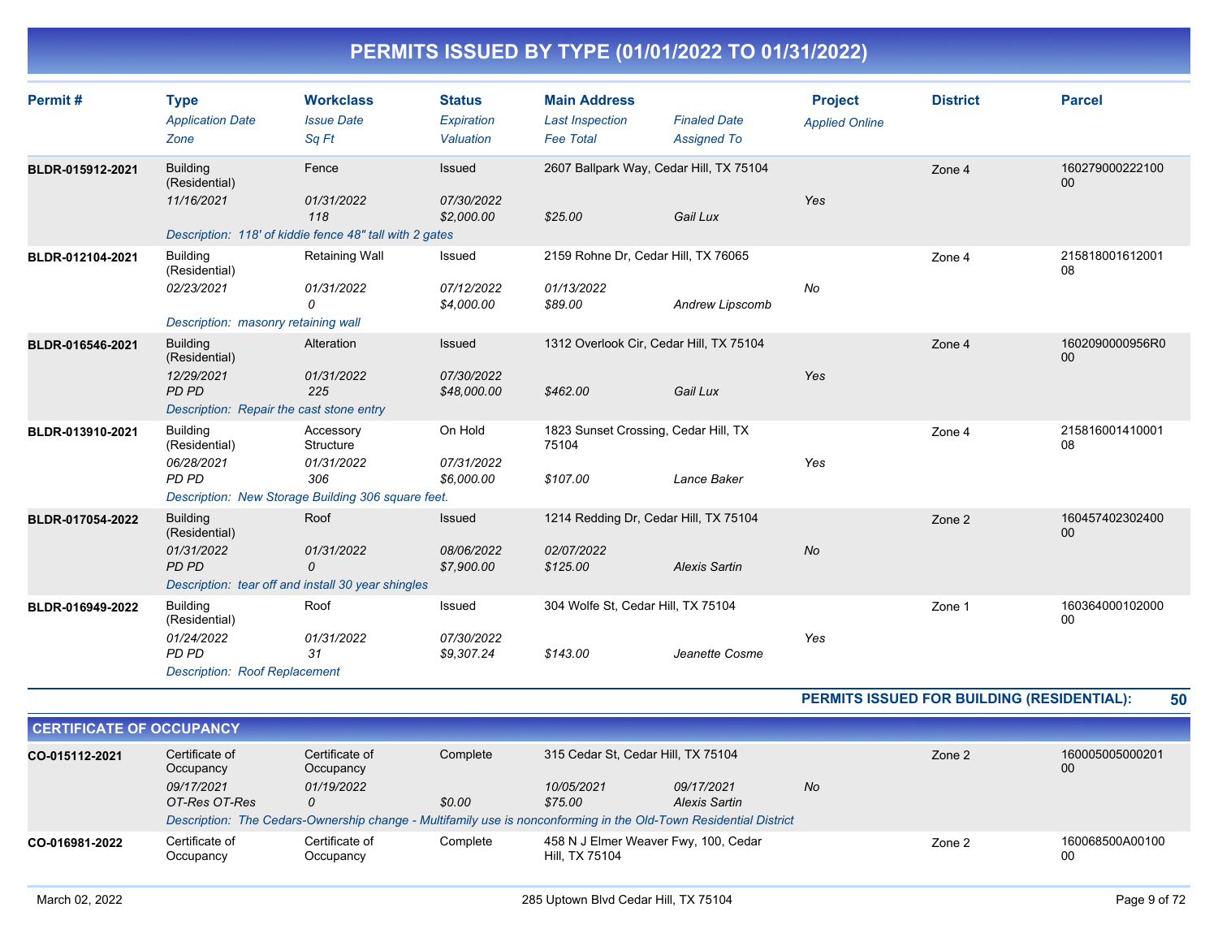| Permit#          | <b>Type</b><br><b>Application Date</b><br>Zone                                                      | <b>Workclass</b><br><b>Issue Date</b><br>Sq Ft                                                    | <b>Status</b><br>Expiration<br>Valuation | <b>Main Address</b><br><b>Last Inspection</b><br><b>Fee Total</b> | <b>Finaled Date</b><br><b>Assigned To</b>           | <b>Project</b><br><b>Applied Online</b> | <b>District</b> | <b>Parcel</b>         |
|------------------|-----------------------------------------------------------------------------------------------------|---------------------------------------------------------------------------------------------------|------------------------------------------|-------------------------------------------------------------------|-----------------------------------------------------|-----------------------------------------|-----------------|-----------------------|
| BLDR-015912-2021 | <b>Building</b><br>(Residential)<br>11/16/2021                                                      | Fence<br>01/31/2022<br>118<br>Description: 118' of kiddie fence 48" tall with 2 gates             | Issued<br>07/30/2022<br>\$2,000.00       | \$25.00                                                           | 2607 Ballpark Way, Cedar Hill, TX 75104<br>Gail Lux | Yes                                     | Zone 4          | 160279000222100<br>00 |
| BLDR-012104-2021 | <b>Building</b><br>(Residential)<br>02/23/2021<br>Description: masonry retaining wall               | <b>Retaining Wall</b><br>01/31/2022<br>0                                                          | Issued<br>07/12/2022<br>\$4,000.00       | 2159 Rohne Dr, Cedar Hill, TX 76065<br>01/13/2022<br>\$89.00      | Andrew Lipscomb                                     | <b>No</b>                               | Zone 4          | 215818001612001<br>08 |
| BLDR-016546-2021 | <b>Building</b><br>(Residential)<br>12/29/2021<br>PD PD<br>Description: Repair the cast stone entry | Alteration<br>01/31/2022<br>225                                                                   | Issued<br>07/30/2022<br>\$48,000.00      | \$462.00                                                          | 1312 Overlook Cir, Cedar Hill, TX 75104<br>Gail Lux | Yes                                     | Zone 4          | 1602090000956R0<br>00 |
| BLDR-013910-2021 | <b>Building</b><br>(Residential)<br>06/28/2021<br>PD PD                                             | Accessory<br>Structure<br>01/31/2022<br>306<br>Description: New Storage Building 306 square feet. | On Hold<br>07/31/2022<br>\$6,000.00      | 1823 Sunset Crossing, Cedar Hill, TX<br>75104<br>\$107.00         | Lance Baker                                         | Yes                                     | Zone 4          | 215816001410001<br>08 |
| BLDR-017054-2022 | <b>Building</b><br>(Residential)<br>01/31/2022<br>PD PD                                             | Roof<br>01/31/2022<br>$\mathcal{O}$<br>Description: tear off and install 30 year shingles         | Issued<br>08/06/2022<br>\$7,900.00       | 1214 Redding Dr, Cedar Hill, TX 75104<br>02/07/2022<br>\$125.00   | <b>Alexis Sartin</b>                                | <b>No</b>                               | Zone 2          | 160457402302400<br>00 |
| BLDR-016949-2022 | <b>Building</b><br>(Residential)<br>01/24/2022<br>PD PD<br><b>Description: Roof Replacement</b>     | Roof<br>01/31/2022<br>31                                                                          | Issued<br>07/30/2022<br>\$9,307.24       | 304 Wolfe St, Cedar Hill, TX 75104<br>\$143.00                    | Jeanette Cosme                                      | Yes                                     | Zone 1          | 160364000102000<br>00 |

#### **PERMITS ISSUED FOR BUILDING (RESIDENTIAL): 50**

| <b>CERTIFICATE OF OCCUPANCY</b> |                                                                                                                  |                             |          |                                                        |                      |    |        |                       |
|---------------------------------|------------------------------------------------------------------------------------------------------------------|-----------------------------|----------|--------------------------------------------------------|----------------------|----|--------|-----------------------|
| CO-015112-2021                  | Certificate of<br>Occupancy                                                                                      | Certificate of<br>Occupancy | Complete | 315 Cedar St, Cedar Hill, TX 75104                     |                      |    | Zone 2 | 160005005000201<br>00 |
|                                 | 09/17/2021                                                                                                       | 01/19/2022                  |          | 10/05/2021                                             | 09/17/2021           | No |        |                       |
|                                 | OT-Res OT-Res                                                                                                    | Ω                           | \$0.00   | \$75.00                                                | <b>Alexis Sartin</b> |    |        |                       |
|                                 | Description: The Cedars-Ownership change - Multifamily use is nonconforming in the Old-Town Residential District |                             |          |                                                        |                      |    |        |                       |
| CO-016981-2022                  | Certificate of<br>Occupancy                                                                                      | Certificate of<br>Occupancy | Complete | 458 N J Elmer Weaver Fwy, 100, Cedar<br>Hill, TX 75104 |                      |    | Zone 2 | 160068500A00100<br>00 |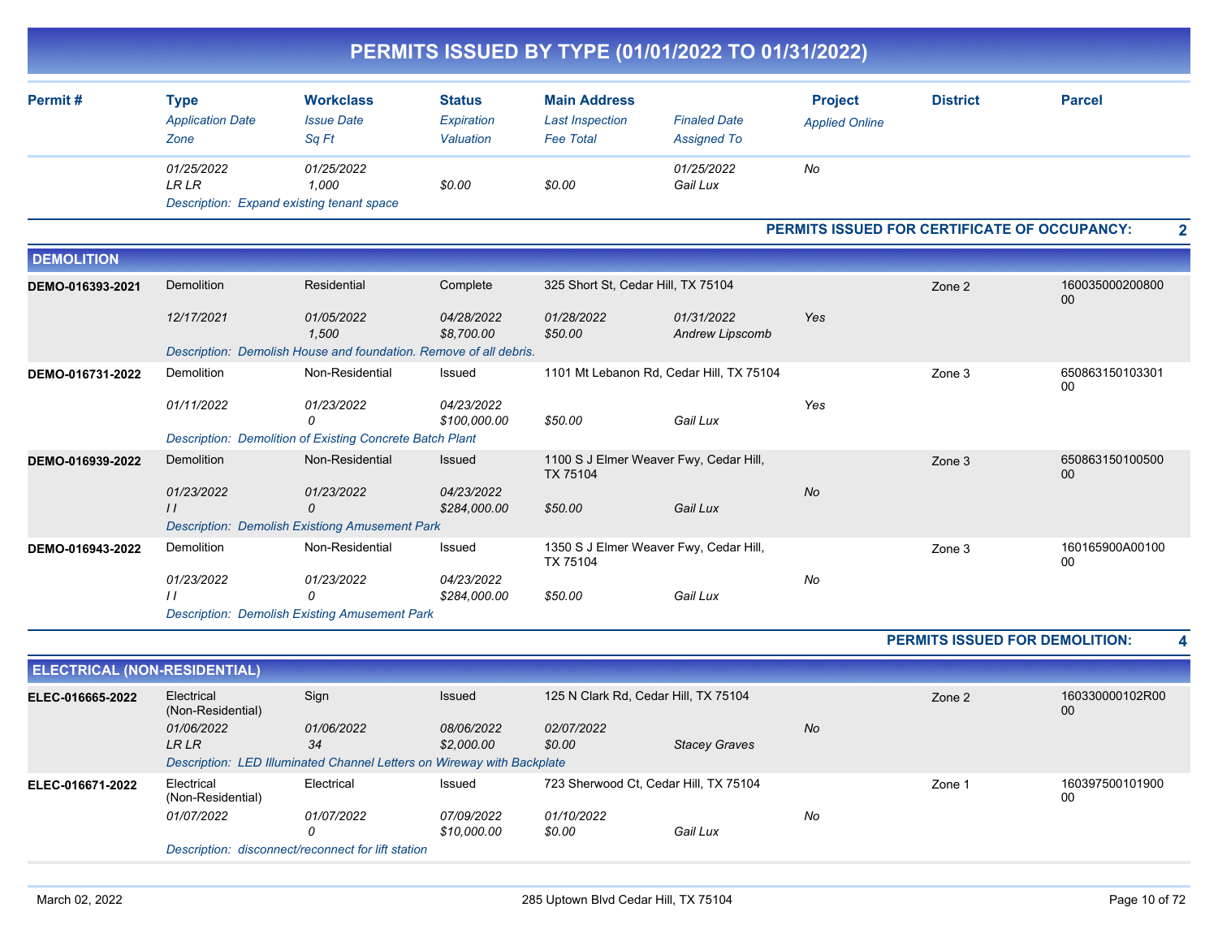|                   |                                                |                                                                   |                                          |                                                                   | PERMITS ISSUED BY TYPE (01/01/2022 TO 01/31/2022) |                                                     |                 |                           |
|-------------------|------------------------------------------------|-------------------------------------------------------------------|------------------------------------------|-------------------------------------------------------------------|---------------------------------------------------|-----------------------------------------------------|-----------------|---------------------------|
| Permit#           | <b>Type</b><br><b>Application Date</b><br>Zone | <b>Workclass</b><br><b>Issue Date</b><br>Sq Ft                    | <b>Status</b><br>Expiration<br>Valuation | <b>Main Address</b><br><b>Last Inspection</b><br><b>Fee Total</b> | <b>Finaled Date</b><br><b>Assigned To</b>         | <b>Project</b><br><b>Applied Online</b>             | <b>District</b> | <b>Parcel</b>             |
|                   | 01/25/2022<br><b>LR LR</b>                     | 01/25/2022<br>1,000<br>Description: Expand existing tenant space  | \$0.00                                   | \$0.00                                                            | 01/25/2022<br>Gail Lux                            | No                                                  |                 |                           |
|                   |                                                |                                                                   |                                          |                                                                   |                                                   | <b>PERMITS ISSUED FOR CERTIFICATE OF OCCUPANCY:</b> |                 | $\mathbf{2}$              |
| <b>DEMOLITION</b> |                                                |                                                                   |                                          |                                                                   |                                                   |                                                     |                 |                           |
| DEMO-016393-2021  | Demolition                                     | Residential                                                       | Complete                                 | 325 Short St, Cedar Hill, TX 75104                                |                                                   |                                                     | Zone 2          | 160035000200800<br>00     |
|                   | 12/17/2021                                     | 01/05/2022<br>1,500                                               | 04/28/2022<br>\$8,700.00                 | 01/28/2022<br>\$50.00                                             | 01/31/2022<br><b>Andrew Lipscomb</b>              | Yes                                                 |                 |                           |
|                   |                                                | Description: Demolish House and foundation. Remove of all debris. |                                          |                                                                   |                                                   |                                                     |                 |                           |
| DEMO-016731-2022  | Demolition                                     | Non-Residential                                                   | Issued                                   |                                                                   | 1101 Mt Lebanon Rd, Cedar Hill, TX 75104          |                                                     | Zone 3          | 650863150103301<br>$00\,$ |
|                   | 01/11/2022                                     | 01/23/2022<br>$\Omega$                                            | 04/23/2022<br>\$100,000.00               | \$50.00                                                           | Gail Lux                                          | Yes                                                 |                 |                           |
|                   |                                                | <b>Description: Demolition of Existing Concrete Batch Plant</b>   |                                          |                                                                   |                                                   |                                                     |                 |                           |
| DEMO-016939-2022  | <b>Demolition</b>                              | Non-Residential                                                   | Issued                                   | TX 75104                                                          | 1100 S J Elmer Weaver Fwy, Cedar Hill,            |                                                     | Zone 3          | 650863150100500<br>00     |
|                   | 01/23/2022<br>$\prime$                         | 01/23/2022<br>$\mathcal{O}$                                       | 04/23/2022<br>\$284,000.00               | \$50.00                                                           | Gail Lux                                          | No                                                  |                 |                           |
|                   |                                                | <b>Description: Demolish Existiong Amusement Park</b>             |                                          |                                                                   |                                                   |                                                     |                 |                           |
| DEMO-016943-2022  | Demolition                                     | Non-Residential                                                   | Issued                                   | TX 75104                                                          | 1350 S J Elmer Weaver Fwy, Cedar Hill,            |                                                     | Zone 3          | 160165900A00100<br>00     |
|                   | 01/23/2022                                     | 01/23/2022                                                        | 04/23/2022                               |                                                                   |                                                   | No                                                  |                 |                           |
|                   | $\prime$                                       | 0<br><b>Description: Demolish Existing Amusement Park</b>         | \$284,000.00                             | \$50.00                                                           | Gail Lux                                          |                                                     |                 |                           |

#### **PERMITS ISSUED FOR DEMOLITION: 4**

| <b>ELECTRICAL (NON-RESIDENTIAL)</b>                |                                 |                                                                        |                   |                                       |                      |           |        |                       |
|----------------------------------------------------|---------------------------------|------------------------------------------------------------------------|-------------------|---------------------------------------|----------------------|-----------|--------|-----------------------|
| ELEC-016665-2022                                   | Electrical<br>(Non-Residential) | Sign                                                                   | <b>Issued</b>     | 125 N Clark Rd, Cedar Hill, TX 75104  |                      |           | Zone 2 | 160330000102R00<br>00 |
|                                                    | 01/06/2022                      | 01/06/2022                                                             | <i>08/06/2022</i> | 02/07/2022                            |                      | <b>No</b> |        |                       |
|                                                    | <b>LRLR</b>                     | 34                                                                     | \$2,000.00        | \$0.00                                | <b>Stacey Graves</b> |           |        |                       |
|                                                    |                                 | Description: LED Illuminated Channel Letters on Wireway with Backplate |                   |                                       |                      |           |        |                       |
| ELEC-016671-2022                                   | Electrical<br>(Non-Residential) | Electrical                                                             | Issued            | 723 Sherwood Ct, Cedar Hill, TX 75104 |                      | Zone 1    |        | 160397500101900<br>00 |
|                                                    | 01/07/2022                      | 01/07/2022                                                             | <i>07/09/2022</i> | 01/10/2022                            |                      | No        |        |                       |
|                                                    |                                 | 0                                                                      | \$10,000.00       | \$0.00                                | Gail Lux             |           |        |                       |
| Description: disconnect/reconnect for lift station |                                 |                                                                        |                   |                                       |                      |           |        |                       |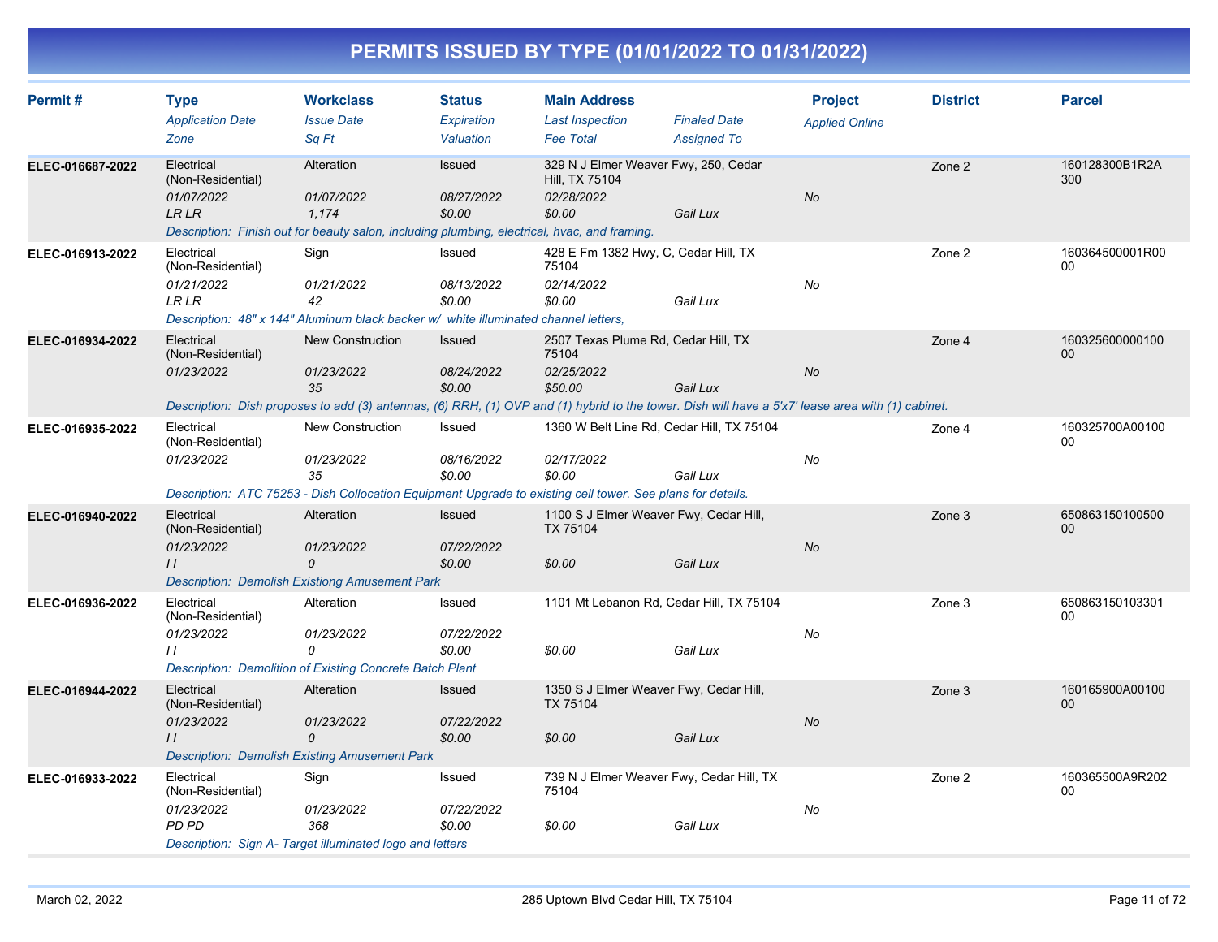| Permit#          | <b>Type</b><br><b>Application Date</b> | <b>Workclass</b><br><b>Issue Date</b>                                                                                                             | <b>Status</b><br>Expiration | <b>Main Address</b><br><b>Last Inspection</b>          | <b>Finaled Date</b> | <b>Project</b><br><b>Applied Online</b> | <b>District</b> | <b>Parcel</b>         |
|------------------|----------------------------------------|---------------------------------------------------------------------------------------------------------------------------------------------------|-----------------------------|--------------------------------------------------------|---------------------|-----------------------------------------|-----------------|-----------------------|
|                  | Zone                                   | Sq Ft                                                                                                                                             | Valuation                   | <b>Fee Total</b>                                       | <b>Assigned To</b>  |                                         |                 |                       |
| ELEC-016687-2022 | Electrical<br>(Non-Residential)        | Alteration                                                                                                                                        | Issued                      | 329 N J Elmer Weaver Fwy, 250, Cedar<br>Hill, TX 75104 |                     |                                         | Zone 2          | 160128300B1R2A<br>300 |
|                  | 01/07/2022                             | 01/07/2022                                                                                                                                        | <i>08/27/2022</i>           | 02/28/2022                                             |                     | No                                      |                 |                       |
|                  | <b>LR LR</b>                           | 1,174                                                                                                                                             | \$0.00                      | \$0.00                                                 | Gail Lux            |                                         |                 |                       |
|                  |                                        | Description: Finish out for beauty salon, including plumbing, electrical, hvac, and framing.                                                      |                             |                                                        |                     |                                         |                 |                       |
| ELEC-016913-2022 | Electrical<br>(Non-Residential)        | Sign                                                                                                                                              | Issued                      | 428 E Fm 1382 Hwy, C, Cedar Hill, TX<br>75104          |                     |                                         | Zone 2          | 160364500001R00<br>00 |
|                  | 01/21/2022                             | 01/21/2022                                                                                                                                        | 08/13/2022                  | 02/14/2022                                             |                     | No                                      |                 |                       |
|                  | LR LR                                  | 42                                                                                                                                                | \$0.00                      | \$0.00                                                 | Gail Lux            |                                         |                 |                       |
|                  |                                        | Description: 48" x 144" Aluminum black backer w/ white illuminated channel letters,                                                               |                             |                                                        |                     |                                         |                 |                       |
| ELEC-016934-2022 | Electrical<br>(Non-Residential)        | <b>New Construction</b>                                                                                                                           | Issued                      | 2507 Texas Plume Rd, Cedar Hill, TX<br>75104           |                     |                                         | Zone 4          | 160325600000100<br>00 |
|                  | 01/23/2022                             | 01/23/2022<br>35                                                                                                                                  | 08/24/2022<br>\$0.00        | 02/25/2022<br>\$50.00                                  | Gail Lux            | No                                      |                 |                       |
|                  |                                        |                                                                                                                                                   |                             |                                                        |                     |                                         |                 |                       |
|                  |                                        | Description: Dish proposes to add (3) antennas, (6) RRH, (1) OVP and (1) hybrid to the tower. Dish will have a 5'x7' lease area with (1) cabinet. |                             |                                                        |                     |                                         |                 |                       |
| ELEC-016935-2022 | Electrical<br>(Non-Residential)        | New Construction                                                                                                                                  | Issued                      | 1360 W Belt Line Rd, Cedar Hill, TX 75104              |                     |                                         | Zone 4          | 160325700A00100<br>00 |
|                  | 01/23/2022                             | 01/23/2022                                                                                                                                        | 08/16/2022                  | 02/17/2022                                             |                     | No                                      |                 |                       |
|                  |                                        | 35                                                                                                                                                | \$0.00                      | \$0.00                                                 | Gail Lux            |                                         |                 |                       |
|                  |                                        | Description: ATC 75253 - Dish Collocation Equipment Upgrade to existing cell tower. See plans for details.                                        |                             |                                                        |                     |                                         |                 |                       |
| ELEC-016940-2022 | Electrical<br>(Non-Residential)        | Alteration                                                                                                                                        | <b>Issued</b>               | 1100 S J Elmer Weaver Fwy, Cedar Hill,<br>TX 75104     |                     |                                         | Zone 3          | 650863150100500<br>00 |
|                  | 01/23/2022                             | 01/23/2022                                                                                                                                        | 07/22/2022                  |                                                        |                     | No                                      |                 |                       |
|                  | $\frac{1}{2}$                          | 0                                                                                                                                                 | \$0.00                      | \$0.00                                                 | Gail Lux            |                                         |                 |                       |
|                  |                                        | <b>Description: Demolish Existiong Amusement Park</b>                                                                                             |                             |                                                        |                     |                                         |                 |                       |
| ELEC-016936-2022 | Electrical<br>(Non-Residential)        | Alteration                                                                                                                                        | Issued                      | 1101 Mt Lebanon Rd, Cedar Hill, TX 75104               |                     |                                         | Zone 3          | 650863150103301<br>00 |
|                  | 01/23/2022                             | 01/23/2022                                                                                                                                        | 07/22/2022                  |                                                        |                     | No                                      |                 |                       |
|                  | $\prime$                               | 0                                                                                                                                                 | \$0.00                      | \$0.00                                                 | Gail Lux            |                                         |                 |                       |
|                  |                                        | <b>Description: Demolition of Existing Concrete Batch Plant</b>                                                                                   |                             |                                                        |                     |                                         |                 |                       |
| ELEC-016944-2022 | Electrical<br>(Non-Residential)        | Alteration                                                                                                                                        | <b>Issued</b>               | 1350 S J Elmer Weaver Fwy, Cedar Hill,<br>TX 75104     |                     |                                         | Zone 3          | 160165900A00100<br>00 |
|                  | 01/23/2022                             | 01/23/2022                                                                                                                                        | 07/22/2022                  |                                                        |                     | No                                      |                 |                       |
|                  | $\prime$                               | 0                                                                                                                                                 | \$0.00                      | \$0.00                                                 | Gail Lux            |                                         |                 |                       |
|                  |                                        | <b>Description: Demolish Existing Amusement Park</b>                                                                                              |                             |                                                        |                     |                                         |                 |                       |
| ELEC-016933-2022 | Electrical<br>(Non-Residential)        | Sign                                                                                                                                              | Issued                      | 739 N J Elmer Weaver Fwy, Cedar Hill, TX<br>75104      |                     |                                         | Zone 2          | 160365500A9R202<br>00 |
|                  | 01/23/2022                             | 01/23/2022                                                                                                                                        | 07/22/2022                  |                                                        |                     | No                                      |                 |                       |
|                  | PD PD                                  | 368                                                                                                                                               | \$0.00                      | \$0.00                                                 | Gail Lux            |                                         |                 |                       |
|                  |                                        | Description: Sign A- Target illuminated logo and letters                                                                                          |                             |                                                        |                     |                                         |                 |                       |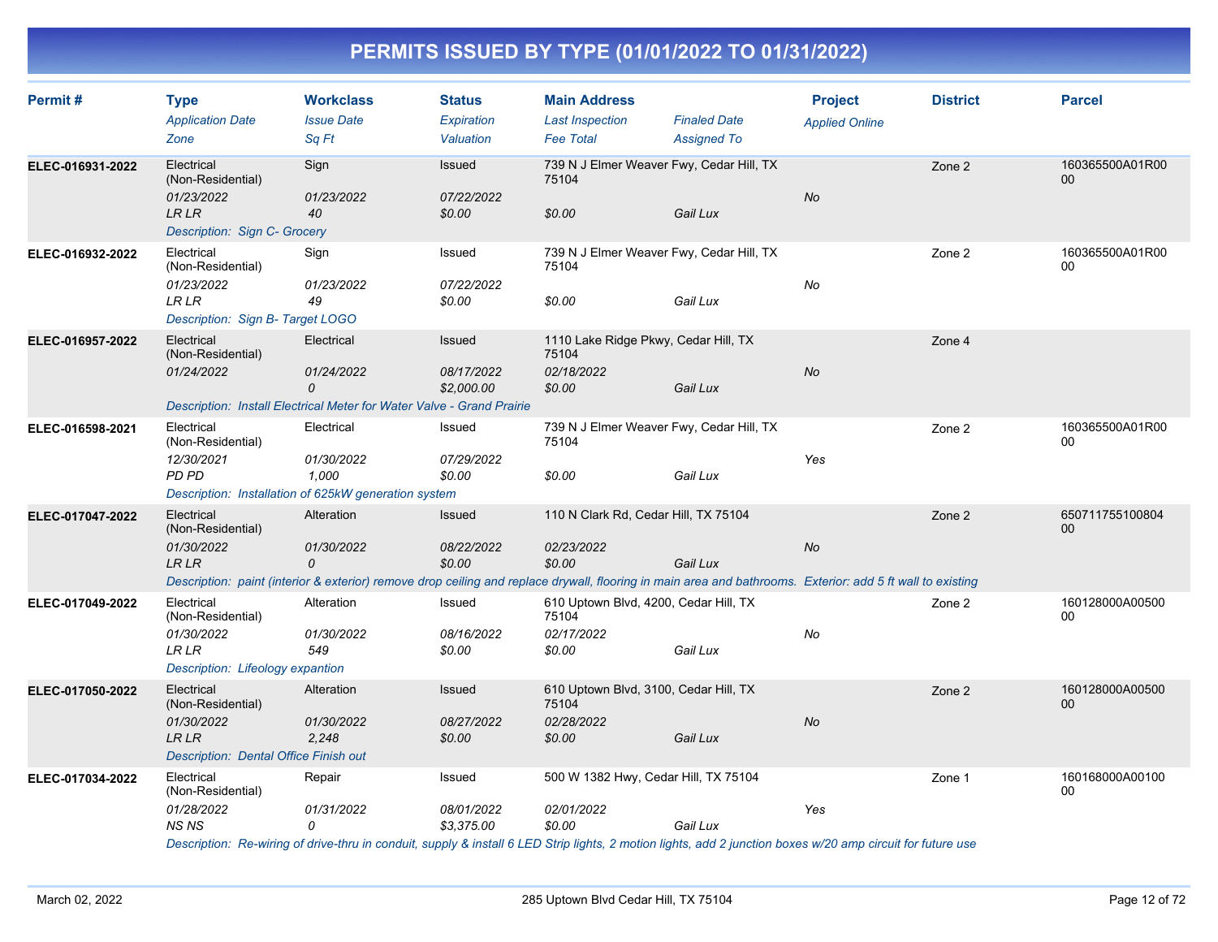| Permit#          | <b>Type</b><br><b>Application Date</b><br>Zone                                                                                                                                                                               | <b>Workclass</b><br><b>Issue Date</b><br>Sq Ft                                                                                                                                              | <b>Status</b><br>Expiration<br>Valuation  | <b>Main Address</b><br><b>Last Inspection</b><br><b>Fee Total</b>      | <b>Finaled Date</b><br><b>Assigned To</b> | <b>Project</b><br><b>Applied Online</b> | <b>District</b> | <b>Parcel</b>             |
|------------------|------------------------------------------------------------------------------------------------------------------------------------------------------------------------------------------------------------------------------|---------------------------------------------------------------------------------------------------------------------------------------------------------------------------------------------|-------------------------------------------|------------------------------------------------------------------------|-------------------------------------------|-----------------------------------------|-----------------|---------------------------|
| ELEC-016931-2022 | Electrical<br>(Non-Residential)<br>01/23/2022<br><b>LR LR</b><br>Description: Sign C- Grocery                                                                                                                                | Sign<br>01/23/2022<br>40                                                                                                                                                                    | <b>Issued</b><br>07/22/2022<br>\$0.00     | 739 N J Elmer Weaver Fwy, Cedar Hill, TX<br>75104<br>\$0.00            | Gail Lux                                  | No                                      | Zone 2          | 160365500A01R00<br>$00\,$ |
| ELEC-016932-2022 | Electrical<br>(Non-Residential)<br>01/23/2022<br><b>LR LR</b><br>Description: Sign B- Target LOGO                                                                                                                            | Sign<br>01/23/2022<br>49                                                                                                                                                                    | Issued<br>07/22/2022<br>\$0.00            | 739 N J Elmer Weaver Fwy, Cedar Hill, TX<br>75104<br>\$0.00            | Gail Lux                                  | No                                      | Zone 2          | 160365500A01R00<br>00     |
| ELEC-016957-2022 | Electrical<br>(Non-Residential)<br>01/24/2022                                                                                                                                                                                | Electrical<br>01/24/2022<br>0<br>Description: Install Electrical Meter for Water Valve - Grand Prairie                                                                                      | Issued<br>08/17/2022<br>\$2,000.00        | 1110 Lake Ridge Pkwy, Cedar Hill, TX<br>75104<br>02/18/2022<br>\$0.00  | Gail Lux                                  | <b>No</b>                               | Zone 4          |                           |
| ELEC-016598-2021 | Electrical<br>(Non-Residential)<br>12/30/2021<br>PD PD                                                                                                                                                                       | Electrical<br>01/30/2022<br>1,000<br>Description: Installation of 625kW generation system                                                                                                   | Issued<br>07/29/2022<br>\$0.00            | 739 N J Elmer Weaver Fwy, Cedar Hill, TX<br>75104<br>\$0.00            | Gail Lux                                  | Yes                                     | Zone 2          | 160365500A01R00<br>00     |
| ELEC-017047-2022 | Electrical<br>(Non-Residential)<br>01/30/2022<br>LR LR                                                                                                                                                                       | Alteration<br>01/30/2022<br>0<br>Description: paint (interior & exterior) remove drop ceiling and replace drywall, flooring in main area and bathrooms. Exterior: add 5 ft wall to existing | Issued<br>08/22/2022<br>\$0.00            | 110 N Clark Rd, Cedar Hill, TX 75104<br>02/23/2022<br>\$0.00           | Gail Lux                                  | No                                      | Zone 2          | 650711755100804<br>$00\,$ |
| ELEC-017049-2022 | Electrical<br>(Non-Residential)<br>01/30/2022<br>LR LR<br>Description: Lifeology expantion                                                                                                                                   | Alteration<br>01/30/2022<br>549                                                                                                                                                             | Issued<br>08/16/2022<br>\$0.00            | 610 Uptown Blvd, 4200, Cedar Hill, TX<br>75104<br>02/17/2022<br>\$0.00 | Gail Lux                                  | No                                      | Zone 2          | 160128000A00500<br>00     |
| ELEC-017050-2022 | Electrical<br>(Non-Residential)<br>01/30/2022<br>LR LR<br><b>Description: Dental Office Finish out</b>                                                                                                                       | Alteration<br>01/30/2022<br>2,248                                                                                                                                                           | Issued<br>08/27/2022<br>\$0.00            | 610 Uptown Blvd, 3100, Cedar Hill, TX<br>75104<br>02/28/2022<br>\$0.00 | Gail Lux                                  | <b>No</b>                               | Zone 2          | 160128000A00500<br>00     |
| ELEC-017034-2022 | Electrical<br>(Non-Residential)<br>01/28/2022<br><b>NS NS</b><br>Description: Re-wiring of drive-thru in conduit, supply & install 6 LED Strip lights, 2 motion lights, add 2 junction boxes w/20 amp circuit for future use | Repair<br>01/31/2022<br>0                                                                                                                                                                   | Issued<br><i>08/01/2022</i><br>\$3,375.00 | 500 W 1382 Hwy, Cedar Hill, TX 75104<br>02/01/2022<br>\$0.00           | Gail Lux                                  | Yes                                     | Zone 1          | 160168000A00100<br>00     |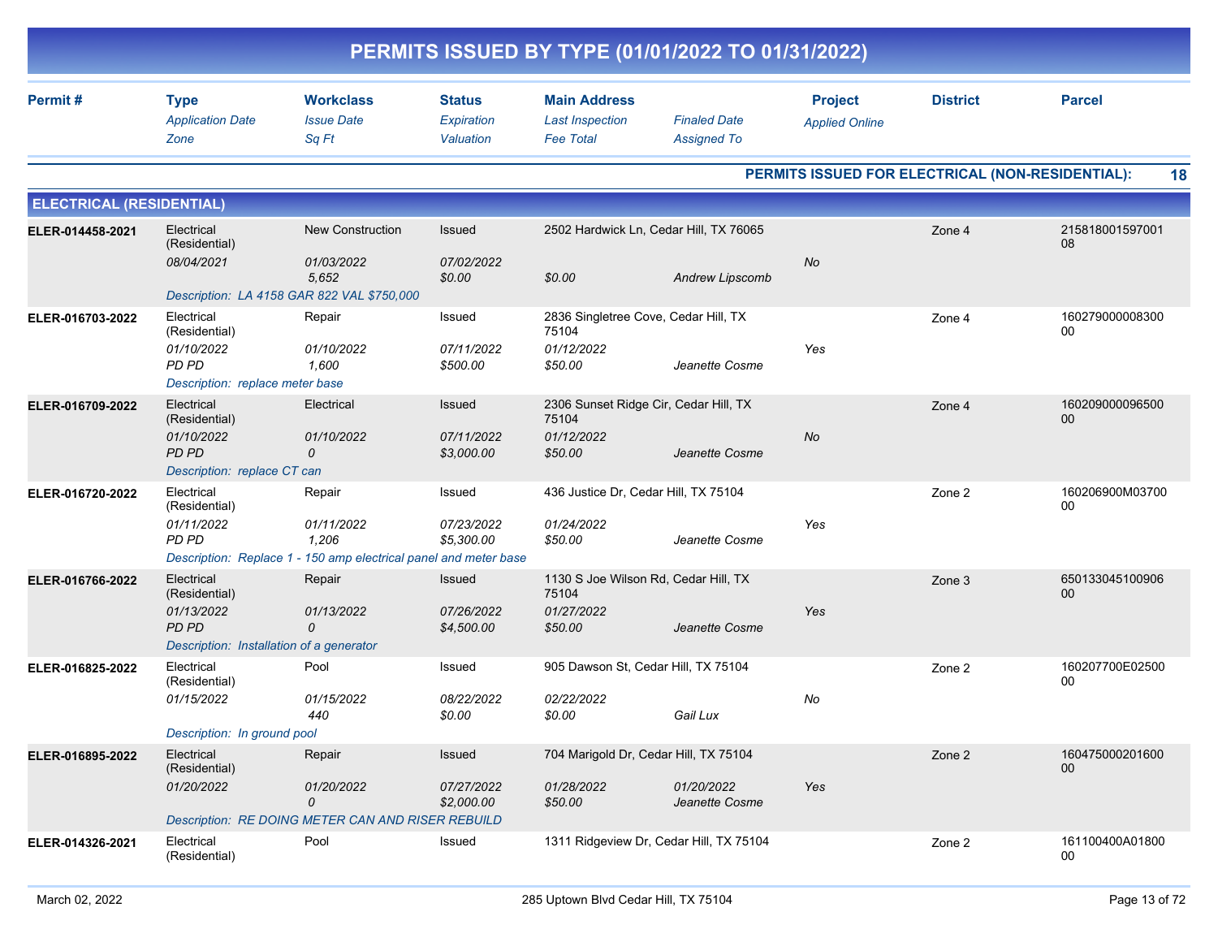| PERMITS ISSUED BY TYPE (01/01/2022 TO 01/31/2022) |                                                                                                |                                                                                                   |                                          |                                                                         |                                           |                                         |                                                  |                           |  |  |
|---------------------------------------------------|------------------------------------------------------------------------------------------------|---------------------------------------------------------------------------------------------------|------------------------------------------|-------------------------------------------------------------------------|-------------------------------------------|-----------------------------------------|--------------------------------------------------|---------------------------|--|--|
| Permit#                                           | <b>Type</b><br><b>Application Date</b><br>Zone                                                 | <b>Workclass</b><br><b>Issue Date</b><br>Sq Ft                                                    | <b>Status</b><br>Expiration<br>Valuation | <b>Main Address</b><br><b>Last Inspection</b><br><b>Fee Total</b>       | <b>Finaled Date</b><br><b>Assigned To</b> | <b>Project</b><br><b>Applied Online</b> | <b>District</b>                                  | <b>Parcel</b>             |  |  |
|                                                   |                                                                                                |                                                                                                   |                                          |                                                                         |                                           |                                         | PERMITS ISSUED FOR ELECTRICAL (NON-RESIDENTIAL): | 18                        |  |  |
| <b>ELECTRICAL (RESIDENTIAL)</b>                   |                                                                                                |                                                                                                   |                                          |                                                                         |                                           |                                         |                                                  |                           |  |  |
| ELER-014458-2021                                  | Electrical<br>(Residential)<br>08/04/2021                                                      | <b>New Construction</b><br>01/03/2022<br>5,652<br>Description: LA 4158 GAR 822 VAL \$750,000      | Issued<br>07/02/2022<br>\$0.00           | 2502 Hardwick Ln, Cedar Hill, TX 76065<br>\$0.00                        | Andrew Lipscomb                           | No                                      | Zone 4                                           | 215818001597001<br>08     |  |  |
| ELER-016703-2022                                  | Electrical<br>(Residential)<br>01/10/2022<br>PD PD<br>Description: replace meter base          | Repair<br>01/10/2022<br>1,600                                                                     | Issued<br>07/11/2022<br>\$500.00         | 2836 Singletree Cove, Cedar Hill, TX<br>75104<br>01/12/2022<br>\$50.00  | Jeanette Cosme                            | Yes                                     | Zone 4                                           | 160279000008300<br>00     |  |  |
| ELER-016709-2022                                  | Electrical<br>(Residential)<br>01/10/2022<br><b>PD PD</b><br>Description: replace CT can       | Electrical<br>01/10/2022<br>0                                                                     | Issued<br>07/11/2022<br>\$3,000.00       | 2306 Sunset Ridge Cir, Cedar Hill, TX<br>75104<br>01/12/2022<br>\$50.00 | Jeanette Cosme                            | No                                      | Zone 4                                           | 160209000096500<br>00     |  |  |
| ELER-016720-2022                                  | Electrical<br>(Residential)<br>01/11/2022<br>PD PD                                             | Repair<br>01/11/2022<br>1,206<br>Description: Replace 1 - 150 amp electrical panel and meter base | Issued<br>07/23/2022<br>\$5,300.00       | 436 Justice Dr, Cedar Hill, TX 75104<br>01/24/2022<br>\$50.00           | Jeanette Cosme                            | Yes                                     | Zone 2                                           | 160206900M03700<br>00     |  |  |
| ELER-016766-2022                                  | Electrical<br>(Residential)<br>01/13/2022<br>PD PD<br>Description: Installation of a generator | Repair<br>01/13/2022<br>0                                                                         | Issued<br>07/26/2022<br>\$4,500.00       | 1130 S Joe Wilson Rd, Cedar Hill, TX<br>75104<br>01/27/2022<br>\$50.00  | Jeanette Cosme                            | Yes                                     | Zone 3                                           | 650133045100906<br>00     |  |  |
| ELER-016825-2022                                  | Electrical<br>(Residential)<br>01/15/2022<br>Description: In ground pool                       | Pool<br>01/15/2022<br>440                                                                         | Issued<br>08/22/2022<br>\$0.00           | 905 Dawson St, Cedar Hill, TX 75104<br>02/22/2022<br>\$0.00             | Gail Lux                                  | No                                      | Zone 2                                           | 160207700E02500<br>00     |  |  |
| ELER-016895-2022                                  | Electrical<br>(Residential)<br>01/20/2022                                                      | Repair<br>01/20/2022<br>0<br>Description: RE DOING METER CAN AND RISER REBUILD                    | Issued<br>07/27/2022<br>\$2,000.00       | 704 Marigold Dr, Cedar Hill, TX 75104<br>01/28/2022<br>\$50.00          | 01/20/2022<br>Jeanette Cosme              | Yes                                     | Zone 2                                           | 160475000201600<br>$00\,$ |  |  |
| ELER-014326-2021                                  | Electrical<br>(Residential)                                                                    | Pool                                                                                              | Issued                                   | 1311 Ridgeview Dr, Cedar Hill, TX 75104                                 |                                           |                                         | Zone 2                                           | 161100400A01800<br>$00\,$ |  |  |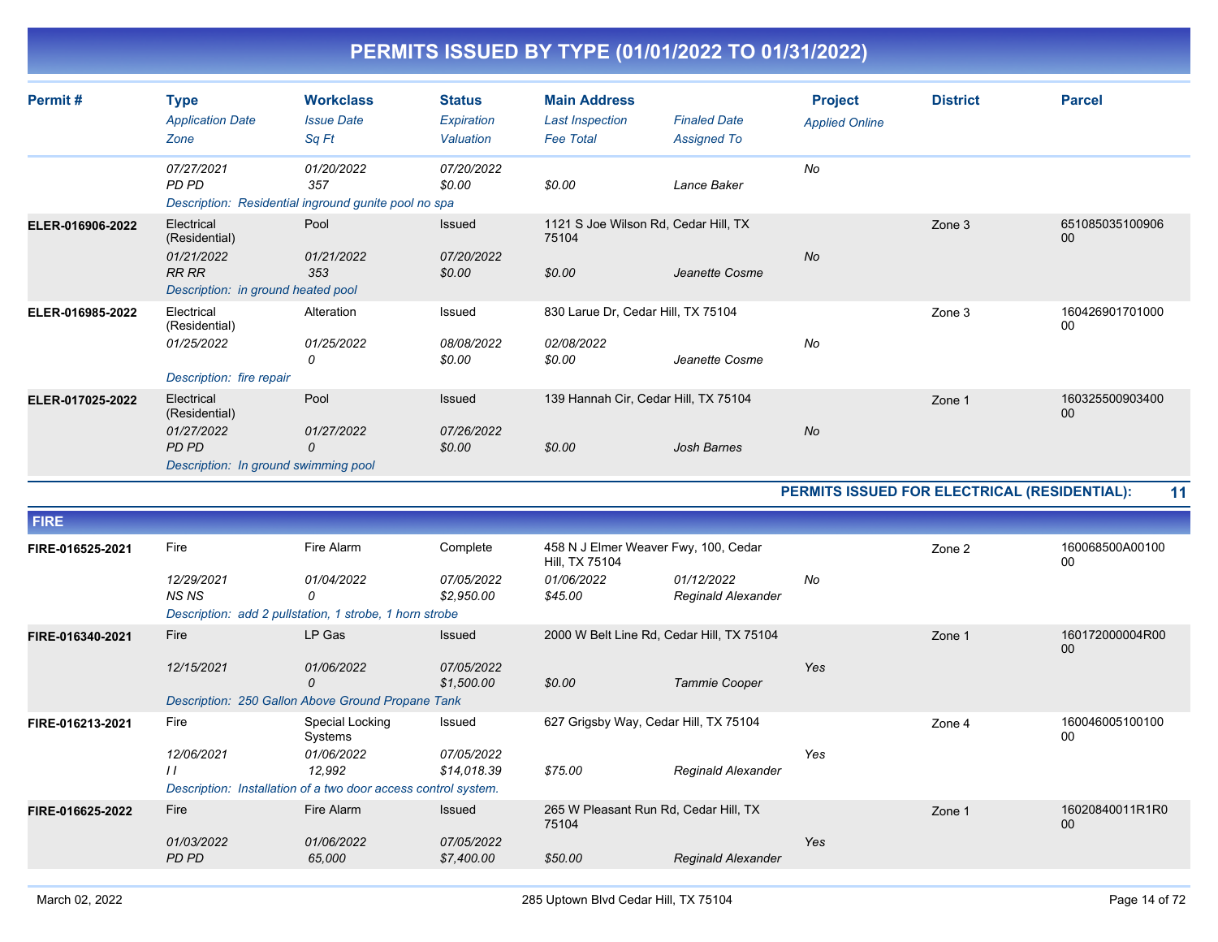| Permit#          | <b>Type</b><br><b>Application Date</b><br>Zone                                                  | <b>Workclass</b><br><b>Issue Date</b><br>Sq Ft                                           | <b>Status</b><br>Expiration<br>Valuation | <b>Main Address</b><br><b>Last Inspection</b><br><b>Fee Total</b>               | <b>Finaled Date</b><br><b>Assigned To</b> | <b>Project</b><br><b>Applied Online</b>      | <b>District</b> | <b>Parcel</b>             |
|------------------|-------------------------------------------------------------------------------------------------|------------------------------------------------------------------------------------------|------------------------------------------|---------------------------------------------------------------------------------|-------------------------------------------|----------------------------------------------|-----------------|---------------------------|
|                  | 07/27/2021<br>PD PD                                                                             | 01/20/2022<br>357<br>Description: Residential inground gunite pool no spa                | 07/20/2022<br>\$0.00                     | \$0.00                                                                          | Lance Baker                               | No                                           |                 |                           |
| ELER-016906-2022 | Electrical<br>(Residential)<br>01/21/2022<br><b>RR RR</b><br>Description: in ground heated pool | Pool<br>01/21/2022<br>353                                                                | Issued<br>07/20/2022<br>\$0.00           | 1121 S Joe Wilson Rd, Cedar Hill, TX<br>75104<br>\$0.00                         | Jeanette Cosme                            | <b>No</b>                                    | Zone 3          | 651085035100906<br>00     |
| ELER-016985-2022 | Electrical<br>(Residential)<br>01/25/2022<br>Description: fire repair                           | Alteration<br>01/25/2022<br>0                                                            | Issued<br>08/08/2022<br>\$0.00           | 830 Larue Dr, Cedar Hill, TX 75104<br>02/08/2022<br>\$0.00                      | Jeanette Cosme                            | No                                           | Zone 3          | 160426901701000<br>$00\,$ |
| ELER-017025-2022 | Electrical<br>(Residential)<br>01/27/2022<br>PD PD<br>Description: In ground swimming pool      | Pool<br>01/27/2022<br>$\Omega$                                                           | <b>Issued</b><br>07/26/2022<br>\$0.00    | 139 Hannah Cir, Cedar Hill, TX 75104<br>\$0.00                                  | <b>Josh Barnes</b>                        | <b>No</b>                                    | Zone 1          | 160325500903400<br>00     |
|                  |                                                                                                 |                                                                                          |                                          |                                                                                 |                                           | PERMITS ISSUED FOR ELECTRICAL (RESIDENTIAL): |                 | 11                        |
| <b>FIRE</b>      |                                                                                                 |                                                                                          |                                          |                                                                                 |                                           |                                              |                 |                           |
| FIRE-016525-2021 | Fire<br>12/29/2021<br><b>NSNS</b>                                                               | Fire Alarm<br>01/04/2022<br>0<br>Description: add 2 pullstation, 1 strobe, 1 horn strobe | Complete<br>07/05/2022<br>\$2,950.00     | 458 N J Elmer Weaver Fwy, 100, Cedar<br>Hill, TX 75104<br>01/06/2022<br>\$45.00 | 01/12/2022<br><b>Reginald Alexander</b>   | No                                           | Zone 2          | 160068500A00100<br>$00\,$ |
| FIRE-016340-2021 | Fire<br>$1011 - 10001$                                                                          | LP Gas<br>0.110010000                                                                    | <b>Issued</b><br>0.710710000             | 2000 W Belt Line Rd, Cedar Hill, TX 75104                                       |                                           |                                              | Zone 1          | 160172000004R00<br>00     |

|                                      |                     | 0<br>Description: 250 Gallon Above Ground Propane Tank                                                               | \$1,500.00                          | \$0.00                                                    | Tammie Cooper             | Yes |        |                       |
|--------------------------------------|---------------------|----------------------------------------------------------------------------------------------------------------------|-------------------------------------|-----------------------------------------------------------|---------------------------|-----|--------|-----------------------|
| Fire<br>FIRE-016213-2021<br>$\prime$ | 12/06/2021          | Special Locking<br>Systems<br>01/06/2022<br>12.992<br>Description: Installation of a two door access control system. | Issued<br>07/05/2022<br>\$14.018.39 | 627 Grigsby Way, Cedar Hill, TX 75104<br>\$75.00          | <b>Reginald Alexander</b> | Yes | Zone 4 | 160046005100100<br>00 |
| Fire<br>FIRE-016625-2022             | 01/03/2022<br>PD PD | Fire Alarm<br>01/06/2022<br>65,000                                                                                   | Issued<br>07/05/2022<br>\$7,400.00  | 265 W Pleasant Run Rd, Cedar Hill, TX<br>75104<br>\$50.00 | <b>Reginald Alexander</b> | Yes | Zone 1 | 16020840011R1R0<br>00 |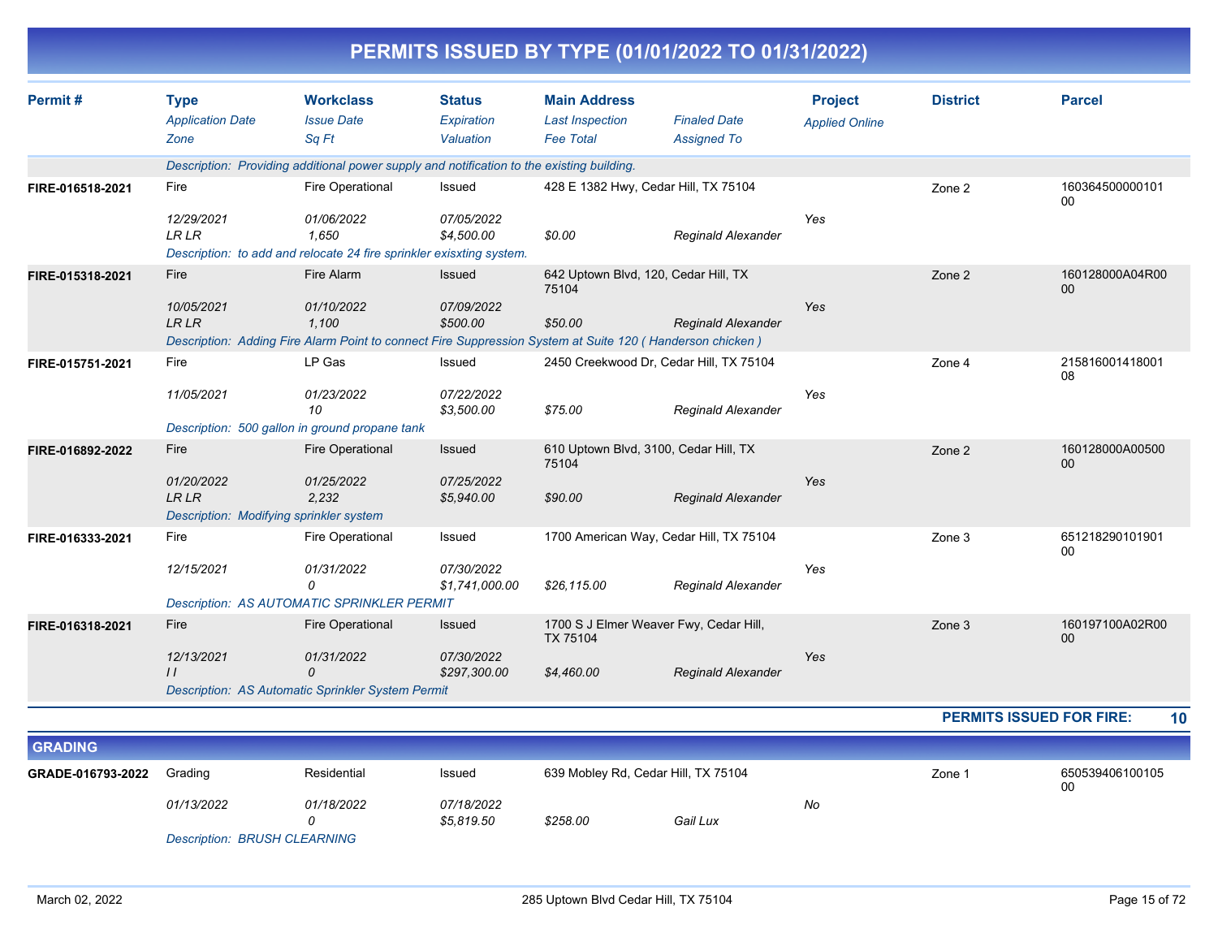| Permit#          | <b>Type</b>                             | <b>Workclass</b>                                                                                                  | <b>Status</b>  | <b>Main Address</b>                   |                                         | <b>Project</b>        | <b>District</b> | <b>Parcel</b>             |
|------------------|-----------------------------------------|-------------------------------------------------------------------------------------------------------------------|----------------|---------------------------------------|-----------------------------------------|-----------------------|-----------------|---------------------------|
|                  | <b>Application Date</b>                 | <b>Issue Date</b>                                                                                                 | Expiration     | <b>Last Inspection</b>                | <b>Finaled Date</b>                     | <b>Applied Online</b> |                 |                           |
|                  | Zone                                    | Sq Ft                                                                                                             | Valuation      | <b>Fee Total</b>                      | <b>Assigned To</b>                      |                       |                 |                           |
|                  |                                         | Description: Providing additional power supply and notification to the existing building.                         |                |                                       |                                         |                       |                 |                           |
| FIRE-016518-2021 | Fire                                    | Fire Operational                                                                                                  | Issued         | 428 E 1382 Hwy, Cedar Hill, TX 75104  |                                         |                       | Zone 2          | 160364500000101<br>$00\,$ |
|                  | 12/29/2021                              | 01/06/2022                                                                                                        | 07/05/2022     |                                       |                                         | Yes                   |                 |                           |
|                  | <b>LR LR</b>                            | 1,650<br>Description: to add and relocate 24 fire sprinkler exisxting system.                                     | \$4,500.00     | \$0.00                                | <b>Reginald Alexander</b>               |                       |                 |                           |
| FIRE-015318-2021 | <b>Fire</b>                             | Fire Alarm                                                                                                        | Issued         | 642 Uptown Blvd, 120, Cedar Hill, TX  |                                         |                       | Zone 2          | 160128000A04R00           |
|                  |                                         |                                                                                                                   |                | 75104                                 |                                         |                       |                 | $00\,$                    |
|                  | 10/05/2021                              | 01/10/2022                                                                                                        | 07/09/2022     |                                       |                                         | Yes                   |                 |                           |
|                  | <b>LR LR</b>                            | 1.100<br>Description: Adding Fire Alarm Point to connect Fire Suppression System at Suite 120 (Handerson chicken) | \$500.00       | \$50.00                               | <b>Reginald Alexander</b>               |                       |                 |                           |
| FIRE-015751-2021 | Fire                                    | LP Gas                                                                                                            | Issued         |                                       | 2450 Creekwood Dr, Cedar Hill, TX 75104 |                       | Zone 4          | 215816001418001           |
|                  |                                         |                                                                                                                   |                |                                       |                                         |                       |                 | 08                        |
|                  | 11/05/2021                              | 01/23/2022                                                                                                        | 07/22/2022     |                                       |                                         | Yes                   |                 |                           |
|                  |                                         | 10<br>Description: 500 gallon in ground propane tank                                                              | \$3,500.00     | \$75.00                               | <b>Reginald Alexander</b>               |                       |                 |                           |
| FIRE-016892-2022 | Fire                                    | <b>Fire Operational</b>                                                                                           | Issued         | 610 Uptown Blvd, 3100, Cedar Hill, TX |                                         |                       | Zone 2          | 160128000A00500           |
|                  |                                         |                                                                                                                   |                | 75104                                 |                                         |                       |                 | 00                        |
|                  | 01/20/2022                              | 01/25/2022                                                                                                        | 07/25/2022     |                                       |                                         | Yes                   |                 |                           |
|                  | <b>LR LR</b>                            | 2,232                                                                                                             | \$5,940.00     | \$90.00                               | <b>Reginald Alexander</b>               |                       |                 |                           |
|                  | Description: Modifying sprinkler system |                                                                                                                   |                |                                       |                                         |                       |                 |                           |
| FIRE-016333-2021 | Fire                                    | Fire Operational                                                                                                  | Issued         |                                       | 1700 American Way, Cedar Hill, TX 75104 |                       | Zone 3          | 651218290101901<br>00     |
|                  | 12/15/2021                              | 01/31/2022                                                                                                        | 07/30/2022     |                                       |                                         | Yes                   |                 |                           |
|                  |                                         | 0                                                                                                                 | \$1,741,000.00 | \$26,115.00                           | <b>Reginald Alexander</b>               |                       |                 |                           |
|                  |                                         | <b>Description: AS AUTOMATIC SPRINKLER PERMIT</b>                                                                 |                |                                       |                                         |                       |                 |                           |
| FIRE-016318-2021 | Fire                                    | <b>Fire Operational</b>                                                                                           | Issued         | TX 75104                              | 1700 S J Elmer Weaver Fwy, Cedar Hill,  |                       | Zone 3          | 160197100A02R00<br>$00\,$ |
|                  | 12/13/2021                              | 01/31/2022                                                                                                        | 07/30/2022     |                                       |                                         | Yes                   |                 |                           |
|                  | $\frac{1}{2}$                           | $\Omega$<br>Description: AS Automatic Sprinkler System Permit                                                     | \$297,300.00   | \$4,460.00                            | <b>Reginald Alexander</b>               |                       |                 |                           |

| <b>GRADING</b>    |            |             |                          |                                     |          |    |                   |                       |
|-------------------|------------|-------------|--------------------------|-------------------------------------|----------|----|-------------------|-----------------------|
| GRADE-016793-2022 | Grading    | Residential | Issued                   | 639 Mobley Rd, Cedar Hill, TX 75104 |          |    | Zone <sup>-</sup> | 650539406100105<br>00 |
|                   | 01/13/2022 | 01/18/2022  | 07/18/2022<br>\$5,819.50 | \$258.00                            | Gail Lux | No |                   |                       |

*Description: BRUSH CLEARNING*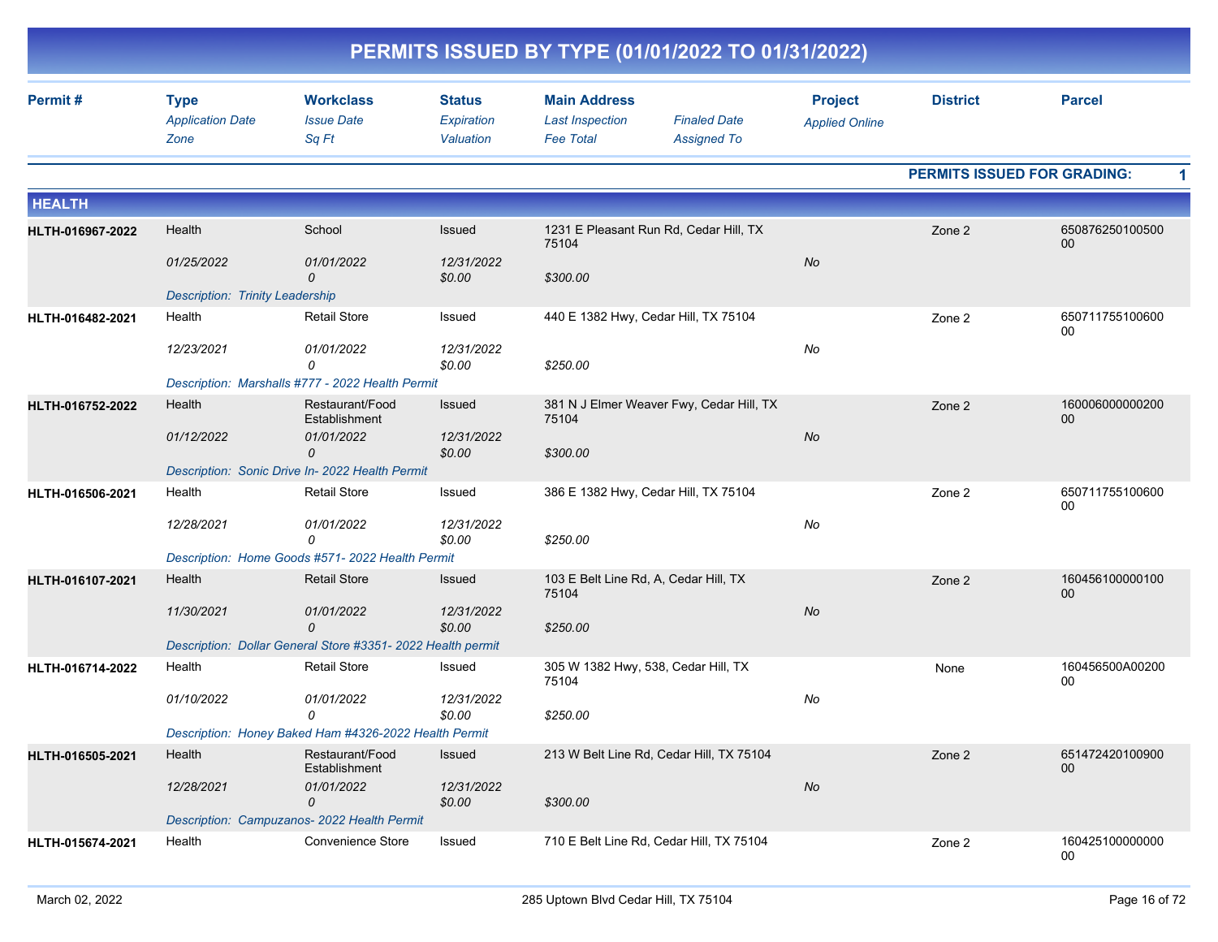|                  | PERMITS ISSUED BY TYPE (01/01/2022 TO 01/31/2022) |                                                            |                                          |                                                                   |                                           |                                         |                                    |                       |  |  |  |
|------------------|---------------------------------------------------|------------------------------------------------------------|------------------------------------------|-------------------------------------------------------------------|-------------------------------------------|-----------------------------------------|------------------------------------|-----------------------|--|--|--|
| Permit#          | <b>Type</b><br><b>Application Date</b><br>Zone    | <b>Workclass</b><br><b>Issue Date</b><br>Sq Ft             | <b>Status</b><br>Expiration<br>Valuation | <b>Main Address</b><br><b>Last Inspection</b><br><b>Fee Total</b> | <b>Finaled Date</b><br><b>Assigned To</b> | <b>Project</b><br><b>Applied Online</b> | <b>District</b>                    | <b>Parcel</b>         |  |  |  |
|                  |                                                   |                                                            |                                          |                                                                   |                                           |                                         | <b>PERMITS ISSUED FOR GRADING:</b> |                       |  |  |  |
| <b>HEALTH</b>    |                                                   |                                                            |                                          |                                                                   |                                           |                                         |                                    |                       |  |  |  |
| HLTH-016967-2022 | Health                                            | School                                                     | Issued                                   | 75104                                                             | 1231 E Pleasant Run Rd, Cedar Hill, TX    |                                         | Zone 2                             | 650876250100500<br>00 |  |  |  |
|                  | 01/25/2022                                        | 01/01/2022<br>0                                            | 12/31/2022<br>\$0.00                     | \$300.00                                                          |                                           | No                                      |                                    |                       |  |  |  |
|                  | <b>Description: Trinity Leadership</b>            |                                                            |                                          |                                                                   |                                           |                                         |                                    |                       |  |  |  |
| HLTH-016482-2021 | Health                                            | <b>Retail Store</b>                                        | Issued                                   | 440 E 1382 Hwy, Cedar Hill, TX 75104                              |                                           |                                         | Zone 2                             | 650711755100600<br>00 |  |  |  |
|                  | 12/23/2021                                        | 01/01/2022<br>0                                            | 12/31/2022<br>\$0.00                     | \$250.00                                                          |                                           | No                                      |                                    |                       |  |  |  |
|                  |                                                   | Description: Marshalls #777 - 2022 Health Permit           |                                          |                                                                   |                                           |                                         |                                    |                       |  |  |  |
| HLTH-016752-2022 | Health                                            | Restaurant/Food<br>Establishment                           | Issued                                   | 75104                                                             | 381 N J Elmer Weaver Fwy, Cedar Hill, TX  |                                         | Zone 2                             | 160006000000200<br>00 |  |  |  |
|                  | 01/12/2022                                        | 01/01/2022<br>0                                            | 12/31/2022<br>\$0.00                     | \$300.00                                                          |                                           | No                                      |                                    |                       |  |  |  |
|                  |                                                   | Description: Sonic Drive In- 2022 Health Permit            |                                          |                                                                   |                                           |                                         |                                    |                       |  |  |  |
| HLTH-016506-2021 | Health                                            | <b>Retail Store</b>                                        | Issued                                   | 386 E 1382 Hwy, Cedar Hill, TX 75104                              |                                           |                                         | Zone 2                             | 650711755100600<br>00 |  |  |  |
|                  | 12/28/2021                                        | 01/01/2022<br>0                                            | 12/31/2022<br>\$0.00                     | \$250.00                                                          |                                           | No                                      |                                    |                       |  |  |  |
|                  |                                                   | Description: Home Goods #571- 2022 Health Permit           |                                          |                                                                   |                                           |                                         |                                    |                       |  |  |  |
| HLTH-016107-2021 | Health                                            | <b>Retail Store</b>                                        | <b>Issued</b>                            | 103 E Belt Line Rd, A, Cedar Hill, TX<br>75104                    |                                           |                                         | Zone 2                             | 160456100000100<br>00 |  |  |  |
|                  | 11/30/2021                                        | 01/01/2022<br>0                                            | 12/31/2022<br>\$0.00                     | \$250.00                                                          |                                           | No                                      |                                    |                       |  |  |  |
|                  |                                                   | Description: Dollar General Store #3351-2022 Health permit |                                          |                                                                   |                                           |                                         |                                    |                       |  |  |  |
| HLTH-016714-2022 | Health                                            | <b>Retail Store</b>                                        | Issued                                   | 305 W 1382 Hwy, 538, Cedar Hill, TX<br>75104                      |                                           |                                         | None                               | 160456500A00200<br>00 |  |  |  |
|                  | 01/10/2022                                        | 01/01/2022<br>0                                            | 12/31/2022                               |                                                                   |                                           | No                                      |                                    |                       |  |  |  |
|                  |                                                   | Description: Honey Baked Ham #4326-2022 Health Permit      | \$0.00                                   | \$250.00                                                          |                                           |                                         |                                    |                       |  |  |  |
| HLTH-016505-2021 | Health                                            | Restaurant/Food<br>Establishment                           | Issued                                   |                                                                   | 213 W Belt Line Rd, Cedar Hill, TX 75104  |                                         | Zone 2                             | 651472420100900       |  |  |  |
|                  | 12/28/2021                                        | 01/01/2022                                                 | 12/31/2022                               |                                                                   |                                           | $N\sigma$                               |                                    | 00                    |  |  |  |
|                  |                                                   | 0                                                          | \$0.00                                   | \$300.00                                                          |                                           |                                         |                                    |                       |  |  |  |
|                  |                                                   | Description: Campuzanos- 2022 Health Permit                |                                          |                                                                   |                                           |                                         |                                    |                       |  |  |  |
| HLTH-015674-2021 | Health                                            | Convenience Store                                          | Issued                                   |                                                                   | 710 E Belt Line Rd, Cedar Hill, TX 75104  |                                         | Zone 2                             | 160425100000000<br>00 |  |  |  |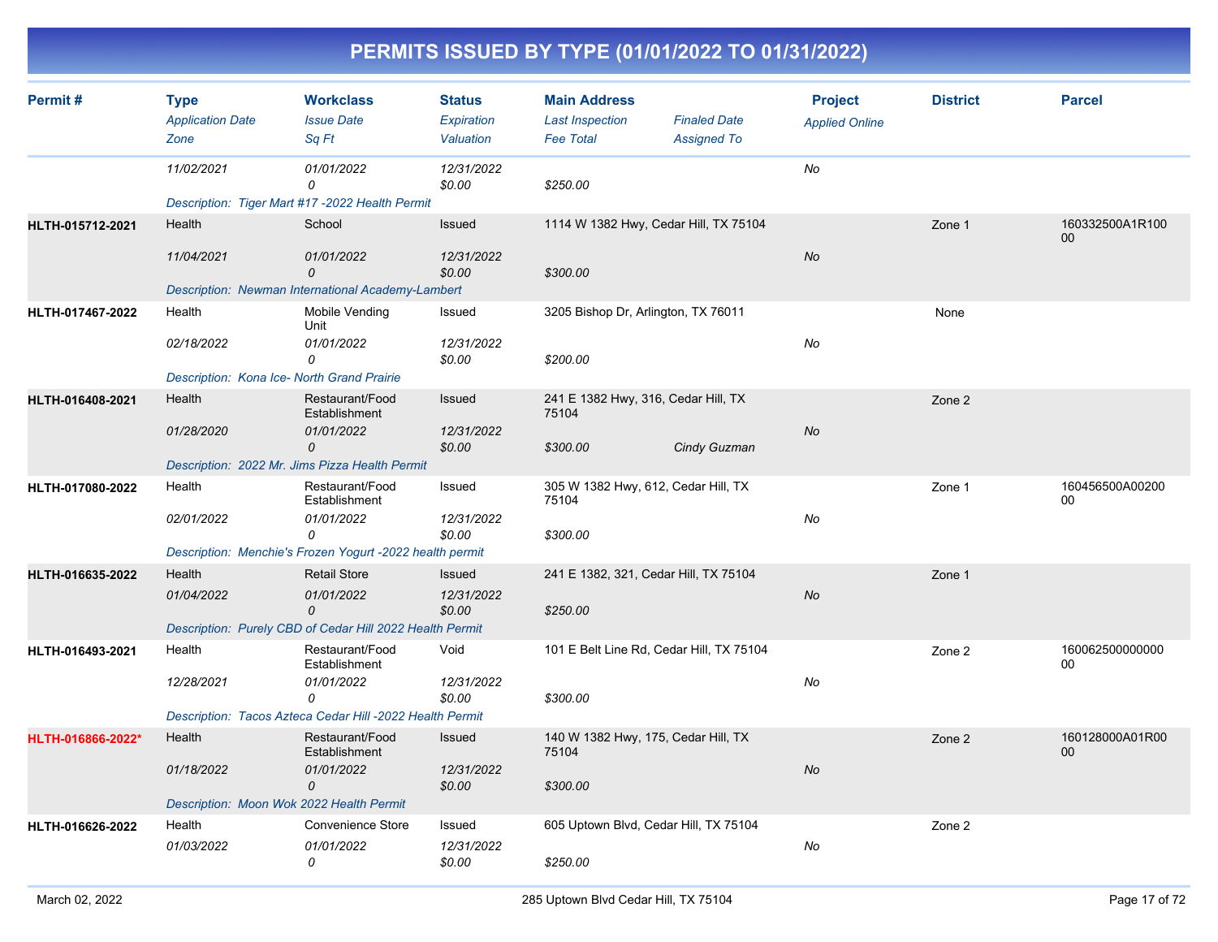| Permit#           | <b>Type</b><br><b>Application Date</b><br>Zone                     | <b>Workclass</b><br><b>Issue Date</b><br>Sq Ft                                                                         | <b>Status</b><br><b>Expiration</b><br>Valuation | <b>Main Address</b><br><b>Last Inspection</b><br><b>Fee Total</b> | <b>Finaled Date</b><br><b>Assigned To</b> | <b>Project</b><br><b>Applied Online</b> | <b>District</b> | <b>Parcel</b>         |
|-------------------|--------------------------------------------------------------------|------------------------------------------------------------------------------------------------------------------------|-------------------------------------------------|-------------------------------------------------------------------|-------------------------------------------|-----------------------------------------|-----------------|-----------------------|
|                   | 11/02/2021                                                         | 01/01/2022<br>$\Omega$<br>Description: Tiger Mart #17 -2022 Health Permit                                              | 12/31/2022<br>\$0.00                            | \$250.00                                                          |                                           | No                                      |                 |                       |
| HLTH-015712-2021  | Health<br>11/04/2021                                               | School<br>01/01/2022<br>$\mathcal{O}$                                                                                  | Issued<br>12/31/2022<br>\$0.00                  | 1114 W 1382 Hwy, Cedar Hill, TX 75104<br>\$300.00                 |                                           | No                                      | Zone 1          | 160332500A1R100<br>00 |
| HLTH-017467-2022  | Health<br>02/18/2022<br>Description: Kona Ice- North Grand Prairie | Description: Newman International Academy-Lambert<br>Mobile Vending<br>Unit<br>01/01/2022<br>0                         | Issued<br>12/31/2022<br>\$0.00                  | 3205 Bishop Dr, Arlington, TX 76011<br>\$200.00                   |                                           | No                                      | None            |                       |
| HLTH-016408-2021  | Health<br>01/28/2020                                               | Restaurant/Food<br>Establishment<br>01/01/2022<br>$\Omega$<br>Description: 2022 Mr. Jims Pizza Health Permit           | Issued<br>12/31/2022<br>\$0.00                  | 241 E 1382 Hwy, 316, Cedar Hill, TX<br>75104<br>\$300.00          | Cindy Guzman                              | No                                      | Zone 2          |                       |
| HLTH-017080-2022  | Health<br>02/01/2022                                               | Restaurant/Food<br>Establishment<br>01/01/2022<br>$\Omega$<br>Description: Menchie's Frozen Yogurt -2022 health permit | Issued<br>12/31/2022<br>\$0.00                  | 305 W 1382 Hwy, 612, Cedar Hill, TX<br>75104<br>\$300.00          |                                           | No                                      | Zone 1          | 160456500A00200<br>00 |
| HLTH-016635-2022  | Health<br>01/04/2022                                               | <b>Retail Store</b><br>01/01/2022<br>$\Omega$<br>Description: Purely CBD of Cedar Hill 2022 Health Permit              | Issued<br>12/31/2022<br>\$0.00                  | 241 E 1382, 321, Cedar Hill, TX 75104<br>\$250.00                 |                                           | No                                      | Zone 1          |                       |
| HLTH-016493-2021  | Health<br>12/28/2021                                               | Restaurant/Food<br>Establishment<br>01/01/2022<br>0<br>Description: Tacos Azteca Cedar Hill -2022 Health Permit        | Void<br>12/31/2022<br>\$0.00                    | 101 E Belt Line Rd, Cedar Hill, TX 75104<br>\$300.00              |                                           | No                                      | Zone 2          | 160062500000000<br>00 |
| HLTH-016866-2022* | Health<br>01/18/2022<br>Description: Moon Wok 2022 Health Permit   | Restaurant/Food<br>Establishment<br>01/01/2022<br>0                                                                    | Issued<br>12/31/2022<br>\$0.00                  | 140 W 1382 Hwy, 175, Cedar Hill, TX<br>75104<br>\$300.00          |                                           | No                                      | Zone 2          | 160128000A01R00<br>00 |
| HLTH-016626-2022  | Health<br>01/03/2022                                               | <b>Convenience Store</b><br>01/01/2022<br>0                                                                            | Issued<br>12/31/2022<br>\$0.00                  | 605 Uptown Blvd, Cedar Hill, TX 75104<br>\$250.00                 |                                           | No                                      | Zone 2          |                       |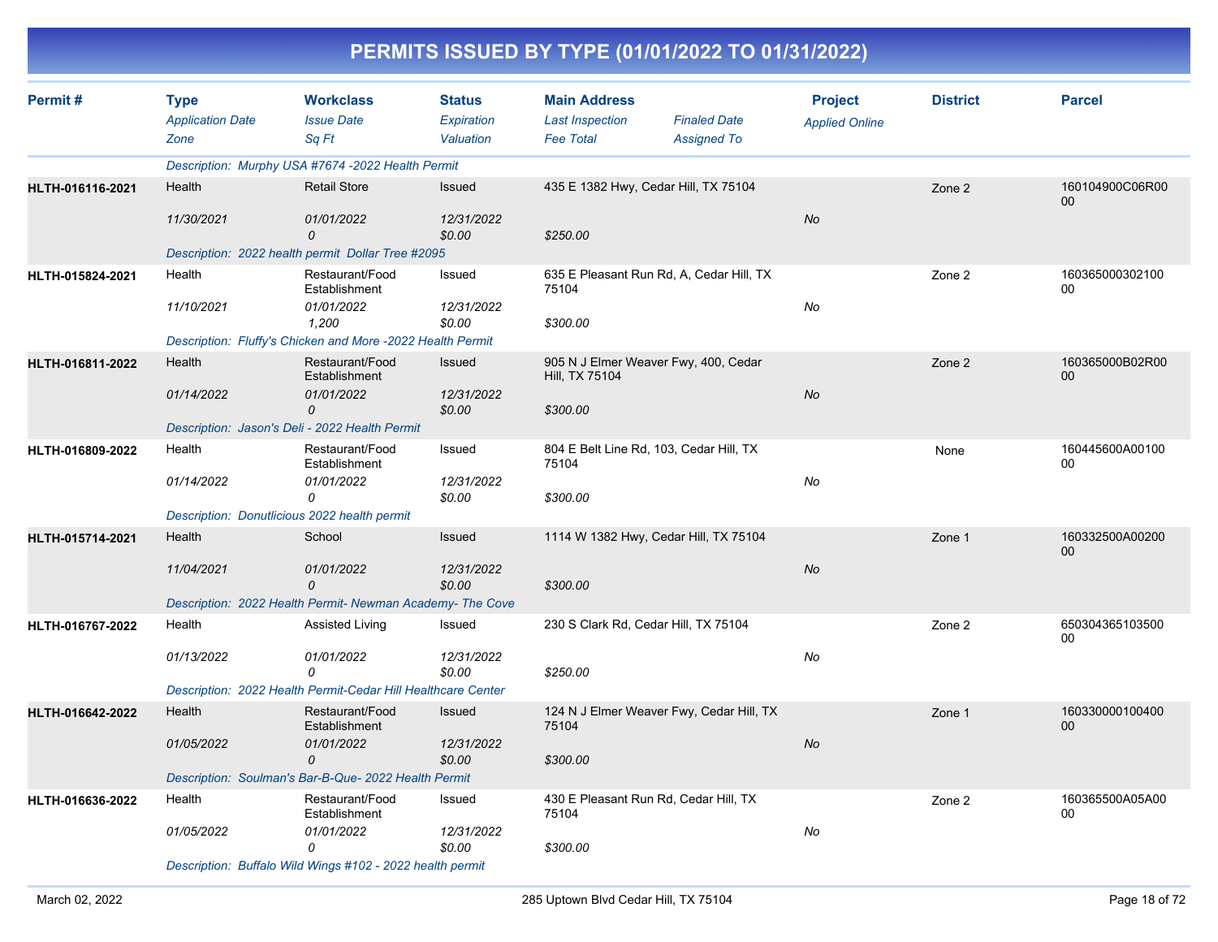|                         |                                                |                                                              |                                          | PERMITS ISSUED BY TYPE (01/01/2022 TO 01/31/2022)                 |                                           |                                         |                 |                       |
|-------------------------|------------------------------------------------|--------------------------------------------------------------|------------------------------------------|-------------------------------------------------------------------|-------------------------------------------|-----------------------------------------|-----------------|-----------------------|
| Permit#                 | <b>Type</b><br><b>Application Date</b><br>Zone | <b>Workclass</b><br><b>Issue Date</b><br>Sq Ft               | <b>Status</b><br>Expiration<br>Valuation | <b>Main Address</b><br><b>Last Inspection</b><br><b>Fee Total</b> | <b>Finaled Date</b><br><b>Assigned To</b> | <b>Project</b><br><b>Applied Online</b> | <b>District</b> | <b>Parcel</b>         |
|                         |                                                | Description: Murphy USA #7674 -2022 Health Permit            |                                          |                                                                   |                                           |                                         |                 |                       |
| HLTH-016116-2021        | Health<br>11/30/2021                           | <b>Retail Store</b><br>01/01/2022                            | Issued<br>12/31/2022                     | 435 E 1382 Hwy, Cedar Hill, TX 75104                              |                                           | No                                      | Zone 2          | 160104900C06R00<br>00 |
|                         |                                                | 0<br>Description: 2022 health permit Dollar Tree #2095       | \$0.00                                   | \$250.00                                                          |                                           |                                         |                 |                       |
| HLTH-015824-2021        | Health                                         | Restaurant/Food                                              | Issued                                   | 635 E Pleasant Run Rd, A, Cedar Hill, TX                          |                                           |                                         | Zone 2          | 160365000302100       |
|                         |                                                | Establishment                                                |                                          | 75104                                                             |                                           |                                         |                 | 00                    |
|                         | 11/10/2021                                     | 01/01/2022<br>1,200                                          | 12/31/2022<br>\$0.00                     | \$300.00                                                          |                                           | No                                      |                 |                       |
|                         |                                                | Description: Fluffy's Chicken and More -2022 Health Permit   |                                          |                                                                   |                                           |                                         |                 |                       |
| HLTH-016811-2022        | Health                                         | Restaurant/Food<br>Establishment                             | Issued                                   | 905 N J Elmer Weaver Fwy, 400, Cedar<br>Hill, TX 75104            |                                           |                                         | Zone 2          | 160365000B02R00<br>00 |
|                         | 01/14/2022                                     | 01/01/2022<br>0                                              | 12/31/2022<br>\$0.00                     | \$300.00                                                          |                                           | No                                      |                 |                       |
|                         |                                                | Description: Jason's Deli - 2022 Health Permit               |                                          |                                                                   |                                           |                                         |                 |                       |
| HLTH-016809-2022        | Health                                         | Restaurant/Food<br>Establishment                             | Issued                                   | 804 E Belt Line Rd, 103, Cedar Hill, TX<br>75104                  |                                           |                                         | None            | 160445600A00100<br>00 |
|                         | 01/14/2022                                     | 01/01/2022<br>0                                              | 12/31/2022<br>\$0.00                     | \$300.00                                                          |                                           | No                                      |                 |                       |
|                         | Description: Donutlicious 2022 health permit   |                                                              |                                          |                                                                   |                                           |                                         |                 |                       |
| HLTH-015714-2021        | Health                                         | School                                                       | Issued                                   | 1114 W 1382 Hwy, Cedar Hill, TX 75104                             |                                           |                                         | Zone 1          | 160332500A00200<br>00 |
|                         | 11/04/2021                                     | 01/01/2022<br>$\mathcal{O}$                                  | 12/31/2022<br>\$0.00                     | \$300.00                                                          |                                           | No                                      |                 |                       |
|                         |                                                | Description: 2022 Health Permit- Newman Academy- The Cove    |                                          |                                                                   |                                           |                                         |                 |                       |
| HLTH-016767-2022        | Health                                         | Assisted Living                                              | Issued                                   | 230 S Clark Rd, Cedar Hill, TX 75104                              |                                           |                                         | Zone 2          | 650304365103500<br>00 |
|                         | 01/13/2022                                     | 01/01/2022<br>0                                              | 12/31/2022<br>\$0.00                     | \$250.00                                                          |                                           | No                                      |                 |                       |
|                         |                                                | Description: 2022 Health Permit-Cedar Hill Healthcare Center |                                          |                                                                   |                                           |                                         |                 |                       |
| <b>HLTH-016642-2022</b> | Health                                         | Restaurant/Food<br>Establishment                             | Issued                                   | 124 N J Elmer Weaver Fwy, Cedar Hill, TX<br>75104                 |                                           |                                         | Zone 1          | 160330000100400<br>00 |
|                         | 01/05/2022                                     | 01/01/2022<br>0                                              | 12/31/2022<br>\$0.00                     | \$300.00                                                          |                                           | No                                      |                 |                       |
|                         |                                                | Description: Soulman's Bar-B-Que- 2022 Health Permit         |                                          |                                                                   |                                           |                                         |                 |                       |
| HLTH-016636-2022        | Health                                         | Restaurant/Food<br>Establishment                             | Issued                                   | 430 E Pleasant Run Rd, Cedar Hill, TX<br>75104                    |                                           |                                         | Zone 2          | 160365500A05A00<br>00 |
|                         | 01/05/2022                                     | 01/01/2022<br>0                                              | 12/31/2022<br>\$0.00                     | \$300.00                                                          |                                           | No                                      |                 |                       |

*Description: Buffalo Wild Wings #102 - 2022 health permit*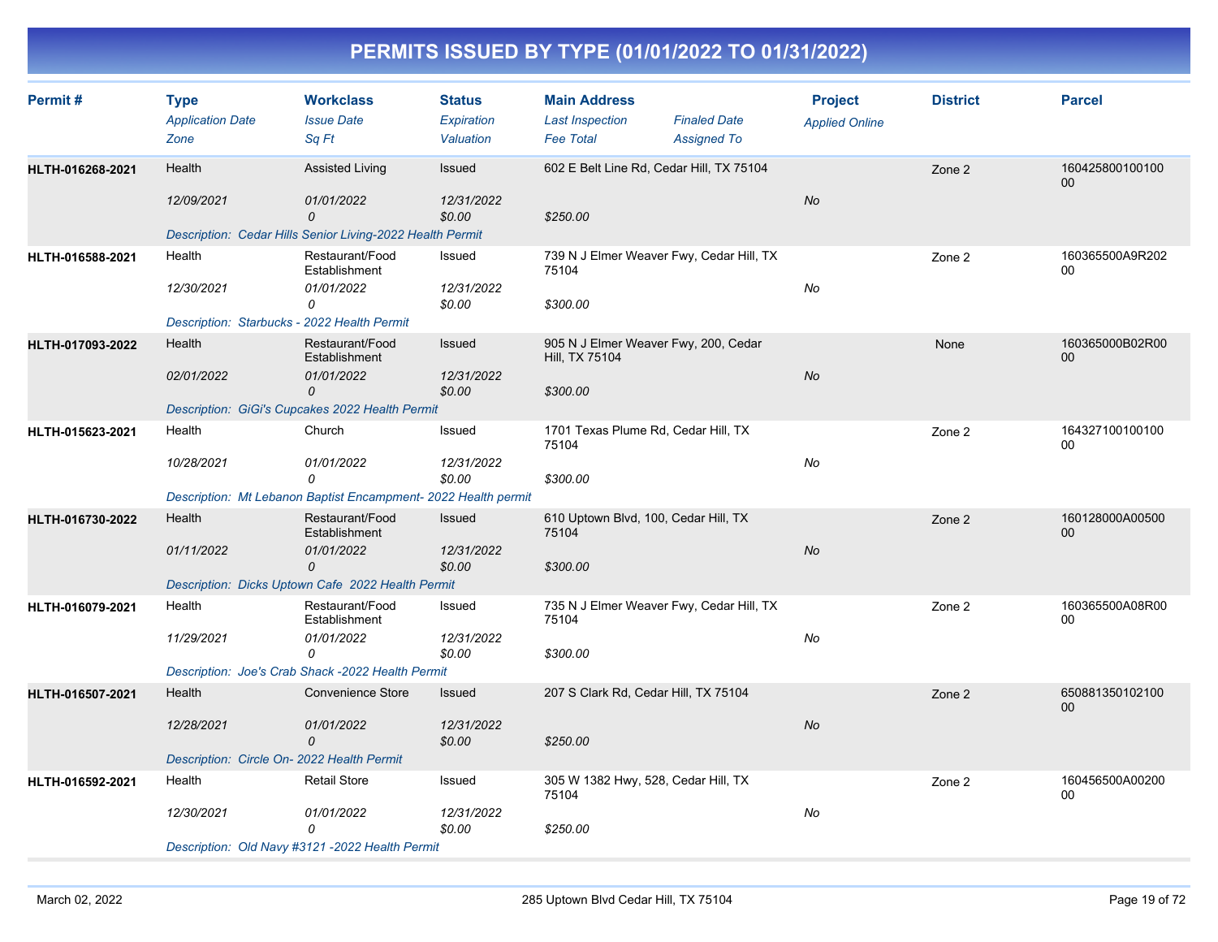| Permit#          | <b>Type</b><br><b>Application Date</b><br>Zone                      | <b>Workclass</b><br><b>Issue Date</b><br>Sq Ft                                                           | <b>Status</b><br>Expiration<br>Valuation | <b>Main Address</b><br><b>Last Inspection</b><br><b>Fee Total</b>  | <b>Finaled Date</b><br><b>Assigned To</b> | <b>Project</b><br><b>Applied Online</b> | <b>District</b> | <b>Parcel</b>             |
|------------------|---------------------------------------------------------------------|----------------------------------------------------------------------------------------------------------|------------------------------------------|--------------------------------------------------------------------|-------------------------------------------|-----------------------------------------|-----------------|---------------------------|
| HLTH-016268-2021 | Health<br>12/09/2021                                                | <b>Assisted Living</b><br>01/01/2022<br>0<br>Description: Cedar Hills Senior Living-2022 Health Permit   | Issued<br>12/31/2022<br>\$0.00           | 602 E Belt Line Rd, Cedar Hill, TX 75104<br>\$250.00               |                                           | No                                      | Zone 2          | 160425800100100<br>$00\,$ |
| HLTH-016588-2021 | Health<br>12/30/2021<br>Description: Starbucks - 2022 Health Permit | Restaurant/Food<br>Establishment<br>01/01/2022<br>0                                                      | Issued<br>12/31/2022<br>\$0.00           | 739 N J Elmer Weaver Fwy, Cedar Hill, TX<br>75104<br>\$300.00      |                                           | No                                      | Zone 2          | 160365500A9R202<br>00     |
| HLTH-017093-2022 | Health<br>02/01/2022                                                | Restaurant/Food<br>Establishment<br>01/01/2022<br>0<br>Description: GiGi's Cupcakes 2022 Health Permit   | Issued<br>12/31/2022<br>\$0.00           | 905 N J Elmer Weaver Fwy, 200, Cedar<br>Hill, TX 75104<br>\$300.00 |                                           | No                                      | None            | 160365000B02R00<br>00     |
| HLTH-015623-2021 | Health<br>10/28/2021                                                | Church<br>01/01/2022<br>0<br>Description: Mt Lebanon Baptist Encampment- 2022 Health permit              | Issued<br>12/31/2022<br>\$0.00           | 1701 Texas Plume Rd, Cedar Hill, TX<br>75104<br>\$300.00           |                                           | No                                      | Zone 2          | 164327100100100<br>00     |
| HLTH-016730-2022 | Health<br>01/11/2022                                                | Restaurant/Food<br>Establishment<br>01/01/2022<br>0<br>Description: Dicks Uptown Cafe 2022 Health Permit | Issued<br>12/31/2022<br>\$0.00           | 610 Uptown Blvd, 100, Cedar Hill, TX<br>75104<br>\$300.00          |                                           | No                                      | Zone 2          | 160128000A00500<br>00     |
| HLTH-016079-2021 | Health<br>11/29/2021                                                | Restaurant/Food<br>Establishment<br>01/01/2022<br>0<br>Description: Joe's Crab Shack -2022 Health Permit | Issued<br>12/31/2022<br>\$0.00           | 735 N J Elmer Weaver Fwy, Cedar Hill, TX<br>75104<br>\$300.00      |                                           | No                                      | Zone 2          | 160365500A08R00<br>00     |
| HLTH-016507-2021 | Health<br>12/28/2021<br>Description: Circle On- 2022 Health Permit  | <b>Convenience Store</b><br>01/01/2022<br>0                                                              | Issued<br>12/31/2022<br>\$0.00           | 207 S Clark Rd, Cedar Hill, TX 75104<br>\$250.00                   |                                           | No                                      | Zone 2          | 650881350102100<br>$00\,$ |
| HLTH-016592-2021 | Health<br>12/30/2021                                                | <b>Retail Store</b><br>01/01/2022<br>$\Omega$<br>Description: Old Navy #3121 -2022 Health Permit         | Issued<br>12/31/2022<br>\$0.00           | 305 W 1382 Hwy, 528, Cedar Hill, TX<br>75104<br>\$250.00           |                                           | No                                      | Zone 2          | 160456500A00200<br>00     |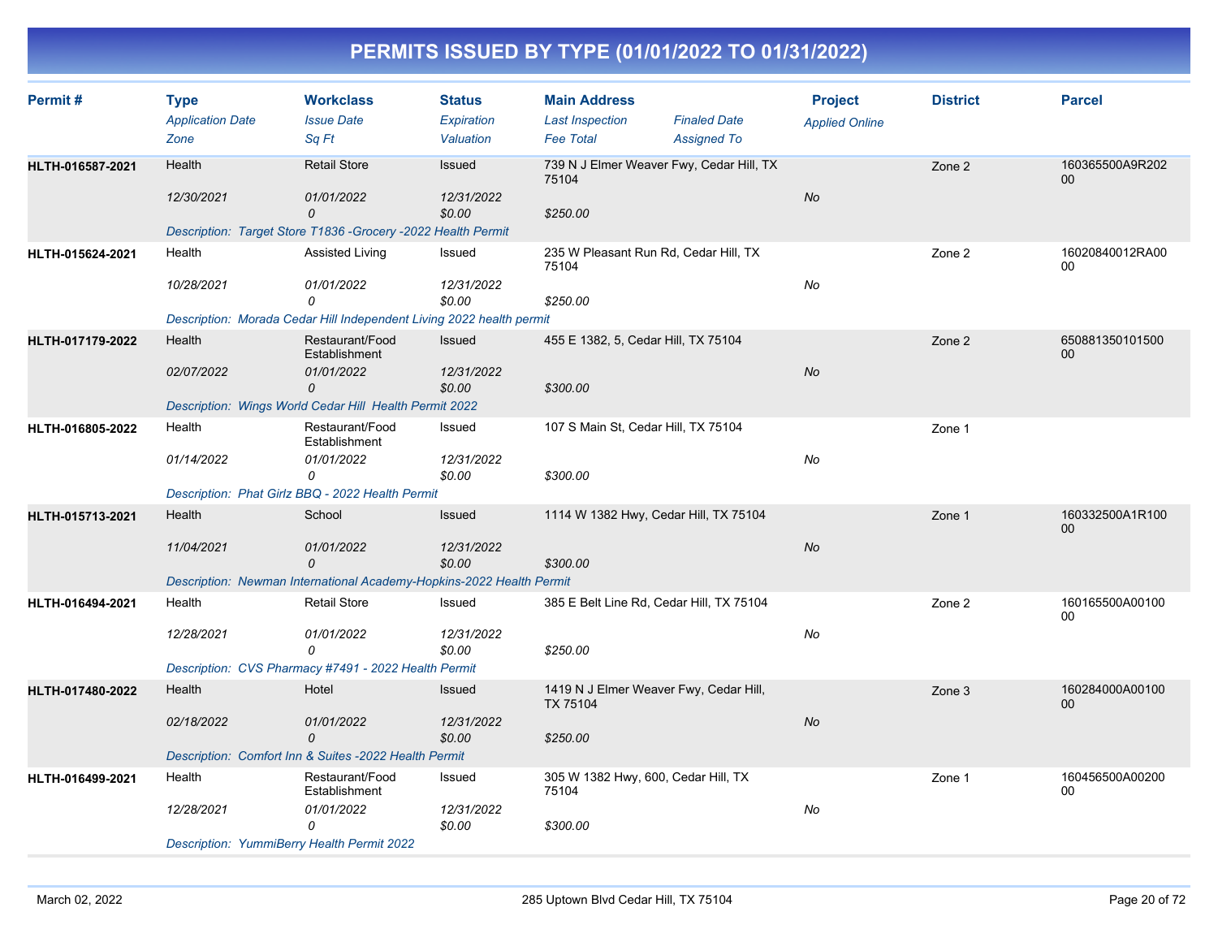| Permit#          | <b>Type</b><br><b>Application Date</b>            | <b>Workclass</b><br><b>Issue Date</b>                                | <b>Status</b><br>Expiration | <b>Main Address</b><br><b>Last Inspection</b>      | <b>Finaled Date</b> | <b>Project</b><br><b>Applied Online</b> | <b>District</b> | <b>Parcel</b>             |
|------------------|---------------------------------------------------|----------------------------------------------------------------------|-----------------------------|----------------------------------------------------|---------------------|-----------------------------------------|-----------------|---------------------------|
|                  | Zone                                              | Sq Ft                                                                | Valuation                   | <b>Fee Total</b>                                   | <b>Assigned To</b>  |                                         |                 |                           |
| HLTH-016587-2021 | Health                                            | <b>Retail Store</b>                                                  | Issued                      | 739 N J Elmer Weaver Fwy, Cedar Hill, TX<br>75104  |                     |                                         | Zone 2          | 160365500A9R202<br>00     |
|                  | 12/30/2021                                        | 01/01/2022<br>0                                                      | 12/31/2022<br>\$0.00        | \$250.00                                           |                     | No                                      |                 |                           |
|                  |                                                   | Description: Target Store T1836 - Grocery - 2022 Health Permit       |                             |                                                    |                     |                                         |                 |                           |
| HLTH-015624-2021 | Health                                            | Assisted Living                                                      | Issued                      | 235 W Pleasant Run Rd, Cedar Hill, TX<br>75104     |                     |                                         | Zone 2          | 16020840012RA00<br>00     |
|                  | 10/28/2021                                        | 01/01/2022<br>0                                                      | 12/31/2022<br>\$0.00        | \$250.00                                           |                     | $No$                                    |                 |                           |
|                  |                                                   | Description: Morada Cedar Hill Independent Living 2022 health permit |                             |                                                    |                     |                                         |                 |                           |
| HLTH-017179-2022 | Health                                            | Restaurant/Food<br>Establishment                                     | Issued                      | 455 E 1382, 5, Cedar Hill, TX 75104                |                     |                                         | Zone 2          | 650881350101500<br>$00\,$ |
|                  | 02/07/2022                                        | 01/01/2022<br>0                                                      | 12/31/2022<br>\$0.00        | \$300.00                                           |                     | <b>No</b>                               |                 |                           |
|                  |                                                   | Description: Wings World Cedar Hill Health Permit 2022               |                             |                                                    |                     |                                         |                 |                           |
| HLTH-016805-2022 | Health                                            | Restaurant/Food<br>Establishment                                     | Issued                      | 107 S Main St, Cedar Hill, TX 75104                |                     |                                         | Zone 1          |                           |
|                  | 01/14/2022                                        | 01/01/2022<br>0                                                      | 12/31/2022<br>\$0.00        | \$300.00                                           |                     | No                                      |                 |                           |
|                  |                                                   | Description: Phat Girlz BBQ - 2022 Health Permit                     |                             |                                                    |                     |                                         |                 |                           |
| HLTH-015713-2021 | Health                                            | School                                                               | Issued                      | 1114 W 1382 Hwy, Cedar Hill, TX 75104              |                     |                                         | Zone 1          | 160332500A1R100<br>00     |
|                  | 11/04/2021                                        | 01/01/2022<br>$\mathcal{O}$                                          | 12/31/2022<br>\$0.00        | \$300.00                                           |                     | No                                      |                 |                           |
|                  |                                                   | Description: Newman International Academy-Hopkins-2022 Health Permit |                             |                                                    |                     |                                         |                 |                           |
| HLTH-016494-2021 | Health                                            | <b>Retail Store</b>                                                  | Issued                      | 385 E Belt Line Rd, Cedar Hill, TX 75104           |                     |                                         | Zone 2          | 160165500A00100<br>00     |
|                  | 12/28/2021                                        | 01/01/2022<br>$\Omega$                                               | 12/31/2022<br>\$0.00        | \$250.00                                           |                     | No                                      |                 |                           |
|                  |                                                   | Description: CVS Pharmacy #7491 - 2022 Health Permit                 |                             |                                                    |                     |                                         |                 |                           |
| HLTH-017480-2022 | Health                                            | Hotel                                                                | Issued                      | 1419 N J Elmer Weaver Fwy, Cedar Hill,<br>TX 75104 |                     |                                         | Zone 3          | 160284000A00100<br>$00\,$ |
|                  | 02/18/2022                                        | 01/01/2022<br>$\mathcal{O}$                                          | 12/31/2022<br>\$0.00        | \$250.00                                           |                     | No                                      |                 |                           |
|                  |                                                   | Description: Comfort Inn & Suites -2022 Health Permit                |                             |                                                    |                     |                                         |                 |                           |
| HLTH-016499-2021 | Health                                            | Restaurant/Food<br>Establishment                                     | Issued                      | 305 W 1382 Hwy, 600, Cedar Hill, TX<br>75104       |                     |                                         | Zone 1          | 160456500A00200<br>00     |
|                  | 12/28/2021                                        | 01/01/2022<br>$\Omega$                                               | 12/31/2022<br>\$0.00        | \$300.00                                           |                     | No                                      |                 |                           |
|                  | <b>Description: YummiBerry Health Permit 2022</b> |                                                                      |                             |                                                    |                     |                                         |                 |                           |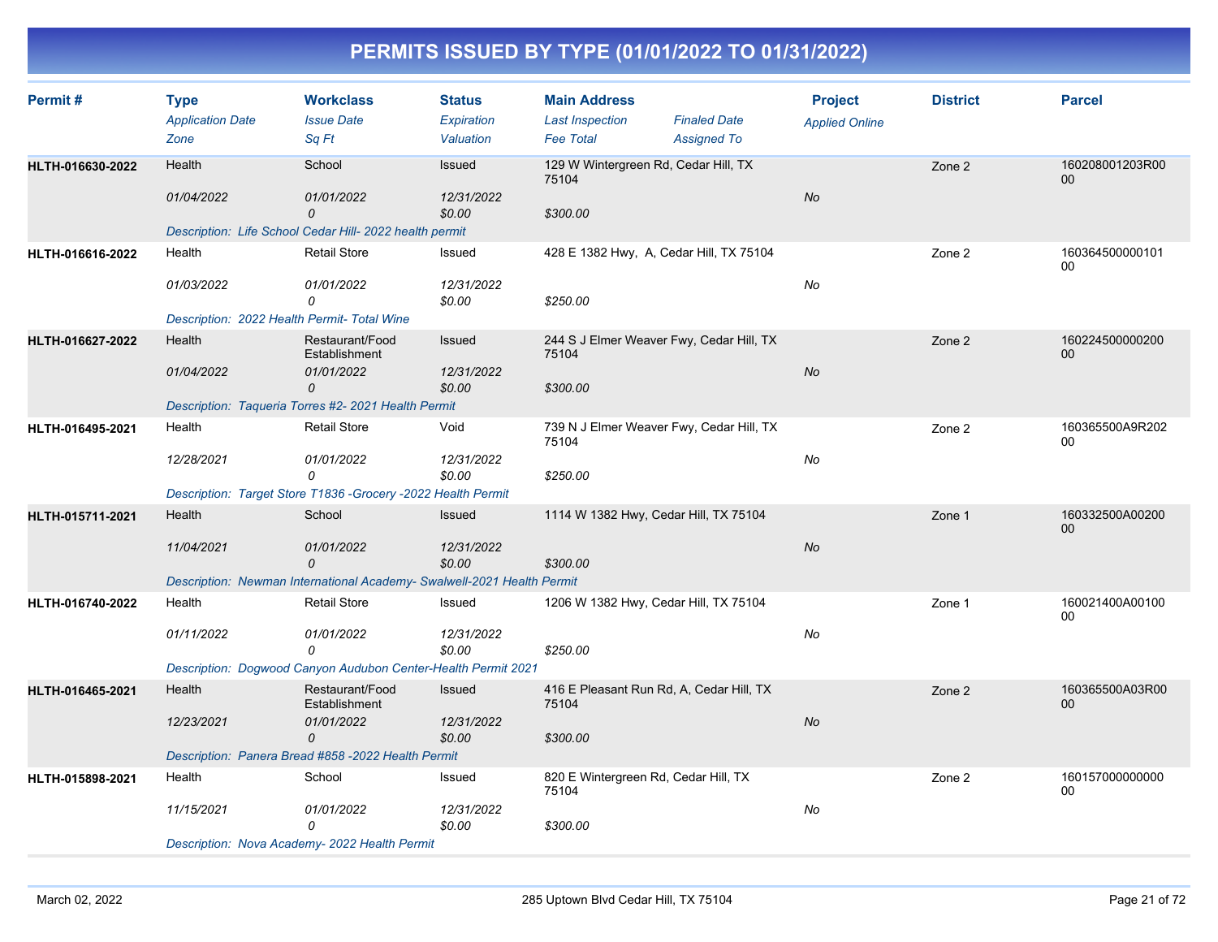| Permit#          | <b>Type</b><br><b>Application Date</b><br>Zone                      | <b>Workclass</b><br><b>Issue Date</b><br>Sq Ft                                                                    | <b>Status</b><br>Expiration<br>Valuation | <b>Main Address</b><br><b>Last Inspection</b><br><b>Fee Total</b> | <b>Finaled Date</b><br><b>Assigned To</b> | <b>Project</b><br><b>Applied Online</b> | <b>District</b> | <b>Parcel</b>         |
|------------------|---------------------------------------------------------------------|-------------------------------------------------------------------------------------------------------------------|------------------------------------------|-------------------------------------------------------------------|-------------------------------------------|-----------------------------------------|-----------------|-----------------------|
| HLTH-016630-2022 | Health<br>01/04/2022                                                | School<br>01/01/2022<br>$\overline{O}$<br>Description: Life School Cedar Hill- 2022 health permit                 | Issued<br>12/31/2022<br>\$0.00           | 129 W Wintergreen Rd, Cedar Hill, TX<br>75104<br>\$300.00         |                                           | No                                      | Zone 2          | 160208001203R00<br>00 |
| HLTH-016616-2022 | Health<br>01/03/2022<br>Description: 2022 Health Permit- Total Wine | <b>Retail Store</b><br>01/01/2022<br>0                                                                            | Issued<br>12/31/2022<br>\$0.00           | 428 E 1382 Hwy, A, Cedar Hill, TX 75104<br>\$250.00               |                                           | No                                      | Zone 2          | 160364500000101<br>00 |
| HLTH-016627-2022 | Health<br>01/04/2022                                                | Restaurant/Food<br>Establishment<br>01/01/2022<br>$\Omega$<br>Description: Taqueria Torres #2- 2021 Health Permit | Issued<br>12/31/2022<br>\$0.00           | 244 S J Elmer Weaver Fwy, Cedar Hill, TX<br>75104<br>\$300.00     |                                           | No                                      | Zone 2          | 160224500000200<br>00 |
| HLTH-016495-2021 | Health<br>12/28/2021                                                | <b>Retail Store</b><br>01/01/2022<br>0<br>Description: Target Store T1836 - Grocery - 2022 Health Permit          | Void<br>12/31/2022<br>\$0.00             | 739 N J Elmer Weaver Fwy, Cedar Hill, TX<br>75104<br>\$250.00     |                                           | No                                      | Zone 2          | 160365500A9R202<br>00 |
| HLTH-015711-2021 | Health<br>11/04/2021                                                | School<br>01/01/2022<br>$\overline{O}$<br>Description: Newman International Academy- Swalwell-2021 Health Permit  | <b>Issued</b><br>12/31/2022<br>\$0.00    | 1114 W 1382 Hwy, Cedar Hill, TX 75104<br>\$300.00                 |                                           | No                                      | Zone 1          | 160332500A00200<br>00 |
| HLTH-016740-2022 | Health<br>01/11/2022                                                | <b>Retail Store</b><br>01/01/2022<br>0<br>Description: Dogwood Canyon Audubon Center-Health Permit 2021           | Issued<br>12/31/2022<br>\$0.00           | 1206 W 1382 Hwy, Cedar Hill, TX 75104<br>\$250.00                 |                                           | No                                      | Zone 1          | 160021400A00100<br>00 |
| HLTH-016465-2021 | Health<br>12/23/2021                                                | Restaurant/Food<br>Establishment<br>01/01/2022<br>0<br>Description: Panera Bread #858 -2022 Health Permit         | Issued<br>12/31/2022<br>\$0.00           | 416 E Pleasant Run Rd, A, Cedar Hill, TX<br>75104<br>\$300.00     |                                           | No                                      | Zone 2          | 160365500A03R00<br>00 |
| HLTH-015898-2021 | Health<br>11/15/2021                                                | School<br>01/01/2022<br>$\Omega$<br>Description: Nova Academy- 2022 Health Permit                                 | Issued<br>12/31/2022<br>\$0.00           | 820 E Wintergreen Rd, Cedar Hill, TX<br>75104<br>\$300.00         |                                           | No                                      | Zone 2          | 160157000000000<br>00 |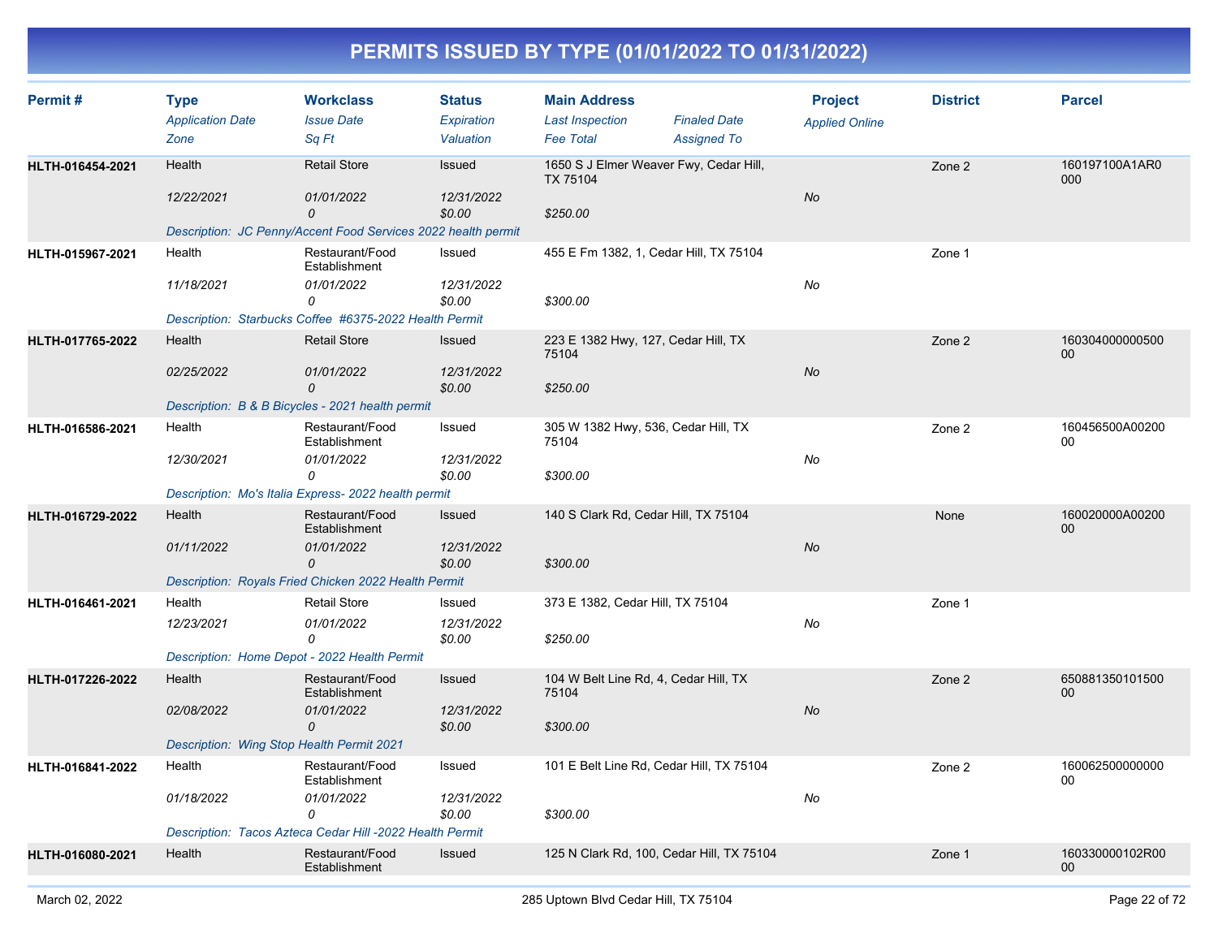| Permit#          | <b>Type</b><br><b>Application Date</b>    | <b>Workclass</b><br><b>Issue Date</b>                         | <b>Status</b><br>Expiration | <b>Main Address</b><br><b>Last Inspection</b>      | <b>Finaled Date</b>                       | <b>Project</b><br><b>Applied Online</b> | <b>District</b> | <b>Parcel</b>                      |
|------------------|-------------------------------------------|---------------------------------------------------------------|-----------------------------|----------------------------------------------------|-------------------------------------------|-----------------------------------------|-----------------|------------------------------------|
|                  | Zone                                      | Sq Ft                                                         | Valuation                   | <b>Fee Total</b>                                   | <b>Assigned To</b>                        |                                         |                 |                                    |
| HLTH-016454-2021 | Health                                    | <b>Retail Store</b>                                           | <b>Issued</b>               | 1650 S J Elmer Weaver Fwy, Cedar Hill,<br>TX 75104 |                                           |                                         | Zone 2          | 160197100A1AR0<br>000              |
|                  | 12/22/2021                                | 01/01/2022<br>0                                               | 12/31/2022<br>\$0.00        | \$250.00                                           |                                           | No                                      |                 |                                    |
|                  |                                           | Description: JC Penny/Accent Food Services 2022 health permit |                             |                                                    |                                           |                                         |                 |                                    |
| HLTH-015967-2021 | Health                                    | Restaurant/Food<br>Establishment                              | Issued                      | 455 E Fm 1382, 1, Cedar Hill, TX 75104             |                                           |                                         | Zone 1          |                                    |
|                  | 11/18/2021                                | 01/01/2022<br>0                                               | 12/31/2022<br>\$0.00        | \$300.00                                           |                                           | No                                      |                 |                                    |
|                  |                                           | Description: Starbucks Coffee #6375-2022 Health Permit        |                             |                                                    |                                           |                                         |                 |                                    |
| HLTH-017765-2022 | Health                                    | <b>Retail Store</b>                                           | <b>Issued</b>               | 223 E 1382 Hwy, 127, Cedar Hill, TX<br>75104       |                                           |                                         | Zone 2          | 160304000000500<br>00              |
|                  | 02/25/2022                                | 01/01/2022<br>$\Omega$                                        | 12/31/2022<br>\$0.00        | \$250.00                                           |                                           | No                                      |                 |                                    |
|                  |                                           | Description: B & B Bicycles - 2021 health permit              |                             |                                                    |                                           |                                         |                 |                                    |
| HLTH-016586-2021 | Health                                    | Restaurant/Food<br>Establishment                              | Issued                      | 305 W 1382 Hwy, 536, Cedar Hill, TX<br>75104       |                                           |                                         | Zone 2          | 160456500A00200<br>00              |
|                  | 12/30/2021                                | 01/01/2022<br>$\Omega$                                        | 12/31/2022<br>\$0.00        | \$300.00                                           |                                           | No                                      |                 |                                    |
|                  |                                           | Description: Mo's Italia Express- 2022 health permit          |                             |                                                    |                                           |                                         |                 |                                    |
| HLTH-016729-2022 | Health                                    | Restaurant/Food<br>Establishment                              | Issued                      | 140 S Clark Rd, Cedar Hill, TX 75104               |                                           |                                         | None            | 160020000A00200<br>00              |
|                  | 01/11/2022                                | 01/01/2022<br>0                                               | 12/31/2022<br>\$0.00        | \$300.00                                           |                                           | No                                      |                 |                                    |
|                  |                                           | Description: Royals Fried Chicken 2022 Health Permit          |                             |                                                    |                                           |                                         |                 |                                    |
| HLTH-016461-2021 | Health                                    | <b>Retail Store</b>                                           | Issued                      | 373 E 1382, Cedar Hill, TX 75104                   |                                           |                                         | Zone 1          |                                    |
|                  | 12/23/2021                                | 01/01/2022                                                    | 12/31/2022                  |                                                    |                                           | No                                      |                 |                                    |
|                  |                                           | 0                                                             | \$0.00                      | \$250.00                                           |                                           |                                         |                 |                                    |
|                  |                                           | Description: Home Depot - 2022 Health Permit                  |                             |                                                    |                                           |                                         |                 |                                    |
| HLTH-017226-2022 | Health                                    | Restaurant/Food<br>Establishment                              | Issued                      | 104 W Belt Line Rd, 4, Cedar Hill, TX<br>75104     |                                           |                                         | Zone 2          | 650881350101500<br>00              |
|                  | 02/08/2022                                | 01/01/2022<br>0                                               | 12/31/2022<br>\$0.00        | \$300.00                                           |                                           | No                                      |                 |                                    |
|                  | Description: Wing Stop Health Permit 2021 |                                                               |                             |                                                    |                                           |                                         |                 |                                    |
| HLTH-016841-2022 | Health                                    | Restaurant/Food<br>Establishment                              | Issued                      |                                                    | 101 E Belt Line Rd, Cedar Hill, TX 75104  |                                         | Zone 2          | 160062500000000<br>${\bf 00}$      |
|                  | 01/18/2022                                | 01/01/2022<br>0                                               | 12/31/2022<br>\$0.00        | \$300.00                                           |                                           | No                                      |                 |                                    |
|                  |                                           | Description: Tacos Azteca Cedar Hill -2022 Health Permit      |                             |                                                    |                                           |                                         |                 |                                    |
| HLTH-016080-2021 | Health                                    | Restaurant/Food<br>Establishment                              | Issued                      |                                                    | 125 N Clark Rd, 100, Cedar Hill, TX 75104 |                                         | Zone 1          | 160330000102R00<br>00 <sup>°</sup> |
|                  |                                           |                                                               |                             |                                                    |                                           |                                         |                 |                                    |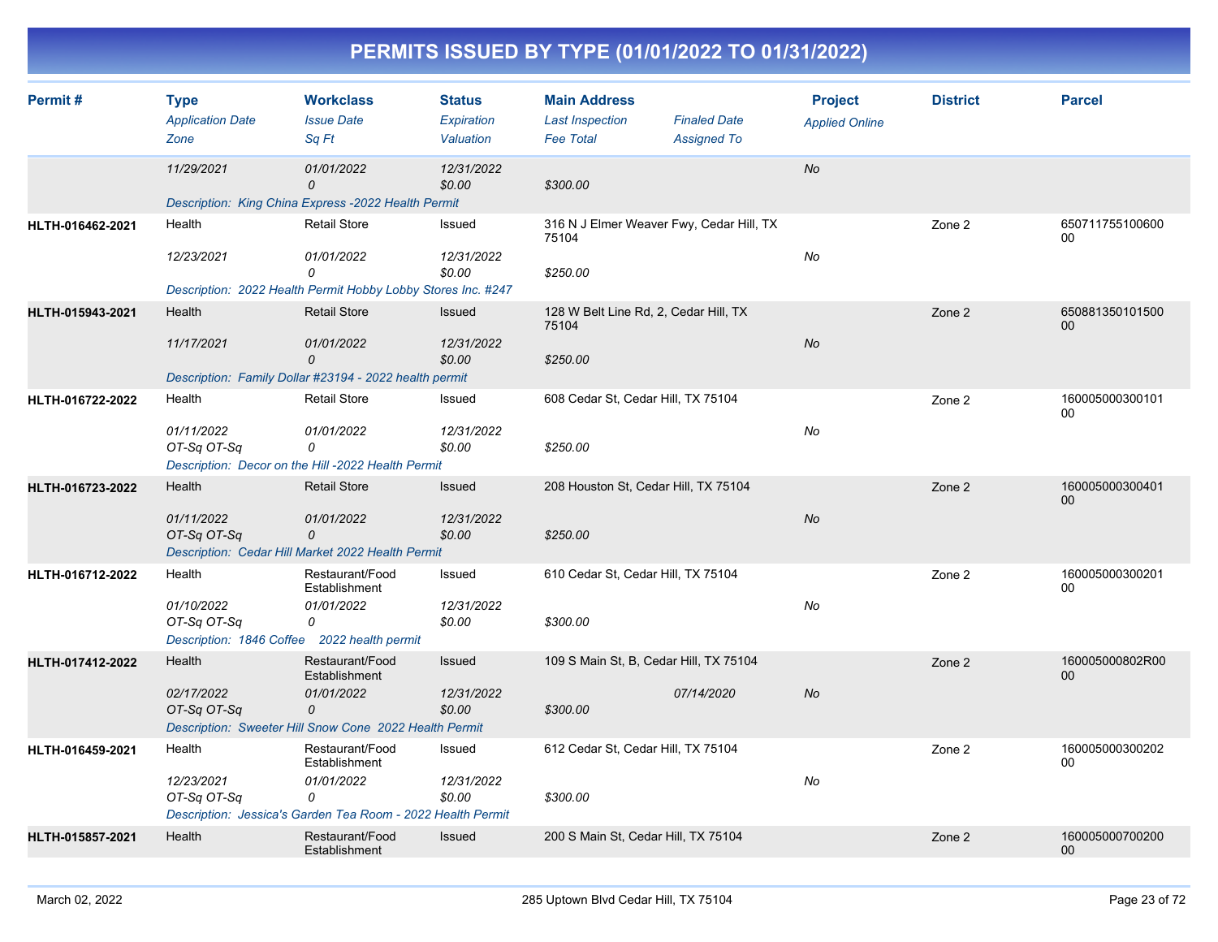| Permit#          | <b>Type</b><br><b>Application Date</b><br>Zone | <b>Workclass</b><br><b>Issue Date</b><br>Sq Ft                                    | <b>Status</b><br>Expiration<br>Valuation | <b>Main Address</b><br><b>Last Inspection</b><br><b>Fee Total</b> | <b>Finaled Date</b><br><b>Assigned To</b> | <b>Project</b><br><b>Applied Online</b> | <b>District</b> | <b>Parcel</b>         |
|------------------|------------------------------------------------|-----------------------------------------------------------------------------------|------------------------------------------|-------------------------------------------------------------------|-------------------------------------------|-----------------------------------------|-----------------|-----------------------|
|                  | 11/29/2021                                     | 01/01/2022<br>$\Omega$<br>Description: King China Express -2022 Health Permit     | 12/31/2022<br>\$0.00                     | \$300.00                                                          |                                           | <b>No</b>                               |                 |                       |
|                  |                                                |                                                                                   |                                          |                                                                   |                                           |                                         |                 |                       |
| HLTH-016462-2021 | Health                                         | <b>Retail Store</b>                                                               | Issued                                   | 316 N J Elmer Weaver Fwy, Cedar Hill, TX<br>75104                 |                                           |                                         | Zone 2          | 650711755100600<br>00 |
|                  | 12/23/2021                                     | 01/01/2022<br>0                                                                   | 12/31/2022<br>\$0.00                     | \$250.00                                                          |                                           | No                                      |                 |                       |
|                  |                                                | Description: 2022 Health Permit Hobby Lobby Stores Inc. #247                      |                                          |                                                                   |                                           |                                         |                 |                       |
| HLTH-015943-2021 | Health                                         | <b>Retail Store</b>                                                               | Issued                                   | 128 W Belt Line Rd, 2, Cedar Hill, TX<br>75104                    |                                           |                                         | Zone 2          | 650881350101500<br>00 |
|                  | 11/17/2021                                     | 01/01/2022<br>0                                                                   | 12/31/2022<br>\$0.00                     | \$250.00                                                          |                                           | No                                      |                 |                       |
|                  |                                                | Description: Family Dollar #23194 - 2022 health permit                            |                                          |                                                                   |                                           |                                         |                 |                       |
| HLTH-016722-2022 | Health                                         | <b>Retail Store</b>                                                               | Issued                                   | 608 Cedar St, Cedar Hill, TX 75104                                |                                           |                                         | Zone 2          | 160005000300101<br>00 |
|                  | 01/11/2022<br>OT-Sq OT-Sq                      | 01/01/2022<br>0<br>Description: Decor on the Hill -2022 Health Permit             | 12/31/2022<br>\$0.00                     | \$250.00                                                          |                                           | No                                      |                 |                       |
| HLTH-016723-2022 | Health                                         | <b>Retail Store</b>                                                               | <b>Issued</b>                            | 208 Houston St, Cedar Hill, TX 75104                              |                                           |                                         | Zone 2          | 160005000300401       |
|                  | 01/11/2022<br>OT-Sq OT-Sq                      | 01/01/2022<br>$\overline{O}$<br>Description: Cedar Hill Market 2022 Health Permit | 12/31/2022<br>\$0.00                     | \$250.00                                                          |                                           | <b>No</b>                               |                 | 00                    |
| HLTH-016712-2022 | Health                                         | Restaurant/Food<br>Establishment                                                  | Issued                                   | 610 Cedar St, Cedar Hill, TX 75104                                |                                           |                                         | Zone 2          | 160005000300201<br>00 |
|                  | 01/10/2022<br>OT-Sq OT-Sq                      | 01/01/2022<br>0<br>Description: 1846 Coffee 2022 health permit                    | 12/31/2022<br>\$0.00                     | \$300.00                                                          |                                           | No                                      |                 |                       |
| HLTH-017412-2022 | Health                                         | Restaurant/Food<br>Establishment                                                  | Issued                                   | 109 S Main St, B, Cedar Hill, TX 75104                            |                                           |                                         | Zone 2          | 160005000802R00<br>00 |
|                  | 02/17/2022<br>OT-Sq OT-Sq                      | 01/01/2022<br>0<br>Description: Sweeter Hill Snow Cone 2022 Health Permit         | 12/31/2022<br>\$0.00                     | \$300.00                                                          | 07/14/2020                                | <b>No</b>                               |                 |                       |
| HLTH-016459-2021 | Health                                         | Restaurant/Food<br>Establishment                                                  | Issued                                   | 612 Cedar St, Cedar Hill, TX 75104                                |                                           |                                         | Zone 2          | 160005000300202<br>00 |
|                  | 12/23/2021<br>OT-Sq OT-Sq                      | 01/01/2022<br>0<br>Description: Jessica's Garden Tea Room - 2022 Health Permit    | 12/31/2022<br>\$0.00                     | \$300.00                                                          |                                           | No                                      |                 |                       |
| HLTH-015857-2021 | Health                                         | Restaurant/Food<br>Establishment                                                  | Issued                                   | 200 S Main St, Cedar Hill, TX 75104                               |                                           |                                         | Zone 2          | 160005000700200<br>00 |
|                  |                                                |                                                                                   |                                          |                                                                   |                                           |                                         |                 |                       |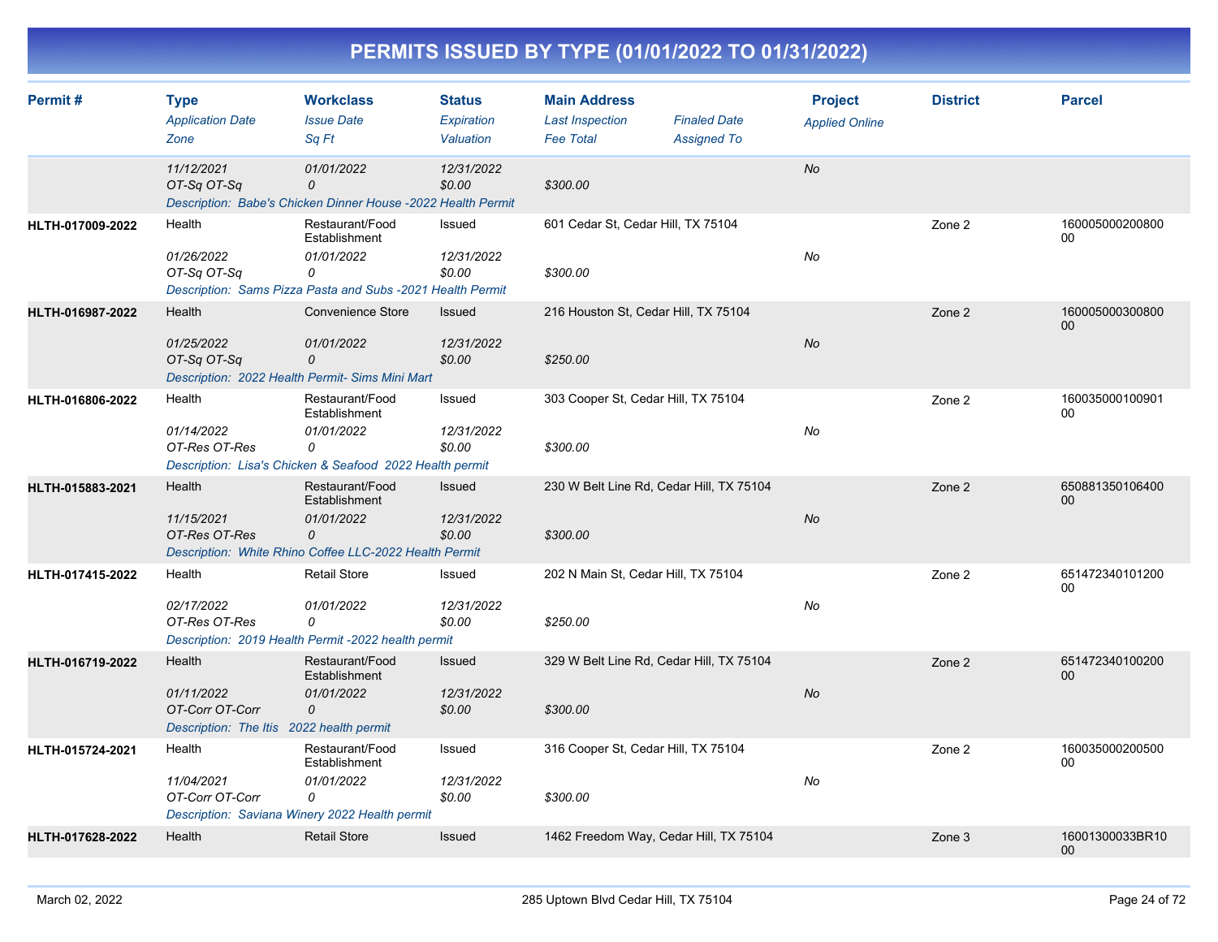| Permit#          | <b>Type</b><br><b>Application Date</b><br>Zone                                      | <b>Workclass</b><br><b>Issue Date</b><br>Sq Ft                                                                             | <b>Status</b><br>Expiration<br>Valuation | <b>Main Address</b><br><b>Last Inspection</b><br><b>Fee Total</b> | <b>Finaled Date</b><br><b>Assigned To</b> | <b>Project</b><br><b>Applied Online</b> | <b>District</b> | <b>Parcel</b>             |
|------------------|-------------------------------------------------------------------------------------|----------------------------------------------------------------------------------------------------------------------------|------------------------------------------|-------------------------------------------------------------------|-------------------------------------------|-----------------------------------------|-----------------|---------------------------|
|                  | 11/12/2021<br>OT-Sq OT-Sq                                                           | 01/01/2022<br>0<br>Description: Babe's Chicken Dinner House -2022 Health Permit                                            | 12/31/2022<br>\$0.00                     | \$300.00                                                          |                                           | <b>No</b>                               |                 |                           |
| HLTH-017009-2022 | Health<br>01/26/2022<br>OT-Sq OT-Sq                                                 | Restaurant/Food<br>Establishment<br>01/01/2022<br>0<br>Description: Sams Pizza Pasta and Subs -2021 Health Permit          | Issued<br>12/31/2022<br>\$0.00           | 601 Cedar St, Cedar Hill, TX 75104<br>\$300.00                    |                                           | No                                      | Zone 2          | 160005000200800<br>00     |
| HLTH-016987-2022 | Health<br>01/25/2022<br>OT-Sq OT-Sq                                                 | Convenience Store<br>01/01/2022<br>0<br>Description: 2022 Health Permit- Sims Mini Mart                                    | Issued<br>12/31/2022<br>\$0.00           | 216 Houston St, Cedar Hill, TX 75104<br>\$250.00                  |                                           | No                                      | Zone 2          | 160005000300800<br>$00\,$ |
| HLTH-016806-2022 | Health<br>01/14/2022<br>OT-Res OT-Res                                               | Restaurant/Food<br>Establishment<br>01/01/2022<br>0<br>Description: Lisa's Chicken & Seafood 2022 Health permit            | Issued<br>12/31/2022<br>\$0.00           | 303 Cooper St, Cedar Hill, TX 75104<br>\$300.00                   |                                           | No                                      | Zone 2          | 160035000100901<br>00     |
| HLTH-015883-2021 | Health<br>11/15/2021<br>OT-Res OT-Res                                               | Restaurant/Food<br>Establishment<br>01/01/2022<br>$\overline{O}$<br>Description: White Rhino Coffee LLC-2022 Health Permit | Issued<br>12/31/2022<br>\$0.00           | 230 W Belt Line Rd, Cedar Hill, TX 75104<br>\$300.00              |                                           | No                                      | Zone 2          | 650881350106400<br>00     |
| HLTH-017415-2022 | Health<br>02/17/2022<br>OT-Res OT-Res                                               | <b>Retail Store</b><br>01/01/2022<br>0<br>Description: 2019 Health Permit -2022 health permit                              | Issued<br>12/31/2022<br>\$0.00           | 202 N Main St, Cedar Hill, TX 75104<br>\$250.00                   |                                           | No                                      | Zone 2          | 651472340101200<br>00     |
| HLTH-016719-2022 | Health<br>01/11/2022<br>OT-Corr OT-Corr<br>Description: The Itis 2022 health permit | Restaurant/Food<br>Establishment<br>01/01/2022<br>0                                                                        | Issued<br>12/31/2022<br>\$0.00           | 329 W Belt Line Rd, Cedar Hill, TX 75104<br>\$300.00              |                                           | <b>No</b>                               | Zone 2          | 651472340100200<br>00     |
| HLTH-015724-2021 | Health<br>11/04/2021<br>OT-Corr OT-Corr                                             | Restaurant/Food<br>Establishment<br>01/01/2022<br>0<br>Description: Saviana Winery 2022 Health permit                      | Issued<br>12/31/2022<br>\$0.00           | 316 Cooper St, Cedar Hill, TX 75104<br>\$300.00                   |                                           | No                                      | Zone 2          | 160035000200500<br>00     |
| HLTH-017628-2022 | Health                                                                              | <b>Retail Store</b>                                                                                                        | Issued                                   | 1462 Freedom Way, Cedar Hill, TX 75104                            |                                           |                                         | Zone 3          | 16001300033BR10<br>00     |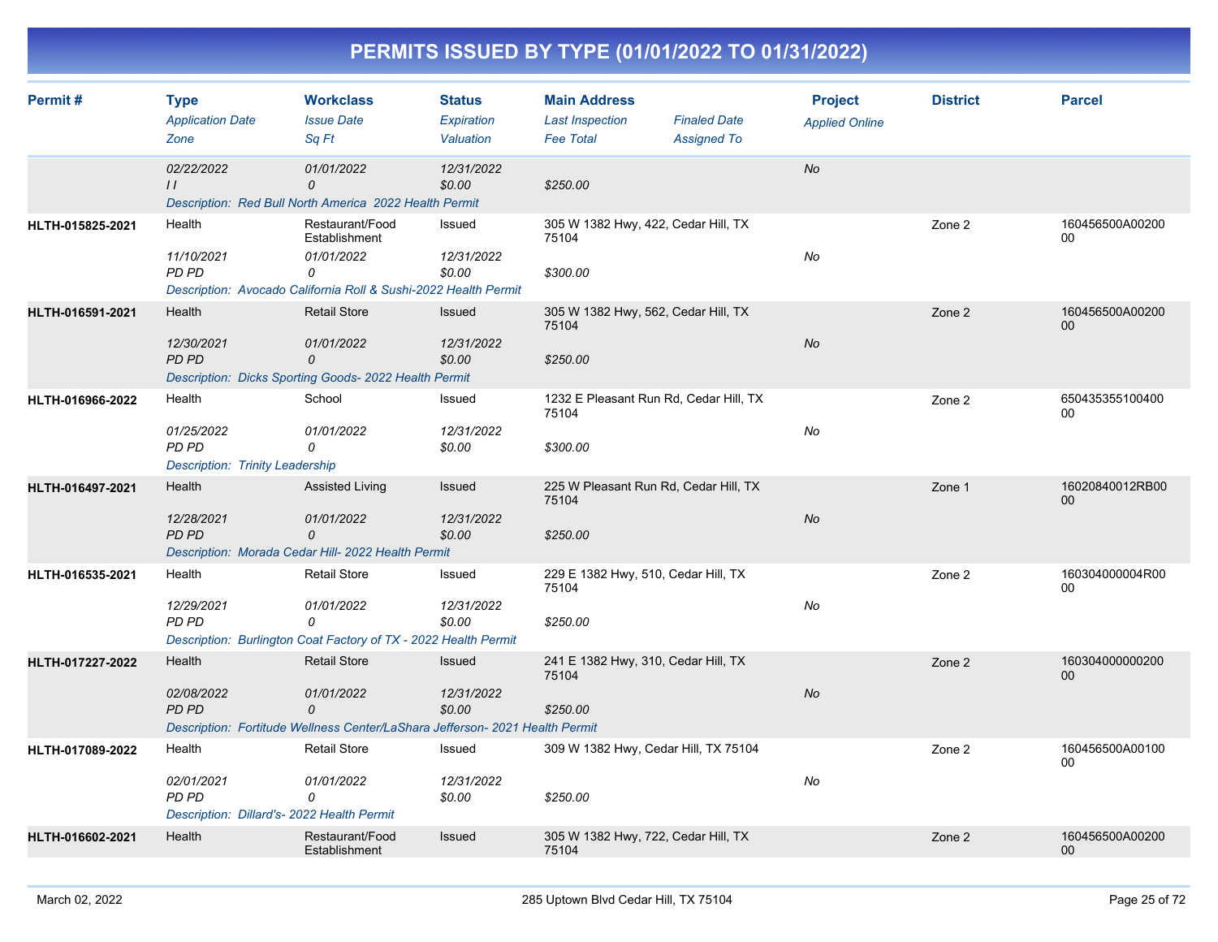| Permit#          | <b>Type</b><br><b>Application Date</b><br>Zone                                     | <b>Workclass</b><br><b>Issue Date</b><br>Sa Ft                                                                         | <b>Status</b><br>Expiration<br>Valuation | <b>Main Address</b><br><b>Last Inspection</b><br><b>Fee Total</b> | <b>Finaled Date</b><br><b>Assigned To</b> | <b>Project</b><br><b>Applied Online</b> | <b>District</b> | <b>Parcel</b>         |
|------------------|------------------------------------------------------------------------------------|------------------------------------------------------------------------------------------------------------------------|------------------------------------------|-------------------------------------------------------------------|-------------------------------------------|-----------------------------------------|-----------------|-----------------------|
|                  | 02/22/2022<br>$\frac{1}{2}$                                                        | 01/01/2022<br>0<br>Description: Red Bull North America 2022 Health Permit                                              | 12/31/2022<br>\$0.00                     | \$250.00                                                          |                                           | No                                      |                 |                       |
| HLTH-015825-2021 | Health<br>11/10/2021<br>PD PD                                                      | Restaurant/Food<br>Establishment<br>01/01/2022<br>0<br>Description: Avocado California Roll & Sushi-2022 Health Permit | Issued<br>12/31/2022<br>\$0.00           | 305 W 1382 Hwy, 422, Cedar Hill, TX<br>75104<br>\$300.00          |                                           | No                                      | Zone 2          | 160456500A00200<br>00 |
| HLTH-016591-2021 | Health<br>12/30/2021<br><b>PD PD</b>                                               | <b>Retail Store</b><br>01/01/2022<br>0<br>Description: Dicks Sporting Goods- 2022 Health Permit                        | Issued<br>12/31/2022<br>\$0.00           | 305 W 1382 Hwy, 562, Cedar Hill, TX<br>75104<br>\$250.00          |                                           | <b>No</b>                               | Zone 2          | 160456500A00200<br>00 |
| HLTH-016966-2022 | Health<br>01/25/2022<br>PD PD<br><b>Description: Trinity Leadership</b>            | School<br>01/01/2022<br>$\Omega$                                                                                       | Issued<br>12/31/2022<br>\$0.00           | 1232 E Pleasant Run Rd, Cedar Hill, TX<br>75104<br>\$300.00       |                                           | No                                      | Zone 2          | 650435355100400<br>00 |
| HLTH-016497-2021 | Health<br>12/28/2021<br><b>PD PD</b>                                               | <b>Assisted Living</b><br>01/01/2022<br>0<br>Description: Morada Cedar Hill- 2022 Health Permit                        | Issued<br>12/31/2022<br>\$0.00           | 225 W Pleasant Run Rd, Cedar Hill, TX<br>75104<br>\$250.00        |                                           | No                                      | Zone 1          | 16020840012RB00<br>00 |
| HLTH-016535-2021 | Health<br>12/29/2021<br>PD PD                                                      | <b>Retail Store</b><br>01/01/2022<br>$\Omega$<br>Description: Burlington Coat Factory of TX - 2022 Health Permit       | Issued<br>12/31/2022<br>\$0.00           | 229 E 1382 Hwy, 510, Cedar Hill, TX<br>75104<br>\$250.00          |                                           | No                                      | Zone 2          | 160304000004R00<br>00 |
| HLTH-017227-2022 | Health<br>02/08/2022<br>PD PD                                                      | <b>Retail Store</b><br>01/01/2022<br>0<br>Description: Fortitude Wellness Center/LaShara Jefferson- 2021 Health Permit | Issued<br>12/31/2022<br>\$0.00           | 241 E 1382 Hwy, 310, Cedar Hill, TX<br>75104<br>\$250.00          |                                           | No                                      | Zone 2          | 160304000000200<br>00 |
| HLTH-017089-2022 | Health<br>02/01/2021<br><b>PD PD</b><br>Description: Dillard's- 2022 Health Permit | <b>Retail Store</b><br>01/01/2022<br>0                                                                                 | Issued<br>12/31/2022<br>\$0.00           | 309 W 1382 Hwy, Cedar Hill, TX 75104<br>\$250.00                  |                                           | No                                      | Zone 2          | 160456500A00100<br>00 |
| HLTH-016602-2021 | Health                                                                             | Restaurant/Food<br>Establishment                                                                                       | Issued                                   | 305 W 1382 Hwy, 722, Cedar Hill, TX<br>75104                      |                                           |                                         | Zone 2          | 160456500A00200<br>00 |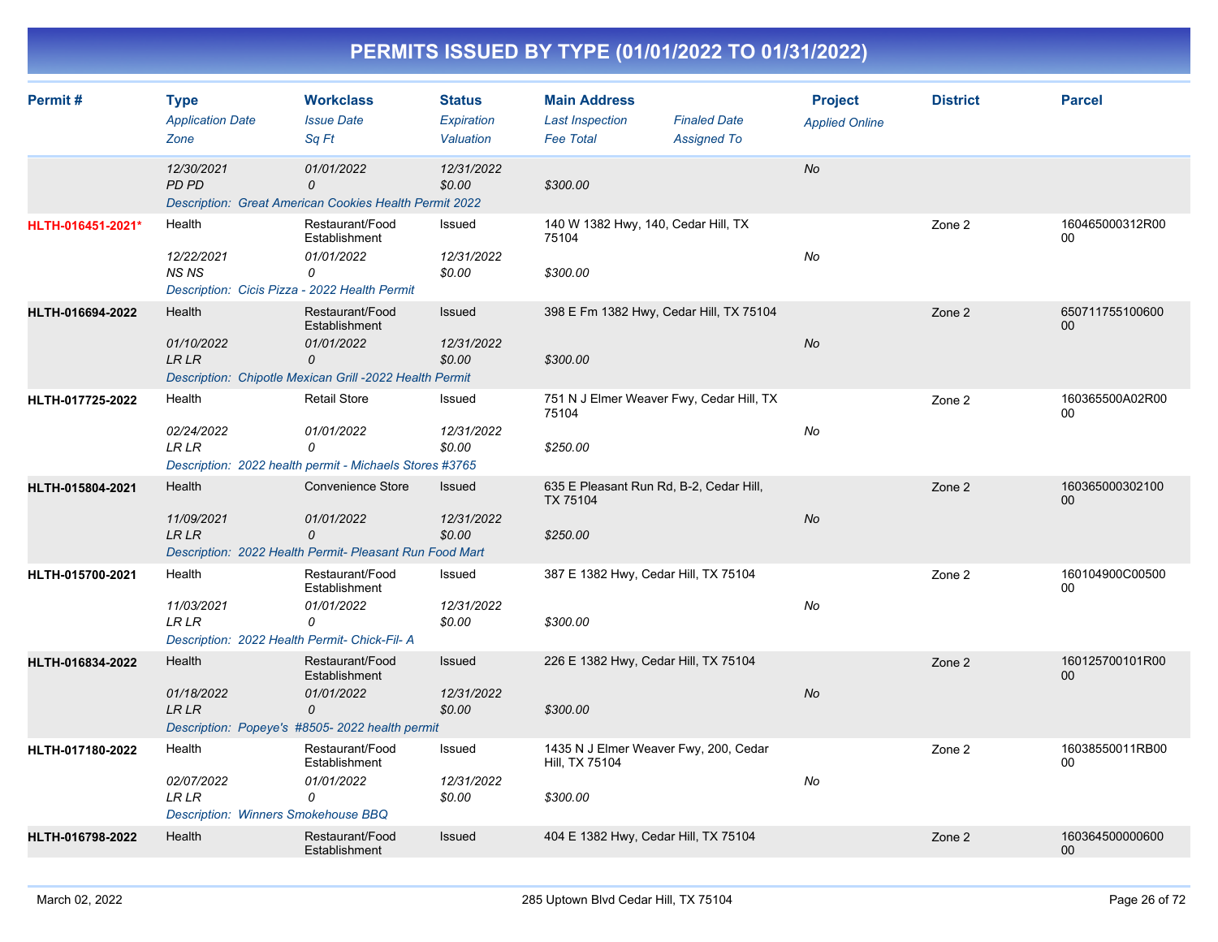| Permit#           | <b>Type</b><br><b>Application Date</b><br>Zone                                        | <b>Workclass</b><br><b>Issue Date</b><br>Sa Ft                                                                 | <b>Status</b><br>Expiration<br>Valuation | <b>Main Address</b><br><b>Last Inspection</b><br><b>Fee Total</b>      | <b>Finaled Date</b><br><b>Assigned To</b> | <b>Project</b><br><b>Applied Online</b> | <b>District</b> | <b>Parcel</b>         |
|-------------------|---------------------------------------------------------------------------------------|----------------------------------------------------------------------------------------------------------------|------------------------------------------|------------------------------------------------------------------------|-------------------------------------------|-----------------------------------------|-----------------|-----------------------|
|                   | 12/30/2021<br><b>PD PD</b>                                                            | 01/01/2022<br>0<br><b>Description: Great American Cookies Health Permit 2022</b>                               | 12/31/2022<br>\$0.00                     | \$300.00                                                               |                                           | <b>No</b>                               |                 |                       |
| HLTH-016451-2021* | Health<br>12/22/2021<br><b>NS NS</b><br>Description: Cicis Pizza - 2022 Health Permit | Restaurant/Food<br>Establishment<br>01/01/2022<br>0                                                            | Issued<br>12/31/2022<br>\$0.00           | 140 W 1382 Hwy, 140, Cedar Hill, TX<br>75104<br>\$300.00               |                                           | No                                      | Zone 2          | 160465000312R00<br>00 |
| HLTH-016694-2022  | Health<br>01/10/2022<br><b>LR LR</b>                                                  | Restaurant/Food<br>Establishment<br>01/01/2022<br>0<br>Description: Chipotle Mexican Grill -2022 Health Permit | <b>Issued</b><br>12/31/2022<br>\$0.00    | 398 E Fm 1382 Hwy, Cedar Hill, TX 75104<br>\$300.00                    |                                           | No                                      | Zone 2          | 650711755100600<br>00 |
| HLTH-017725-2022  | Health<br>02/24/2022<br>LR LR                                                         | <b>Retail Store</b><br>01/01/2022<br>0<br>Description: 2022 health permit - Michaels Stores #3765              | Issued<br>12/31/2022<br>\$0.00           | 751 N J Elmer Weaver Fwy, Cedar Hill, TX<br>75104<br>\$250.00          |                                           | No                                      | Zone 2          | 160365500A02R00<br>00 |
| HLTH-015804-2021  | Health<br>11/09/2021<br><b>LRLR</b>                                                   | Convenience Store<br>01/01/2022<br>0<br>Description: 2022 Health Permit- Pleasant Run Food Mart                | <b>Issued</b><br>12/31/2022<br>\$0.00    | 635 E Pleasant Run Rd, B-2, Cedar Hill,<br><b>TX 75104</b><br>\$250.00 |                                           | <b>No</b>                               | Zone 2          | 160365000302100<br>00 |
| HLTH-015700-2021  | Health<br>11/03/2021<br>LR LR<br>Description: 2022 Health Permit- Chick-Fil- A        | Restaurant/Food<br>Establishment<br>01/01/2022<br>0                                                            | Issued<br>12/31/2022<br>\$0.00           | 387 E 1382 Hwy, Cedar Hill, TX 75104<br>\$300.00                       |                                           | No                                      | Zone 2          | 160104900C00500<br>00 |
| HLTH-016834-2022  | Health<br>01/18/2022<br><b>LRLR</b>                                                   | Restaurant/Food<br>Establishment<br>01/01/2022<br>0<br>Description: Popeye's #8505-2022 health permit          | Issued<br>12/31/2022<br>\$0.00           | 226 E 1382 Hwy, Cedar Hill, TX 75104<br>\$300.00                       |                                           | <b>No</b>                               | Zone 2          | 160125700101R00<br>00 |
| HLTH-017180-2022  | Health<br>02/07/2022<br><b>LR LR</b><br>Description: Winners Smokehouse BBQ           | Restaurant/Food<br>Establishment<br>01/01/2022<br>0                                                            | Issued<br>12/31/2022<br>\$0.00           | 1435 N J Elmer Weaver Fwy, 200, Cedar<br>Hill, TX 75104<br>\$300.00    |                                           | No                                      | Zone 2          | 16038550011RB00<br>00 |
| HLTH-016798-2022  | Health                                                                                | Restaurant/Food<br>Establishment                                                                               | Issued                                   | 404 E 1382 Hwy, Cedar Hill, TX 75104                                   |                                           |                                         | Zone 2          | 160364500000600<br>00 |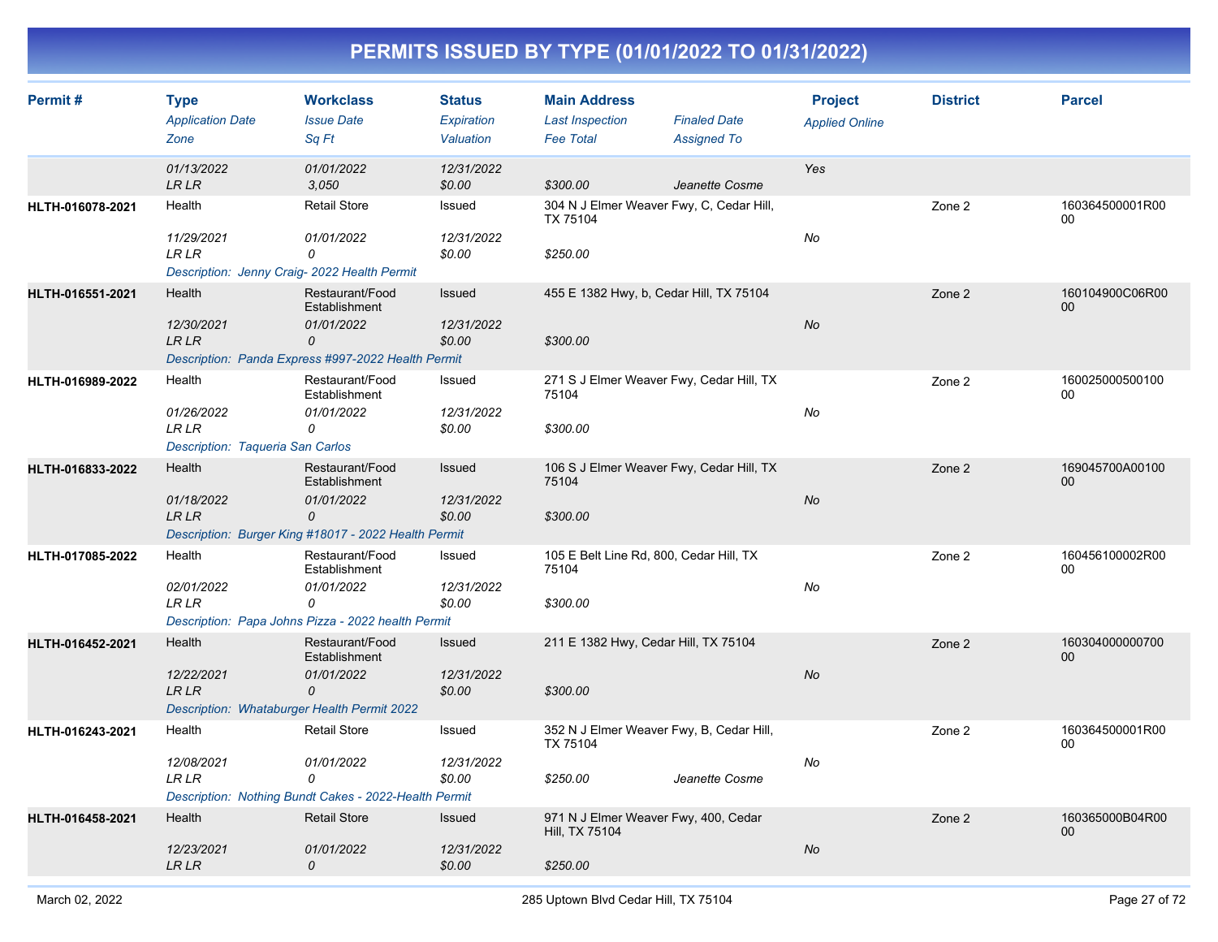| Permit#          | <b>Type</b><br><b>Application Date</b><br>Zone                             | <b>Workclass</b><br><b>Issue Date</b><br>Sq Ft                                       | <b>Status</b><br>Expiration<br>Valuation | <b>Main Address</b><br><b>Last Inspection</b><br><b>Fee Total</b> | <b>Finaled Date</b><br><b>Assigned To</b> | <b>Project</b><br><b>Applied Online</b> | <b>District</b> | <b>Parcel</b>         |
|------------------|----------------------------------------------------------------------------|--------------------------------------------------------------------------------------|------------------------------------------|-------------------------------------------------------------------|-------------------------------------------|-----------------------------------------|-----------------|-----------------------|
|                  | 01/13/2022<br>LR LR                                                        | 01/01/2022<br>3.050                                                                  | 12/31/2022<br>\$0.00                     | \$300.00                                                          | Jeanette Cosme                            | Yes                                     |                 |                       |
| HLTH-016078-2021 | Health                                                                     | <b>Retail Store</b>                                                                  | Issued                                   | 304 N J Elmer Weaver Fwy, C, Cedar Hill,<br><b>TX 75104</b>       |                                           |                                         | Zone 2          | 160364500001R00<br>00 |
|                  | 11/29/2021<br><b>LR LR</b><br>Description: Jenny Craig- 2022 Health Permit | 01/01/2022<br>0                                                                      | 12/31/2022<br>\$0.00                     | \$250.00                                                          |                                           | No                                      |                 |                       |
| HLTH-016551-2021 | Health                                                                     | Restaurant/Food<br>Establishment                                                     | Issued                                   | 455 E 1382 Hwy, b, Cedar Hill, TX 75104                           |                                           |                                         | Zone 2          | 160104900C06R00<br>00 |
|                  | 12/30/2021<br><b>LRLR</b>                                                  | 01/01/2022<br>0<br>Description: Panda Express #997-2022 Health Permit                | 12/31/2022<br>\$0.00                     | \$300.00                                                          |                                           | <b>No</b>                               |                 |                       |
| HLTH-016989-2022 | Health                                                                     | Restaurant/Food<br>Establishment                                                     | Issued                                   | 271 S J Elmer Weaver Fwy, Cedar Hill, TX<br>75104                 |                                           |                                         | Zone 2          | 160025000500100<br>00 |
|                  | 01/26/2022<br>LR LR<br>Description: Taqueria San Carlos                    | 01/01/2022<br>0                                                                      | 12/31/2022<br>\$0.00                     | \$300.00                                                          |                                           | No                                      |                 |                       |
| HLTH-016833-2022 | Health                                                                     | Restaurant/Food<br>Establishment                                                     | <b>Issued</b>                            | 106 S J Elmer Weaver Fwy, Cedar Hill, TX<br>75104                 |                                           |                                         | Zone 2          | 169045700A00100<br>00 |
|                  | 01/18/2022<br><b>LRLR</b>                                                  | 01/01/2022<br>$\overline{O}$<br>Description: Burger King #18017 - 2022 Health Permit | 12/31/2022<br>\$0.00                     | \$300.00                                                          |                                           | No                                      |                 |                       |
| HLTH-017085-2022 | Health                                                                     | Restaurant/Food                                                                      | Issued                                   | 105 E Belt Line Rd, 800, Cedar Hill, TX                           |                                           |                                         | Zone 2          | 160456100002R00       |
|                  |                                                                            | Establishment                                                                        |                                          | 75104                                                             |                                           |                                         |                 | 00                    |
|                  | 02/01/2022<br>LR LR                                                        | 01/01/2022<br>0<br>Description: Papa Johns Pizza - 2022 health Permit                | 12/31/2022<br>\$0.00                     | \$300.00                                                          |                                           | No                                      |                 |                       |
| HLTH-016452-2021 | Health                                                                     | Restaurant/Food                                                                      | Issued                                   | 211 E 1382 Hwy, Cedar Hill, TX 75104                              |                                           |                                         | Zone 2          | 160304000000700       |
|                  | 12/22/2021                                                                 | Establishment<br>01/01/2022                                                          | 12/31/2022                               |                                                                   |                                           | No                                      |                 | 00                    |
|                  | <b>LRLR</b><br>Description: Whataburger Health Permit 2022                 | $\Omega$                                                                             | \$0.00                                   | \$300.00                                                          |                                           |                                         |                 |                       |
| HLTH-016243-2021 | Health                                                                     | <b>Retail Store</b>                                                                  | Issued                                   | 352 N J Elmer Weaver Fwy, B, Cedar Hill,<br>TX 75104              |                                           |                                         | Zone 2          | 160364500001R00<br>00 |
|                  | 12/08/2021<br>LR LR                                                        | 01/01/2022<br>0                                                                      | 12/31/2022<br>\$0.00                     | \$250.00                                                          | Jeanette Cosme                            | No                                      |                 |                       |
|                  | Health                                                                     | Description: Nothing Bundt Cakes - 2022-Health Permit<br><b>Retail Store</b>         | Issued                                   | 971 N J Elmer Weaver Fwy, 400, Cedar                              |                                           |                                         |                 | 160365000B04R00       |
| HLTH-016458-2021 | 12/23/2021                                                                 | 01/01/2022                                                                           | 12/31/2022                               | Hill, TX 75104                                                    |                                           | No                                      | Zone 2          | 00                    |
|                  | <b>LR LR</b>                                                               | 0                                                                                    | \$0.00                                   | \$250.00                                                          |                                           |                                         |                 |                       |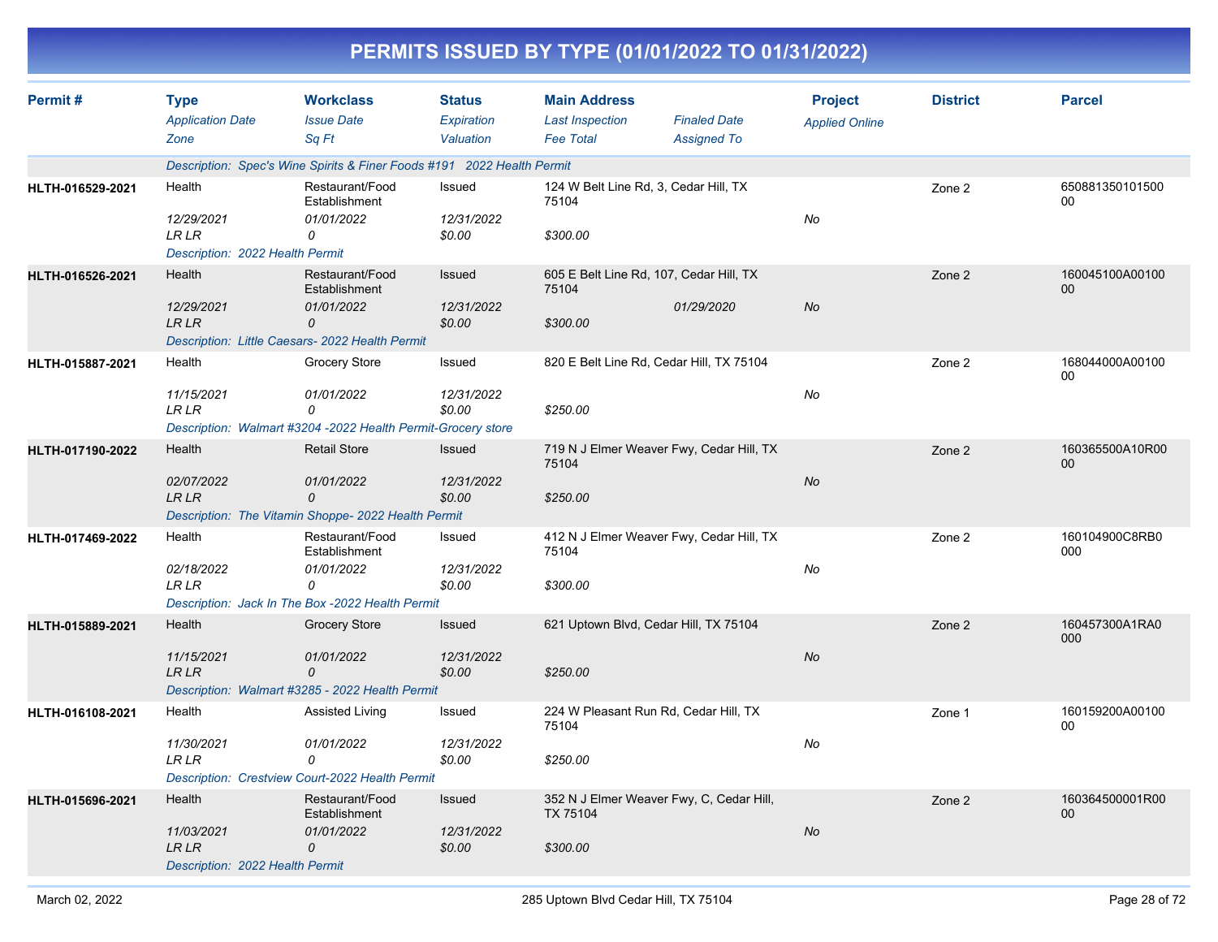|                  | PERMITS ISSUED BY TYPE (01/01/2022 TO 01/31/2022)                       |                                                                                                            |                                          |                                                                   |                                                       |                                         |                 |                       |  |  |  |
|------------------|-------------------------------------------------------------------------|------------------------------------------------------------------------------------------------------------|------------------------------------------|-------------------------------------------------------------------|-------------------------------------------------------|-----------------------------------------|-----------------|-----------------------|--|--|--|
| Permit#          | <b>Type</b><br><b>Application Date</b><br>Zone                          | <b>Workclass</b><br><b>Issue Date</b><br>Sq Ft                                                             | <b>Status</b><br>Expiration<br>Valuation | <b>Main Address</b><br><b>Last Inspection</b><br><b>Fee Total</b> | <b>Finaled Date</b><br><b>Assigned To</b>             | <b>Project</b><br><b>Applied Online</b> | <b>District</b> | <b>Parcel</b>         |  |  |  |
|                  |                                                                         | Description: Spec's Wine Spirits & Finer Foods #191 2022 Health Permit                                     |                                          |                                                                   |                                                       |                                         |                 |                       |  |  |  |
| HLTH-016529-2021 | Health<br>12/29/2021<br><b>LR LR</b><br>Description: 2022 Health Permit | Restaurant/Food<br>Establishment<br>01/01/2022<br>0                                                        | Issued<br>12/31/2022<br>\$0.00           | 124 W Belt Line Rd, 3, Cedar Hill, TX<br>75104<br>\$300.00        |                                                       | No                                      | Zone 2          | 650881350101500<br>00 |  |  |  |
| HLTH-016526-2021 | Health<br>12/29/2021<br><b>LRLR</b>                                     | Restaurant/Food<br>Establishment<br>01/01/2022<br>0<br>Description: Little Caesars- 2022 Health Permit     | Issued<br>12/31/2022<br>\$0.00           | 75104<br>\$300.00                                                 | 605 E Belt Line Rd, 107, Cedar Hill, TX<br>01/29/2020 | No                                      | Zone 2          | 160045100A00100<br>00 |  |  |  |
| HLTH-015887-2021 | Health<br>11/15/2021<br><b>LR LR</b>                                    | Grocery Store<br>01/01/2022<br>0<br>Description: Walmart #3204 -2022 Health Permit-Grocery store           | Issued<br>12/31/2022<br>\$0.00           | \$250.00                                                          | 820 E Belt Line Rd, Cedar Hill, TX 75104              | No                                      | Zone 2          | 168044000A00100<br>00 |  |  |  |
| HLTH-017190-2022 | Health<br>02/07/2022<br><b>LRLR</b>                                     | <b>Retail Store</b><br>01/01/2022<br>$\overline{O}$<br>Description: The Vitamin Shoppe- 2022 Health Permit | Issued<br>12/31/2022<br>\$0.00           | 75104<br>\$250.00                                                 | 719 N J Elmer Weaver Fwy, Cedar Hill, TX              | No                                      | Zone 2          | 160365500A10R00<br>00 |  |  |  |
| HLTH-017469-2022 | Health<br>02/18/2022<br><b>LR LR</b>                                    | Restaurant/Food<br>Establishment<br>01/01/2022<br>0<br>Description: Jack In The Box -2022 Health Permit    | Issued<br>12/31/2022<br>\$0.00           | 75104<br>\$300.00                                                 | 412 N J Elmer Weaver Fwy, Cedar Hill, TX              | No                                      | Zone 2          | 160104900C8RB0<br>000 |  |  |  |
| HLTH-015889-2021 | Health<br>11/15/2021<br><b>LRLR</b>                                     | <b>Grocery Store</b><br>01/01/2022<br>$\overline{O}$<br>Description: Walmart #3285 - 2022 Health Permit    | Issued<br>12/31/2022<br>\$0.00           | \$250.00                                                          | 621 Uptown Blvd, Cedar Hill, TX 75104                 | No                                      | Zone 2          | 160457300A1RA0<br>000 |  |  |  |
| HLTH-016108-2021 | Health<br>11/30/2021<br><b>LR LR</b>                                    | Assisted Living<br>01/01/2022<br>0<br>Description: Crestview Court-2022 Health Permit                      | Issued<br>12/31/2022<br>\$0.00           | 75104<br>\$250.00                                                 | 224 W Pleasant Run Rd, Cedar Hill, TX                 | No                                      | Zone 1          | 160159200A00100<br>00 |  |  |  |
| HLTH-015696-2021 | Health<br>11/03/2021<br><b>LR LR</b><br>Description: 2022 Health Permit | Restaurant/Food<br>Establishment<br>01/01/2022<br>0                                                        | Issued<br>12/31/2022<br>\$0.00           | <b>TX 75104</b><br>\$300.00                                       | 352 N J Elmer Weaver Fwy, C, Cedar Hill,              | No                                      | Zone 2          | 160364500001R00<br>00 |  |  |  |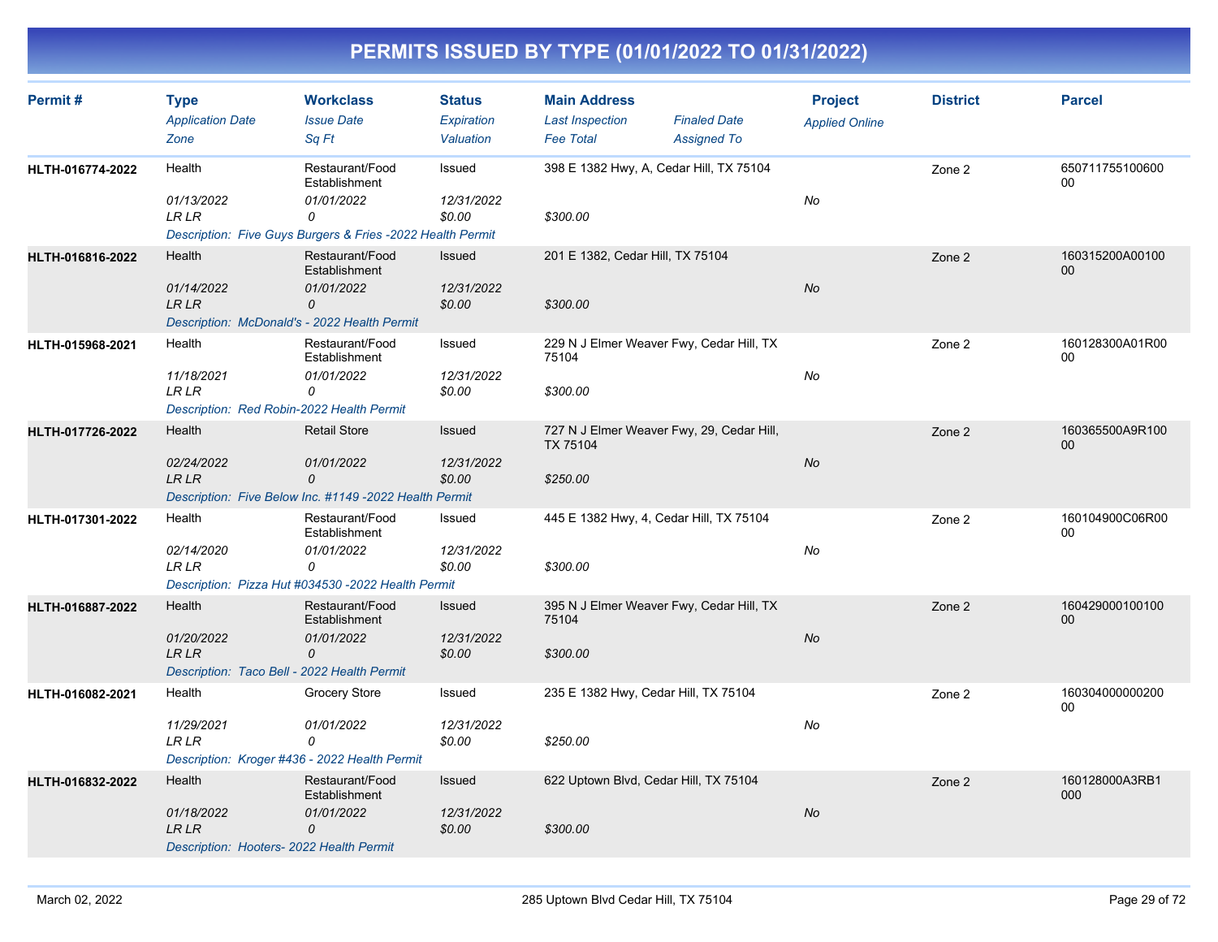| Permit#          | <b>Type</b><br><b>Application Date</b><br>Zone                                        | <b>Workclass</b><br><b>Issue Date</b><br>Sq Ft                                                                    | <b>Status</b><br>Expiration<br>Valuation | <b>Main Address</b><br><b>Last Inspection</b><br><b>Fee Total</b>        | <b>Finaled Date</b><br><b>Assigned To</b> | <b>Project</b><br><b>Applied Online</b> | <b>District</b> | <b>Parcel</b>             |
|------------------|---------------------------------------------------------------------------------------|-------------------------------------------------------------------------------------------------------------------|------------------------------------------|--------------------------------------------------------------------------|-------------------------------------------|-----------------------------------------|-----------------|---------------------------|
| HLTH-016774-2022 | Health<br>01/13/2022<br><b>LR LR</b>                                                  | Restaurant/Food<br>Establishment<br>01/01/2022<br>0<br>Description: Five Guys Burgers & Fries -2022 Health Permit | Issued<br>12/31/2022<br>\$0.00           | 398 E 1382 Hwy, A, Cedar Hill, TX 75104<br>\$300.00                      |                                           | No                                      | Zone 2          | 650711755100600<br>00     |
| HLTH-016816-2022 | Health<br>01/14/2022<br><b>LRLR</b><br>Description: McDonald's - 2022 Health Permit   | Restaurant/Food<br>Establishment<br>01/01/2022<br>0                                                               | Issued<br>12/31/2022<br>\$0.00           | 201 E 1382, Cedar Hill, TX 75104<br>\$300.00                             |                                           | <b>No</b>                               | Zone 2          | 160315200A00100<br>$00\,$ |
| HLTH-015968-2021 | Health<br>11/18/2021<br>LR LR<br>Description: Red Robin-2022 Health Permit            | Restaurant/Food<br>Establishment<br>01/01/2022<br>0                                                               | Issued<br>12/31/2022<br>\$0.00           | 229 N J Elmer Weaver Fwy, Cedar Hill, TX<br>75104<br>\$300.00            |                                           | No                                      | Zone 2          | 160128300A01R00<br>00     |
| HLTH-017726-2022 | Health<br>02/24/2022<br><b>LR LR</b>                                                  | <b>Retail Store</b><br>01/01/2022<br>0<br>Description: Five Below Inc. #1149 -2022 Health Permit                  | Issued<br>12/31/2022<br>\$0.00           | 727 N J Elmer Weaver Fwy, 29, Cedar Hill,<br><b>TX 75104</b><br>\$250.00 |                                           | No                                      | Zone 2          | 160365500A9R100<br>$00\,$ |
| HLTH-017301-2022 | Health<br>02/14/2020<br><b>LR LR</b>                                                  | Restaurant/Food<br>Establishment<br>01/01/2022<br>0<br>Description: Pizza Hut #034530 -2022 Health Permit         | Issued<br>12/31/2022<br>\$0.00           | 445 E 1382 Hwy, 4, Cedar Hill, TX 75104<br>\$300.00                      |                                           | No                                      | Zone 2          | 160104900C06R00<br>$00\,$ |
| HLTH-016887-2022 | Health<br>01/20/2022<br><b>LR LR</b><br>Description: Taco Bell - 2022 Health Permit   | Restaurant/Food<br>Establishment<br>01/01/2022<br>0                                                               | Issued<br>12/31/2022<br>\$0.00           | 395 N J Elmer Weaver Fwy, Cedar Hill, TX<br>75104<br>\$300.00            |                                           | No                                      | Zone 2          | 160429000100100<br>00     |
| HLTH-016082-2021 | Health<br>11/29/2021<br><b>LR LR</b><br>Description: Kroger #436 - 2022 Health Permit | <b>Grocery Store</b><br>01/01/2022<br>0                                                                           | Issued<br>12/31/2022<br>\$0.00           | 235 E 1382 Hwy, Cedar Hill, TX 75104<br>\$250.00                         |                                           | No                                      | Zone 2          | 160304000000200<br>00     |
| HLTH-016832-2022 | Health<br>01/18/2022<br><b>LR LR</b><br>Description: Hooters- 2022 Health Permit      | Restaurant/Food<br>Establishment<br>01/01/2022<br>0                                                               | Issued<br>12/31/2022<br>\$0.00           | 622 Uptown Blvd, Cedar Hill, TX 75104<br>\$300.00                        |                                           | <b>No</b>                               | Zone 2          | 160128000A3RB1<br>000     |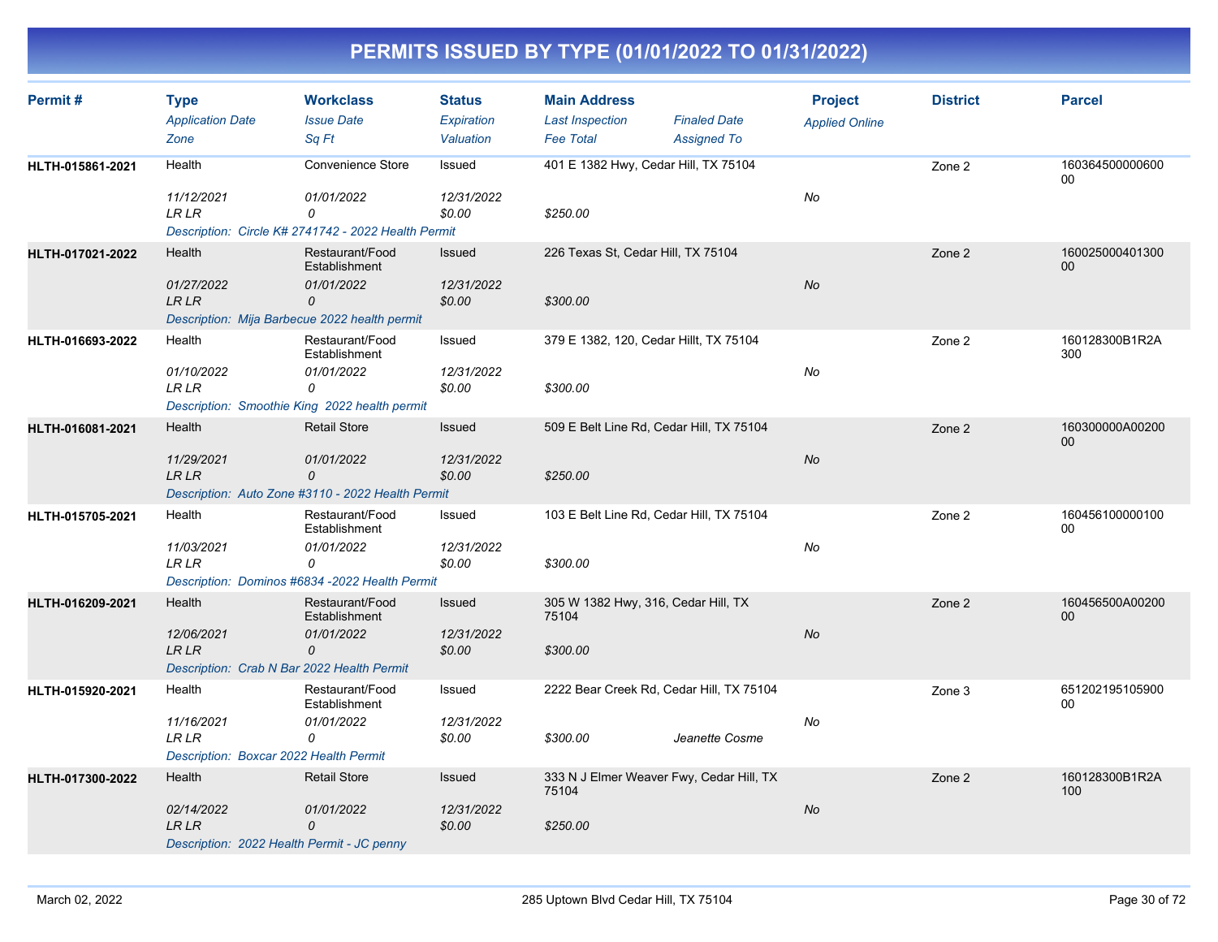| Permit#          | <b>Type</b><br><b>Application Date</b><br>Zone                                        | <b>Workclass</b><br><b>Issue Date</b><br>Sa Ft                                                        | <b>Status</b><br>Expiration<br>Valuation | <b>Main Address</b><br><b>Last Inspection</b><br><b>Fee Total</b> | <b>Finaled Date</b><br><b>Assigned To</b> | <b>Project</b><br><b>Applied Online</b> | <b>District</b> | <b>Parcel</b>                      |
|------------------|---------------------------------------------------------------------------------------|-------------------------------------------------------------------------------------------------------|------------------------------------------|-------------------------------------------------------------------|-------------------------------------------|-----------------------------------------|-----------------|------------------------------------|
| HLTH-015861-2021 | Health<br>11/12/2021<br><b>LR LR</b>                                                  | <b>Convenience Store</b><br>01/01/2022<br>0<br>Description: Circle K# 2741742 - 2022 Health Permit    | Issued<br>12/31/2022<br>\$0.00           | 401 E 1382 Hwy, Cedar Hill, TX 75104<br>\$250.00                  |                                           | No                                      | Zone 2          | 160364500000600<br>$00\,$          |
| HLTH-017021-2022 | Health<br>01/27/2022<br><b>LR LR</b><br>Description: Mija Barbecue 2022 health permit | Restaurant/Food<br>Establishment<br>01/01/2022<br>0                                                   | Issued<br>12/31/2022<br>\$0.00           | 226 Texas St, Cedar Hill, TX 75104<br>\$300.00                    |                                           | No                                      | Zone 2          | 160025000401300<br>00 <sub>0</sub> |
| HLTH-016693-2022 | Health<br>01/10/2022<br><b>LR LR</b>                                                  | Restaurant/Food<br>Establishment<br>01/01/2022<br>0<br>Description: Smoothie King 2022 health permit  | Issued<br>12/31/2022<br>\$0.00           | 379 E 1382, 120, Cedar Hillt, TX 75104<br>\$300.00                |                                           | No                                      | Zone 2          | 160128300B1R2A<br>300              |
| HLTH-016081-2021 | Health<br>11/29/2021<br>LR LR                                                         | <b>Retail Store</b><br>01/01/2022<br>0<br>Description: Auto Zone #3110 - 2022 Health Permit           | <b>Issued</b><br>12/31/2022<br>\$0.00    | 509 E Belt Line Rd, Cedar Hill, TX 75104<br>\$250.00              |                                           | <b>No</b>                               | Zone 2          | 160300000A00200<br>$00\,$          |
| HLTH-015705-2021 | Health<br>11/03/2021<br><b>LR LR</b>                                                  | Restaurant/Food<br>Establishment<br>01/01/2022<br>0<br>Description: Dominos #6834 -2022 Health Permit | Issued<br>12/31/2022<br>\$0.00           | 103 E Belt Line Rd, Cedar Hill, TX 75104<br>\$300.00              |                                           | No                                      | Zone 2          | 160456100000100<br>00              |
| HLTH-016209-2021 | Health<br>12/06/2021<br><b>LR LR</b><br>Description: Crab N Bar 2022 Health Permit    | Restaurant/Food<br>Establishment<br>01/01/2022<br>$\mathcal{O}$                                       | Issued<br>12/31/2022<br>\$0.00           | 305 W 1382 Hwy, 316, Cedar Hill, TX<br>75104<br>\$300.00          |                                           | No                                      | Zone 2          | 160456500A00200<br>00              |
| HLTH-015920-2021 | Health<br>11/16/2021<br><b>LR LR</b><br>Description: Boxcar 2022 Health Permit        | Restaurant/Food<br>Establishment<br>01/01/2022<br>0                                                   | Issued<br>12/31/2022<br>\$0.00           | 2222 Bear Creek Rd, Cedar Hill, TX 75104<br>\$300.00              | Jeanette Cosme                            | No                                      | Zone 3          | 651202195105900<br>00              |
| HLTH-017300-2022 | Health<br>02/14/2022<br>LR LR<br>Description: 2022 Health Permit - JC penny           | <b>Retail Store</b><br>01/01/2022<br>0                                                                | Issued<br>12/31/2022<br>\$0.00           | 333 N J Elmer Weaver Fwy, Cedar Hill, TX<br>75104<br>\$250.00     |                                           | No                                      | Zone 2          | 160128300B1R2A<br>100              |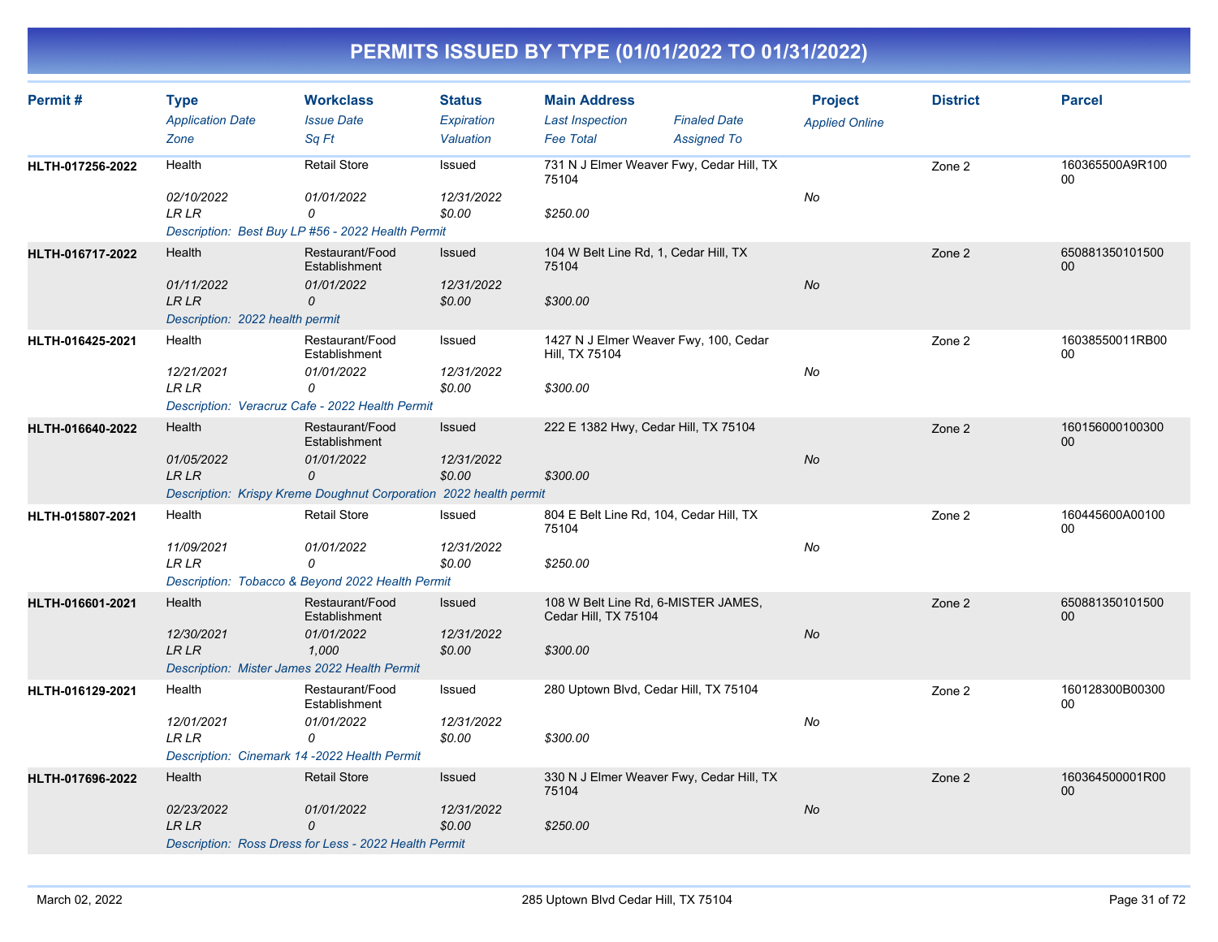| Permit#          | <b>Type</b><br><b>Application Date</b><br>Zone                                       | <b>Workclass</b><br><b>Issue Date</b><br>Sq Ft                                                                           | <b>Status</b><br><b>Expiration</b><br>Valuation | <b>Main Address</b><br><b>Last Inspection</b><br><b>Fee Total</b>       | <b>Finaled Date</b><br><b>Assigned To</b> | <b>Project</b><br><b>Applied Online</b> | <b>District</b> | <b>Parcel</b>                     |
|------------------|--------------------------------------------------------------------------------------|--------------------------------------------------------------------------------------------------------------------------|-------------------------------------------------|-------------------------------------------------------------------------|-------------------------------------------|-----------------------------------------|-----------------|-----------------------------------|
| HLTH-017256-2022 | Health<br>02/10/2022<br><b>LR LR</b>                                                 | <b>Retail Store</b><br>01/01/2022<br>0<br>Description: Best Buy LP #56 - 2022 Health Permit                              | Issued<br>12/31/2022<br>\$0.00                  | 731 N J Elmer Weaver Fwy, Cedar Hill, TX<br>75104<br>\$250.00           |                                           | No                                      | Zone 2          | 160365500A9R100<br>0 <sup>0</sup> |
| HLTH-016717-2022 | Health<br>01/11/2022<br>LR LR<br>Description: 2022 health permit                     | Restaurant/Food<br>Establishment<br>01/01/2022<br>0                                                                      | Issued<br>12/31/2022<br>\$0.00                  | 104 W Belt Line Rd, 1, Cedar Hill, TX<br>75104<br>\$300.00              |                                           | No                                      | Zone 2          | 650881350101500<br>00             |
| HLTH-016425-2021 | Health<br>12/21/2021<br><b>LR LR</b>                                                 | Restaurant/Food<br>Establishment<br>01/01/2022<br>0<br>Description: Veracruz Cafe - 2022 Health Permit                   | Issued<br>12/31/2022<br>\$0.00                  | 1427 N J Elmer Weaver Fwy, 100, Cedar<br>Hill, TX 75104<br>\$300.00     |                                           | No                                      | Zone 2          | 16038550011RB00<br>00             |
| HLTH-016640-2022 | Health<br>01/05/2022<br>LR LR                                                        | Restaurant/Food<br>Establishment<br>01/01/2022<br>0<br>Description: Krispy Kreme Doughnut Corporation 2022 health permit | <b>Issued</b><br>12/31/2022<br>\$0.00           | 222 E 1382 Hwy, Cedar Hill, TX 75104<br>\$300.00                        |                                           | <b>No</b>                               | Zone 2          | 160156000100300<br>00             |
| HLTH-015807-2021 | Health<br>11/09/2021<br><b>LRLR</b>                                                  | <b>Retail Store</b><br>01/01/2022<br>0<br>Description: Tobacco & Beyond 2022 Health Permit                               | Issued<br>12/31/2022<br>\$0.00                  | 804 E Belt Line Rd, 104, Cedar Hill, TX<br>75104<br>\$250.00            |                                           | No                                      | Zone 2          | 160445600A00100<br>00             |
| HLTH-016601-2021 | Health<br>12/30/2021<br><b>LR LR</b><br>Description: Mister James 2022 Health Permit | Restaurant/Food<br>Establishment<br>01/01/2022<br>1,000                                                                  | Issued<br>12/31/2022<br>\$0.00                  | 108 W Belt Line Rd, 6-MISTER JAMES,<br>Cedar Hill, TX 75104<br>\$300.00 |                                           | No                                      | Zone 2          | 650881350101500<br>00             |
| HLTH-016129-2021 | Health<br>12/01/2021<br><b>LR LR</b><br>Description: Cinemark 14 -2022 Health Permit | Restaurant/Food<br>Establishment<br>01/01/2022<br>0                                                                      | Issued<br>12/31/2022<br>\$0.00                  | 280 Uptown Blvd, Cedar Hill, TX 75104<br>\$300.00                       |                                           | No                                      | Zone 2          | 160128300B00300<br>00             |
| HLTH-017696-2022 | Health<br>02/23/2022<br>LR LR                                                        | <b>Retail Store</b><br>01/01/2022<br>0<br>Description: Ross Dress for Less - 2022 Health Permit                          | Issued<br>12/31/2022<br>\$0.00                  | 330 N J Elmer Weaver Fwy, Cedar Hill, TX<br>75104<br>\$250.00           |                                           | No                                      | Zone 2          | 160364500001R00<br>00             |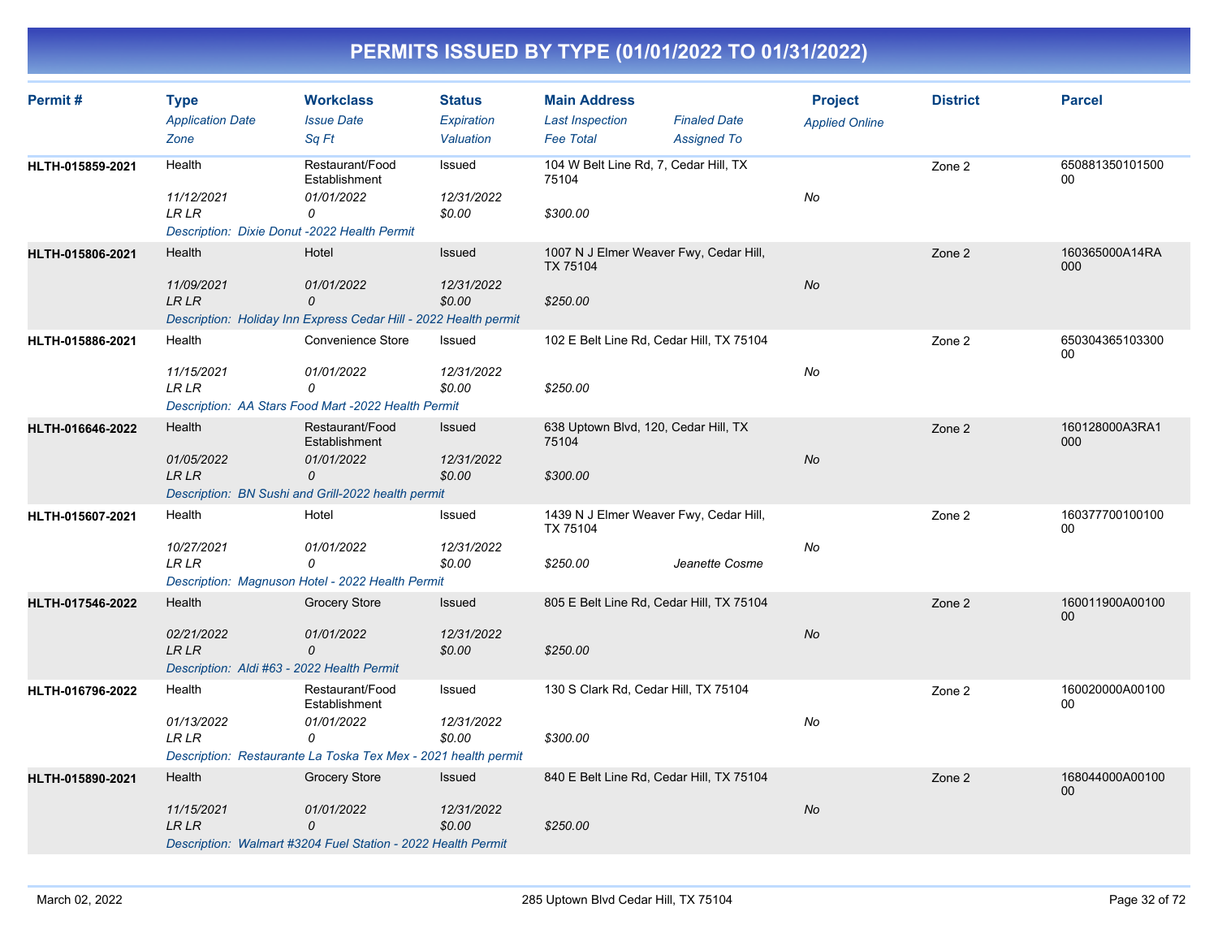| Permit#          | <b>Type</b><br><b>Application Date</b><br>Zone                             | <b>Workclass</b><br><b>Issue Date</b><br>Sq Ft                                      | <b>Status</b><br>Expiration<br>Valuation | <b>Main Address</b><br><b>Last Inspection</b><br><b>Fee Total</b> | <b>Finaled Date</b><br><b>Assigned To</b> | <b>Project</b><br><b>Applied Online</b> | <b>District</b> | <b>Parcel</b>         |
|------------------|----------------------------------------------------------------------------|-------------------------------------------------------------------------------------|------------------------------------------|-------------------------------------------------------------------|-------------------------------------------|-----------------------------------------|-----------------|-----------------------|
| HLTH-015859-2021 | Health                                                                     | Restaurant/Food<br>Establishment                                                    | Issued                                   | 104 W Belt Line Rd, 7, Cedar Hill, TX<br>75104                    |                                           |                                         | Zone 2          | 650881350101500<br>00 |
|                  | 11/12/2021<br><b>LR LR</b><br>Description: Dixie Donut -2022 Health Permit | 01/01/2022<br>0                                                                     | 12/31/2022<br>\$0.00                     | \$300.00                                                          |                                           | No                                      |                 |                       |
| HLTH-015806-2021 | Health                                                                     | Hotel                                                                               | Issued                                   | 1007 N J Elmer Weaver Fwy, Cedar Hill,<br><b>TX 75104</b>         |                                           |                                         | Zone 2          | 160365000A14RA<br>000 |
|                  | 11/09/2021<br><b>LR LR</b>                                                 | 01/01/2022<br>0<br>Description: Holiday Inn Express Cedar Hill - 2022 Health permit | 12/31/2022<br>\$0.00                     | \$250.00                                                          |                                           | No                                      |                 |                       |
| HLTH-015886-2021 | Health                                                                     | Convenience Store                                                                   | Issued                                   | 102 E Belt Line Rd, Cedar Hill, TX 75104                          |                                           |                                         | Zone 2          | 650304365103300<br>00 |
|                  | 11/15/2021<br><b>LR LR</b>                                                 | 01/01/2022<br>0<br>Description: AA Stars Food Mart -2022 Health Permit              | 12/31/2022<br>\$0.00                     | \$250.00                                                          |                                           | No                                      |                 |                       |
| HLTH-016646-2022 | Health                                                                     | Restaurant/Food<br>Establishment                                                    | Issued                                   | 638 Uptown Blvd, 120, Cedar Hill, TX<br>75104                     |                                           |                                         | Zone 2          | 160128000A3RA1<br>000 |
|                  | 01/05/2022<br><b>LR LR</b>                                                 | 01/01/2022<br>0<br>Description: BN Sushi and Grill-2022 health permit               | 12/31/2022<br>\$0.00                     | \$300.00                                                          |                                           | No                                      |                 |                       |
| HLTH-015607-2021 | Health                                                                     | Hotel                                                                               | Issued                                   | 1439 N J Elmer Weaver Fwy, Cedar Hill,<br>TX 75104                |                                           |                                         | Zone 2          | 160377700100100<br>00 |
|                  | 10/27/2021<br><b>LR LR</b>                                                 | 01/01/2022<br>0<br>Description: Magnuson Hotel - 2022 Health Permit                 | 12/31/2022<br>\$0.00                     | \$250.00                                                          | Jeanette Cosme                            | No                                      |                 |                       |
| HLTH-017546-2022 | Health                                                                     | Grocery Store                                                                       | Issued                                   | 805 E Belt Line Rd, Cedar Hill, TX 75104                          |                                           |                                         | Zone 2          | 160011900A00100<br>00 |
|                  | 02/21/2022<br><b>LR LR</b><br>Description: Aldi #63 - 2022 Health Permit   | 01/01/2022<br>0                                                                     | 12/31/2022<br>\$0.00                     | \$250.00                                                          |                                           | <b>No</b>                               |                 |                       |
| HLTH-016796-2022 | Health                                                                     | Restaurant/Food<br>Establishment                                                    | Issued                                   | 130 S Clark Rd, Cedar Hill, TX 75104<br>\$300.00                  |                                           |                                         | Zone 2          | 160020000A00100<br>00 |
|                  | 01/13/2022<br><b>LR LR</b>                                                 | 01/01/2022<br>0<br>Description: Restaurante La Toska Tex Mex - 2021 health permit   | 12/31/2022<br>\$0.00                     |                                                                   |                                           | No                                      |                 |                       |
| HLTH-015890-2021 | Health                                                                     | <b>Grocery Store</b>                                                                | Issued                                   | 840 E Belt Line Rd, Cedar Hill, TX 75104                          |                                           |                                         | Zone 2          | 168044000A00100<br>00 |
|                  | 11/15/2021<br><b>LR LR</b>                                                 | 01/01/2022<br>0<br>Description: Walmart #3204 Fuel Station - 2022 Health Permit     | 12/31/2022<br>\$0.00                     | \$250.00                                                          |                                           | <b>No</b>                               |                 |                       |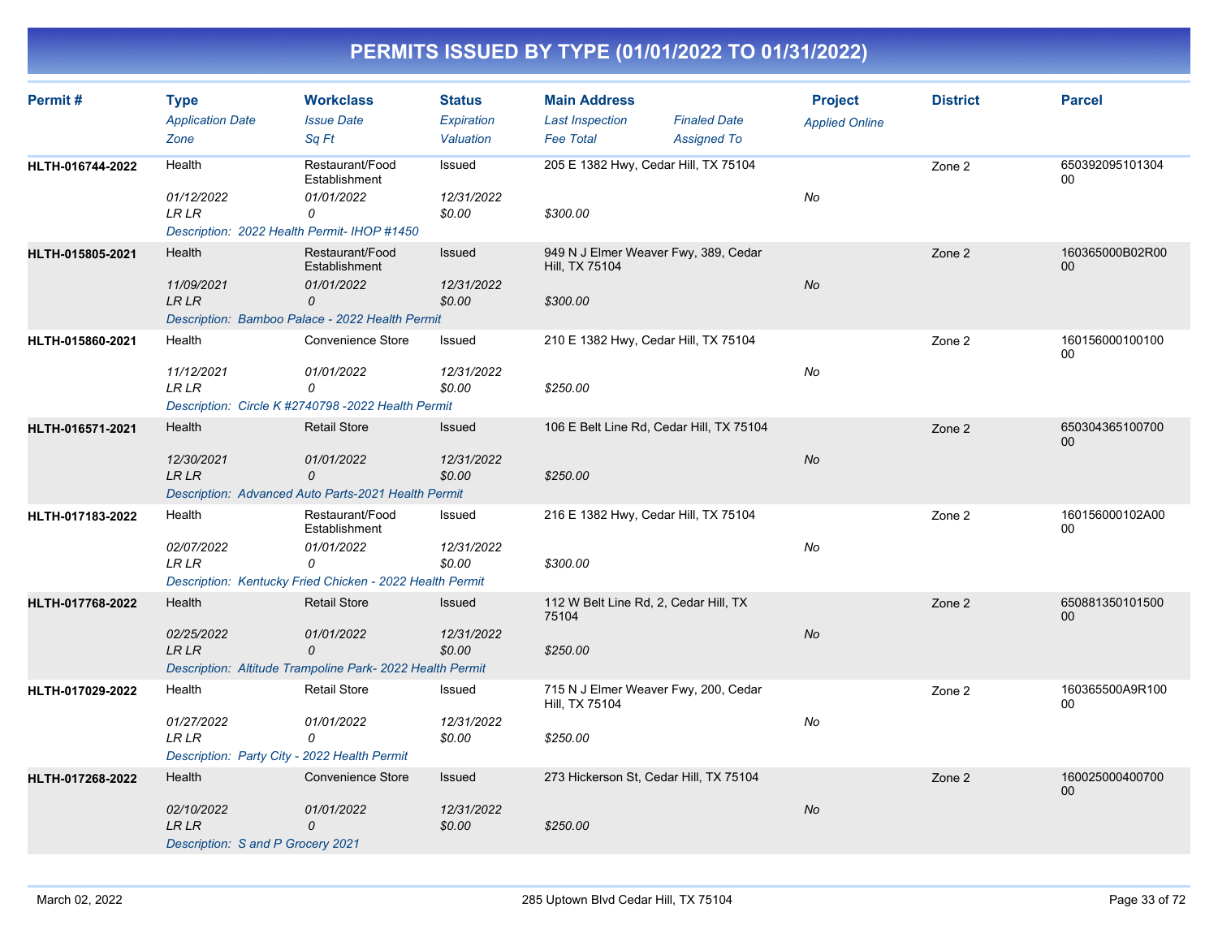| Permit#          | <b>Type</b><br><b>Application Date</b><br>Zone                            | <b>Workclass</b><br><b>Issue Date</b><br>Sq Ft                                                                   | <b>Status</b><br>Expiration<br>Valuation | <b>Main Address</b><br><b>Last Inspection</b><br><b>Fee Total</b>  | <b>Finaled Date</b><br><b>Assigned To</b> | <b>Project</b><br><b>Applied Online</b> | <b>District</b> | <b>Parcel</b>         |
|------------------|---------------------------------------------------------------------------|------------------------------------------------------------------------------------------------------------------|------------------------------------------|--------------------------------------------------------------------|-------------------------------------------|-----------------------------------------|-----------------|-----------------------|
| HLTH-016744-2022 | Health<br>01/12/2022<br><b>LR LR</b>                                      | Restaurant/Food<br>Establishment<br>01/01/2022<br>0<br>Description: 2022 Health Permit- IHOP #1450               | Issued<br>12/31/2022<br>\$0.00           | 205 E 1382 Hwy, Cedar Hill, TX 75104<br>\$300.00                   |                                           | No                                      | Zone 2          | 650392095101304<br>00 |
| HLTH-015805-2021 | Health<br>11/09/2021<br><b>LR LR</b>                                      | Restaurant/Food<br>Establishment<br>01/01/2022<br>0<br>Description: Bamboo Palace - 2022 Health Permit           | Issued<br>12/31/2022<br>\$0.00           | 949 N J Elmer Weaver Fwy, 389, Cedar<br>Hill, TX 75104<br>\$300.00 |                                           | No                                      | Zone 2          | 160365000B02R00<br>00 |
| HLTH-015860-2021 | Health<br>11/12/2021<br><b>LR LR</b>                                      | <b>Convenience Store</b><br>01/01/2022<br>0<br>Description: Circle K #2740798 -2022 Health Permit                | Issued<br>12/31/2022<br>\$0.00           | 210 E 1382 Hwy, Cedar Hill, TX 75104<br>\$250.00                   |                                           | No                                      | Zone 2          | 160156000100100<br>00 |
| HLTH-016571-2021 | Health<br>12/30/2021<br><b>LR LR</b>                                      | <b>Retail Store</b><br>01/01/2022<br>0<br>Description: Advanced Auto Parts-2021 Health Permit                    | Issued<br>12/31/2022<br>\$0.00           | \$250.00                                                           | 106 E Belt Line Rd, Cedar Hill, TX 75104  | No                                      | Zone 2          | 650304365100700<br>00 |
| HLTH-017183-2022 | Health<br>02/07/2022<br><b>LR LR</b>                                      | Restaurant/Food<br>Establishment<br>01/01/2022<br>0<br>Description: Kentucky Fried Chicken - 2022 Health Permit  | Issued<br>12/31/2022<br>\$0.00           | 216 E 1382 Hwy, Cedar Hill, TX 75104<br>\$300.00                   |                                           | No                                      | Zone 2          | 160156000102A00<br>00 |
| HLTH-017768-2022 | Health<br>02/25/2022<br>LR LR                                             | <b>Retail Store</b><br>01/01/2022<br>$\overline{O}$<br>Description: Altitude Trampoline Park- 2022 Health Permit | Issued<br>12/31/2022<br>\$0.00           | 112 W Belt Line Rd, 2, Cedar Hill, TX<br>75104<br>\$250.00         |                                           | <b>No</b>                               | Zone 2          | 650881350101500<br>00 |
| HLTH-017029-2022 | Health<br>01/27/2022<br><b>LR LR</b>                                      | <b>Retail Store</b><br>01/01/2022<br>0<br>Description: Party City - 2022 Health Permit                           | Issued<br>12/31/2022<br>\$0.00           | 715 N J Elmer Weaver Fwy, 200, Cedar<br>Hill, TX 75104<br>\$250.00 |                                           | No                                      | Zone 2          | 160365500A9R100<br>00 |
| HLTH-017268-2022 | Health<br>02/10/2022<br><b>LR LR</b><br>Description: S and P Grocery 2021 | Convenience Store<br>01/01/2022<br>0                                                                             | Issued<br>12/31/2022<br>\$0.00           | 273 Hickerson St, Cedar Hill, TX 75104<br>\$250.00                 |                                           | <b>No</b>                               | Zone 2          | 160025000400700<br>00 |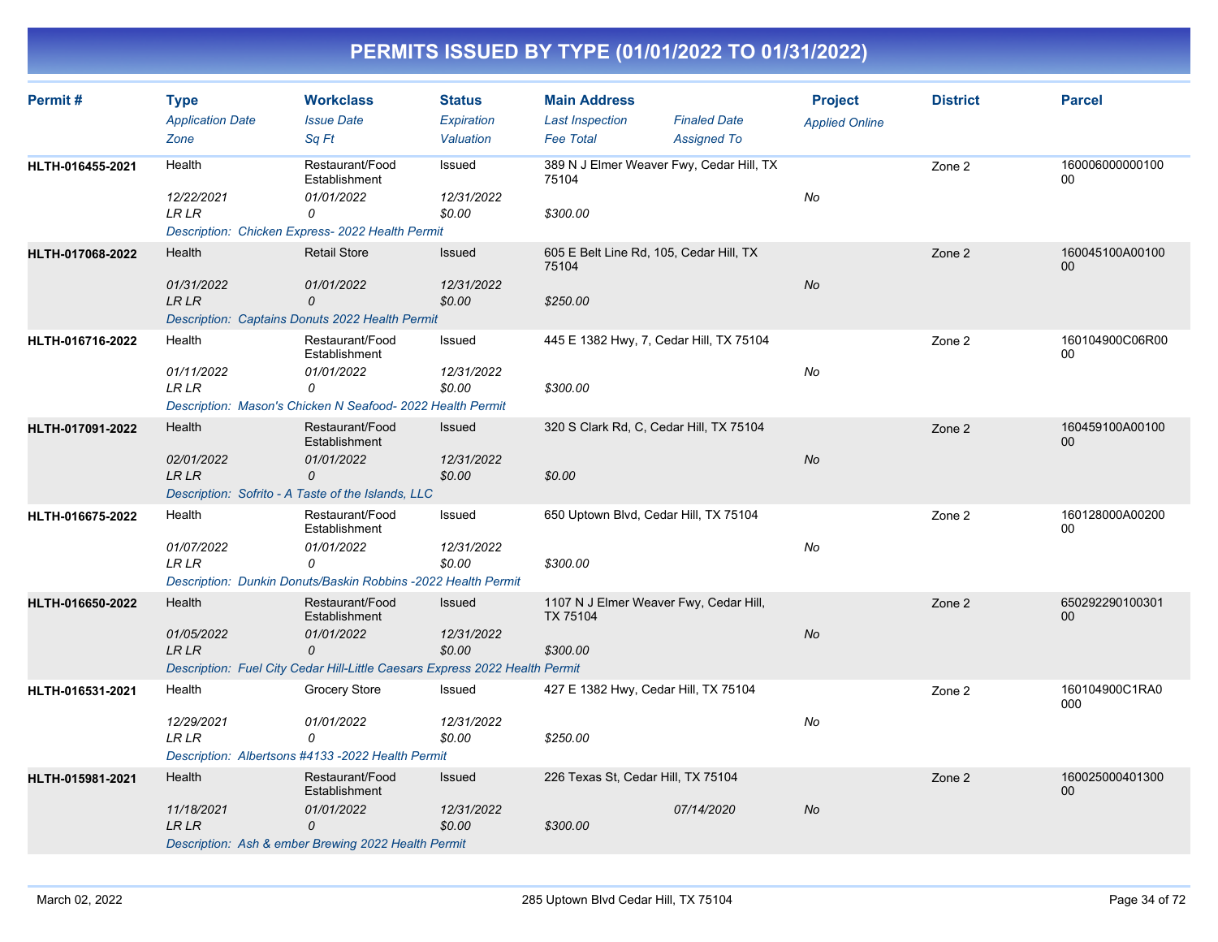| Permit#          | <b>Type</b><br><b>Application Date</b><br>Zone | <b>Workclass</b><br><b>Issue Date</b><br>Sq Ft                                                                                            | <b>Status</b><br>Expiration<br>Valuation | <b>Main Address</b><br><b>Last Inspection</b><br><b>Fee Total</b>     | <b>Finaled Date</b><br><b>Assigned To</b> | <b>Project</b><br><b>Applied Online</b> | <b>District</b> | <b>Parcel</b>         |
|------------------|------------------------------------------------|-------------------------------------------------------------------------------------------------------------------------------------------|------------------------------------------|-----------------------------------------------------------------------|-------------------------------------------|-----------------------------------------|-----------------|-----------------------|
| HLTH-016455-2021 | Health<br>12/22/2021<br><b>LR LR</b>           | Restaurant/Food<br>Establishment<br>01/01/2022<br>0<br>Description: Chicken Express- 2022 Health Permit                                   | Issued<br>12/31/2022<br>\$0.00           | 389 N J Elmer Weaver Fwy, Cedar Hill, TX<br>75104<br>\$300.00         |                                           | No                                      | Zone 2          | 160006000000100<br>00 |
| HLTH-017068-2022 | Health<br>01/31/2022<br><b>LR LR</b>           | <b>Retail Store</b><br>01/01/2022<br>0<br>Description: Captains Donuts 2022 Health Permit                                                 | Issued<br>12/31/2022<br>\$0.00           | 605 E Belt Line Rd, 105, Cedar Hill, TX<br>75104<br>\$250.00          |                                           | <b>No</b>                               | Zone 2          | 160045100A00100<br>00 |
| HLTH-016716-2022 | Health<br>01/11/2022<br><b>LR LR</b>           | Restaurant/Food<br>Establishment<br>01/01/2022<br>0<br>Description: Mason's Chicken N Seafood- 2022 Health Permit                         | Issued<br>12/31/2022<br>\$0.00           | 445 E 1382 Hwy, 7, Cedar Hill, TX 75104<br>\$300.00                   |                                           | No                                      | Zone 2          | 160104900C06R00<br>00 |
| HLTH-017091-2022 | Health<br>02/01/2022<br>LR LR                  | Restaurant/Food<br>Establishment<br>01/01/2022<br>0<br>Description: Sofrito - A Taste of the Islands, LLC                                 | <b>Issued</b><br>12/31/2022<br>\$0.00    | 320 S Clark Rd, C, Cedar Hill, TX 75104<br>\$0.00                     |                                           | <b>No</b>                               | Zone 2          | 160459100A00100<br>00 |
| HLTH-016675-2022 | Health<br>01/07/2022<br><b>LR LR</b>           | Restaurant/Food<br>Establishment<br>01/01/2022<br>0<br>Description: Dunkin Donuts/Baskin Robbins -2022 Health Permit                      | Issued<br>12/31/2022<br>\$0.00           | 650 Uptown Blvd, Cedar Hill, TX 75104<br>\$300.00                     |                                           | No                                      | Zone 2          | 160128000A00200<br>00 |
| HLTH-016650-2022 | Health<br>01/05/2022<br><b>LR LR</b>           | Restaurant/Food<br>Establishment<br>01/01/2022<br>$\Omega$<br>Description: Fuel City Cedar Hill-Little Caesars Express 2022 Health Permit | Issued<br>12/31/2022<br>\$0.00           | 1107 N J Elmer Weaver Fwy, Cedar Hill,<br><b>TX 75104</b><br>\$300.00 |                                           | No                                      | Zone 2          | 650292290100301<br>00 |
| HLTH-016531-2021 | Health<br>12/29/2021<br><b>LR LR</b>           | Grocery Store<br>01/01/2022<br>0<br>Description: Albertsons #4133 -2022 Health Permit                                                     | Issued<br>12/31/2022<br>\$0.00           | 427 E 1382 Hwy, Cedar Hill, TX 75104<br>\$250.00                      |                                           | No                                      | Zone 2          | 160104900C1RA0<br>000 |
| HLTH-015981-2021 | Health<br>11/18/2021<br><b>LR LR</b>           | Restaurant/Food<br>Establishment<br>01/01/2022<br>0<br>Description: Ash & ember Brewing 2022 Health Permit                                | Issued<br>12/31/2022<br>\$0.00           | 226 Texas St, Cedar Hill, TX 75104<br>\$300.00                        | 07/14/2020                                | No                                      | Zone 2          | 160025000401300<br>00 |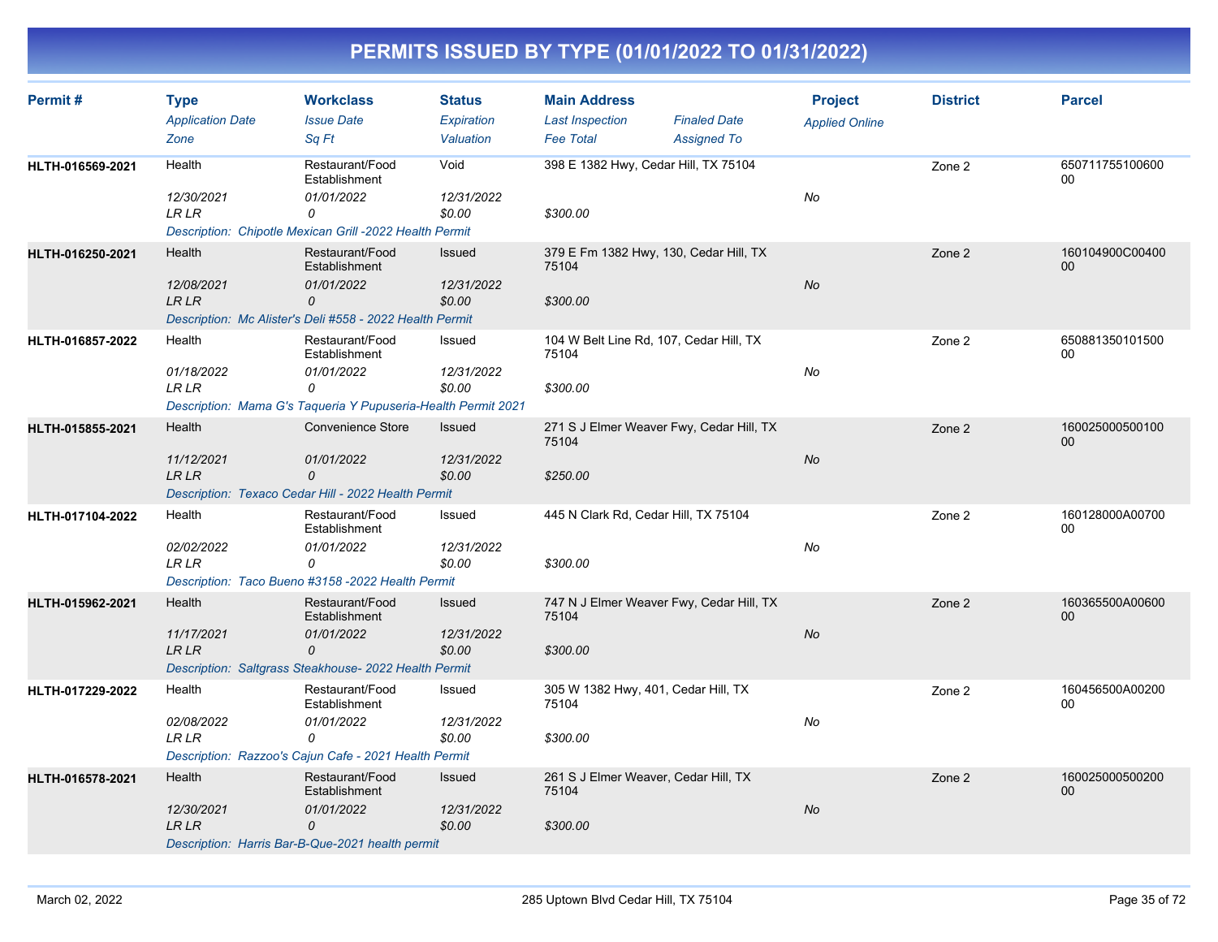| <b>Parcel</b>             |
|---------------------------|
|                           |
| 650711755100600<br>00     |
|                           |
| 160104900C00400<br>$00\,$ |
|                           |
|                           |
| 650881350101500<br>00     |
|                           |
| 160025000500100<br>$00\,$ |
|                           |
|                           |
| 160128000A00700<br>$00\,$ |
|                           |
|                           |
| 160365500A00600<br>00     |
|                           |
| 160456500A00200<br>00     |
|                           |
|                           |
| 160025000500200<br>00     |
|                           |
|                           |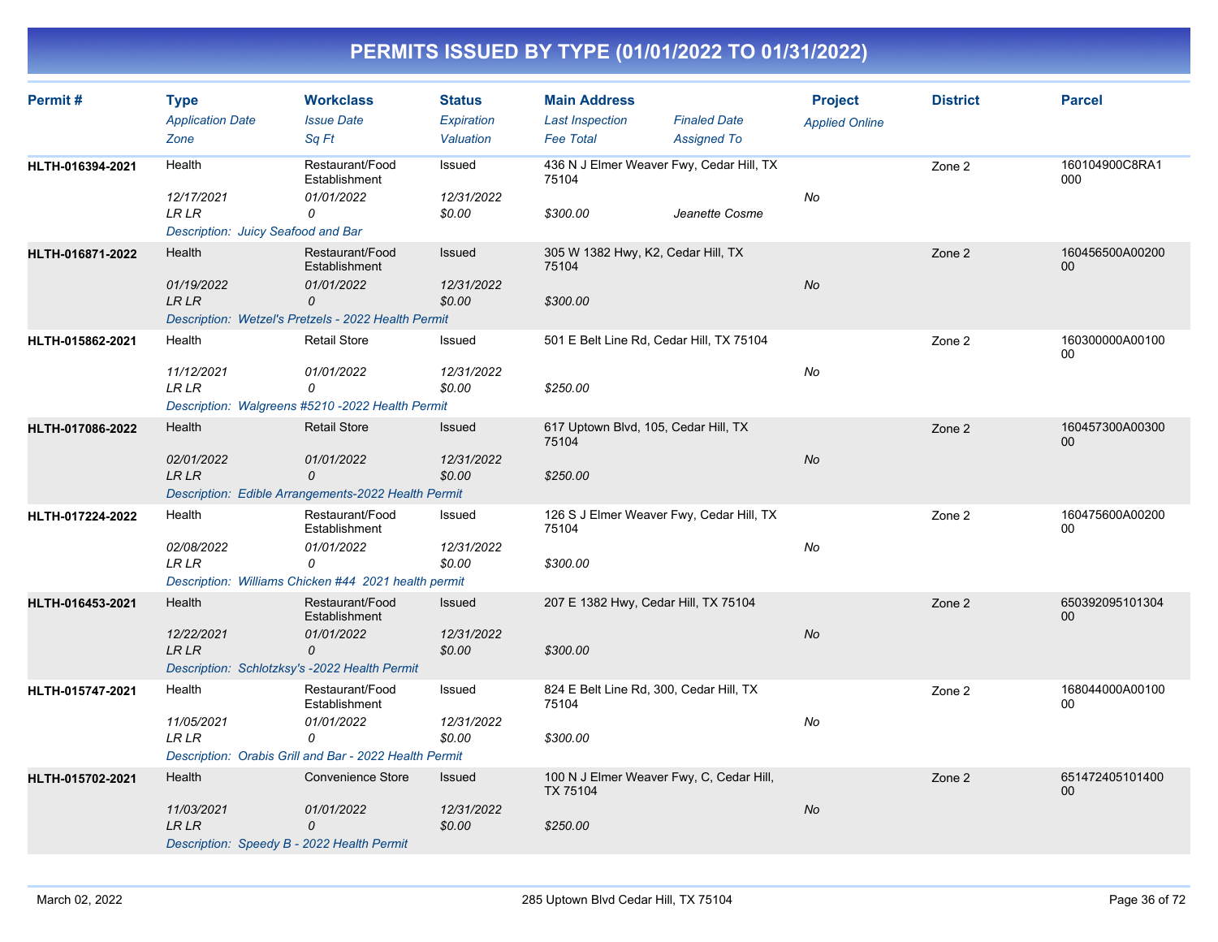| Permit#          | <b>Type</b><br><b>Application Date</b><br>Zone                                     | <b>Workclass</b><br><b>Issue Date</b><br>Sq Ft                                                                | <b>Status</b><br><b>Expiration</b><br>Valuation | <b>Main Address</b><br><b>Last Inspection</b><br><b>Fee Total</b>       | <b>Finaled Date</b><br><b>Assigned To</b>                  | <b>Project</b><br><b>Applied Online</b> | <b>District</b> | <b>Parcel</b>         |
|------------------|------------------------------------------------------------------------------------|---------------------------------------------------------------------------------------------------------------|-------------------------------------------------|-------------------------------------------------------------------------|------------------------------------------------------------|-----------------------------------------|-----------------|-----------------------|
| HLTH-016394-2021 | Health<br>12/17/2021<br><b>LR LR</b>                                               | Restaurant/Food<br>Establishment<br>01/01/2022<br>0                                                           | Issued<br>12/31/2022<br>\$0.00                  | 75104<br>\$300.00                                                       | 436 N J Elmer Weaver Fwy, Cedar Hill, TX<br>Jeanette Cosme | No                                      | Zone 2          | 160104900C8RA1<br>000 |
| HLTH-016871-2022 | Description: Juicy Seafood and Bar<br>Health<br>01/19/2022<br><b>LR LR</b>         | Restaurant/Food<br>Establishment<br>01/01/2022<br>0<br>Description: Wetzel's Pretzels - 2022 Health Permit    | Issued<br>12/31/2022<br>\$0.00                  | 305 W 1382 Hwy, K2, Cedar Hill, TX<br>75104<br>\$300.00                 |                                                            | No                                      | Zone 2          | 160456500A00200<br>00 |
| HLTH-015862-2021 | Health<br>11/12/2021<br><b>LR LR</b>                                               | <b>Retail Store</b><br>01/01/2022<br>0<br>Description: Walgreens #5210 -2022 Health Permit                    | Issued<br>12/31/2022<br>\$0.00                  | 501 E Belt Line Rd, Cedar Hill, TX 75104<br>\$250.00                    |                                                            | No                                      | Zone 2          | 160300000A00100<br>00 |
| HLTH-017086-2022 | Health<br>02/01/2022<br><b>LR LR</b>                                               | <b>Retail Store</b><br>01/01/2022<br>0<br>Description: Edible Arrangements-2022 Health Permit                 | Issued<br>12/31/2022<br>\$0.00                  | 617 Uptown Blvd, 105, Cedar Hill, TX<br>75104<br>\$250.00               |                                                            | No                                      | Zone 2          | 160457300A00300<br>00 |
| HLTH-017224-2022 | Health<br>02/08/2022<br><b>LR LR</b>                                               | Restaurant/Food<br>Establishment<br>01/01/2022<br>0<br>Description: Williams Chicken #44 2021 health permit   | Issued<br>12/31/2022<br>\$0.00                  | 75104<br>\$300.00                                                       | 126 S J Elmer Weaver Fwy, Cedar Hill, TX                   | No                                      | Zone 2          | 160475600A00200<br>00 |
| HLTH-016453-2021 | Health<br>12/22/2021<br><b>LR LR</b>                                               | Restaurant/Food<br>Establishment<br>01/01/2022<br>0<br>Description: Schlotzksy's -2022 Health Permit          | Issued<br>12/31/2022<br>\$0.00                  | 207 E 1382 Hwy, Cedar Hill, TX 75104<br>\$300.00                        |                                                            | No                                      | Zone 2          | 650392095101304<br>00 |
| HLTH-015747-2021 | Health<br>11/05/2021<br><b>LR LR</b>                                               | Restaurant/Food<br>Establishment<br>01/01/2022<br>0<br>Description: Orabis Grill and Bar - 2022 Health Permit | Issued<br>12/31/2022<br>\$0.00                  | 824 E Belt Line Rd, 300, Cedar Hill, TX<br>75104<br>\$300.00            |                                                            | No                                      | Zone 2          | 168044000A00100<br>00 |
| HLTH-015702-2021 | Health<br>11/03/2021<br><b>LR LR</b><br>Description: Speedy B - 2022 Health Permit | Convenience Store<br>01/01/2022<br>$\mathcal{O}$                                                              | Issued<br>12/31/2022<br>\$0.00                  | 100 N J Elmer Weaver Fwy, C, Cedar Hill,<br><b>TX 75104</b><br>\$250.00 |                                                            | <b>No</b>                               | Zone 2          | 651472405101400<br>00 |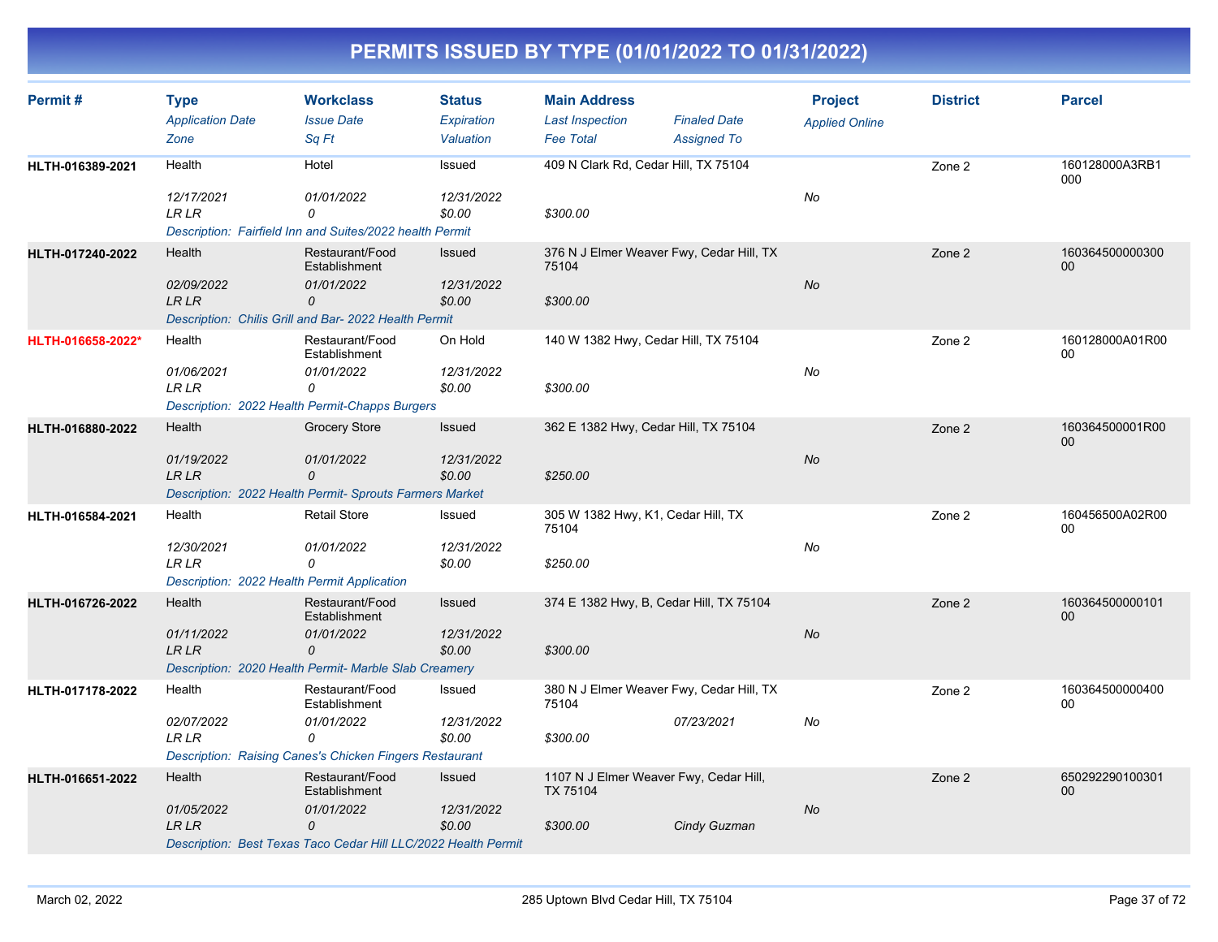| Permit#           | <b>Type</b><br><b>Application Date</b><br>Zone                                      | <b>Workclass</b><br><b>Issue Date</b><br>Sq Ft                                                                        | <b>Status</b><br>Expiration<br>Valuation | <b>Main Address</b><br><b>Last Inspection</b><br><b>Fee Total</b> | <b>Finaled Date</b><br><b>Assigned To</b> | <b>Project</b><br><b>Applied Online</b> | <b>District</b> | <b>Parcel</b>         |
|-------------------|-------------------------------------------------------------------------------------|-----------------------------------------------------------------------------------------------------------------------|------------------------------------------|-------------------------------------------------------------------|-------------------------------------------|-----------------------------------------|-----------------|-----------------------|
| HLTH-016389-2021  | Health<br>12/17/2021<br><b>LRLR</b>                                                 | Hotel<br>01/01/2022<br>0<br>Description: Fairfield Inn and Suites/2022 health Permit                                  | Issued<br>12/31/2022<br>\$0.00           | 409 N Clark Rd, Cedar Hill, TX 75104<br>\$300.00                  |                                           | No                                      | Zone 2          | 160128000A3RB1<br>000 |
| HLTH-017240-2022  | Health<br>02/09/2022<br>LR LR                                                       | Restaurant/Food<br>Establishment<br>01/01/2022<br>0<br>Description: Chilis Grill and Bar- 2022 Health Permit          | <b>Issued</b><br>12/31/2022<br>\$0.00    | 376 N J Elmer Weaver Fwy, Cedar Hill, TX<br>75104<br>\$300.00     |                                           | No                                      | Zone 2          | 160364500000300<br>00 |
| HLTH-016658-2022* | Health<br>01/06/2021<br>LR LR                                                       | Restaurant/Food<br>Establishment<br>01/01/2022<br>0<br>Description: 2022 Health Permit-Chapps Burgers                 | On Hold<br>12/31/2022<br>\$0.00          | 140 W 1382 Hwy, Cedar Hill, TX 75104<br>\$300.00                  |                                           | No                                      | Zone 2          | 160128000A01R00<br>00 |
| HLTH-016880-2022  | Health<br>01/19/2022<br><b>LR LR</b>                                                | Grocery Store<br>01/01/2022<br>0<br>Description: 2022 Health Permit- Sprouts Farmers Market                           | Issued<br>12/31/2022<br>\$0.00           | 362 E 1382 Hwy, Cedar Hill, TX 75104<br>\$250.00                  |                                           | No                                      | Zone 2          | 160364500001R00<br>00 |
| HLTH-016584-2021  | Health<br>12/30/2021<br><b>LR LR</b><br>Description: 2022 Health Permit Application | <b>Retail Store</b><br>01/01/2022<br>0                                                                                | Issued<br>12/31/2022<br>\$0.00           | 305 W 1382 Hwy, K1, Cedar Hill, TX<br>75104<br>\$250.00           |                                           | No                                      | Zone 2          | 160456500A02R00<br>00 |
| HLTH-016726-2022  | Health<br>01/11/2022<br><b>LR LR</b>                                                | Restaurant/Food<br>Establishment<br>01/01/2022<br>0<br>Description: 2020 Health Permit- Marble Slab Creamery          | Issued<br>12/31/2022<br>\$0.00           | 374 E 1382 Hwy, B, Cedar Hill, TX 75104<br>\$300.00               |                                           | No                                      | Zone 2          | 160364500000101<br>00 |
| HLTH-017178-2022  | Health<br>02/07/2022<br><b>LR LR</b>                                                | Restaurant/Food<br>Establishment<br>01/01/2022<br>0<br><b>Description: Raising Canes's Chicken Fingers Restaurant</b> | Issued<br>12/31/2022<br>\$0.00           | 380 N J Elmer Weaver Fwy, Cedar Hill, TX<br>75104<br>\$300.00     | 07/23/2021                                | No                                      | Zone 2          | 160364500000400<br>00 |
| HLTH-016651-2022  | Health<br>01/05/2022<br><b>LR LR</b>                                                | Restaurant/Food<br>Establishment<br>01/01/2022<br>0<br>Description: Best Texas Taco Cedar Hill LLC/2022 Health Permit | Issued<br>12/31/2022<br>\$0.00           | 1107 N J Elmer Weaver Fwy, Cedar Hill,<br>TX 75104<br>\$300.00    | Cindy Guzman                              | No                                      | Zone 2          | 650292290100301<br>00 |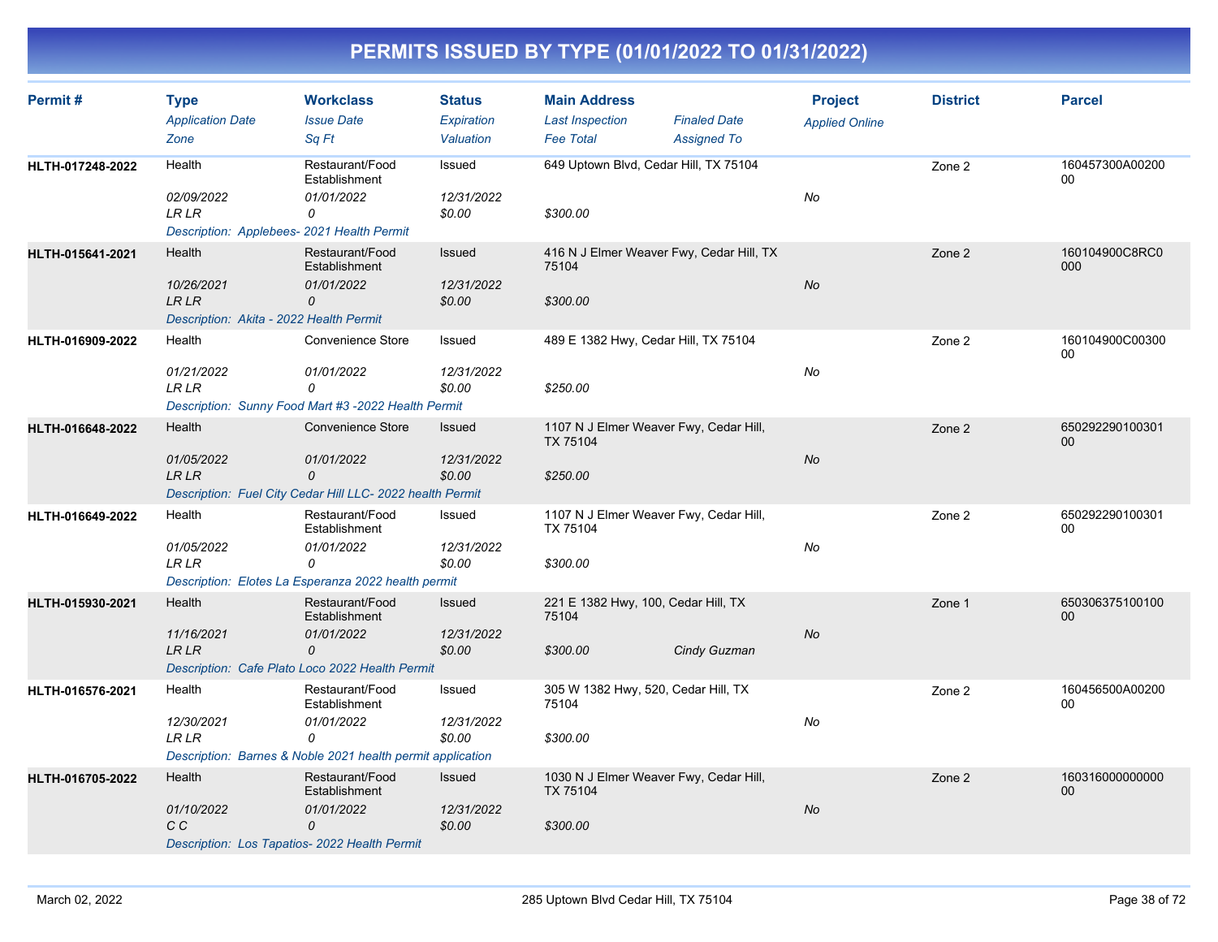| Permit #         | <b>Type</b><br><b>Application Date</b><br>Zone                           | <b>Workclass</b><br><b>Issue Date</b><br>Sq Ft                         | <b>Status</b><br>Expiration<br>Valuation | <b>Main Address</b><br><b>Last Inspection</b><br><b>Fee Total</b> | <b>Finaled Date</b><br><b>Assigned To</b> | <b>Project</b><br><b>Applied Online</b> | <b>District</b> | <b>Parcel</b>         |
|------------------|--------------------------------------------------------------------------|------------------------------------------------------------------------|------------------------------------------|-------------------------------------------------------------------|-------------------------------------------|-----------------------------------------|-----------------|-----------------------|
| HLTH-017248-2022 | Health                                                                   | Restaurant/Food<br>Establishment                                       | Issued                                   | 649 Uptown Blvd, Cedar Hill, TX 75104                             |                                           |                                         | Zone 2          | 160457300A00200<br>00 |
|                  | 02/09/2022<br><b>LR LR</b><br>Description: Applebees- 2021 Health Permit | 01/01/2022<br>0                                                        | 12/31/2022<br>\$0.00                     | \$300.00                                                          |                                           | No                                      |                 |                       |
| HLTH-015641-2021 | Health<br>10/26/2021<br><b>LR LR</b>                                     | Restaurant/Food<br>Establishment<br>01/01/2022<br>0                    | Issued<br>12/31/2022<br>\$0.00           | 416 N J Elmer Weaver Fwy, Cedar Hill, TX<br>75104<br>\$300.00     |                                           | No                                      | Zone 2          | 160104900C8RC0<br>000 |
|                  | Description: Akita - 2022 Health Permit                                  |                                                                        |                                          |                                                                   |                                           |                                         |                 |                       |
| HLTH-016909-2022 | Health                                                                   | Convenience Store                                                      | Issued                                   | 489 E 1382 Hwy, Cedar Hill, TX 75104                              |                                           |                                         | Zone 2          | 160104900C00300<br>00 |
|                  | 01/21/2022<br><b>LR LR</b>                                               | 01/01/2022<br>0<br>Description: Sunny Food Mart #3 -2022 Health Permit | 12/31/2022<br>\$0.00                     | \$250.00                                                          |                                           | No                                      |                 |                       |
| HLTH-016648-2022 | Health                                                                   | Convenience Store                                                      | <b>Issued</b>                            | 1107 N J Elmer Weaver Fwy, Cedar Hill,                            |                                           |                                         | Zone 2          | 650292290100301<br>00 |
|                  | 01/05/2022<br><b>LR LR</b>                                               | 01/01/2022<br>0                                                        | 12/31/2022<br>\$0.00                     | TX 75104<br>\$250.00                                              |                                           | No                                      |                 |                       |
|                  |                                                                          | Description: Fuel City Cedar Hill LLC- 2022 health Permit              |                                          |                                                                   |                                           |                                         |                 |                       |
| HLTH-016649-2022 | Health<br>01/05/2022<br><b>LR LR</b>                                     | Restaurant/Food<br>Establishment<br>01/01/2022<br>0                    | Issued<br>12/31/2022<br>\$0.00           | 1107 N J Elmer Weaver Fwy, Cedar Hill,<br>TX 75104<br>\$300.00    |                                           | No                                      | Zone 2          | 650292290100301<br>00 |
|                  |                                                                          | Description: Elotes La Esperanza 2022 health permit                    |                                          |                                                                   |                                           |                                         |                 |                       |
| HLTH-015930-2021 | Health                                                                   | Restaurant/Food<br>Establishment                                       | Issued                                   | 221 E 1382 Hwy, 100, Cedar Hill, TX<br>75104                      |                                           |                                         | Zone 1          | 650306375100100<br>00 |
|                  | 11/16/2021<br>LR LR                                                      | 01/01/2022<br>0<br>Description: Cafe Plato Loco 2022 Health Permit     | 12/31/2022<br>\$0.00                     | \$300.00                                                          | Cindy Guzman                              | No                                      |                 |                       |
| HLTH-016576-2021 | Health                                                                   | Restaurant/Food<br>Establishment                                       | Issued                                   | 305 W 1382 Hwy, 520, Cedar Hill, TX<br>75104                      |                                           |                                         | Zone 2          | 160456500A00200<br>00 |
|                  | 12/30/2021<br><b>LR LR</b>                                               | 01/01/2022<br>0                                                        | 12/31/2022<br>\$0.00                     | \$300.00                                                          |                                           | No                                      |                 |                       |
|                  |                                                                          | Description: Barnes & Noble 2021 health permit application             |                                          |                                                                   |                                           |                                         |                 |                       |
| HLTH-016705-2022 | Health<br>01/10/2022                                                     | Restaurant/Food<br>Establishment<br>01/01/2022                         | Issued<br>12/31/2022                     | 1030 N J Elmer Weaver Fwy, Cedar Hill,<br>TX 75104                |                                           | No                                      | Zone 2          | 160316000000000<br>00 |
|                  | C C<br>Description: Los Tapatios- 2022 Health Permit                     | 0                                                                      | \$0.00                                   | \$300.00                                                          |                                           |                                         |                 |                       |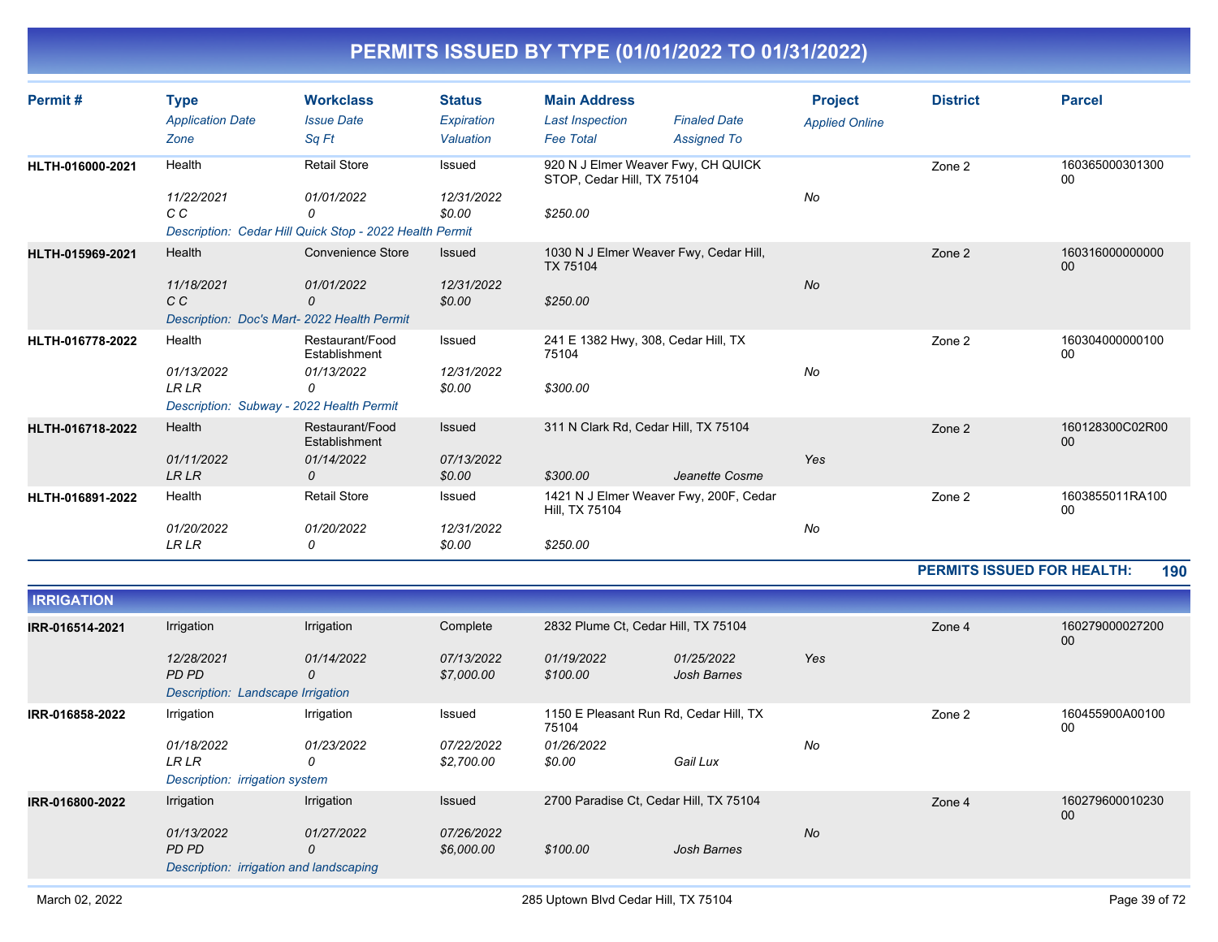| Permit#          | <b>Type</b><br><b>Application Date</b>     | <b>Workclass</b><br><b>Issue Date</b>                   | <b>Status</b><br>Expiration | <b>Main Address</b><br><b>Last Inspection</b>                    | <b>Finaled Date</b> | <b>Project</b><br><b>Applied Online</b> | <b>District</b> | <b>Parcel</b>             |
|------------------|--------------------------------------------|---------------------------------------------------------|-----------------------------|------------------------------------------------------------------|---------------------|-----------------------------------------|-----------------|---------------------------|
|                  | Zone                                       | Sq Ft                                                   | Valuation                   | <b>Fee Total</b>                                                 | <b>Assigned To</b>  |                                         |                 |                           |
| HLTH-016000-2021 | Health                                     | <b>Retail Store</b>                                     | Issued                      | 920 N J Elmer Weaver Fwy, CH QUICK<br>STOP, Cedar Hill, TX 75104 |                     |                                         | Zone 2          | 160365000301300<br>00     |
|                  | 11/22/2021<br>C C                          | 01/01/2022<br>0                                         | 12/31/2022<br>\$0.00        | \$250.00                                                         |                     | No                                      |                 |                           |
|                  |                                            | Description: Cedar Hill Quick Stop - 2022 Health Permit |                             |                                                                  |                     |                                         |                 |                           |
| HLTH-015969-2021 | Health                                     | <b>Convenience Store</b>                                | Issued                      | 1030 N J Elmer Weaver Fwy, Cedar Hill,<br>TX 75104               |                     |                                         | Zone 2          | 160316000000000<br>$00\,$ |
|                  | 11/18/2021<br>C C                          | 01/01/2022<br>0                                         | 12/31/2022<br>\$0.00        | \$250.00                                                         |                     | No                                      |                 |                           |
|                  | Description: Doc's Mart-2022 Health Permit |                                                         |                             |                                                                  |                     |                                         |                 |                           |
| HLTH-016778-2022 | Health                                     | Restaurant/Food<br>Establishment                        | Issued                      | 241 E 1382 Hwy, 308, Cedar Hill, TX<br>75104                     |                     |                                         | Zone 2          | 160304000000100<br>00     |
|                  | 01/13/2022<br><b>LR LR</b>                 | 01/13/2022<br>0                                         | 12/31/2022<br>\$0.00        | \$300.00                                                         |                     | No                                      |                 |                           |
|                  | Description: Subway - 2022 Health Permit   |                                                         |                             |                                                                  |                     |                                         |                 |                           |
| HLTH-016718-2022 | Health                                     | Restaurant/Food<br>Establishment                        | Issued                      | 311 N Clark Rd, Cedar Hill, TX 75104                             |                     |                                         | Zone 2          | 160128300C02R00<br>00     |
|                  | 01/11/2022                                 | 01/14/2022                                              | 07/13/2022                  |                                                                  |                     | Yes                                     |                 |                           |
|                  | <b>LRLR</b>                                | 0                                                       | \$0.00                      | \$300.00                                                         | Jeanette Cosme      |                                         |                 |                           |
| HLTH-016891-2022 | Health                                     | <b>Retail Store</b>                                     | Issued                      | 1421 N J Elmer Weaver Fwy, 200F, Cedar<br>Hill, TX 75104         |                     |                                         | Zone 2          | 1603855011RA100<br>00     |
|                  | 01/20/2022<br><b>LR LR</b>                 | 01/20/2022<br>0                                         | 12/31/2022<br>\$0.00        | \$250.00                                                         |                     | No                                      |                 |                           |

#### **PERMITS ISSUED FOR HEALTH: 190**

| <b>IRRIGATION</b> |                                                              |                          |                          |                                        |                                        |           |        |                       |
|-------------------|--------------------------------------------------------------|--------------------------|--------------------------|----------------------------------------|----------------------------------------|-----------|--------|-----------------------|
| IRR-016514-2021   | Irrigation                                                   | Irrigation               | Complete                 | 2832 Plume Ct, Cedar Hill, TX 75104    |                                        |           | Zone 4 | 160279000027200<br>00 |
|                   | 12/28/2021<br>PD PD<br>Description: Landscape Irrigation     | 01/14/2022<br>0          | 07/13/2022<br>\$7,000.00 | 01/19/2022<br>\$100.00                 | 01/25/2022<br>Josh Barnes              | Yes       |        |                       |
| IRR-016858-2022   | Irrigation                                                   | Irrigation               | Issued                   | 75104                                  | 1150 E Pleasant Run Rd, Cedar Hill, TX |           | Zone 2 | 160455900A00100<br>00 |
|                   | 01/18/2022<br><b>LR LR</b><br>Description: irrigation system | 01/23/2022<br>0          | 07/22/2022<br>\$2,700.00 | 01/26/2022<br>\$0.00                   | Gail Lux                               | No        |        |                       |
| IRR-016800-2022   | Irrigation<br>01/13/2022                                     | Irrigation<br>01/27/2022 | Issued<br>07/26/2022     | 2700 Paradise Ct, Cedar Hill, TX 75104 |                                        | <b>No</b> | Zone 4 | 160279600010230<br>00 |
|                   | PD PD<br>Description: irrigation and landscaping             | 0                        | \$6,000.00               | \$100.00                               | Josh Barnes                            |           |        |                       |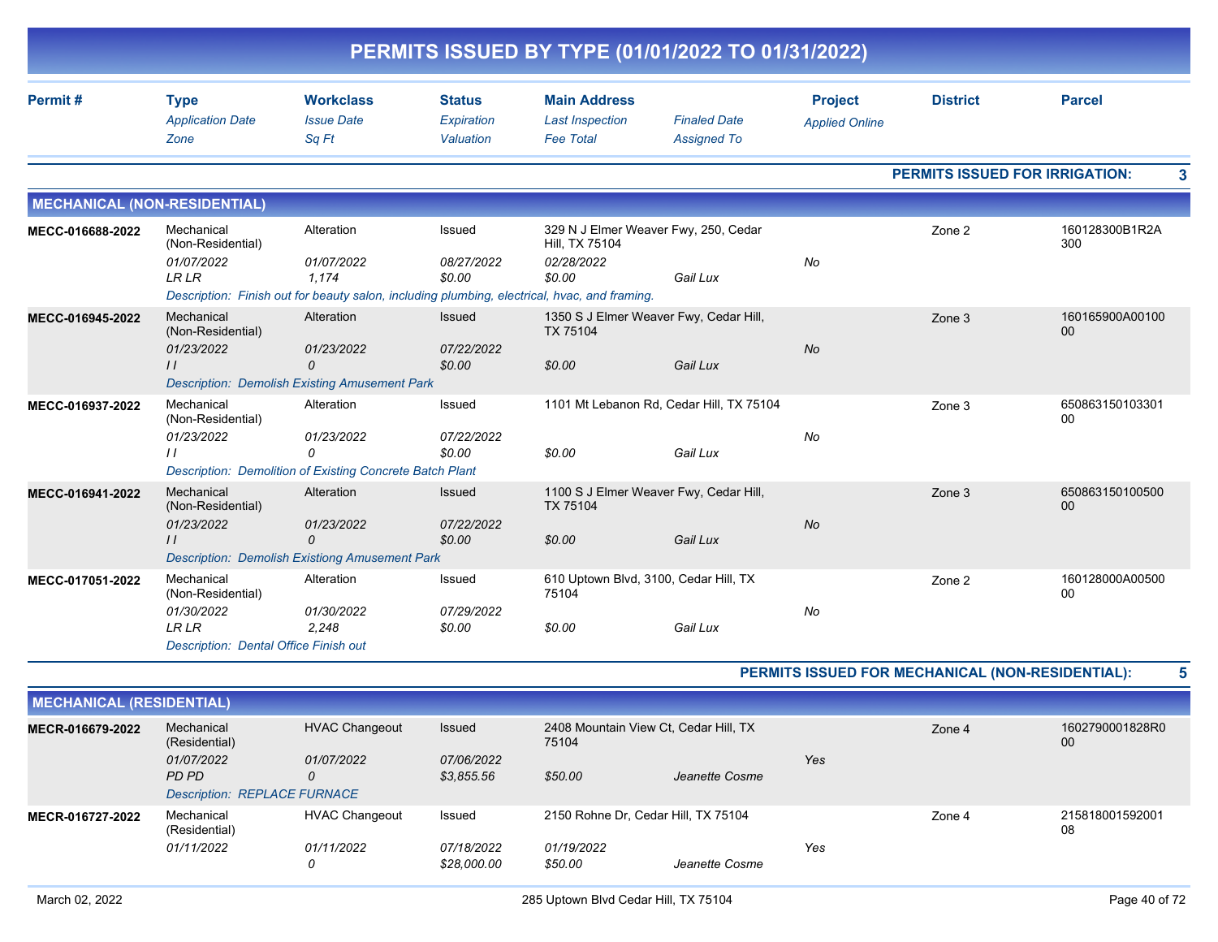|                                     |                                                                                                              |                                                                                                    |                                          | PERMITS ISSUED BY TYPE (01/01/2022 TO 01/31/2022)                                                                                      |                                                      |                                         |                 |                                            |
|-------------------------------------|--------------------------------------------------------------------------------------------------------------|----------------------------------------------------------------------------------------------------|------------------------------------------|----------------------------------------------------------------------------------------------------------------------------------------|------------------------------------------------------|-----------------------------------------|-----------------|--------------------------------------------|
| Permit#                             | <b>Type</b><br><b>Application Date</b><br>Zone                                                               | <b>Workclass</b><br><b>Issue Date</b><br>Sq Ft                                                     | <b>Status</b><br>Expiration<br>Valuation | <b>Main Address</b><br><b>Last Inspection</b><br><b>Fee Total</b>                                                                      | <b>Finaled Date</b><br><b>Assigned To</b>            | <b>Project</b><br><b>Applied Online</b> | <b>District</b> | <b>Parcel</b>                              |
|                                     |                                                                                                              |                                                                                                    |                                          |                                                                                                                                        |                                                      |                                         |                 | <b>PERMITS ISSUED FOR IRRIGATION:</b><br>3 |
| <b>MECHANICAL (NON-RESIDENTIAL)</b> |                                                                                                              |                                                                                                    |                                          |                                                                                                                                        |                                                      |                                         |                 |                                            |
| MECC-016688-2022                    | Mechanical<br>(Non-Residential)<br>01/07/2022<br><b>LRLR</b>                                                 | Alteration<br>01/07/2022<br>1.174                                                                  | Issued<br>08/27/2022<br>\$0.00           | Hill, TX 75104<br>02/28/2022<br>\$0.00<br>Description: Finish out for beauty salon, including plumbing, electrical, hvac, and framing. | 329 N J Elmer Weaver Fwy, 250, Cedar<br>Gail Lux     | No                                      | Zone 2          | 160128300B1R2A<br>300                      |
| MECC-016945-2022                    | Mechanical<br>(Non-Residential)<br>01/23/2022<br>$\prime$                                                    | Alteration<br>01/23/2022<br>0<br><b>Description: Demolish Existing Amusement Park</b>              | <b>Issued</b><br>07/22/2022<br>\$0.00    | TX 75104<br>\$0.00                                                                                                                     | 1350 S J Elmer Weaver Fwy, Cedar Hill,<br>Gail Lux   | <b>No</b>                               | Zone 3          | 160165900A00100<br>00                      |
| MECC-016937-2022                    | Mechanical<br>(Non-Residential)<br>01/23/2022<br>$\prime$                                                    | Alteration<br>01/23/2022<br>0<br>Description: Demolition of Existing Concrete Batch Plant          | Issued<br>07/22/2022<br>\$0.00           | \$0.00                                                                                                                                 | 1101 Mt Lebanon Rd, Cedar Hill, TX 75104<br>Gail Lux | No                                      | Zone 3          | 650863150103301<br>00                      |
| MECC-016941-2022                    | Mechanical<br>(Non-Residential)<br>01/23/2022<br>$\prime$                                                    | Alteration<br>01/23/2022<br>$\mathcal{O}$<br><b>Description: Demolish Existiong Amusement Park</b> | <b>Issued</b><br>07/22/2022<br>\$0.00    | TX 75104<br>\$0.00                                                                                                                     | 1100 S J Elmer Weaver Fwy, Cedar Hill,<br>Gail Lux   | No                                      | Zone 3          | 650863150100500<br>00                      |
| MECC-017051-2022                    | Mechanical<br>(Non-Residential)<br>01/30/2022<br><b>LRLR</b><br><b>Description: Dental Office Finish out</b> | Alteration<br>01/30/2022<br>2.248                                                                  | Issued<br>07/29/2022<br>\$0.00           | 610 Uptown Blvd, 3100, Cedar Hill, TX<br>75104<br>\$0.00                                                                               | Gail Lux                                             | No                                      | Zone 2          | 160128000A00500<br>00                      |

| <b>MECHANICAL (RESIDENTIAL)</b> |                                                            |                                     |                                                          |            |                                     |        |                       |                       |
|---------------------------------|------------------------------------------------------------|-------------------------------------|----------------------------------------------------------|------------|-------------------------------------|--------|-----------------------|-----------------------|
| MECR-016679-2022                | Mechanical<br>(Residential)                                | <b>HVAC Changeout</b>               | Issued<br>2408 Mountain View Ct, Cedar Hill, TX<br>75104 |            |                                     | Zone 4 | 1602790001828R0<br>00 |                       |
|                                 | 01/07/2022<br>PD PD<br><b>Description: REPLACE FURNACE</b> | 01/07/2022<br>0                     | 07/06/2022<br>\$3.855.56                                 | \$50.00    | Jeanette Cosme                      | Yes    |                       |                       |
| MECR-016727-2022                | Mechanical<br>(Residential)<br>01/11/2022                  | <b>HVAC Changeout</b><br>01/11/2022 | Issued<br>07/18/2022                                     | 01/19/2022 | 2150 Rohne Dr. Cedar Hill, TX 75104 | Yes    | Zone 4                | 215818001592001<br>08 |
|                                 |                                                            | 0                                   | \$28,000.00                                              | \$50.00    | Jeanette Cosme                      |        |                       |                       |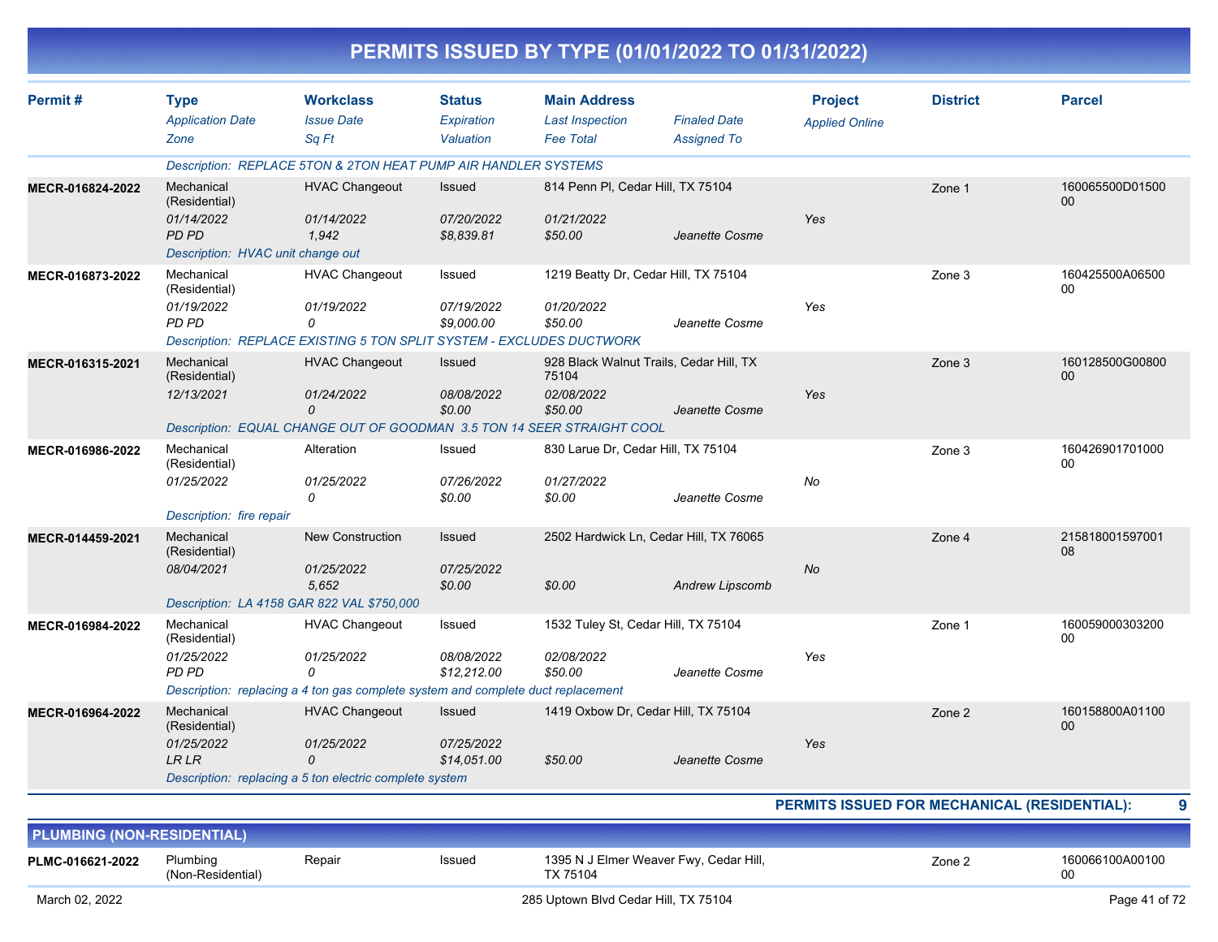|                                   |                                        |                                                                                  |                             | PERMITS ISSUED BY TYPE (01/01/2022 TO 01/31/2022)  |                     |                                         |                                              |                       |
|-----------------------------------|----------------------------------------|----------------------------------------------------------------------------------|-----------------------------|----------------------------------------------------|---------------------|-----------------------------------------|----------------------------------------------|-----------------------|
| Permit#                           | <b>Type</b><br><b>Application Date</b> | <b>Workclass</b><br><b>Issue Date</b>                                            | <b>Status</b><br>Expiration | <b>Main Address</b><br><b>Last Inspection</b>      | <b>Finaled Date</b> | <b>Project</b><br><b>Applied Online</b> | <b>District</b>                              | <b>Parcel</b>         |
|                                   | Zone                                   | Sq Ft                                                                            | Valuation                   | <b>Fee Total</b>                                   | <b>Assigned To</b>  |                                         |                                              |                       |
|                                   |                                        | Description: REPLACE 5TON & 2TON HEAT PUMP AIR HANDLER SYSTEMS                   |                             |                                                    |                     |                                         |                                              |                       |
| MECR-016824-2022                  | Mechanical<br>(Residential)            | <b>HVAC Changeout</b>                                                            | Issued                      | 814 Penn PI, Cedar Hill, TX 75104                  |                     |                                         | Zone 1                                       | 160065500D01500<br>00 |
|                                   | 01/14/2022<br><b>PD PD</b>             | 01/14/2022<br>1,942                                                              | 07/20/2022<br>\$8,839.81    | 01/21/2022<br>\$50.00                              | Jeanette Cosme      | Yes                                     |                                              |                       |
|                                   | Description: HVAC unit change out      |                                                                                  |                             |                                                    |                     |                                         |                                              |                       |
| MECR-016873-2022                  | Mechanical<br>(Residential)            | <b>HVAC Changeout</b>                                                            | Issued                      | 1219 Beatty Dr, Cedar Hill, TX 75104               |                     |                                         | Zone 3                                       | 160425500A06500<br>00 |
|                                   | 01/19/2022                             | 01/19/2022                                                                       | 07/19/2022                  | 01/20/2022                                         |                     | Yes                                     |                                              |                       |
|                                   | PD PD                                  | 0<br>Description: REPLACE EXISTING 5 TON SPLIT SYSTEM - EXCLUDES DUCTWORK        | \$9,000.00                  | \$50.00                                            | Jeanette Cosme      |                                         |                                              |                       |
| MECR-016315-2021                  | Mechanical                             | <b>HVAC Changeout</b>                                                            | <b>Issued</b>               | 928 Black Walnut Trails, Cedar Hill, TX            |                     |                                         | Zone 3                                       | 160128500G00800       |
|                                   | (Residential)                          |                                                                                  |                             | 75104                                              |                     |                                         |                                              | 00                    |
|                                   | 12/13/2021                             | 01/24/2022                                                                       | 08/08/2022                  | 02/08/2022                                         |                     | Yes                                     |                                              |                       |
|                                   |                                        | 0<br>Description: EQUAL CHANGE OUT OF GOODMAN 3.5 TON 14 SEER STRAIGHT COOL      | \$0.00                      | \$50.00                                            | Jeanette Cosme      |                                         |                                              |                       |
|                                   | Mechanical                             | Alteration                                                                       |                             | 830 Larue Dr. Cedar Hill, TX 75104                 |                     |                                         |                                              | 160426901701000       |
| MECR-016986-2022                  | (Residential)                          |                                                                                  | Issued                      |                                                    |                     |                                         | Zone 3                                       | 00                    |
|                                   | 01/25/2022                             | 01/25/2022                                                                       | 07/26/2022                  | 01/27/2022                                         |                     | No                                      |                                              |                       |
|                                   |                                        | 0                                                                                | \$0.00                      | \$0.00                                             | Jeanette Cosme      |                                         |                                              |                       |
|                                   | Description: fire repair               |                                                                                  |                             |                                                    |                     |                                         |                                              |                       |
| MECR-014459-2021                  | Mechanical<br>(Residential)            | <b>New Construction</b>                                                          | <b>Issued</b>               | 2502 Hardwick Ln, Cedar Hill, TX 76065             |                     |                                         | Zone 4                                       | 215818001597001<br>08 |
|                                   | 08/04/2021                             | 01/25/2022                                                                       | 07/25/2022                  |                                                    |                     | No                                      |                                              |                       |
|                                   |                                        | 5,652                                                                            | \$0.00                      | \$0.00                                             | Andrew Lipscomb     |                                         |                                              |                       |
|                                   |                                        | Description: LA 4158 GAR 822 VAL \$750,000                                       |                             |                                                    |                     |                                         |                                              |                       |
| MECR-016984-2022                  | Mechanical<br>(Residential)            | <b>HVAC Changeout</b>                                                            | Issued                      | 1532 Tuley St, Cedar Hill, TX 75104                |                     |                                         | Zone 1                                       | 160059000303200<br>00 |
|                                   | 01/25/2022                             | 01/25/2022                                                                       | 08/08/2022                  | 02/08/2022                                         |                     | Yes                                     |                                              |                       |
|                                   | PD PD                                  | 0                                                                                | \$12,212.00                 | \$50.00                                            | Jeanette Cosme      |                                         |                                              |                       |
|                                   |                                        | Description: replacing a 4 ton gas complete system and complete duct replacement |                             |                                                    |                     |                                         |                                              |                       |
| MECR-016964-2022                  | Mechanical<br>(Residential)            | <b>HVAC Changeout</b>                                                            | Issued                      | 1419 Oxbow Dr, Cedar Hill, TX 75104                |                     |                                         | Zone 2                                       | 160158800A01100<br>00 |
|                                   | 01/25/2022<br><b>LR LR</b>             | 01/25/2022<br>0                                                                  | 07/25/2022<br>\$14,051.00   | \$50.00                                            | Jeanette Cosme      | Yes                                     |                                              |                       |
|                                   |                                        | Description: replacing a 5 ton electric complete system                          |                             |                                                    |                     |                                         |                                              |                       |
|                                   |                                        |                                                                                  |                             |                                                    |                     |                                         | PERMITS ISSUED FOR MECHANICAL (RESIDENTIAL): | 9                     |
| <b>PLUMBING (NON-RESIDENTIAL)</b> |                                        |                                                                                  |                             |                                                    |                     |                                         |                                              |                       |
| PLMC-016621-2022                  | Plumbing<br>(Non-Residential)          | Repair                                                                           | Issued                      | 1395 N J Elmer Weaver Fwy, Cedar Hill,<br>TX 75104 |                     |                                         | Zone 2                                       | 160066100A00100<br>00 |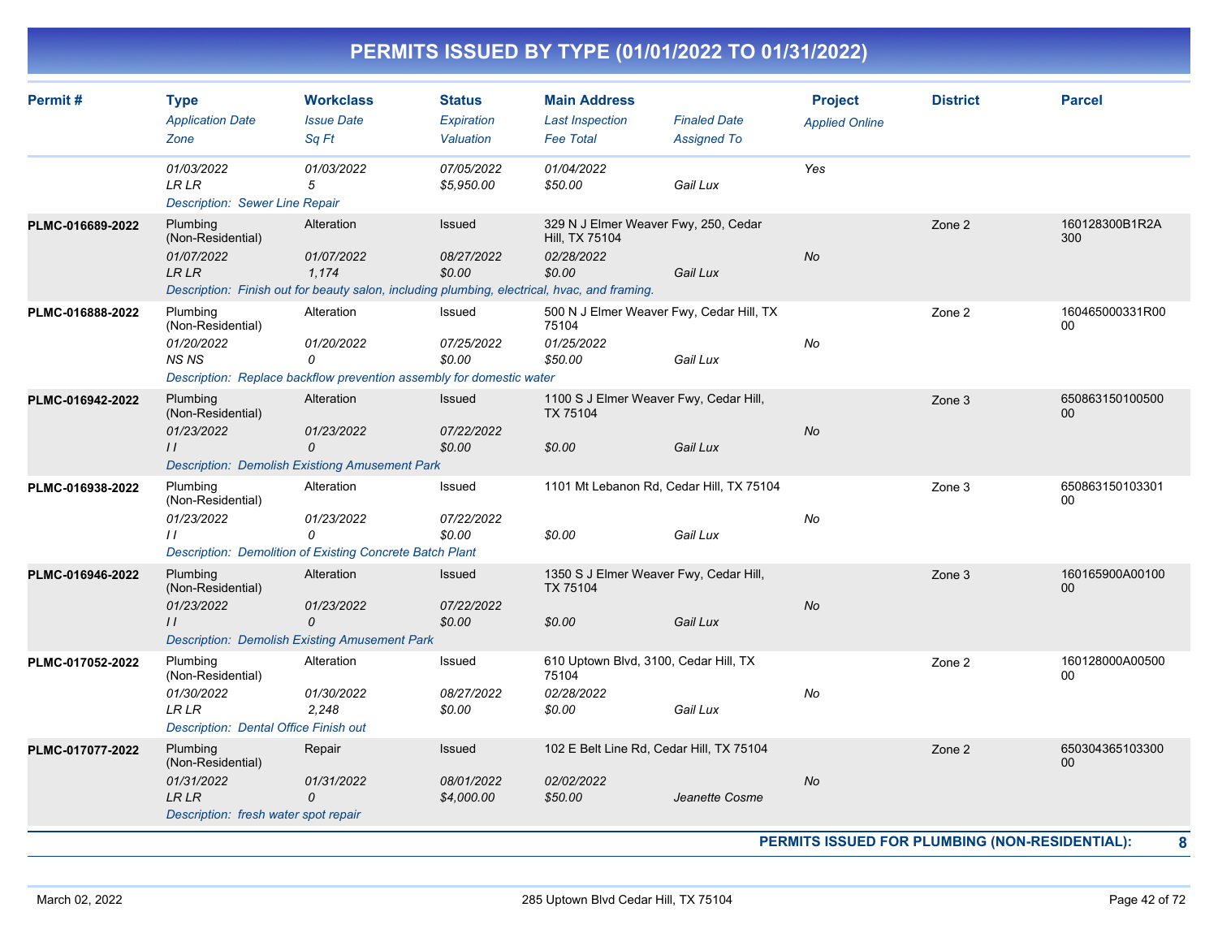| Permit#          | <b>Type</b><br><b>Application Date</b><br>Zone                                                      | <b>Workclass</b><br><b>Issue Date</b><br>Sq Ft                                                                                    | <b>Status</b><br><b>Expiration</b><br>Valuation | <b>Main Address</b><br><b>Last Inspection</b><br><b>Fee Total</b>              | <b>Finaled Date</b><br><b>Assigned To</b> | <b>Project</b><br><b>Applied Online</b> | <b>District</b>                                          | <b>Parcel</b>                  |
|------------------|-----------------------------------------------------------------------------------------------------|-----------------------------------------------------------------------------------------------------------------------------------|-------------------------------------------------|--------------------------------------------------------------------------------|-------------------------------------------|-----------------------------------------|----------------------------------------------------------|--------------------------------|
|                  | 01/03/2022<br><b>LR LR</b><br><b>Description: Sewer Line Repair</b>                                 | 01/03/2022<br>5                                                                                                                   | 07/05/2022<br>\$5,950.00                        | 01/04/2022<br>\$50.00                                                          | Gail Lux                                  | Yes                                     |                                                          |                                |
| PLMC-016689-2022 | Plumbing<br>(Non-Residential)<br>01/07/2022<br><b>LRLR</b>                                          | Alteration<br>01/07/2022<br>1.174<br>Description: Finish out for beauty salon, including plumbing, electrical, hvac, and framing. | Issued<br>08/27/2022<br>\$0.00                  | 329 N J Elmer Weaver Fwy, 250, Cedar<br>Hill, TX 75104<br>02/28/2022<br>\$0.00 | Gail Lux                                  | <b>No</b>                               | Zone 2                                                   | 160128300B1R2A<br>300          |
| PLMC-016888-2022 | Plumbing<br>(Non-Residential)<br>01/20/2022<br><b>NS NS</b>                                         | Alteration<br>01/20/2022<br>0<br>Description: Replace backflow prevention assembly for domestic water                             | Issued<br>07/25/2022<br>\$0.00                  | 500 N J Elmer Weaver Fwy, Cedar Hill, TX<br>75104<br>01/25/2022<br>\$50.00     | Gail Lux                                  | No                                      | Zone 2                                                   | 160465000331R00<br>00          |
| PLMC-016942-2022 | Plumbing<br>(Non-Residential)<br>01/23/2022<br>$\frac{1}{2}$                                        | Alteration<br>01/23/2022<br>$\Omega$<br><b>Description: Demolish Existiong Amusement Park</b>                                     | Issued<br>07/22/2022<br>\$0.00                  | 1100 S J Elmer Weaver Fwy, Cedar Hill,<br><b>TX 75104</b><br>\$0.00            | Gail Lux                                  | <b>No</b>                               | Zone 3                                                   | 650863150100500<br>00          |
| PLMC-016938-2022 | Plumbing<br>(Non-Residential)<br>01/23/2022<br>$\prime$                                             | Alteration<br>01/23/2022<br>0<br><b>Description: Demolition of Existing Concrete Batch Plant</b>                                  | Issued<br>07/22/2022<br>\$0.00                  | 1101 Mt Lebanon Rd, Cedar Hill, TX 75104<br>\$0.00                             | Gail Lux                                  | No                                      | Zone 3                                                   | 650863150103301<br>00          |
| PLMC-016946-2022 | Plumbing<br>(Non-Residential)<br>01/23/2022<br>$\frac{1}{2}$                                        | Alteration<br>01/23/2022<br>$\Omega$<br><b>Description: Demolish Existing Amusement Park</b>                                      | Issued<br>07/22/2022<br>\$0.00                  | 1350 S J Elmer Weaver Fwy, Cedar Hill,<br><b>TX 75104</b><br>\$0.00            | Gail Lux                                  | <b>No</b>                               | Zone 3                                                   | 160165900A00100<br>00          |
| PLMC-017052-2022 | Plumbing<br>(Non-Residential)<br>01/30/2022<br>LR LR<br>Description: Dental Office Finish out       | Alteration<br>01/30/2022<br>2.248                                                                                                 | Issued<br>08/27/2022<br>\$0.00                  | 610 Uptown Blvd, 3100, Cedar Hill, TX<br>75104<br>02/28/2022<br>\$0.00         | Gail Lux                                  | No                                      | Zone 2                                                   | 160128000A00500<br>$00\,$      |
| PLMC-017077-2022 | Plumbing<br>(Non-Residential)<br>01/31/2022<br><b>LR LR</b><br>Description: fresh water spot repair | Repair<br>01/31/2022<br>0                                                                                                         | <b>Issued</b><br>08/01/2022<br>\$4,000.00       | 102 E Belt Line Rd, Cedar Hill, TX 75104<br>02/02/2022<br>\$50.00              | Jeanette Cosme                            | <b>No</b>                               | Zone 2<br>PERMITS ISSUED FOR PLUMBING (NON-RESIDENTIAL): | 650304365103300<br>$00\,$<br>8 |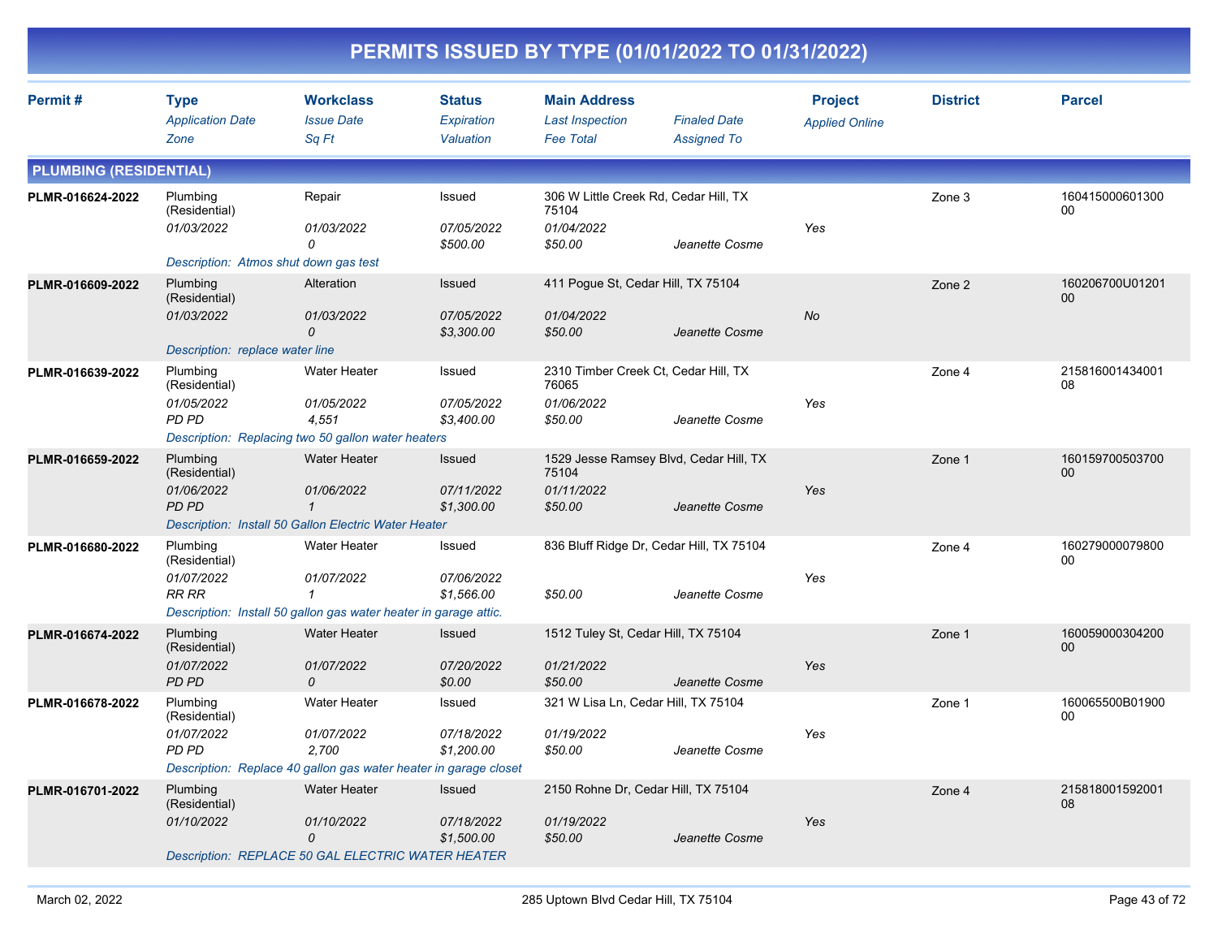| Permit#                       | <b>Type</b>                           | <b>Workclass</b>                                                 | <b>Status</b>                   | <b>Main Address</b>                 |                                          | <b>Project</b>        | <b>District</b> | <b>Parcel</b>             |
|-------------------------------|---------------------------------------|------------------------------------------------------------------|---------------------------------|-------------------------------------|------------------------------------------|-----------------------|-----------------|---------------------------|
|                               | <b>Application Date</b>               | <b>Issue Date</b>                                                | Expiration                      | <b>Last Inspection</b>              | <b>Finaled Date</b>                      | <b>Applied Online</b> |                 |                           |
|                               | Zone                                  | Sq Ft                                                            | Valuation                       | <b>Fee Total</b>                    | <b>Assigned To</b>                       |                       |                 |                           |
| <b>PLUMBING (RESIDENTIAL)</b> |                                       |                                                                  |                                 |                                     |                                          |                       |                 |                           |
| PLMR-016624-2022              | Plumbing<br>(Residential)             | Repair                                                           | Issued                          | 75104                               | 306 W Little Creek Rd, Cedar Hill, TX    |                       | Zone 3          | 160415000601300<br>00     |
|                               | 01/03/2022                            | 01/03/2022<br>0                                                  | 07/05/2022<br>\$500.00          | 01/04/2022<br>\$50.00               | Jeanette Cosme                           | Yes                   |                 |                           |
|                               | Description: Atmos shut down gas test |                                                                  |                                 |                                     |                                          |                       |                 |                           |
| PLMR-016609-2022              | Plumbing<br>(Residential)             | Alteration                                                       | Issued                          | 411 Pogue St, Cedar Hill, TX 75104  |                                          |                       | Zone 2          | 160206700U01201<br>$00\,$ |
|                               | 01/03/2022                            | <i>01/03/2022</i><br>0                                           | <i>07/05/2022</i><br>\$3,300.00 | 01/04/2022<br>\$50.00               | Jeanette Cosme                           | No                    |                 |                           |
|                               | Description: replace water line       |                                                                  |                                 |                                     |                                          |                       |                 |                           |
| PLMR-016639-2022              | Plumbing<br>(Residential)             | <b>Water Heater</b>                                              | Issued                          | 76065                               | 2310 Timber Creek Ct, Cedar Hill, TX     |                       | Zone 4          | 215816001434001<br>08     |
|                               | 01/05/2022<br>PD PD                   | <i>01/05/2022</i><br>4,551                                       | 07/05/2022<br>\$3,400.00        | 01/06/2022<br>\$50.00               | Jeanette Cosme                           | Yes                   |                 |                           |
|                               |                                       | Description: Replacing two 50 gallon water heaters               |                                 |                                     |                                          |                       |                 |                           |
| PLMR-016659-2022              | Plumbing<br>(Residential)             | <b>Water Heater</b>                                              | Issued                          | 75104                               | 1529 Jesse Ramsey Blvd, Cedar Hill, TX   |                       | Zone 1          | 160159700503700<br>00     |
|                               | 01/06/2022<br>PD PD                   | 01/06/2022<br>$\mathcal I$                                       | 07/11/2022<br>\$1,300.00        | 01/11/2022<br>\$50.00               | Jeanette Cosme                           | Yes                   |                 |                           |
|                               |                                       | Description: Install 50 Gallon Electric Water Heater             |                                 |                                     |                                          |                       |                 |                           |
| PLMR-016680-2022              | Plumbing<br>(Residential)             | Water Heater                                                     | Issued                          |                                     | 836 Bluff Ridge Dr, Cedar Hill, TX 75104 |                       | Zone 4          | 160279000079800<br>00     |
|                               | 01/07/2022<br><b>RR RR</b>            | 01/07/2022<br>1                                                  | 07/06/2022<br>\$1,566.00        | \$50.00                             | Jeanette Cosme                           | Yes                   |                 |                           |
|                               |                                       | Description: Install 50 gallon gas water heater in garage attic. |                                 |                                     |                                          |                       |                 |                           |
| PLMR-016674-2022              | Plumbing<br>(Residential)             | <b>Water Heater</b>                                              | <b>Issued</b>                   | 1512 Tuley St, Cedar Hill, TX 75104 |                                          |                       | Zone 1          | 160059000304200<br>00     |
|                               | 01/07/2022<br>PD PD                   | 01/07/2022<br>0                                                  | 07/20/2022<br>\$0.00            | 01/21/2022<br>\$50.00               | Jeanette Cosme                           | Yes                   |                 |                           |
| PLMR-016678-2022              | Plumbing<br>(Residential)             | <b>Water Heater</b>                                              | Issued                          | 321 W Lisa Ln, Cedar Hill, TX 75104 |                                          |                       | Zone 1          | 160065500B01900<br>00     |
|                               | 01/07/2022<br>PD PD                   | 01/07/2022<br>2,700                                              | 07/18/2022<br>\$1,200.00        | 01/19/2022<br>\$50.00               | Jeanette Cosme                           | Yes                   |                 |                           |
|                               |                                       | Description: Replace 40 gallon gas water heater in garage closet |                                 |                                     |                                          |                       |                 |                           |
| PLMR-016701-2022              | Plumbing<br>(Residential)             | Water Heater                                                     | Issued                          | 2150 Rohne Dr, Cedar Hill, TX 75104 |                                          |                       | Zone 4          | 215818001592001<br>08     |
|                               | 01/10/2022                            | 01/10/2022<br>0                                                  | 07/18/2022<br>\$1,500.00        | 01/19/2022<br>\$50.00               | Jeanette Cosme                           | Yes                   |                 |                           |
|                               |                                       | Description: REPLACE 50 GAL ELECTRIC WATER HEATER                |                                 |                                     |                                          |                       |                 |                           |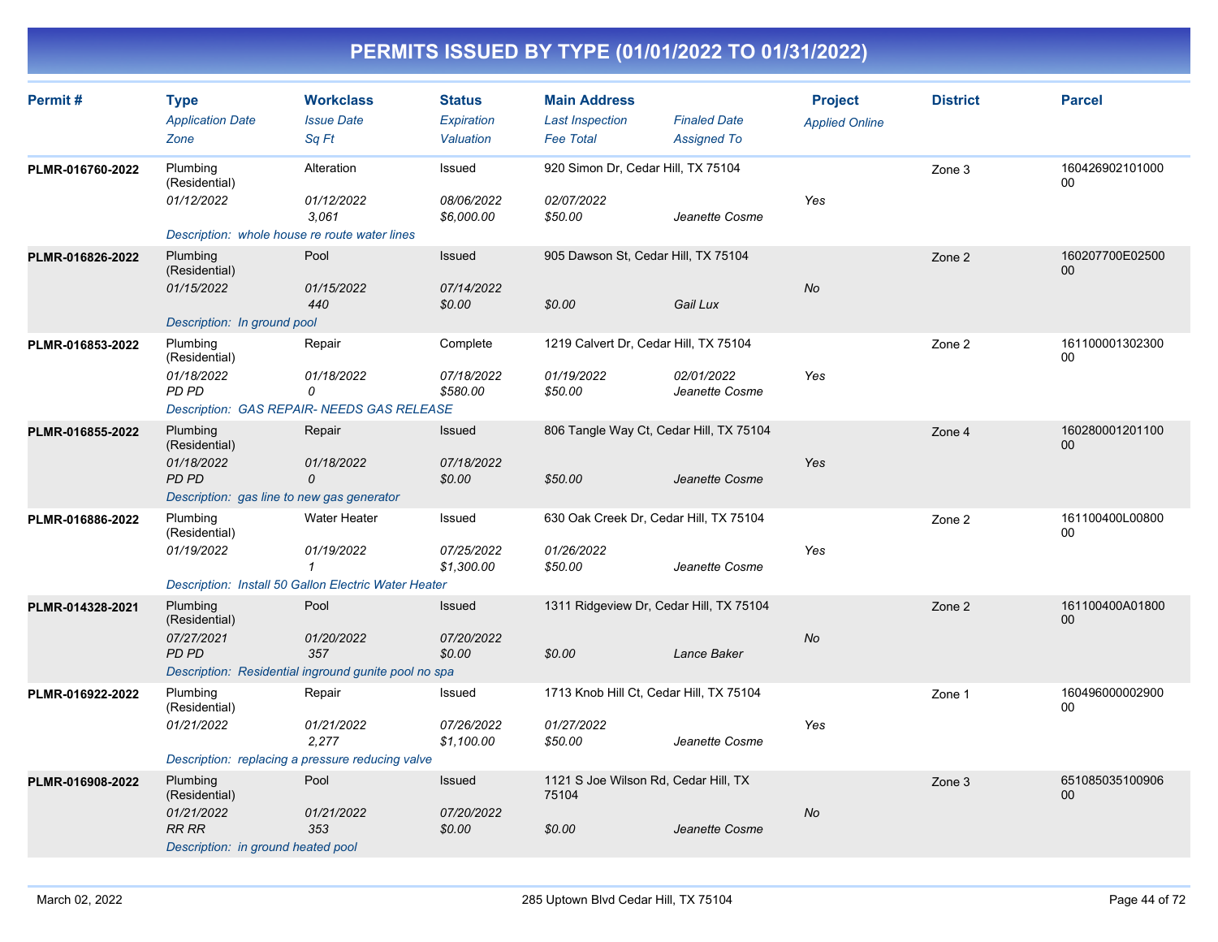| Permit#          | <b>Type</b><br><b>Application Date</b><br>Zone                                                        | <b>Workclass</b><br><b>Issue Date</b><br>Sa Ft                                                            | <b>Status</b><br>Expiration<br>Valuation | <b>Main Address</b><br><b>Last Inspection</b><br><b>Fee Total</b> | <b>Finaled Date</b><br><b>Assigned To</b> | <b>Project</b><br><b>Applied Online</b> | <b>District</b> | <b>Parcel</b>         |
|------------------|-------------------------------------------------------------------------------------------------------|-----------------------------------------------------------------------------------------------------------|------------------------------------------|-------------------------------------------------------------------|-------------------------------------------|-----------------------------------------|-----------------|-----------------------|
| PLMR-016760-2022 | Plumbing<br>(Residential)<br>01/12/2022<br>Description: whole house re route water lines              | Alteration<br>01/12/2022<br>3.061                                                                         | Issued<br>08/06/2022<br>\$6,000.00       | 920 Simon Dr, Cedar Hill, TX 75104<br>02/07/2022<br>\$50.00       | Jeanette Cosme                            | Yes                                     | Zone 3          | 160426902101000<br>00 |
| PLMR-016826-2022 | Plumbing<br>(Residential)<br>01/15/2022<br>Description: In ground pool                                | Pool<br>01/15/2022<br>440                                                                                 | Issued<br>07/14/2022<br>\$0.00           | 905 Dawson St, Cedar Hill, TX 75104<br>\$0.00                     | Gail Lux                                  | <b>No</b>                               | Zone 2          | 160207700E02500<br>00 |
| PLMR-016853-2022 | Plumbing<br>(Residential)<br>01/18/2022<br><b>PD PD</b>                                               | Repair<br>01/18/2022<br>0<br><b>Description: GAS REPAIR- NEEDS GAS RELEASE</b>                            | Complete<br>07/18/2022<br>\$580.00       | 1219 Calvert Dr, Cedar Hill, TX 75104<br>01/19/2022<br>\$50.00    | 02/01/2022<br>Jeanette Cosme              | Yes                                     | Zone 2          | 161100001302300<br>00 |
| PLMR-016855-2022 | Plumbing<br>(Residential)<br>01/18/2022<br><b>PD PD</b><br>Description: gas line to new gas generator | Repair<br>01/18/2022<br>0                                                                                 | Issued<br>07/18/2022<br>\$0.00           | 806 Tangle Way Ct, Cedar Hill, TX 75104<br>\$50.00                | Jeanette Cosme                            | Yes                                     | Zone 4          | 160280001201100<br>00 |
| PLMR-016886-2022 | Plumbing<br>(Residential)<br>01/19/2022                                                               | <b>Water Heater</b><br>01/19/2022<br>$\mathcal I$<br>Description: Install 50 Gallon Electric Water Heater | Issued<br>07/25/2022<br>\$1,300.00       | 630 Oak Creek Dr, Cedar Hill, TX 75104<br>01/26/2022<br>\$50.00   | Jeanette Cosme                            | Yes                                     | Zone 2          | 161100400L00800<br>00 |
| PLMR-014328-2021 | Plumbing<br>(Residential)<br>07/27/2021<br>PD PD                                                      | Pool<br>01/20/2022<br>357<br>Description: Residential inground gunite pool no spa                         | Issued<br>07/20/2022<br>\$0.00           | 1311 Ridgeview Dr, Cedar Hill, TX 75104<br>\$0.00                 | Lance Baker                               | No                                      | Zone 2          | 161100400A01800<br>00 |
| PLMR-016922-2022 | Plumbing<br>(Residential)<br>01/21/2022                                                               | Repair<br>01/21/2022<br>2,277<br>Description: replacing a pressure reducing valve                         | Issued<br>07/26/2022<br>\$1,100.00       | 1713 Knob Hill Ct, Cedar Hill, TX 75104<br>01/27/2022<br>\$50.00  | Jeanette Cosme                            | Yes                                     | Zone 1          | 160496000002900<br>00 |
| PLMR-016908-2022 | Plumbing<br>(Residential)<br>01/21/2022<br><b>RR RR</b><br>Description: in ground heated pool         | Pool<br>01/21/2022<br>353                                                                                 | Issued<br>07/20/2022<br>\$0.00           | 1121 S Joe Wilson Rd, Cedar Hill, TX<br>75104<br>\$0.00           | Jeanette Cosme                            | No                                      | Zone 3          | 651085035100906<br>00 |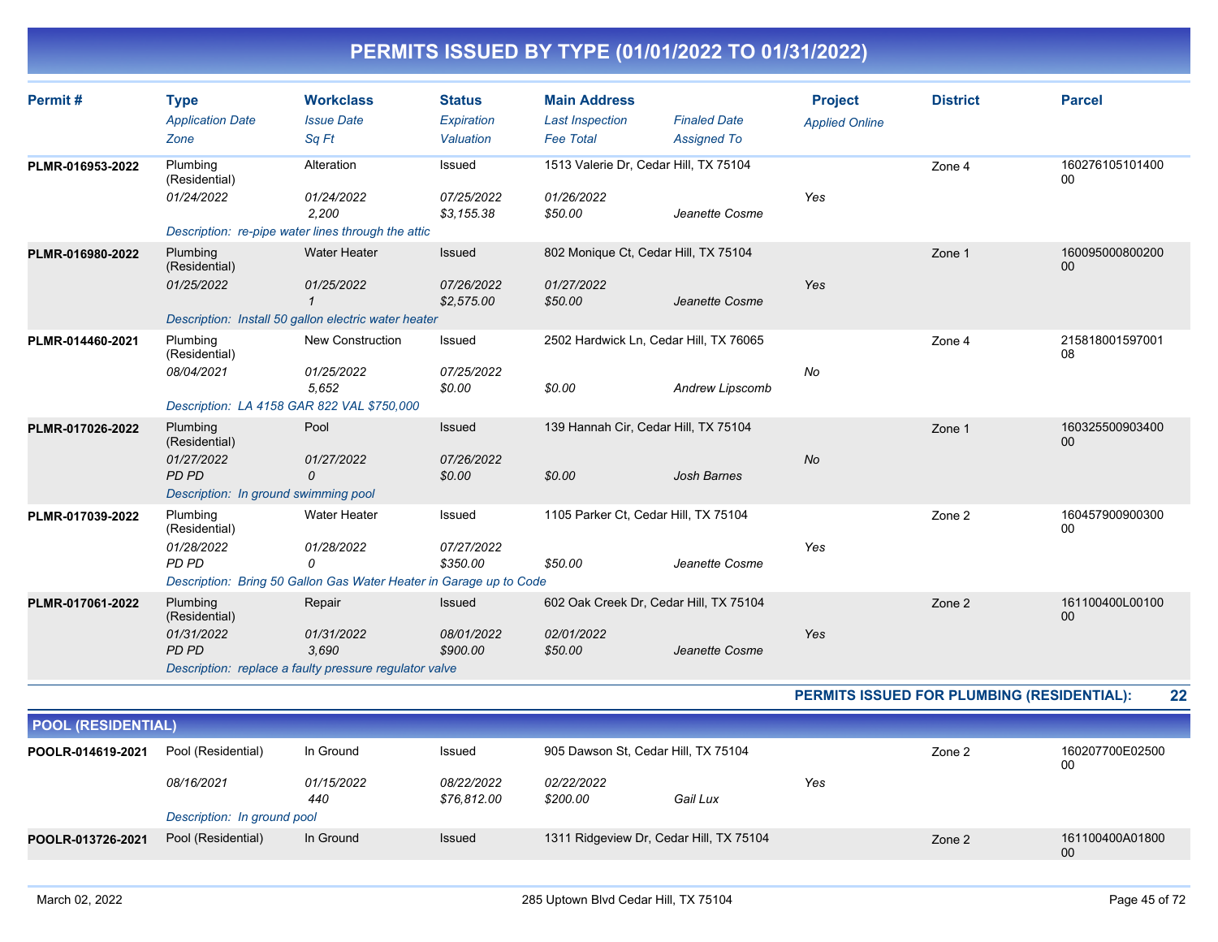| Permit#          | <b>Type</b><br><b>Application Date</b><br>Zone                                           | <b>Workclass</b><br><b>Issue Date</b><br>Sq Ft                                                               | <b>Status</b><br>Expiration<br>Valuation  | <b>Main Address</b><br><b>Last Inspection</b><br><b>Fee Total</b> | <b>Finaled Date</b><br><b>Assigned To</b>                 | <b>Project</b><br><b>Applied Online</b> | <b>District</b>                            | <b>Parcel</b>         |
|------------------|------------------------------------------------------------------------------------------|--------------------------------------------------------------------------------------------------------------|-------------------------------------------|-------------------------------------------------------------------|-----------------------------------------------------------|-----------------------------------------|--------------------------------------------|-----------------------|
| PLMR-016953-2022 | Plumbing<br>(Residential)<br>01/24/2022                                                  | Alteration<br>01/24/2022<br>2,200<br>Description: re-pipe water lines through the attic                      | Issued<br>07/25/2022<br>\$3,155.38        | 1513 Valerie Dr, Cedar Hill, TX 75104<br>01/26/2022<br>\$50.00    | Jeanette Cosme                                            | Yes                                     | Zone 4                                     | 160276105101400<br>00 |
| PLMR-016980-2022 | Plumbing<br>(Residential)<br>01/25/2022                                                  | <b>Water Heater</b><br>01/25/2022<br>Description: Install 50 gallon electric water heater                    | <b>Issued</b><br>07/26/2022<br>\$2,575.00 | 802 Monique Ct, Cedar Hill, TX 75104<br>01/27/2022<br>\$50.00     | Jeanette Cosme                                            | Yes                                     | Zone 1                                     | 160095000800200<br>00 |
| PLMR-014460-2021 | Plumbing<br>(Residential)<br>08/04/2021                                                  | New Construction<br>01/25/2022<br>5.652<br>Description: LA 4158 GAR 822 VAL \$750,000                        | Issued<br>07/25/2022<br>\$0.00            | \$0.00                                                            | 2502 Hardwick Ln, Cedar Hill, TX 76065<br>Andrew Lipscomb | No                                      | Zone 4                                     | 215818001597001<br>08 |
| PLMR-017026-2022 | Plumbing<br>(Residential)<br>01/27/2022<br>PD PD<br>Description: In ground swimming pool | Pool<br>01/27/2022<br>0                                                                                      | Issued<br>07/26/2022<br>\$0.00            | 139 Hannah Cir, Cedar Hill, TX 75104<br>\$0.00                    | <b>Josh Barnes</b>                                        | <b>No</b>                               | Zone 1                                     | 160325500903400<br>00 |
| PLMR-017039-2022 | Plumbing<br>(Residential)<br>01/28/2022<br>PD PD                                         | <b>Water Heater</b><br>01/28/2022<br>0<br>Description: Bring 50 Gallon Gas Water Heater in Garage up to Code | Issued<br>07/27/2022<br>\$350.00          | 1105 Parker Ct, Cedar Hill, TX 75104<br>\$50.00                   | Jeanette Cosme                                            | Yes                                     | Zone 2                                     | 160457900900300<br>00 |
| PLMR-017061-2022 | Plumbing<br>(Residential)<br>01/31/2022<br>PD PD                                         | Repair<br>01/31/2022<br>3.690<br>Description: replace a faulty pressure regulator valve                      | Issued<br>08/01/2022<br>\$900.00          | 02/01/2022<br>\$50.00                                             | 602 Oak Creek Dr, Cedar Hill, TX 75104<br>Jeanette Cosme  | Yes                                     | Zone 2                                     | 161100400L00100<br>00 |
|                  |                                                                                          |                                                                                                              |                                           |                                                                   |                                                           |                                         | PERMITS ISSUED FOR PLUMBING (RESIDENTIAL): | 22                    |

| <b>POOL (RESIDENTIAL)</b> |                             |                          |                           |                                         |          |     |        |                       |  |  |
|---------------------------|-----------------------------|--------------------------|---------------------------|-----------------------------------------|----------|-----|--------|-----------------------|--|--|
| POOLR-014619-2021         | Pool (Residential)          | In Ground                | Issued                    | 905 Dawson St, Cedar Hill, TX 75104     |          |     | Zone 2 | 160207700E02500<br>00 |  |  |
|                           | 08/16/2021                  | <i>01/15/2022</i><br>440 | 08/22/2022<br>\$76,812.00 | <i>02/22/2022</i><br>\$200.00           | Gail Lux | Yes |        |                       |  |  |
|                           | Description: In ground pool |                          |                           |                                         |          |     |        |                       |  |  |
| POOLR-013726-2021         | Pool (Residential)          | In Ground                | Issued                    | 1311 Ridgeview Dr, Cedar Hill, TX 75104 |          |     | Zone 2 | 161100400A01800<br>00 |  |  |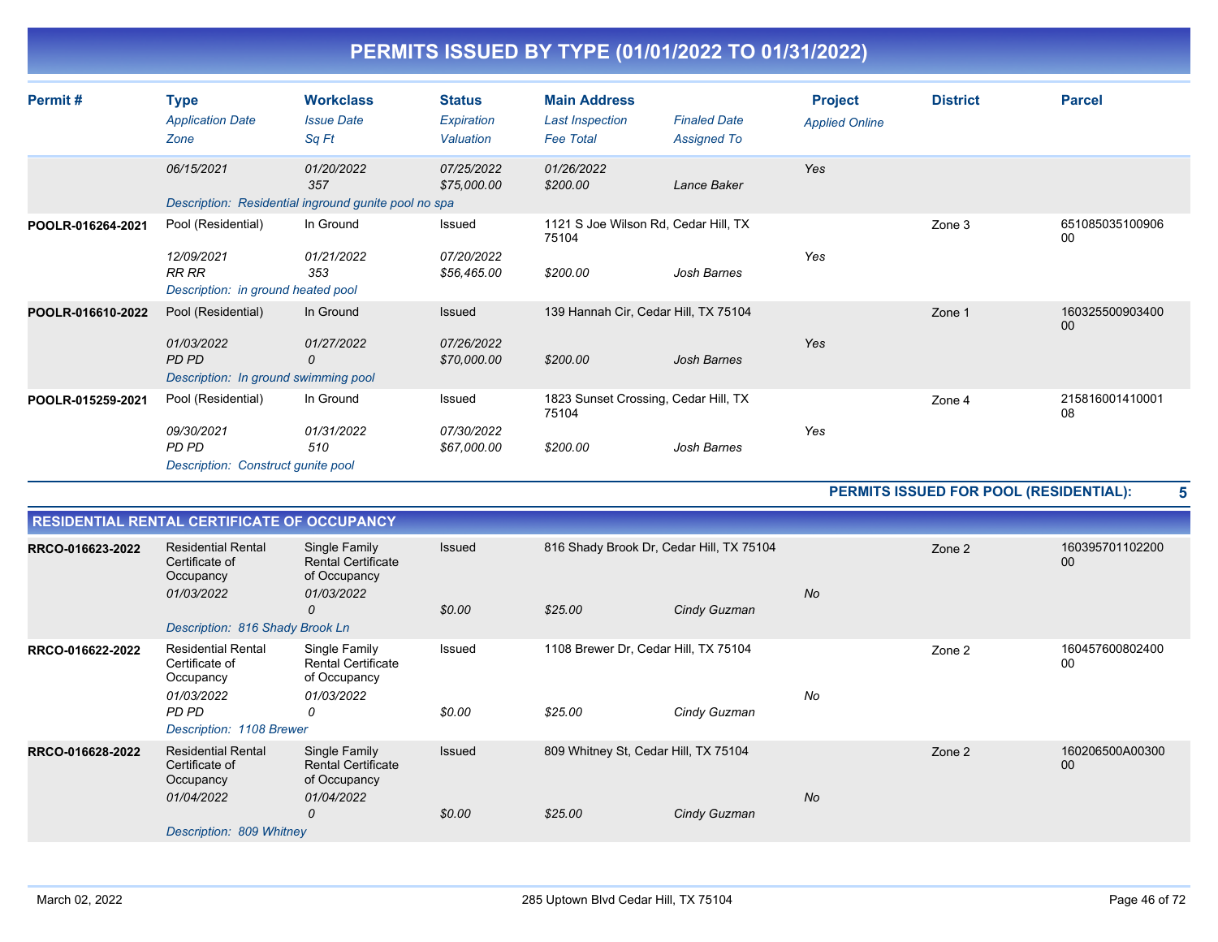| Permit#           | <b>Type</b><br><b>Application Date</b><br>Zone                                    | <b>Workclass</b><br><b>Issue Date</b><br>Sq Ft                            | <b>Status</b><br>Expiration<br>Valuation | <b>Main Address</b><br><b>Last Inspection</b><br><b>Fee Total</b> | <b>Finaled Date</b><br><b>Assigned To</b> | <b>Project</b><br><b>Applied Online</b> | <b>District</b> | <b>Parcel</b>             |
|-------------------|-----------------------------------------------------------------------------------|---------------------------------------------------------------------------|------------------------------------------|-------------------------------------------------------------------|-------------------------------------------|-----------------------------------------|-----------------|---------------------------|
|                   | 06/15/2021                                                                        | 01/20/2022<br>357<br>Description: Residential inground gunite pool no spa | 07/25/2022<br>\$75,000.00                | 01/26/2022<br>\$200.00                                            | Lance Baker                               | Yes                                     |                 |                           |
| POOLR-016264-2021 | Pool (Residential)<br>12/09/2021<br>RR RR<br>Description: in ground heated pool   | In Ground<br>01/21/2022<br>353                                            | Issued<br>07/20/2022<br>\$56,465.00      | 1121 S Joe Wilson Rd, Cedar Hill, TX<br>75104<br>\$200.00         | Josh Barnes                               | Yes                                     | Zone 3          | 651085035100906<br>00     |
| POOLR-016610-2022 | Pool (Residential)<br>01/03/2022<br>PD PD<br>Description: In ground swimming pool | In Ground<br>01/27/2022<br>0                                              | Issued<br>07/26/2022<br>\$70,000.00      | 139 Hannah Cir, Cedar Hill, TX 75104<br>\$200.00                  | Josh Barnes                               | Yes                                     | Zone 1          | 160325500903400<br>$00\,$ |
| POOLR-015259-2021 | Pool (Residential)<br>09/30/2021<br>PD PD<br>Description: Construct gunite pool   | In Ground<br>01/31/2022<br>510                                            | Issued<br>07/30/2022<br>\$67,000.00      | 1823 Sunset Crossing, Cedar Hill, TX<br>75104<br>\$200.00         | Josh Barnes                               | Yes                                     | Zone 4          | 215816001410001<br>08     |

### **PERMITS ISSUED FOR POOL (RESIDENTIAL): 5**

|                  | <b>RESIDENTIAL RENTAL CERTIFICATE OF OCCUPANCY</b>                     |                                                                          |        |                                          |              |           |        |                       |  |  |
|------------------|------------------------------------------------------------------------|--------------------------------------------------------------------------|--------|------------------------------------------|--------------|-----------|--------|-----------------------|--|--|
| RRCO-016623-2022 | <b>Residential Rental</b><br>Certificate of<br>Occupancy<br>01/03/2022 | Single Family<br><b>Rental Certificate</b><br>of Occupancy<br>01/03/2022 | Issued | 816 Shady Brook Dr, Cedar Hill, TX 75104 |              | <b>No</b> | Zone 2 |                       |  |  |
|                  |                                                                        | 0                                                                        | \$0.00 | \$25.00                                  | Cindy Guzman |           |        |                       |  |  |
|                  | Description: 816 Shady Brook Ln                                        |                                                                          |        |                                          |              |           |        |                       |  |  |
| RRCO-016622-2022 | <b>Residential Rental</b><br>Certificate of<br>Occupancy<br>01/03/2022 | Single Family<br><b>Rental Certificate</b><br>of Occupancy<br>01/03/2022 | Issued | 1108 Brewer Dr, Cedar Hill, TX 75104     |              | No        | Zone 2 | 160457600802400<br>00 |  |  |
|                  | PD PD<br>Description: 1108 Brewer                                      | 0                                                                        | \$0.00 | \$25.00                                  | Cindy Guzman |           |        |                       |  |  |
| RRCO-016628-2022 | <b>Residential Rental</b><br>Certificate of<br>Occupancy<br>01/04/2022 | Single Family<br><b>Rental Certificate</b><br>of Occupancy<br>01/04/2022 | Issued | 809 Whitney St, Cedar Hill, TX 75104     |              | <b>No</b> | Zone 2 | 160206500A00300<br>00 |  |  |
|                  |                                                                        | 0                                                                        | \$0.00 | \$25.00                                  | Cindy Guzman |           |        |                       |  |  |
|                  | Description: 809 Whitney                                               |                                                                          |        |                                          |              |           |        |                       |  |  |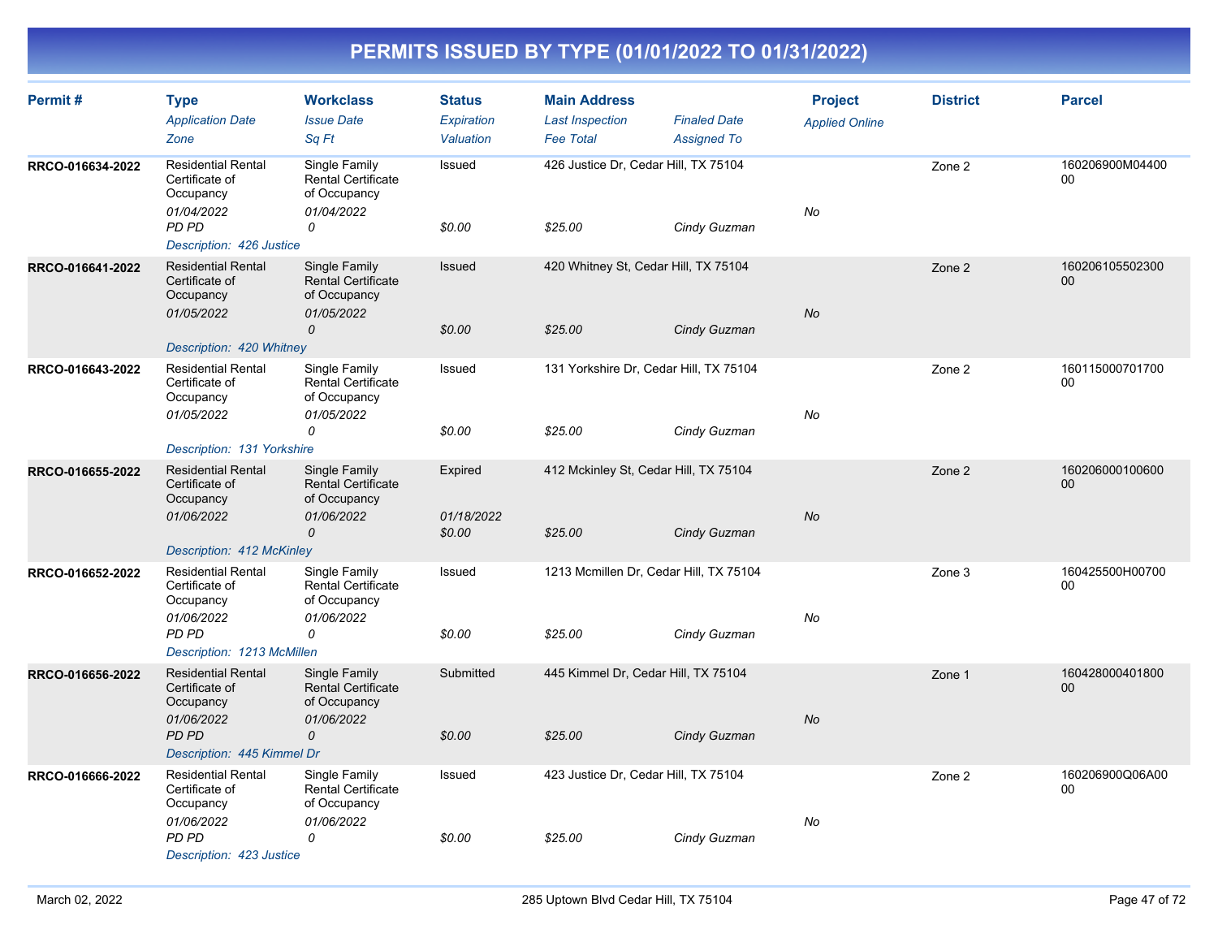| Permit#          | <b>Type</b><br><b>Application Date</b><br>Zone                                                                                    | <b>Workclass</b><br><b>Issue Date</b><br>Sq Ft                                            | <b>Status</b><br>Expiration<br>Valuation | <b>Main Address</b><br><b>Last Inspection</b><br><b>Fee Total</b> | <b>Finaled Date</b><br><b>Assigned To</b>              | <b>Project</b><br><b>Applied Online</b> | <b>District</b> | <b>Parcel</b>             |
|------------------|-----------------------------------------------------------------------------------------------------------------------------------|-------------------------------------------------------------------------------------------|------------------------------------------|-------------------------------------------------------------------|--------------------------------------------------------|-----------------------------------------|-----------------|---------------------------|
| RRCO-016634-2022 | <b>Residential Rental</b><br>Certificate of<br>Occupancy<br>01/04/2022<br><b>PD PD</b><br>Description: 426 Justice                | Single Family<br><b>Rental Certificate</b><br>of Occupancy<br>01/04/2022<br>0             | Issued<br>\$0.00                         | 426 Justice Dr, Cedar Hill, TX 75104<br>\$25.00                   | Cindy Guzman                                           | No                                      | Zone 2          | 160206900M04400<br>$00\,$ |
| RRCO-016641-2022 | <b>Residential Rental</b><br>Certificate of<br>Occupancy<br>01/05/2022<br>Description: 420 Whitney                                | Single Family<br><b>Rental Certificate</b><br>of Occupancy<br>01/05/2022<br>$\mathcal{O}$ | Issued<br>\$0.00                         | 420 Whitney St, Cedar Hill, TX 75104<br>\$25.00                   | Cindy Guzman                                           | No                                      | Zone 2          | 160206105502300<br>$00\,$ |
| RRCO-016643-2022 | <b>Residential Rental</b><br>Certificate of<br>Occupancy<br>01/05/2022                                                            | Single Family<br>Rental Certificate<br>of Occupancy<br>01/05/2022<br>0                    | Issued<br>\$0.00                         | \$25.00                                                           | 131 Yorkshire Dr, Cedar Hill, TX 75104<br>Cindy Guzman | No                                      | Zone 2          | 160115000701700<br>00     |
| RRCO-016655-2022 | Description: 131 Yorkshire<br><b>Residential Rental</b><br>Certificate of<br>Occupancy<br>01/06/2022<br>Description: 412 McKinley | Single Family<br><b>Rental Certificate</b><br>of Occupancy<br>01/06/2022<br>0             | Expired<br>01/18/2022<br>\$0.00          | 412 Mckinley St, Cedar Hill, TX 75104<br>\$25.00                  | Cindy Guzman                                           | No                                      | Zone 2          | 160206000100600<br>$00\,$ |
| RRCO-016652-2022 | <b>Residential Rental</b><br>Certificate of<br>Occupancy<br>01/06/2022<br><b>PD PD</b><br>Description: 1213 McMillen              | Single Family<br><b>Rental Certificate</b><br>of Occupancy<br>01/06/2022<br>0             | Issued<br>\$0.00                         | \$25.00                                                           | 1213 Mcmillen Dr, Cedar Hill, TX 75104<br>Cindy Guzman | No                                      | Zone 3          | 160425500H00700<br>00     |
| RRCO-016656-2022 | <b>Residential Rental</b><br>Certificate of<br>Occupancy<br>01/06/2022<br><b>PD PD</b><br>Description: 445 Kimmel Dr              | Single Family<br><b>Rental Certificate</b><br>of Occupancy<br>01/06/2022<br>$\mathcal{O}$ | Submitted<br>\$0.00                      | 445 Kimmel Dr, Cedar Hill, TX 75104<br>\$25.00                    | Cindy Guzman                                           | No                                      | Zone 1          | 160428000401800<br>00     |
| RRCO-016666-2022 | <b>Residential Rental</b><br>Certificate of<br>Occupancy<br>01/06/2022<br>PD PD<br>Description: 423 Justice                       | Single Family<br>Rental Certificate<br>of Occupancy<br>01/06/2022<br>0                    | Issued<br>\$0.00                         | 423 Justice Dr, Cedar Hill, TX 75104<br>\$25.00                   | Cindy Guzman                                           | No                                      | Zone 2          | 160206900Q06A00<br>00     |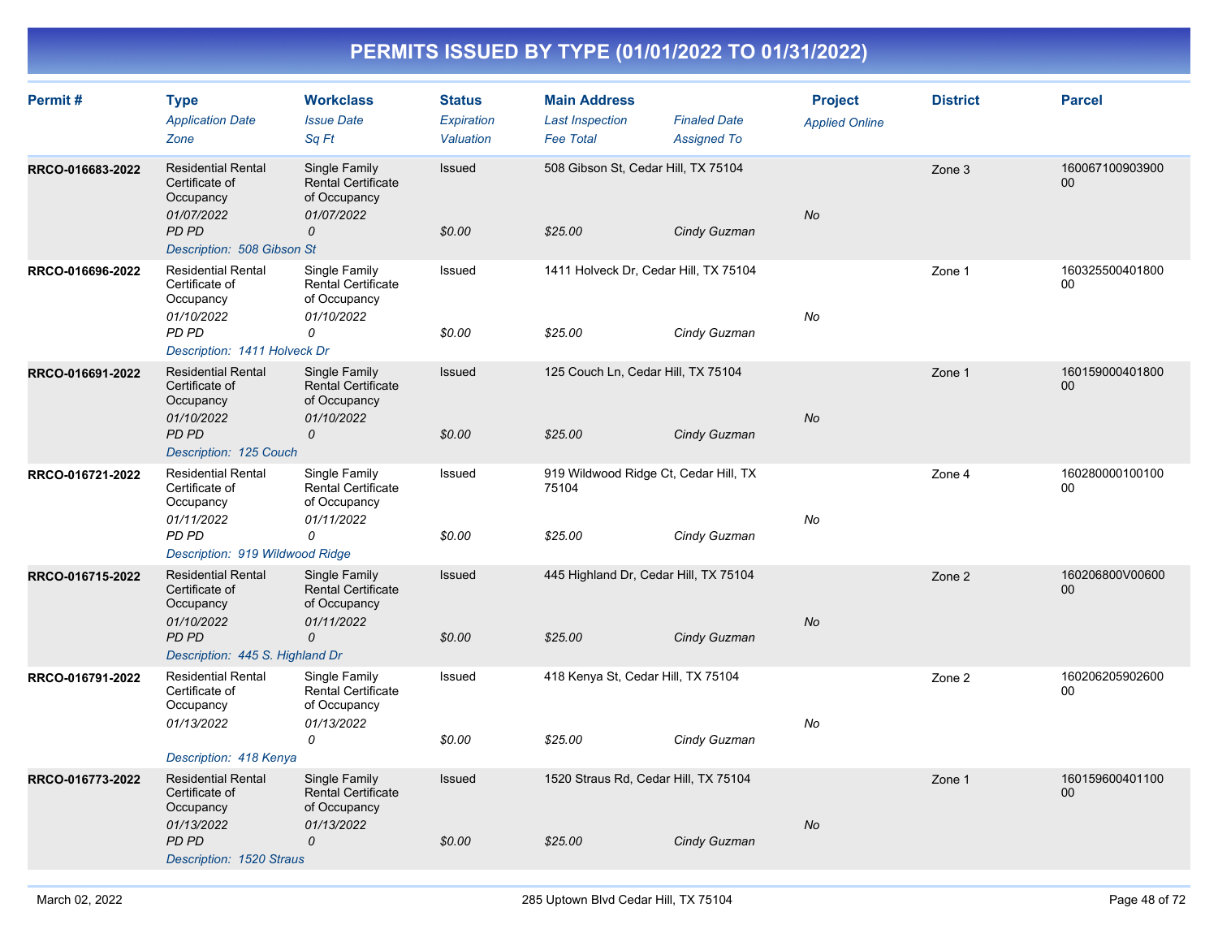| Permit#          | <b>Type</b><br><b>Application Date</b><br>Zone                                                                            | <b>Workclass</b><br><b>Issue Date</b><br>Sq Ft                                            | <b>Status</b><br>Expiration<br>Valuation | <b>Main Address</b><br><b>Last Inspection</b><br><b>Fee Total</b> | <b>Finaled Date</b><br><b>Assigned To</b> | <b>Project</b><br><b>Applied Online</b> | <b>District</b> | <b>Parcel</b>             |
|------------------|---------------------------------------------------------------------------------------------------------------------------|-------------------------------------------------------------------------------------------|------------------------------------------|-------------------------------------------------------------------|-------------------------------------------|-----------------------------------------|-----------------|---------------------------|
| RRCO-016683-2022 | <b>Residential Rental</b><br>Certificate of<br>Occupancy<br>01/07/2022<br><b>PD PD</b><br>Description: 508 Gibson St      | Single Family<br><b>Rental Certificate</b><br>of Occupancy<br>01/07/2022<br>0             | Issued<br>\$0.00                         | 508 Gibson St, Cedar Hill, TX 75104<br>\$25.00                    | Cindy Guzman                              | No                                      | Zone 3          | 160067100903900<br>$00\,$ |
| RRCO-016696-2022 | <b>Residential Rental</b><br>Certificate of<br>Occupancy<br>01/10/2022<br>PD PD<br>Description: 1411 Holveck Dr           | Single Family<br><b>Rental Certificate</b><br>of Occupancy<br>01/10/2022<br>0             | Issued<br>\$0.00                         | 1411 Holveck Dr, Cedar Hill, TX 75104<br>\$25.00                  | Cindy Guzman                              | No                                      | Zone 1          | 160325500401800<br>00     |
| RRCO-016691-2022 | <b>Residential Rental</b><br>Certificate of<br>Occupancy<br>01/10/2022<br>PD PD<br>Description: 125 Couch                 | Single Family<br><b>Rental Certificate</b><br>of Occupancy<br>01/10/2022<br>0             | Issued<br>\$0.00                         | 125 Couch Ln, Cedar Hill, TX 75104<br>\$25.00                     | Cindy Guzman                              | <b>No</b>                               | Zone 1          | 160159000401800<br>00     |
| RRCO-016721-2022 | <b>Residential Rental</b><br>Certificate of<br>Occupancy<br>01/11/2022<br>PD PD<br>Description: 919 Wildwood Ridge        | Single Family<br>Rental Certificate<br>of Occupancy<br>01/11/2022<br>0                    | Issued<br>\$0.00                         | 919 Wildwood Ridge Ct, Cedar Hill, TX<br>75104<br>\$25.00         | Cindy Guzman                              | No                                      | Zone 4          | 160280000100100<br>$00\,$ |
| RRCO-016715-2022 | <b>Residential Rental</b><br>Certificate of<br>Occupancy<br>01/10/2022<br><b>PD PD</b><br>Description: 445 S. Highland Dr | Single Family<br><b>Rental Certificate</b><br>of Occupancy<br>01/11/2022<br>0             | Issued<br>\$0.00                         | 445 Highland Dr, Cedar Hill, TX 75104<br>\$25.00                  | Cindy Guzman                              | No                                      | Zone 2          | 160206800V00600<br>00     |
| RRCO-016791-2022 | <b>Residential Rental</b><br>Certificate of<br>Occupancy<br>01/13/2022<br>Description: 418 Kenya                          | Single Family<br><b>Rental Certificate</b><br>of Occupancy<br>01/13/2022<br>0             | Issued<br>\$0.00                         | 418 Kenya St, Cedar Hill, TX 75104<br>\$25.00                     | Cindy Guzman                              | No                                      | Zone 2          | 160206205902600<br>00     |
| RRCO-016773-2022 | <b>Residential Rental</b><br>Certificate of<br>Occupancy<br>01/13/2022<br>PD PD<br>Description: 1520 Straus               | Single Family<br><b>Rental Certificate</b><br>of Occupancy<br>01/13/2022<br>$\mathcal{O}$ | Issued<br>\$0.00                         | 1520 Straus Rd, Cedar Hill, TX 75104<br>\$25.00                   | Cindy Guzman                              | No                                      | Zone 1          | 160159600401100<br>00     |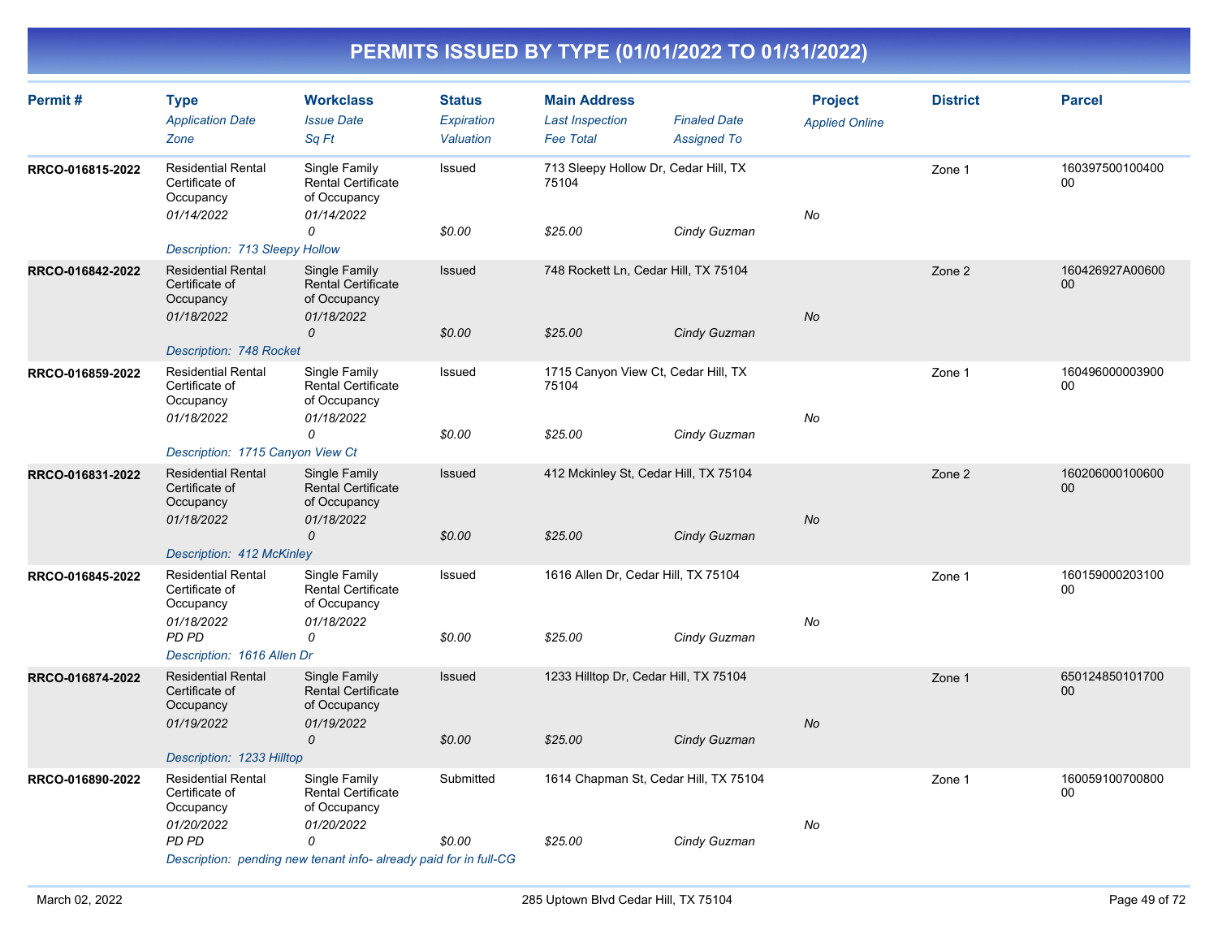| Permit#          | <b>Type</b><br><b>Application Date</b><br>Zone                         | <b>Workclass</b><br><b>Issue Date</b><br>Sq Ft                                | <b>Status</b><br>Expiration<br>Valuation | <b>Main Address</b><br><b>Last Inspection</b><br><b>Fee Total</b> | <b>Finaled Date</b><br><b>Assigned To</b> | <b>Project</b><br><b>Applied Online</b> | <b>District</b> | <b>Parcel</b>         |
|------------------|------------------------------------------------------------------------|-------------------------------------------------------------------------------|------------------------------------------|-------------------------------------------------------------------|-------------------------------------------|-----------------------------------------|-----------------|-----------------------|
| RRCO-016815-2022 | <b>Residential Rental</b><br>Certificate of<br>Occupancy<br>01/14/2022 | Single Family<br><b>Rental Certificate</b><br>of Occupancy<br>01/14/2022<br>0 | Issued<br>\$0.00                         | 713 Sleepy Hollow Dr, Cedar Hill, TX<br>75104<br>\$25.00          |                                           | No                                      | Zone 1          | 160397500100400<br>00 |
|                  | <b>Description: 713 Sleepy Hollow</b>                                  |                                                                               |                                          |                                                                   | Cindy Guzman                              |                                         |                 |                       |
| RRCO-016842-2022 | <b>Residential Rental</b><br>Certificate of<br>Occupancy<br>01/18/2022 | Single Family<br><b>Rental Certificate</b><br>of Occupancy<br>01/18/2022      | Issued                                   | 748 Rockett Ln, Cedar Hill, TX 75104                              |                                           | <b>No</b>                               | Zone 2          | 160426927A00600<br>00 |
|                  | Description: 748 Rocket                                                | $\mathcal{O}$                                                                 | \$0.00                                   | \$25.00                                                           | Cindy Guzman                              |                                         |                 |                       |
| RRCO-016859-2022 | <b>Residential Rental</b><br>Certificate of<br>Occupancy<br>01/18/2022 | Single Family<br><b>Rental Certificate</b><br>of Occupancy<br>01/18/2022      | Issued                                   | 1715 Canyon View Ct, Cedar Hill, TX<br>75104                      |                                           | No                                      | Zone 1          | 160496000003900<br>00 |
|                  |                                                                        | 0                                                                             | \$0.00                                   | \$25.00                                                           | Cindy Guzman                              |                                         |                 |                       |
| RRCO-016831-2022 | Description: 1715 Canyon View Ct<br><b>Residential Rental</b>          | Single Family                                                                 | <b>Issued</b>                            | 412 Mckinley St, Cedar Hill, TX 75104                             |                                           |                                         | Zone 2          | 160206000100600       |
|                  | Certificate of<br>Occupancy<br>01/18/2022                              | <b>Rental Certificate</b><br>of Occupancy<br>01/18/2022                       |                                          |                                                                   |                                           | No                                      |                 | 00                    |
|                  | Description: 412 McKinley                                              | 0                                                                             | \$0.00                                   | \$25.00                                                           | Cindy Guzman                              |                                         |                 |                       |
| RRCO-016845-2022 | <b>Residential Rental</b><br>Certificate of<br>Occupancy<br>01/18/2022 | Single Family<br>Rental Certificate<br>of Occupancy<br>01/18/2022             | Issued                                   | 1616 Allen Dr, Cedar Hill, TX 75104                               |                                           | No                                      | Zone 1          | 160159000203100<br>00 |
|                  | PD PD<br>Description: 1616 Allen Dr                                    | 0                                                                             | \$0.00                                   | \$25.00                                                           | Cindy Guzman                              |                                         |                 |                       |
| RRCO-016874-2022 | <b>Residential Rental</b><br>Certificate of<br>Occupancy<br>01/19/2022 | Single Family<br><b>Rental Certificate</b><br>of Occupancy<br>01/19/2022      | Issued                                   | 1233 Hilltop Dr, Cedar Hill, TX 75104                             |                                           | No                                      | Zone 1          | 650124850101700<br>00 |
|                  | Description: 1233 Hilltop                                              | 0                                                                             | \$0.00                                   | \$25.00                                                           | Cindy Guzman                              |                                         |                 |                       |
| RRCO-016890-2022 | <b>Residential Rental</b>                                              | Single Family                                                                 | Submitted                                | 1614 Chapman St, Cedar Hill, TX 75104                             |                                           |                                         | Zone 1          | 160059100700800       |
|                  | Certificate of<br>Occupancy<br>01/20/2022                              | <b>Rental Certificate</b><br>of Occupancy<br>01/20/2022                       |                                          |                                                                   |                                           | No                                      |                 | 00                    |
|                  | <b>PD PD</b>                                                           | 0<br>Description: pending new tenant info- already paid for in full-CG        | \$0.00                                   | \$25.00                                                           | Cindy Guzman                              |                                         |                 |                       |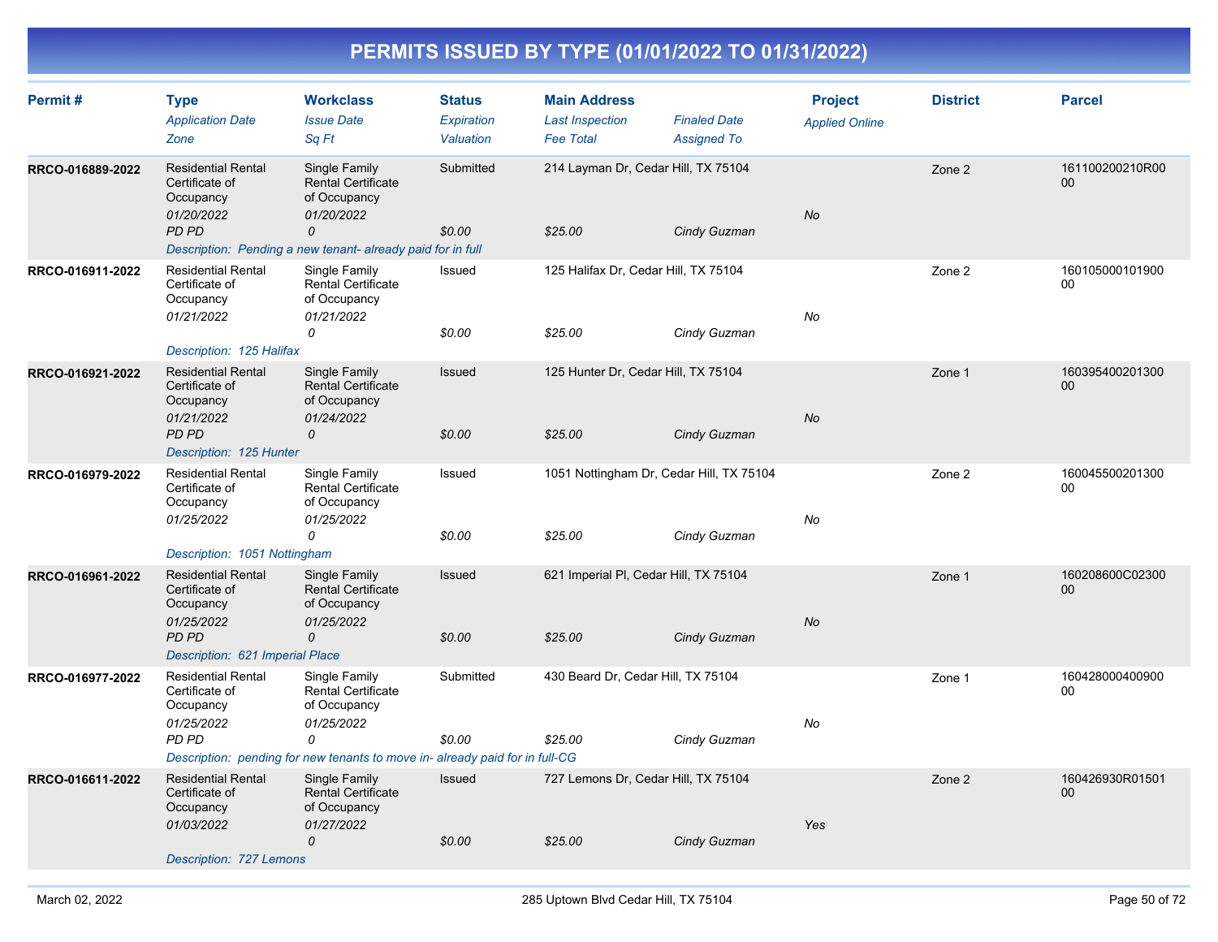| Permit#          | <b>Type</b><br><b>Application Date</b><br>Zone                                                                            | <b>Workclass</b><br><b>Issue Date</b><br>Sq Ft                                                                                                               | <b>Status</b><br>Expiration<br>Valuation | <b>Main Address</b><br><b>Last Inspection</b><br><b>Fee Total</b> | <b>Finaled Date</b><br><b>Assigned To</b> | <b>Project</b><br><b>Applied Online</b> | <b>District</b> | <b>Parcel</b>             |
|------------------|---------------------------------------------------------------------------------------------------------------------------|--------------------------------------------------------------------------------------------------------------------------------------------------------------|------------------------------------------|-------------------------------------------------------------------|-------------------------------------------|-----------------------------------------|-----------------|---------------------------|
| RRCO-016889-2022 | <b>Residential Rental</b><br>Certificate of<br>Occupancy<br>01/20/2022<br><b>PD PD</b>                                    | Single Family<br><b>Rental Certificate</b><br>of Occupancy<br>01/20/2022<br>0<br>Description: Pending a new tenant-already paid for in full                  | Submitted<br>\$0.00                      | 214 Layman Dr, Cedar Hill, TX 75104<br>\$25.00                    | Cindy Guzman                              | No                                      | Zone 2          | 161100200210R00<br>00     |
| RRCO-016911-2022 | <b>Residential Rental</b><br>Certificate of<br>Occupancy<br>01/21/2022<br>Description: 125 Halifax                        | Single Family<br><b>Rental Certificate</b><br>of Occupancy<br>01/21/2022<br>0                                                                                | Issued<br>\$0.00                         | 125 Halifax Dr, Cedar Hill, TX 75104<br>\$25.00                   | Cindy Guzman                              | No                                      | Zone 2          | 160105000101900<br>$00\,$ |
| RRCO-016921-2022 | <b>Residential Rental</b><br>Certificate of<br>Occupancy<br>01/21/2022<br>PD PD<br>Description: 125 Hunter                | Single Family<br><b>Rental Certificate</b><br>of Occupancy<br>01/24/2022<br>$\mathcal{O}$                                                                    | Issued<br>\$0.00                         | 125 Hunter Dr, Cedar Hill, TX 75104<br>\$25.00                    | Cindy Guzman                              | No                                      | Zone 1          | 160395400201300<br>00     |
| RRCO-016979-2022 | <b>Residential Rental</b><br>Certificate of<br>Occupancy<br>01/25/2022<br>Description: 1051 Nottingham                    | Single Family<br>Rental Certificate<br>of Occupancy<br>01/25/2022<br>0                                                                                       | Issued<br>\$0.00                         | 1051 Nottingham Dr, Cedar Hill, TX 75104<br>\$25.00               | Cindy Guzman                              | No                                      | Zone 2          | 160045500201300<br>00     |
| RRCO-016961-2022 | <b>Residential Rental</b><br>Certificate of<br>Occupancy<br>01/25/2022<br><b>PD PD</b><br>Description: 621 Imperial Place | Single Family<br><b>Rental Certificate</b><br>of Occupancy<br>01/25/2022<br>$\mathcal{O}$                                                                    | Issued<br>\$0.00                         | 621 Imperial PI, Cedar Hill, TX 75104<br>\$25.00                  | Cindy Guzman                              | No                                      | Zone 1          | 160208600C02300<br>00     |
| RRCO-016977-2022 | <b>Residential Rental</b><br>Certificate of<br>Occupancy<br>01/25/2022<br>PD PD                                           | Single Family<br><b>Rental Certificate</b><br>of Occupancy<br>01/25/2022<br>0<br>Description: pending for new tenants to move in-already paid for in full-CG | Submitted<br>\$0.00                      | 430 Beard Dr, Cedar Hill, TX 75104<br>\$25.00                     | Cindy Guzman                              | No                                      | Zone 1          | 160428000400900<br>00     |
| RRCO-016611-2022 | <b>Residential Rental</b><br>Certificate of<br>Occupancy<br>01/03/2022                                                    | Single Family<br><b>Rental Certificate</b><br>of Occupancy<br>01/27/2022<br>0                                                                                | Issued<br>\$0.00                         | 727 Lemons Dr, Cedar Hill, TX 75104<br>\$25.00                    | Cindy Guzman                              | Yes                                     | Zone 2          | 160426930R01501<br>00     |
|                  | Description: 727 Lemons                                                                                                   |                                                                                                                                                              |                                          |                                                                   |                                           |                                         |                 |                           |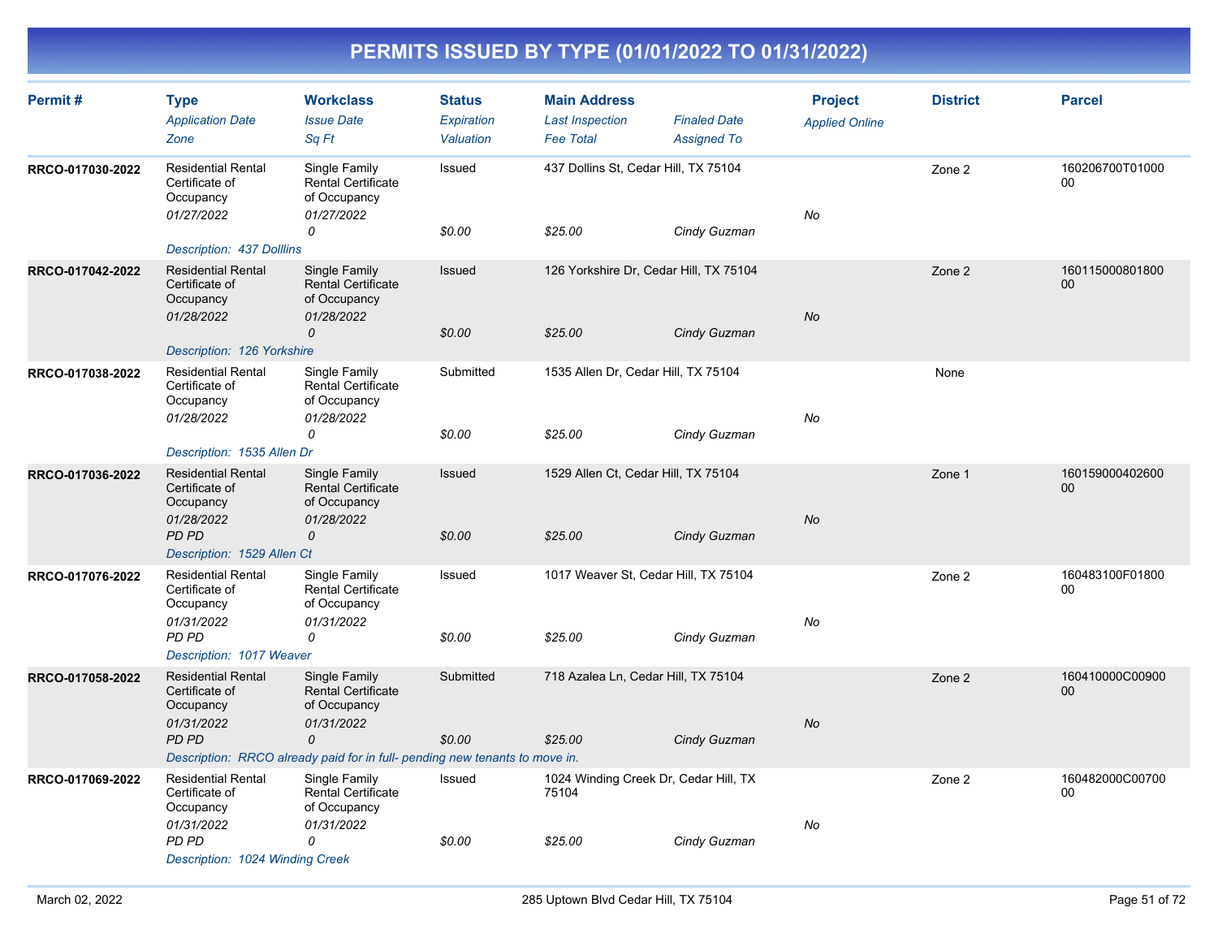| Permit#          | <b>Type</b><br><b>Application Date</b><br>Zone                              | <b>Workclass</b><br><b>Issue Date</b><br>Sq Ft                           | <b>Status</b><br>Expiration<br>Valuation | <b>Main Address</b><br><b>Last Inspection</b><br><b>Fee Total</b> | <b>Finaled Date</b><br><b>Assigned To</b> | <b>Project</b><br><b>Applied Online</b> | <b>District</b> | <b>Parcel</b>         |
|------------------|-----------------------------------------------------------------------------|--------------------------------------------------------------------------|------------------------------------------|-------------------------------------------------------------------|-------------------------------------------|-----------------------------------------|-----------------|-----------------------|
| RRCO-017030-2022 | <b>Residential Rental</b><br>Certificate of<br>Occupancy<br>01/27/2022      | Single Family<br>Rental Certificate<br>of Occupancy<br>01/27/2022        | Issued                                   | 437 Dollins St, Cedar Hill, TX 75104                              |                                           | No                                      | Zone 2          | 160206700T01000<br>00 |
|                  | Description: 437 Dolllins                                                   | 0                                                                        | \$0.00                                   | \$25.00                                                           | Cindy Guzman                              |                                         |                 |                       |
| RRCO-017042-2022 | <b>Residential Rental</b><br>Certificate of<br>Occupancy<br>01/28/2022      | Single Family<br><b>Rental Certificate</b><br>of Occupancy<br>01/28/2022 | Issued                                   |                                                                   | 126 Yorkshire Dr, Cedar Hill, TX 75104    | <b>No</b>                               | Zone 2          | 160115000801800<br>00 |
|                  |                                                                             | $\mathcal{O}$                                                            | \$0.00                                   | \$25.00                                                           | Cindy Guzman                              |                                         |                 |                       |
| RRCO-017038-2022 | Description: 126 Yorkshire<br><b>Residential Rental</b>                     | Single Family                                                            | Submitted                                | 1535 Allen Dr, Cedar Hill, TX 75104                               |                                           |                                         | None            |                       |
|                  | Certificate of<br>Occupancy<br>01/28/2022                                   | Rental Certificate<br>of Occupancy<br>01/28/2022                         |                                          |                                                                   |                                           | No                                      |                 |                       |
|                  |                                                                             | 0                                                                        | \$0.00                                   | \$25.00                                                           | Cindy Guzman                              |                                         |                 |                       |
| RRCO-017036-2022 | Description: 1535 Allen Dr<br><b>Residential Rental</b>                     | Single Family                                                            | Issued                                   | 1529 Allen Ct, Cedar Hill, TX 75104                               |                                           |                                         | Zone 1          | 160159000402600       |
|                  | Certificate of<br>Occupancy<br>01/28/2022                                   | <b>Rental Certificate</b><br>of Occupancy<br>01/28/2022                  |                                          |                                                                   |                                           | <b>No</b>                               |                 | 00                    |
|                  | PD PD<br>Description: 1529 Allen Ct                                         | 0                                                                        | \$0.00                                   | \$25.00                                                           | Cindy Guzman                              |                                         |                 |                       |
| RRCO-017076-2022 | <b>Residential Rental</b><br>Certificate of<br>Occupancy                    | Single Family<br><b>Rental Certificate</b><br>of Occupancy               | Issued                                   | 1017 Weaver St, Cedar Hill, TX 75104                              |                                           |                                         | Zone 2          | 160483100F01800<br>00 |
|                  | 01/31/2022<br>PD PD<br>Description: 1017 Weaver                             | 01/31/2022<br>0                                                          | \$0.00                                   | \$25.00                                                           | Cindy Guzman                              | No                                      |                 |                       |
| RRCO-017058-2022 | <b>Residential Rental</b><br>Certificate of<br>Occupancy                    | Single Family<br><b>Rental Certificate</b><br>of Occupancy               | Submitted                                | 718 Azalea Ln, Cedar Hill, TX 75104                               |                                           |                                         | Zone 2          | 160410000C00900<br>00 |
|                  | 01/31/2022<br><b>PD PD</b>                                                  | 01/31/2022<br>$\mathcal{O}$                                              | \$0.00                                   | \$25.00                                                           | Cindy Guzman                              | <b>No</b>                               |                 |                       |
|                  | Description: RRCO already paid for in full- pending new tenants to move in. |                                                                          |                                          |                                                                   |                                           |                                         |                 |                       |
| RRCO-017069-2022 | <b>Residential Rental</b><br>Certificate of<br>Occupancy                    | Single Family<br><b>Rental Certificate</b><br>of Occupancy               | Issued                                   | 1024 Winding Creek Dr, Cedar Hill, TX<br>75104                    |                                           |                                         | Zone 2          | 160482000C00700<br>00 |
|                  | 01/31/2022<br>PD PD                                                         | 01/31/2022<br>0                                                          | \$0.00                                   | \$25.00                                                           | Cindy Guzman                              | No                                      |                 |                       |
|                  | Description: 1024 Winding Creek                                             |                                                                          |                                          |                                                                   |                                           |                                         |                 |                       |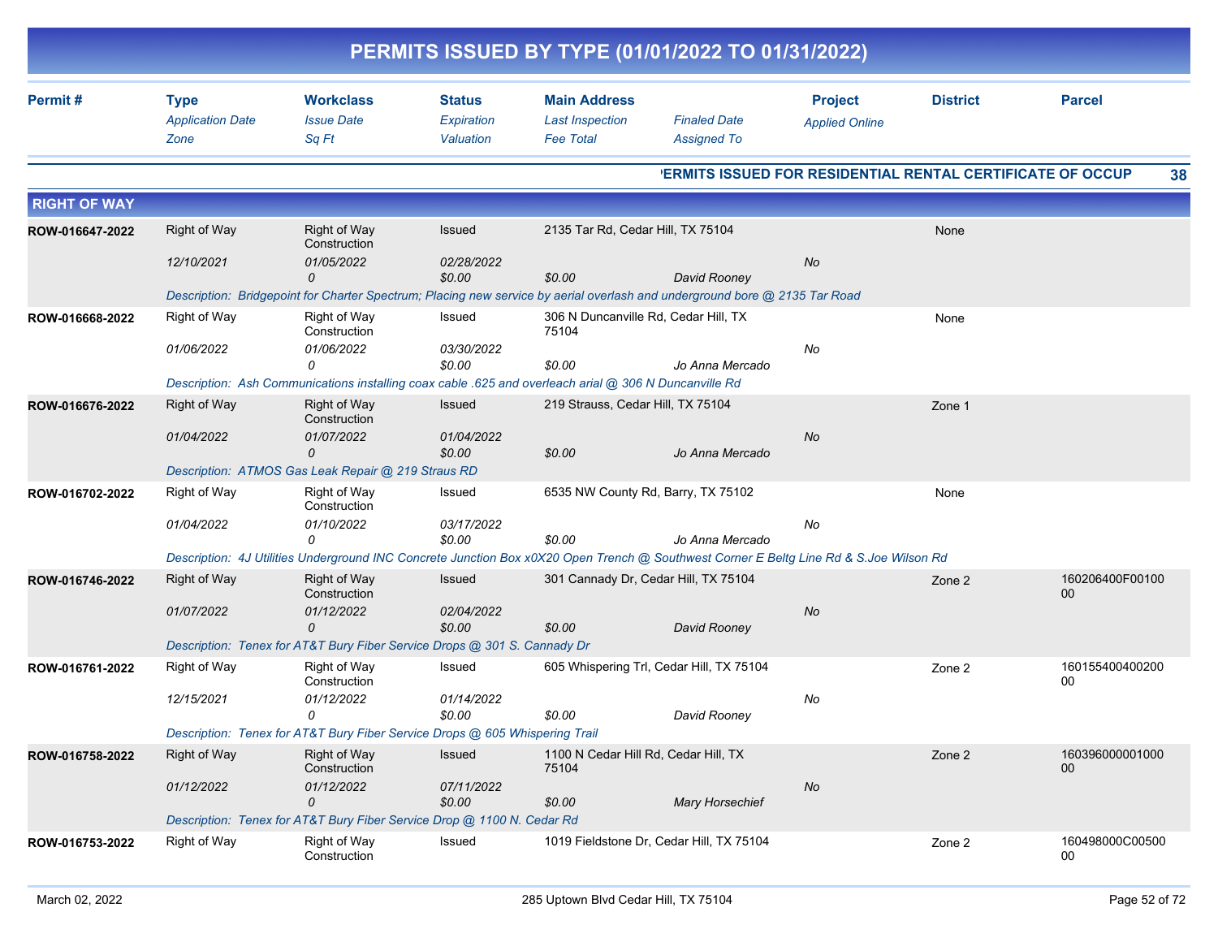| PERMITS ISSUED BY TYPE (01/01/2022 TO 01/31/2022) |                                                |                                                                                                       |                                          |                                                                   |                                                                                                                                        |                                         |                 |                           |  |  |  |
|---------------------------------------------------|------------------------------------------------|-------------------------------------------------------------------------------------------------------|------------------------------------------|-------------------------------------------------------------------|----------------------------------------------------------------------------------------------------------------------------------------|-----------------------------------------|-----------------|---------------------------|--|--|--|
| Permit#                                           | <b>Type</b><br><b>Application Date</b><br>Zone | <b>Workclass</b><br><b>Issue Date</b><br>Sq Ft                                                        | <b>Status</b><br>Expiration<br>Valuation | <b>Main Address</b><br><b>Last Inspection</b><br><b>Fee Total</b> | <b>Finaled Date</b><br><b>Assigned To</b>                                                                                              | <b>Project</b><br><b>Applied Online</b> | <b>District</b> | <b>Parcel</b>             |  |  |  |
|                                                   |                                                |                                                                                                       |                                          |                                                                   | <b>'ERMITS ISSUED FOR RESIDENTIAL RENTAL CERTIFICATE OF OCCUP</b>                                                                      |                                         |                 | 38                        |  |  |  |
| <b>RIGHT OF WAY</b>                               |                                                |                                                                                                       |                                          |                                                                   |                                                                                                                                        |                                         |                 |                           |  |  |  |
| ROW-016647-2022                                   | Right of Way                                   | Right of Way<br>Construction                                                                          | <b>Issued</b>                            | 2135 Tar Rd, Cedar Hill, TX 75104                                 |                                                                                                                                        |                                         | None            |                           |  |  |  |
|                                                   | 12/10/2021                                     | 01/05/2022<br>0                                                                                       | 02/28/2022<br>\$0.00                     | \$0.00                                                            | David Rooney                                                                                                                           | No                                      |                 |                           |  |  |  |
|                                                   |                                                |                                                                                                       |                                          |                                                                   | Description: Bridgepoint for Charter Spectrum; Placing new service by aerial overlash and underground bore @ 2135 Tar Road             |                                         |                 |                           |  |  |  |
| ROW-016668-2022                                   | <b>Right of Way</b>                            | Right of Way<br>Construction                                                                          | Issued                                   | 306 N Duncanville Rd, Cedar Hill, TX<br>75104                     |                                                                                                                                        |                                         | None            |                           |  |  |  |
|                                                   | 01/06/2022                                     | 01/06/2022<br>$\Omega$                                                                                | 03/30/2022<br>\$0.00                     | \$0.00                                                            | Jo Anna Mercado                                                                                                                        | No                                      |                 |                           |  |  |  |
|                                                   |                                                | Description: Ash Communications installing coax cable .625 and overleach arial @ 306 N Duncanville Rd |                                          |                                                                   |                                                                                                                                        |                                         |                 |                           |  |  |  |
| ROW-016676-2022                                   | <b>Right of Way</b>                            | Right of Way<br>Construction                                                                          | <b>Issued</b>                            | 219 Strauss, Cedar Hill, TX 75104                                 |                                                                                                                                        |                                         | Zone 1          |                           |  |  |  |
|                                                   | 01/04/2022                                     | 01/07/2022<br>$\Omega$                                                                                | 01/04/2022<br>\$0.00                     | \$0.00                                                            | Jo Anna Mercado                                                                                                                        | No                                      |                 |                           |  |  |  |
|                                                   |                                                | Description: ATMOS Gas Leak Repair @ 219 Straus RD                                                    |                                          |                                                                   |                                                                                                                                        |                                         |                 |                           |  |  |  |
| ROW-016702-2022                                   | Right of Way                                   | Right of Way<br>Construction                                                                          | Issued                                   | 6535 NW County Rd, Barry, TX 75102                                |                                                                                                                                        |                                         | None            |                           |  |  |  |
|                                                   | 01/04/2022                                     | 01/10/2022<br>$\Omega$                                                                                | 03/17/2022<br>\$0.00                     | \$0.00                                                            | Jo Anna Mercado                                                                                                                        | No                                      |                 |                           |  |  |  |
|                                                   |                                                |                                                                                                       |                                          |                                                                   | Description: 4J Utilities Underground INC Concrete Junction Box x0X20 Open Trench @ Southwest Corner E Beltg Line Rd & S.Joe Wilson Rd |                                         |                 |                           |  |  |  |
| ROW-016746-2022                                   | <b>Right of Way</b>                            | Right of Way<br>Construction                                                                          | <b>Issued</b>                            | 301 Cannady Dr, Cedar Hill, TX 75104                              |                                                                                                                                        |                                         | Zone 2          | 160206400F00100<br>$00\,$ |  |  |  |
|                                                   | 01/07/2022                                     | 01/12/2022<br>0                                                                                       | 02/04/2022<br>\$0.00                     | \$0.00                                                            | David Rooney                                                                                                                           | No                                      |                 |                           |  |  |  |
|                                                   |                                                | Description: Tenex for AT&T Bury Fiber Service Drops @ 301 S. Cannady Dr                              |                                          |                                                                   |                                                                                                                                        |                                         |                 |                           |  |  |  |
| ROW-016761-2022                                   | <b>Right of Way</b>                            | Right of Way<br>Construction                                                                          | Issued                                   |                                                                   | 605 Whispering Trl, Cedar Hill, TX 75104                                                                                               |                                         | Zone 2          | 160155400400200<br>00     |  |  |  |
|                                                   | 12/15/2021                                     | 01/12/2022<br>0                                                                                       | 01/14/2022<br>\$0.00                     | \$0.00                                                            | David Rooney                                                                                                                           | No                                      |                 |                           |  |  |  |
|                                                   |                                                | Description: Tenex for AT&T Bury Fiber Service Drops @ 605 Whispering Trail                           |                                          |                                                                   |                                                                                                                                        |                                         |                 |                           |  |  |  |
| ROW-016758-2022                                   | Right of Way                                   | Right of Way<br>Construction                                                                          | Issued                                   | 1100 N Cedar Hill Rd, Cedar Hill, TX<br>75104                     |                                                                                                                                        |                                         | Zone 2          | 160396000001000<br>00     |  |  |  |
|                                                   | 01/12/2022                                     | 01/12/2022<br>0                                                                                       | 07/11/2022<br>\$0.00                     | \$0.00                                                            | <b>Mary Horsechief</b>                                                                                                                 | No                                      |                 |                           |  |  |  |
|                                                   |                                                | Description: Tenex for AT&T Bury Fiber Service Drop @ 1100 N. Cedar Rd                                |                                          |                                                                   |                                                                                                                                        |                                         |                 |                           |  |  |  |
| ROW-016753-2022                                   | Right of Way                                   | Right of Way<br>Construction                                                                          | Issued                                   |                                                                   | 1019 Fieldstone Dr. Cedar Hill, TX 75104                                                                                               |                                         | Zone 2          | 160498000C00500<br>00     |  |  |  |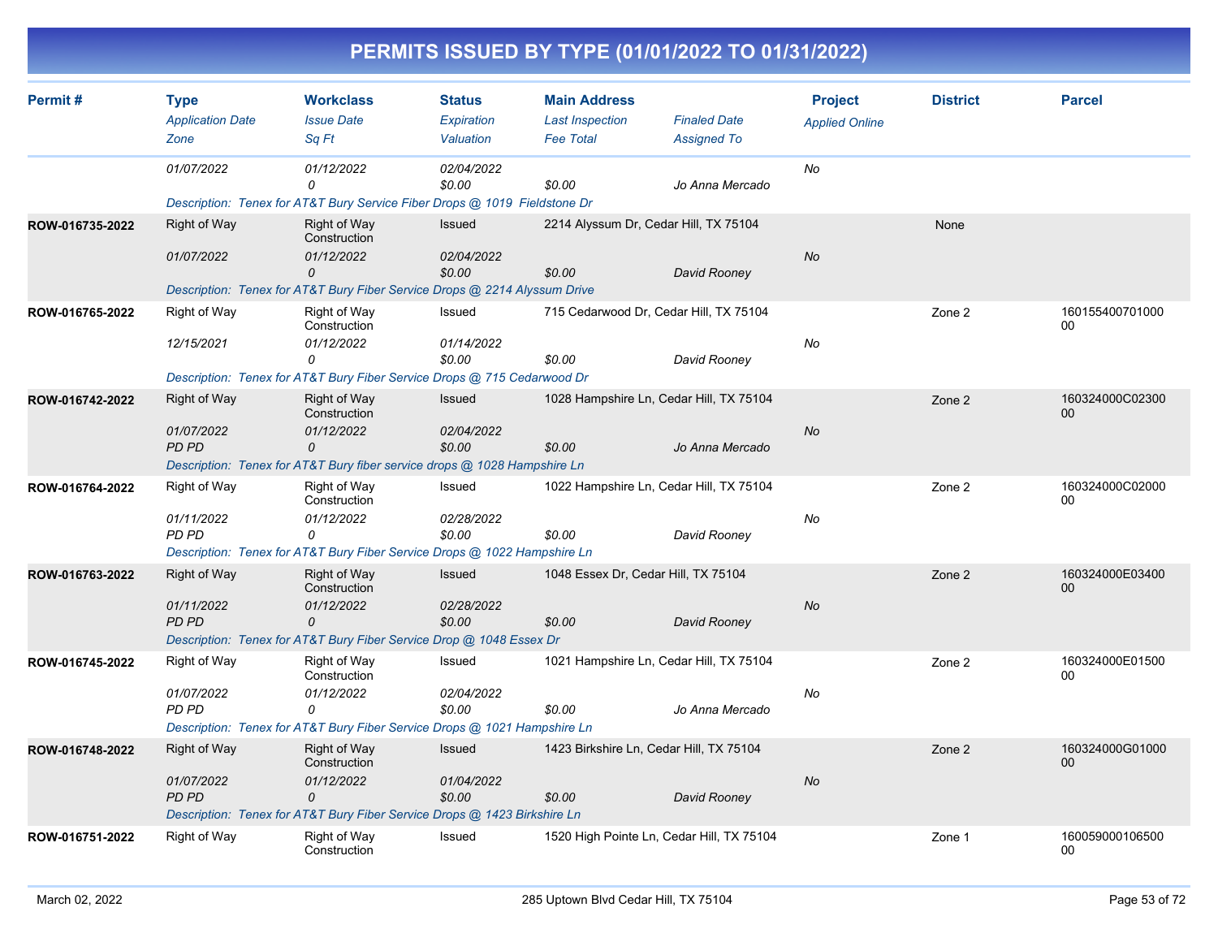|                 |                                                   |                                                                                                                                     |                                          |                                                                   | PERMITS ISSUED BY TYPE (01/01/2022 TO 01/31/2022)          |                                         |                 |                       |
|-----------------|---------------------------------------------------|-------------------------------------------------------------------------------------------------------------------------------------|------------------------------------------|-------------------------------------------------------------------|------------------------------------------------------------|-----------------------------------------|-----------------|-----------------------|
| Permit#         | <b>Type</b><br><b>Application Date</b><br>Zone    | <b>Workclass</b><br><b>Issue Date</b><br>Sq Ft                                                                                      | <b>Status</b><br>Expiration<br>Valuation | <b>Main Address</b><br><b>Last Inspection</b><br><b>Fee Total</b> | <b>Finaled Date</b><br><b>Assigned To</b>                  | <b>Project</b><br><b>Applied Online</b> | <b>District</b> | <b>Parcel</b>         |
|                 | 01/07/2022                                        | 01/12/2022<br>O<br>Description: Tenex for AT&T Bury Service Fiber Drops @ 1019 Fieldstone Dr                                        | 02/04/2022<br>\$0.00                     | \$0.00                                                            | Jo Anna Mercado                                            | No                                      |                 |                       |
| ROW-016735-2022 | Right of Way<br>01/07/2022                        | <b>Right of Way</b><br>Construction<br>01/12/2022<br>0<br>Description: Tenex for AT&T Bury Fiber Service Drops @ 2214 Alyssum Drive | Issued<br>02/04/2022<br>\$0.00           | \$0.00                                                            | 2214 Alyssum Dr, Cedar Hill, TX 75104<br>David Rooney      | No                                      | None            |                       |
| ROW-016765-2022 | Right of Way<br>12/15/2021                        | Right of Way<br>Construction<br>01/12/2022<br>0<br>Description: Tenex for AT&T Bury Fiber Service Drops @ 715 Cedarwood Dr          | Issued<br>01/14/2022<br>\$0.00           | \$0.00                                                            | 715 Cedarwood Dr, Cedar Hill, TX 75104<br>David Rooney     | No                                      | Zone 2          | 160155400701000<br>00 |
| ROW-016742-2022 | <b>Right of Way</b><br>01/07/2022<br>PD PD        | Right of Way<br>Construction<br>01/12/2022<br>0<br>Description: Tenex for AT&T Bury fiber service drops @ 1028 Hampshire Ln         | Issued<br>02/04/2022<br>\$0.00           | \$0.00                                                            | 1028 Hampshire Ln, Cedar Hill, TX 75104<br>Jo Anna Mercado | No                                      | Zone 2          | 160324000C02300<br>00 |
| ROW-016764-2022 | <b>Right of Way</b><br>01/11/2022<br><b>PD PD</b> | Right of Way<br>Construction<br>01/12/2022<br>Description: Tenex for AT&T Bury Fiber Service Drops @ 1022 Hampshire Ln              | Issued<br>02/28/2022<br>\$0.00           | \$0.00                                                            | 1022 Hampshire Ln, Cedar Hill, TX 75104<br>David Rooney    | No                                      | Zone 2          | 160324000C02000<br>00 |
| ROW-016763-2022 | <b>Right of Way</b><br>01/11/2022<br><b>PD PD</b> | Right of Way<br>Construction<br>01/12/2022<br>0<br>Description: Tenex for AT&T Bury Fiber Service Drop @ 1048 Essex Dr              | Issued<br>02/28/2022<br>\$0.00           | 1048 Essex Dr, Cedar Hill, TX 75104<br>\$0.00                     | David Rooney                                               | No                                      | Zone 2          | 160324000E03400<br>00 |
| ROW-016745-2022 | Right of Way<br>01/07/2022<br><b>PD PD</b>        | Right of Way<br>Construction<br>01/12/2022<br>0<br>Description: Tenex for AT&T Bury Fiber Service Drops @ 1021 Hampshire Ln         | Issued<br>02/04/2022<br>\$0.00           | \$0.00                                                            | 1021 Hampshire Ln, Cedar Hill, TX 75104<br>Jo Anna Mercado | No                                      | Zone 2          | 160324000E01500<br>00 |
| ROW-016748-2022 | Right of Way<br>01/07/2022<br>PD PD               | Right of Way<br>Construction<br>01/12/2022<br>0<br>Description: Tenex for AT&T Bury Fiber Service Drops @ 1423 Birkshire Ln         | <b>Issued</b><br>01/04/2022<br>\$0.00    | \$0.00                                                            | 1423 Birkshire Ln, Cedar Hill, TX 75104<br>David Rooney    | No                                      | Zone 2          | 160324000G01000<br>00 |
| ROW-016751-2022 | Right of Way                                      | Right of Way<br>Construction                                                                                                        | Issued                                   |                                                                   | 1520 High Pointe Ln, Cedar Hill, TX 75104                  |                                         | Zone 1          | 160059000106500<br>00 |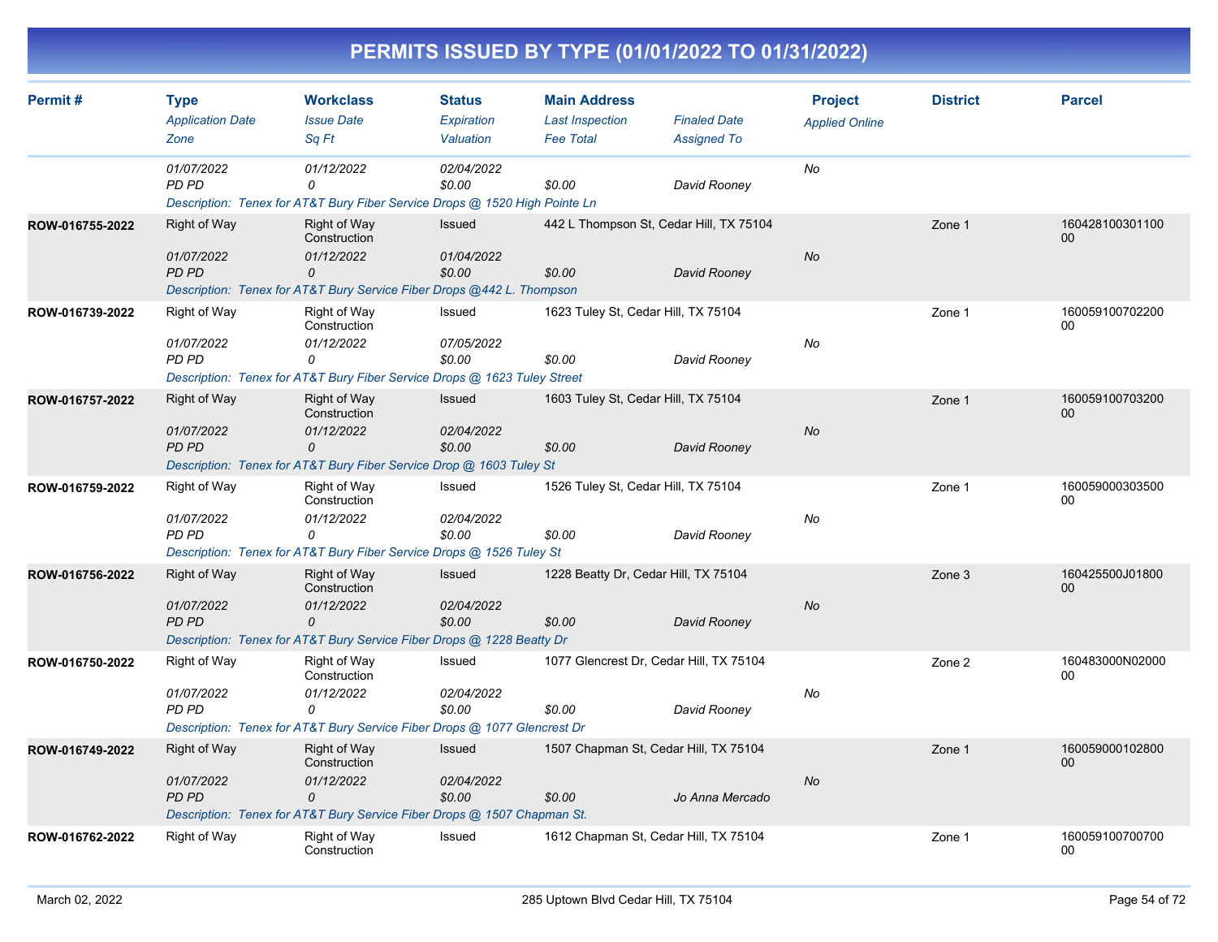| Permit#         | <b>Type</b>                                                             | <b>Workclass</b>                                                                                     | <b>Status</b>           | <b>Main Address</b>                        |                                           | <b>Project</b>        | <b>District</b> | <b>Parcel</b>             |  |
|-----------------|-------------------------------------------------------------------------|------------------------------------------------------------------------------------------------------|-------------------------|--------------------------------------------|-------------------------------------------|-----------------------|-----------------|---------------------------|--|
|                 | <b>Application Date</b><br>Zone                                         | <b>Issue Date</b><br>Sq Ft                                                                           | Expiration<br>Valuation | <b>Last Inspection</b><br><b>Fee Total</b> | <b>Finaled Date</b><br><b>Assigned To</b> | <b>Applied Online</b> |                 |                           |  |
|                 |                                                                         |                                                                                                      |                         |                                            |                                           |                       |                 |                           |  |
|                 | 01/07/2022<br>PD PD                                                     | 01/12/2022<br>$\Omega$<br>Description: Tenex for AT&T Bury Fiber Service Drops @ 1520 High Pointe Ln | 02/04/2022<br>\$0.00    | \$0.00                                     | David Rooney                              | No                    |                 |                           |  |
| ROW-016755-2022 | <b>Right of Way</b>                                                     | <b>Right of Way</b><br>Construction                                                                  | Issued                  | 442 L Thompson St. Cedar Hill, TX 75104    |                                           |                       | Zone 1          | 160428100301100<br>$00\,$ |  |
|                 | 01/07/2022<br><b>PD PD</b>                                              | 01/12/2022<br>0                                                                                      | 01/04/2022<br>\$0.00    | \$0.00                                     | David Rooney                              | No                    |                 |                           |  |
|                 |                                                                         | Description: Tenex for AT&T Bury Service Fiber Drops @442 L. Thompson                                |                         |                                            |                                           |                       |                 |                           |  |
| ROW-016739-2022 | Right of Way                                                            | Right of Way<br>Construction                                                                         | Issued                  | 1623 Tuley St, Cedar Hill, TX 75104        |                                           |                       | Zone 1          | 160059100702200<br>00     |  |
|                 | 01/07/2022<br>PD PD                                                     | 01/12/2022<br>0                                                                                      | 07/05/2022<br>\$0.00    | \$0.00                                     | David Rooney                              | No                    |                 |                           |  |
|                 |                                                                         | Description: Tenex for AT&T Bury Fiber Service Drops @ 1623 Tuley Street                             |                         |                                            |                                           |                       |                 |                           |  |
| ROW-016757-2022 | <b>Right of Way</b>                                                     | Right of Way<br>Construction                                                                         | Issued                  | 1603 Tuley St, Cedar Hill, TX 75104        |                                           |                       | Zone 1          | 160059100703200<br>00     |  |
|                 | 01/07/2022<br><b>PD PD</b>                                              | 01/12/2022<br>0                                                                                      | 02/04/2022<br>\$0.00    | \$0.00                                     | David Rooney                              | <b>No</b>             |                 |                           |  |
|                 |                                                                         | Description: Tenex for AT&T Bury Fiber Service Drop @ 1603 Tuley St                                  |                         |                                            |                                           |                       |                 |                           |  |
| ROW-016759-2022 | Right of Way                                                            | Right of Way<br>Construction                                                                         | Issued                  | 1526 Tuley St, Cedar Hill, TX 75104        |                                           |                       | Zone 1          | 160059000303500<br>00     |  |
|                 | 01/07/2022<br>PD PD                                                     | 01/12/2022<br>0                                                                                      | 02/04/2022<br>\$0.00    | \$0.00                                     | David Rooney                              | No                    |                 |                           |  |
|                 |                                                                         | Description: Tenex for AT&T Bury Fiber Service Drops @ 1526 Tuley St                                 |                         |                                            |                                           |                       |                 |                           |  |
| ROW-016756-2022 | Right of Way                                                            | <b>Right of Way</b><br>Construction                                                                  | Issued                  | 1228 Beatty Dr, Cedar Hill, TX 75104       |                                           |                       | Zone 3          | 160425500J01800<br>$00\,$ |  |
|                 | 01/07/2022<br><b>PD PD</b>                                              | 01/12/2022<br>0                                                                                      | 02/04/2022<br>\$0.00    | \$0.00                                     | David Rooney                              | No                    |                 |                           |  |
|                 |                                                                         | Description: Tenex for AT&T Bury Service Fiber Drops @ 1228 Beatty Dr                                |                         |                                            |                                           |                       |                 |                           |  |
| ROW-016750-2022 | Right of Way                                                            | Right of Way<br>Construction                                                                         | Issued                  | 1077 Glencrest Dr, Cedar Hill, TX 75104    |                                           |                       | Zone 2          | 160483000N02000<br>00     |  |
|                 | 01/07/2022<br>PD PD                                                     | 01/12/2022<br>0                                                                                      | 02/04/2022<br>\$0.00    | \$0.00                                     | David Rooney                              | No                    |                 |                           |  |
|                 |                                                                         | Description: Tenex for AT&T Bury Service Fiber Drops @ 1077 Glencrest Dr                             |                         |                                            |                                           |                       |                 |                           |  |
| ROW-016749-2022 | <b>Right of Way</b>                                                     | <b>Right of Way</b><br>Construction                                                                  | <b>Issued</b>           | 1507 Chapman St, Cedar Hill, TX 75104      |                                           |                       | Zone 1          | 160059000102800<br>00     |  |
|                 | 01/07/2022<br><b>PD PD</b>                                              | 01/12/2022<br>0                                                                                      | 02/04/2022<br>\$0.00    | \$0.00                                     | Jo Anna Mercado                           | No                    |                 |                           |  |
|                 | Description: Tenex for AT&T Bury Service Fiber Drops @ 1507 Chapman St. |                                                                                                      |                         |                                            |                                           |                       |                 |                           |  |
| ROW-016762-2022 | <b>Right of Way</b>                                                     | Right of Way<br>Construction                                                                         | Issued                  | 1612 Chapman St, Cedar Hill, TX 75104      |                                           |                       | Zone 1          | 160059100700700<br>00     |  |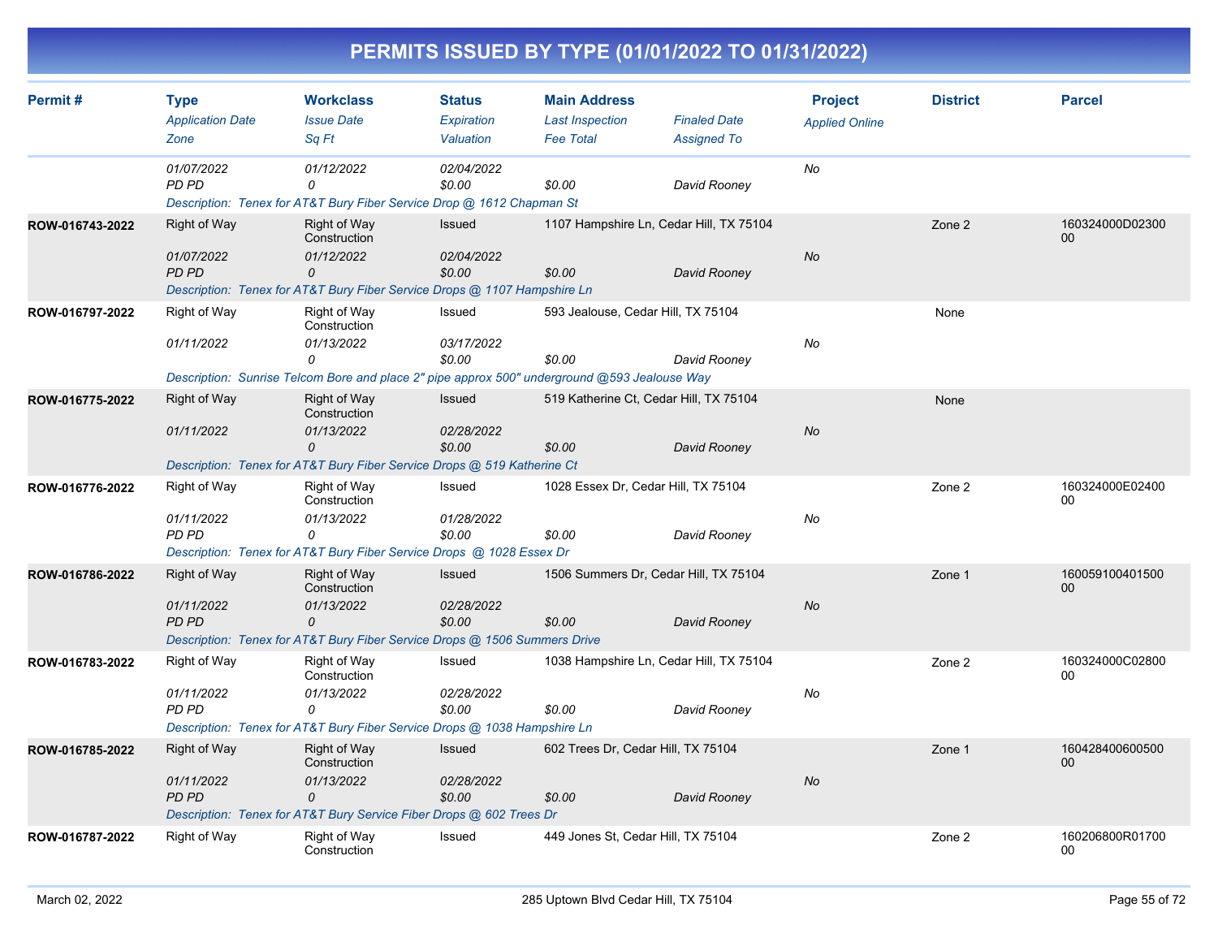| Permit#         | <b>Type</b>                                                         | <b>Workclass</b>                                                                                         | <b>Status</b>           | <b>Main Address</b>                        |                                           | <b>Project</b>        | <b>District</b> | <b>Parcel</b>         |
|-----------------|---------------------------------------------------------------------|----------------------------------------------------------------------------------------------------------|-------------------------|--------------------------------------------|-------------------------------------------|-----------------------|-----------------|-----------------------|
|                 | <b>Application Date</b><br>Zone                                     | <b>Issue Date</b><br>Sq Ft                                                                               | Expiration<br>Valuation | <b>Last Inspection</b><br><b>Fee Total</b> | <b>Finaled Date</b><br><b>Assigned To</b> | <b>Applied Online</b> |                 |                       |
|                 |                                                                     |                                                                                                          |                         |                                            |                                           |                       |                 |                       |
|                 | 01/07/2022<br>PD PD                                                 | 01/12/2022<br>0<br>Description: Tenex for AT&T Bury Fiber Service Drop @ 1612 Chapman St                 | 02/04/2022<br>\$0.00    | \$0.00                                     | David Rooney                              | No                    |                 |                       |
| ROW-016743-2022 | <b>Right of Way</b>                                                 | <b>Right of Way</b>                                                                                      | Issued                  | 1107 Hampshire Ln, Cedar Hill, TX 75104    |                                           |                       | Zone 2          | 160324000D02300       |
|                 |                                                                     | Construction                                                                                             |                         |                                            |                                           |                       |                 | $00\,$                |
|                 | 01/07/2022<br><b>PD PD</b>                                          | 01/12/2022<br>0                                                                                          | 02/04/2022<br>\$0.00    | \$0.00                                     | David Rooney                              | <b>No</b>             |                 |                       |
|                 |                                                                     | Description: Tenex for AT&T Bury Fiber Service Drops @ 1107 Hampshire Ln                                 |                         |                                            |                                           |                       |                 |                       |
| ROW-016797-2022 | Right of Way                                                        | Right of Way<br>Construction                                                                             | Issued                  | 593 Jealouse, Cedar Hill, TX 75104         |                                           |                       | None            |                       |
|                 | 01/11/2022                                                          | 01/13/2022                                                                                               | 03/17/2022              |                                            |                                           | No                    |                 |                       |
|                 |                                                                     | $\Omega$<br>Description: Sunrise Telcom Bore and place 2" pipe approx 500" underground @593 Jealouse Way | \$0.00                  | \$0.00                                     | David Rooney                              |                       |                 |                       |
|                 |                                                                     |                                                                                                          |                         |                                            |                                           |                       |                 |                       |
| ROW-016775-2022 | <b>Right of Way</b>                                                 | <b>Right of Way</b><br>Construction                                                                      | <b>Issued</b>           | 519 Katherine Ct. Cedar Hill, TX 75104     |                                           |                       | None            |                       |
|                 | 01/11/2022                                                          | 01/13/2022<br>0                                                                                          | 02/28/2022<br>\$0.00    | \$0.00                                     | David Rooney                              | <b>No</b>             |                 |                       |
|                 |                                                                     | Description: Tenex for AT&T Bury Fiber Service Drops @ 519 Katherine Ct                                  |                         |                                            |                                           |                       |                 |                       |
| ROW-016776-2022 | Right of Way                                                        | Right of Way<br>Construction                                                                             | Issued                  | 1028 Essex Dr, Cedar Hill, TX 75104        |                                           |                       | Zone 2          | 160324000E02400<br>00 |
|                 | 01/11/2022<br>PD PD                                                 | 01/13/2022<br>0                                                                                          | 01/28/2022<br>\$0.00    | \$0.00                                     | David Rooney                              | No                    |                 |                       |
|                 |                                                                     | Description: Tenex for AT&T Bury Fiber Service Drops @ 1028 Essex Dr                                     |                         |                                            |                                           |                       |                 |                       |
| ROW-016786-2022 | <b>Right of Way</b>                                                 | <b>Right of Way</b><br>Construction                                                                      | Issued                  | 1506 Summers Dr, Cedar Hill, TX 75104      |                                           |                       | Zone 1          | 160059100401500<br>00 |
|                 | 01/11/2022                                                          | 01/13/2022                                                                                               | 02/28/2022              |                                            |                                           | No                    |                 |                       |
|                 | <b>PD PD</b>                                                        | 0                                                                                                        | \$0.00                  | \$0.00                                     | David Rooney                              |                       |                 |                       |
|                 |                                                                     | Description: Tenex for AT&T Bury Fiber Service Drops @ 1506 Summers Drive                                |                         |                                            |                                           |                       |                 |                       |
| ROW-016783-2022 | <b>Right of Way</b>                                                 | <b>Right of Way</b><br>Construction                                                                      | Issued                  | 1038 Hampshire Ln, Cedar Hill, TX 75104    |                                           |                       | Zone 2          | 160324000C02800<br>00 |
|                 | 01/11/2022                                                          | 01/13/2022                                                                                               | 02/28/2022              |                                            |                                           | No                    |                 |                       |
|                 | <b>PD PD</b>                                                        | 0                                                                                                        | \$0.00                  | \$0.00                                     | David Rooney                              |                       |                 |                       |
|                 |                                                                     | Description: Tenex for AT&T Bury Fiber Service Drops @ 1038 Hampshire Ln                                 |                         |                                            |                                           |                       |                 |                       |
| ROW-016785-2022 | <b>Right of Way</b>                                                 | <b>Right of Way</b><br>Construction                                                                      | Issued                  | 602 Trees Dr, Cedar Hill, TX 75104         |                                           |                       | Zone 1          | 160428400600500<br>00 |
|                 | 01/11/2022<br><b>PD PD</b>                                          | 01/13/2022<br>0                                                                                          | 02/28/2022<br>\$0.00    | \$0.00                                     | David Rooney                              | No                    |                 |                       |
|                 | Description: Tenex for AT&T Bury Service Fiber Drops @ 602 Trees Dr |                                                                                                          |                         |                                            |                                           |                       |                 |                       |
| ROW-016787-2022 | <b>Right of Way</b>                                                 | Right of Way<br>Construction                                                                             | Issued                  | 449 Jones St. Cedar Hill, TX 75104         |                                           |                       | Zone 2          | 160206800R01700<br>00 |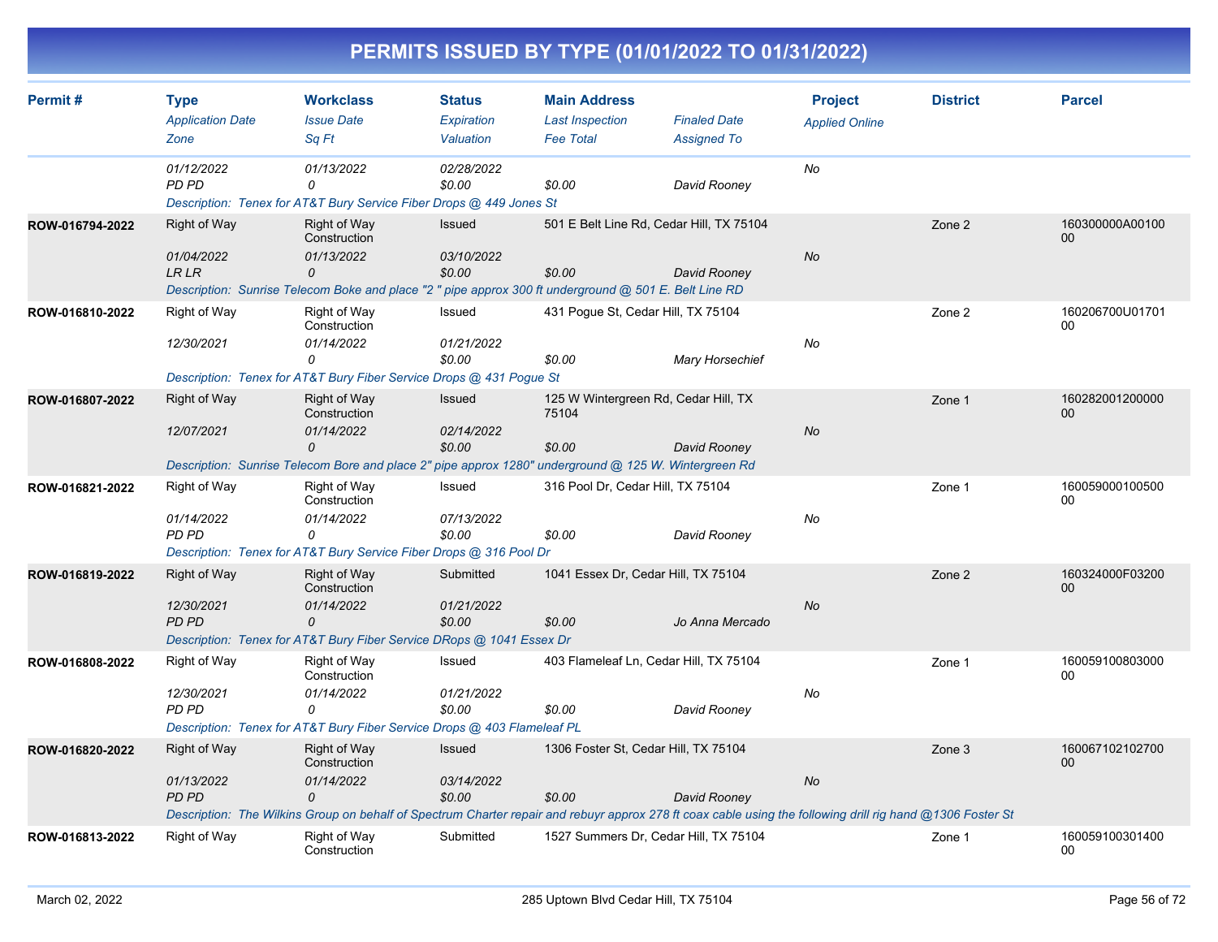| Permit#         | <b>Type</b>                                       | <b>Workclass</b>                                                                                                                                                                                                     | <b>Status</b>                         | <b>Main Address</b>                                     |                                           | <b>Project</b>        | <b>District</b> | <b>Parcel</b>             |
|-----------------|---------------------------------------------------|----------------------------------------------------------------------------------------------------------------------------------------------------------------------------------------------------------------------|---------------------------------------|---------------------------------------------------------|-------------------------------------------|-----------------------|-----------------|---------------------------|
|                 | <b>Application Date</b><br>Zone                   | <b>Issue Date</b><br>Sq Ft                                                                                                                                                                                           | Expiration<br>Valuation               | <b>Last Inspection</b><br><b>Fee Total</b>              | <b>Finaled Date</b><br><b>Assigned To</b> | <b>Applied Online</b> |                 |                           |
|                 | 01/12/2022<br><b>PD PD</b>                        | 01/13/2022<br>0<br>Description: Tenex for AT&T Bury Service Fiber Drops @ 449 Jones St                                                                                                                               | 02/28/2022<br>\$0.00                  | \$0.00                                                  | David Rooney                              | No                    |                 |                           |
| ROW-016794-2022 | <b>Right of Way</b><br>01/04/2022<br><b>LR LR</b> | Right of Way<br>Construction<br>01/13/2022<br>0<br>Description: Sunrise Telecom Boke and place "2 " pipe approx 300 ft underground @ 501 E. Belt Line RD                                                             | <b>Issued</b><br>03/10/2022<br>\$0.00 | 501 E Belt Line Rd, Cedar Hill, TX 75104<br>\$0.00      | David Rooney                              | No                    | Zone 2          | 160300000A00100<br>$00\,$ |
| ROW-016810-2022 | Right of Way<br>12/30/2021                        | Right of Way<br>Construction<br>01/14/2022<br>0<br>Description: Tenex for AT&T Bury Fiber Service Drops @ 431 Pogue St                                                                                               | Issued<br>01/21/2022<br>\$0.00        | 431 Pogue St, Cedar Hill, TX 75104<br>\$0.00            | <b>Mary Horsechief</b>                    | No                    | Zone 2          | 160206700U01701<br>00     |
| ROW-016807-2022 | <b>Right of Way</b><br>12/07/2021                 | <b>Right of Way</b><br>Construction<br>01/14/2022<br>0<br>Description: Sunrise Telecom Bore and place 2" pipe approx 1280" underground @ 125 W. Wintergreen Rd                                                       | Issued<br>02/14/2022<br>\$0.00        | 125 W Wintergreen Rd, Cedar Hill, TX<br>75104<br>\$0.00 | David Rooney                              | <b>No</b>             | Zone 1          | 160282001200000<br>00     |
| ROW-016821-2022 | Right of Way<br>01/14/2022<br>PD PD               | Right of Way<br>Construction<br>01/14/2022<br>0<br>Description: Tenex for AT&T Bury Service Fiber Drops @ 316 Pool Dr                                                                                                | Issued<br>07/13/2022<br>\$0.00        | 316 Pool Dr, Cedar Hill, TX 75104<br>\$0.00             | David Rooney                              | No                    | Zone 1          | 160059000100500<br>00     |
| ROW-016819-2022 | <b>Right of Way</b><br>12/30/2021<br>PD PD        | <b>Right of Way</b><br>Construction<br>01/14/2022<br>0<br>Description: Tenex for AT&T Bury Fiber Service DRops @ 1041 Essex Dr                                                                                       | Submitted<br>01/21/2022<br>\$0.00     | 1041 Essex Dr, Cedar Hill, TX 75104<br>\$0.00           | Jo Anna Mercado                           | <b>No</b>             | Zone 2          | 160324000F03200<br>00     |
| ROW-016808-2022 | Right of Way<br>12/30/2021<br><b>PD PD</b>        | <b>Right of Way</b><br>Construction<br>01/14/2022<br>0<br>Description: Tenex for AT&T Bury Fiber Service Drops @ 403 Flameleaf PL                                                                                    | Issued<br>01/21/2022<br>\$0.00        | 403 Flameleaf Ln, Cedar Hill, TX 75104<br>\$0.00        | David Rooney                              | No                    | Zone 1          | 160059100803000<br>00     |
| ROW-016820-2022 | <b>Right of Way</b><br>01/13/2022<br><b>PD PD</b> | <b>Right of Way</b><br>Construction<br>01/14/2022<br>0<br>Description: The Wilkins Group on behalf of Spectrum Charter repair and rebuyr approx 278 ft coax cable using the following drill rig hand @1306 Foster St | Issued<br>03/14/2022<br>\$0.00        | 1306 Foster St, Cedar Hill, TX 75104<br>\$0.00          | David Rooney                              | No                    | Zone 3          | 160067102102700<br>00     |
| ROW-016813-2022 | <b>Right of Way</b>                               | <b>Right of Way</b><br>Construction                                                                                                                                                                                  | Submitted                             | 1527 Summers Dr. Cedar Hill, TX 75104                   |                                           |                       | Zone 1          | 160059100301400<br>00     |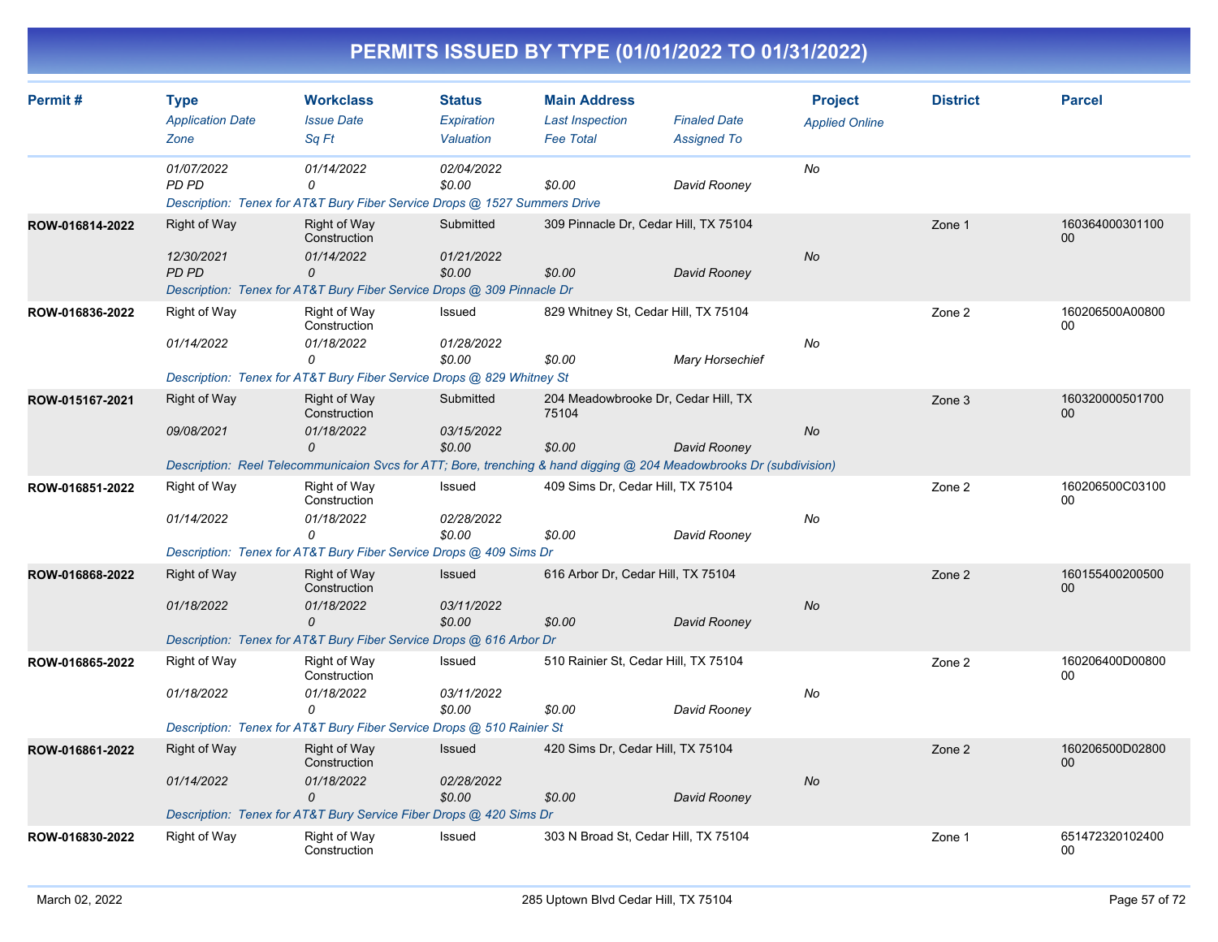| PERMITS ISSUED BY TYPE (01/01/2022 TO 01/31/2022) |
|---------------------------------------------------|
|---------------------------------------------------|

| Permit#         | <b>Type</b><br><b>Application Date</b> | <b>Workclass</b><br><b>Issue Date</b>                                                                            | <b>Status</b><br>Expiration | <b>Main Address</b><br><b>Last Inspection</b> | <b>Finaled Date</b>                                                                                                 |                       | <b>District</b> | <b>Parcel</b>         |
|-----------------|----------------------------------------|------------------------------------------------------------------------------------------------------------------|-----------------------------|-----------------------------------------------|---------------------------------------------------------------------------------------------------------------------|-----------------------|-----------------|-----------------------|
|                 | Zone                                   | Sq Ft                                                                                                            | Valuation                   | <b>Fee Total</b>                              | <b>Assigned To</b>                                                                                                  | <b>Applied Online</b> |                 |                       |
|                 | 01/07/2022<br>PD PD                    | 01/14/2022<br>0                                                                                                  | 02/04/2022<br>\$0.00        | \$0.00                                        | David Rooney                                                                                                        | No                    |                 |                       |
| ROW-016814-2022 | Right of Way                           | Description: Tenex for AT&T Bury Fiber Service Drops @ 1527 Summers Drive<br><b>Right of Way</b><br>Construction | Submitted                   |                                               | 309 Pinnacle Dr, Cedar Hill, TX 75104                                                                               |                       | Zone 1          | 160364000301100<br>00 |
|                 | 12/30/2021<br><b>PD PD</b>             | 01/14/2022<br>0                                                                                                  | 01/21/2022<br>\$0.00        | \$0.00                                        | David Rooney                                                                                                        | <b>No</b>             |                 |                       |
| ROW-016836-2022 | Right of Way                           | Description: Tenex for AT&T Bury Fiber Service Drops @ 309 Pinnacle Dr<br><b>Right of Way</b>                    | Issued                      |                                               | 829 Whitney St, Cedar Hill, TX 75104                                                                                |                       | Zone 2          | 160206500A00800       |
|                 | 01/14/2022                             | Construction<br>01/18/2022<br>$\Omega$<br>Description: Tenex for AT&T Bury Fiber Service Drops @ 829 Whitney St  | 01/28/2022<br>\$0.00        | \$0.00                                        | <b>Mary Horsechief</b>                                                                                              | No                    |                 | 0 <sub>0</sub>        |
| ROW-015167-2021 | Right of Way                           | <b>Right of Way</b><br>Construction                                                                              | Submitted                   | 75104                                         | 204 Meadowbrooke Dr, Cedar Hill, TX                                                                                 |                       | Zone 3          | 160320000501700<br>00 |
|                 | 09/08/2021                             | 01/18/2022<br>0                                                                                                  | 03/15/2022<br>\$0.00        | \$0.00                                        | David Rooney                                                                                                        | No                    |                 |                       |
| ROW-016851-2022 | Right of Way                           | Right of Way<br>Construction                                                                                     | Issued                      | 409 Sims Dr. Cedar Hill, TX 75104             | Description: Reel Telecommunicaion Svcs for ATT; Bore, trenching & hand digging @ 204 Meadowbrooks Dr (subdivision) |                       | Zone 2          | 160206500C03100<br>00 |
|                 | 01/14/2022                             | 01/18/2022<br>$\Omega$                                                                                           | 02/28/2022<br>\$0.00        | \$0.00                                        | David Rooney                                                                                                        | No                    |                 |                       |
|                 |                                        | Description: Tenex for AT&T Bury Fiber Service Drops @ 409 Sims Dr                                               |                             |                                               |                                                                                                                     |                       |                 |                       |
| ROW-016868-2022 | Right of Way                           | <b>Right of Way</b><br>Construction                                                                              | Issued                      | 616 Arbor Dr, Cedar Hill, TX 75104            |                                                                                                                     |                       | Zone 2          | 160155400200500<br>00 |
|                 | 01/18/2022                             | 01/18/2022<br>$\Omega$<br>Description: Tenex for AT&T Bury Fiber Service Drops @ 616 Arbor Dr                    | 03/11/2022<br>\$0.00        | \$0.00                                        | David Rooney                                                                                                        | <b>No</b>             |                 |                       |
| ROW-016865-2022 | Right of Way                           | Right of Way<br>Construction                                                                                     | Issued                      | 510 Rainier St, Cedar Hill, TX 75104          |                                                                                                                     |                       | Zone 2          | 160206400D00800<br>00 |
|                 | 01/18/2022                             | 01/18/2022<br>0                                                                                                  | 03/11/2022<br>\$0.00        | \$0.00                                        | David Rooney                                                                                                        | No                    |                 |                       |
|                 |                                        | Description: Tenex for AT&T Bury Fiber Service Drops @ 510 Rainier St                                            |                             |                                               |                                                                                                                     |                       |                 |                       |
| ROW-016861-2022 | <b>Right of Way</b>                    | <b>Right of Way</b><br>Construction                                                                              | Issued                      | 420 Sims Dr, Cedar Hill, TX 75104             |                                                                                                                     |                       | Zone 2          | 160206500D02800<br>00 |
|                 | 01/14/2022                             | 01/18/2022<br>$\Omega$                                                                                           | 02/28/2022<br>\$0.00        | \$0.00                                        | David Rooney                                                                                                        | No                    |                 |                       |
|                 |                                        | Description: Tenex for AT&T Bury Service Fiber Drops @ 420 Sims Dr                                               |                             |                                               |                                                                                                                     |                       |                 |                       |
| ROW-016830-2022 | Right of Way                           | <b>Right of Way</b><br>Construction                                                                              | Issued                      |                                               | 303 N Broad St, Cedar Hill, TX 75104                                                                                |                       | Zone 1          | 651472320102400<br>00 |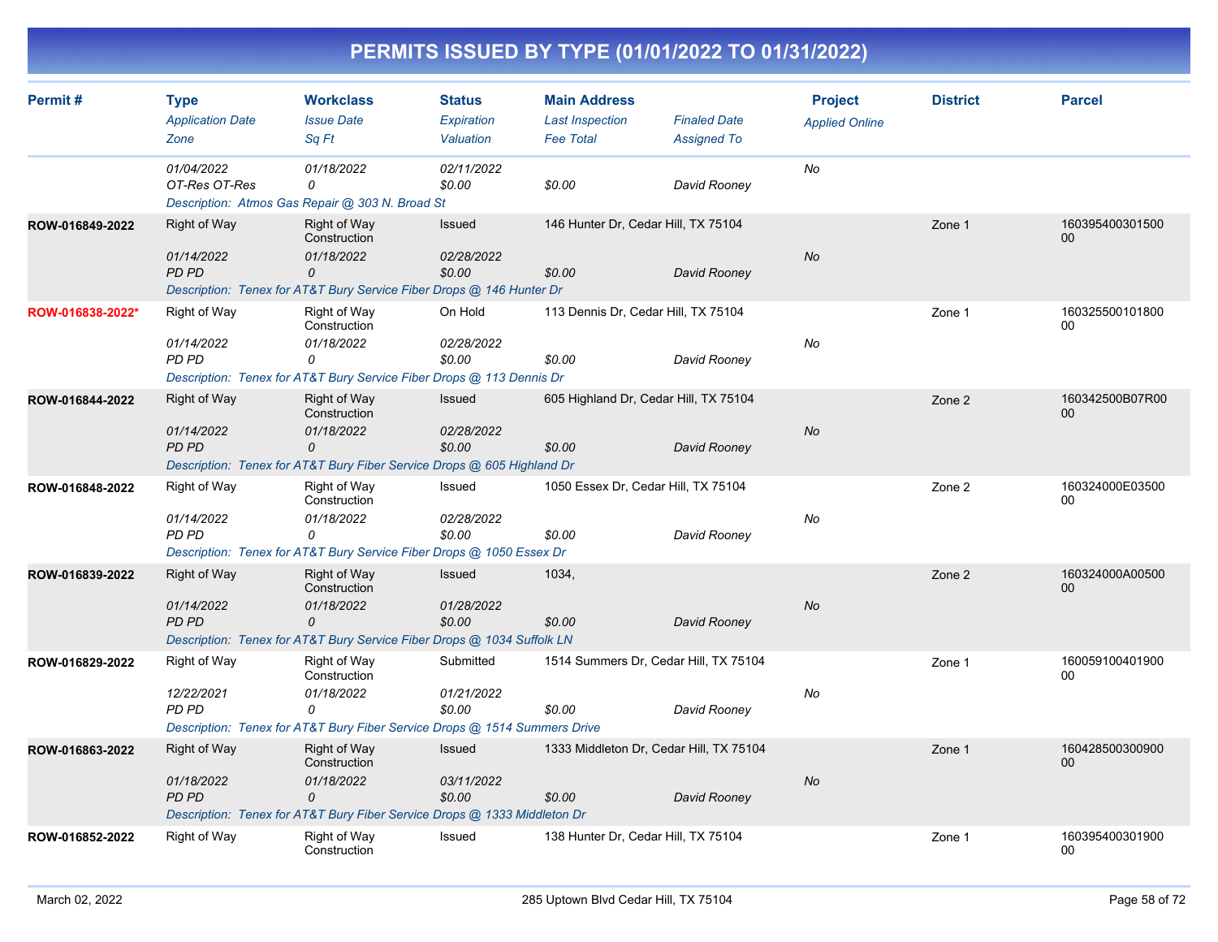| Permit#          | <b>Type</b><br><b>Application Date</b><br>Zone    | <b>Workclass</b><br><b>Issue Date</b><br>Sq Ft                                                                                   | <b>Status</b><br>Expiration<br>Valuation | <b>Main Address</b><br><b>Last Inspection</b><br><b>Fee Total</b> | <b>Finaled Date</b><br><b>Assigned To</b> | <b>Project</b><br><b>Applied Online</b> | <b>District</b> | <b>Parcel</b>         |
|------------------|---------------------------------------------------|----------------------------------------------------------------------------------------------------------------------------------|------------------------------------------|-------------------------------------------------------------------|-------------------------------------------|-----------------------------------------|-----------------|-----------------------|
|                  | 01/04/2022<br>OT-Res OT-Res                       | 01/18/2022<br>0<br>Description: Atmos Gas Repair @ 303 N. Broad St                                                               | 02/11/2022<br>\$0.00                     | \$0.00                                                            | David Rooney                              | No                                      |                 |                       |
| ROW-016849-2022  | Right of Way<br>01/14/2022<br><b>PD PD</b>        | Right of Way<br>Construction<br>01/18/2022<br>0<br>Description: Tenex for AT&T Bury Service Fiber Drops @ 146 Hunter Dr          | <b>Issued</b><br>02/28/2022<br>\$0.00    | 146 Hunter Dr, Cedar Hill, TX 75104<br>\$0.00                     | David Rooney                              | <b>No</b>                               | Zone 1          | 160395400301500<br>00 |
| ROW-016838-2022* | Right of Way<br>01/14/2022<br>PD PD               | Right of Way<br>Construction<br>01/18/2022<br>0<br>Description: Tenex for AT&T Bury Service Fiber Drops @ 113 Dennis Dr          | On Hold<br>02/28/2022<br>\$0.00          | 113 Dennis Dr, Cedar Hill, TX 75104<br>\$0.00                     | David Rooney                              | No                                      | Zone 1          | 160325500101800<br>00 |
| ROW-016844-2022  | <b>Right of Way</b><br>01/14/2022<br><b>PD PD</b> | Right of Way<br>Construction<br>01/18/2022<br>0<br>Description: Tenex for AT&T Bury Fiber Service Drops @ 605 Highland Dr        | <b>Issued</b><br>02/28/2022<br>\$0.00    | 605 Highland Dr, Cedar Hill, TX 75104<br>\$0.00                   | David Rooney                              | <b>No</b>                               | Zone 2          | 160342500B07R00<br>00 |
| ROW-016848-2022  | Right of Way<br>01/14/2022<br>PD PD               | Right of Way<br>Construction<br>01/18/2022<br>0<br>Description: Tenex for AT&T Bury Service Fiber Drops @ 1050 Essex Dr          | Issued<br>02/28/2022<br>\$0.00           | 1050 Essex Dr, Cedar Hill, TX 75104<br>\$0.00                     | David Rooney                              | No                                      | Zone 2          | 160324000E03500<br>00 |
| ROW-016839-2022  | <b>Right of Way</b><br>01/14/2022<br>PD PD        | Right of Way<br>Construction<br>01/18/2022<br>$\Omega$<br>Description: Tenex for AT&T Bury Service Fiber Drops @ 1034 Suffolk LN | <b>Issued</b><br>01/28/2022<br>\$0.00    | 1034,<br>\$0.00                                                   | David Rooney                              | No                                      | Zone 2          | 160324000A00500<br>00 |
| ROW-016829-2022  | <b>Right of Way</b><br>12/22/2021<br>PD PD        | Right of Way<br>Construction<br>01/18/2022<br>0<br>Description: Tenex for AT&T Bury Fiber Service Drops @ 1514 Summers Drive     | Submitted<br>01/21/2022<br>\$0.00        | 1514 Summers Dr, Cedar Hill, TX 75104<br>\$0.00                   | David Rooney                              | No                                      | Zone 1          | 160059100401900<br>00 |
| ROW-016863-2022  | Right of Way<br>01/18/2022<br><b>PD PD</b>        | Right of Way<br>Construction<br>01/18/2022<br>0<br>Description: Tenex for AT&T Bury Fiber Service Drops @ 1333 Middleton Dr      | <b>Issued</b><br>03/11/2022<br>\$0.00    | 1333 Middleton Dr, Cedar Hill, TX 75104<br>\$0.00                 | David Rooney                              | <b>No</b>                               | Zone 1          | 160428500300900<br>00 |
| ROW-016852-2022  | Right of Way                                      | Right of Way<br>Construction                                                                                                     | Issued                                   | 138 Hunter Dr, Cedar Hill, TX 75104                               |                                           |                                         | Zone 1          | 160395400301900<br>00 |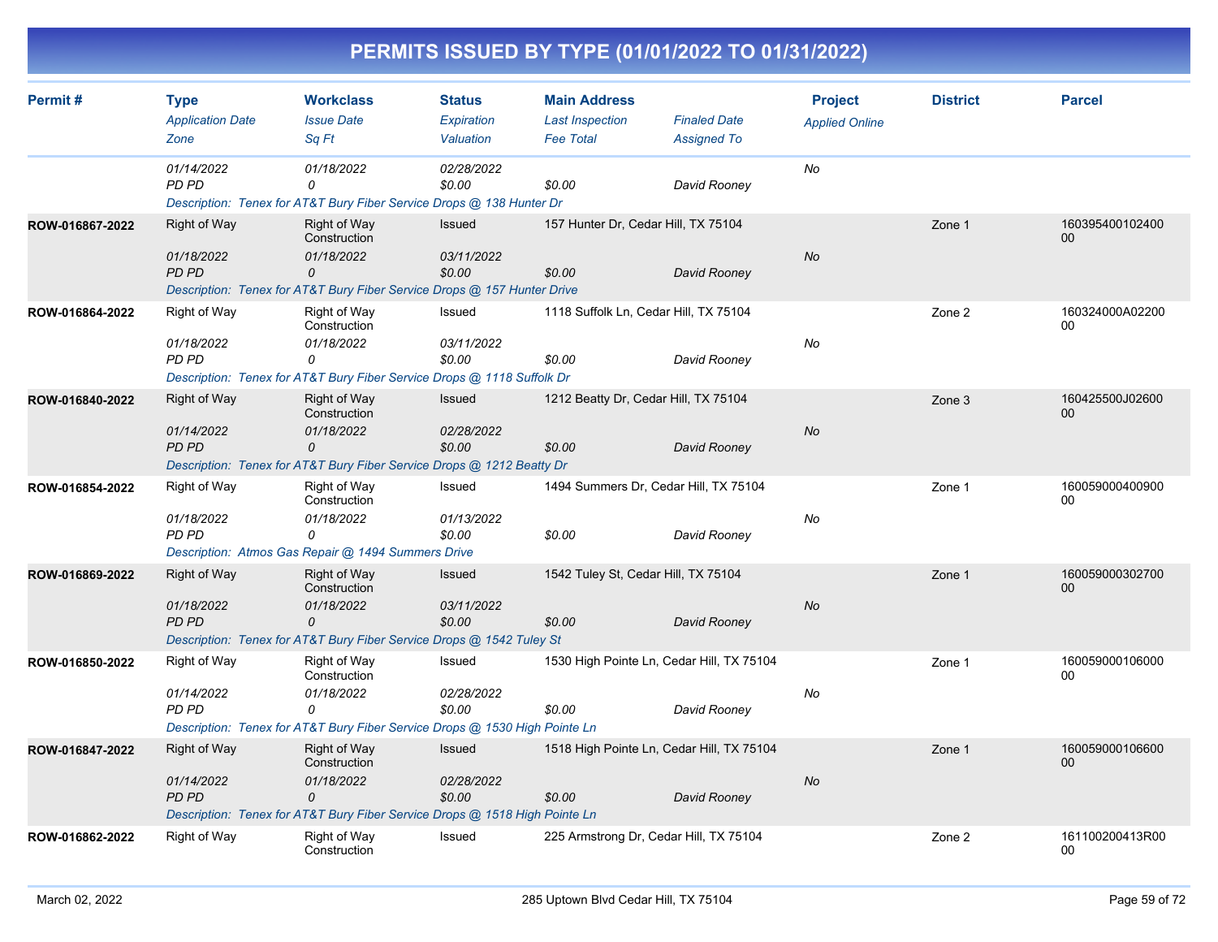| Permit#         | <b>Type</b>                                       | <b>Workclass</b>                                                                                                                    | <b>Status</b>                         | <b>Main Address</b>                                 |                                           | <b>Project</b>        | <b>District</b> | <b>Parcel</b>             |
|-----------------|---------------------------------------------------|-------------------------------------------------------------------------------------------------------------------------------------|---------------------------------------|-----------------------------------------------------|-------------------------------------------|-----------------------|-----------------|---------------------------|
|                 | <b>Application Date</b><br>Zone                   | <b>Issue Date</b><br>Sq Ft                                                                                                          | Expiration<br>Valuation               | <b>Last Inspection</b><br><b>Fee Total</b>          | <b>Finaled Date</b><br><b>Assigned To</b> | <b>Applied Online</b> |                 |                           |
|                 | 01/14/2022<br>PD PD                               | 01/18/2022<br>0<br>Description: Tenex for AT&T Bury Fiber Service Drops @ 138 Hunter Dr                                             | 02/28/2022<br>\$0.00                  | \$0.00                                              | David Rooney                              | No                    |                 |                           |
| ROW-016867-2022 | <b>Right of Way</b><br>01/18/2022<br><b>PD PD</b> | <b>Right of Way</b><br>Construction<br>01/18/2022<br>0<br>Description: Tenex for AT&T Bury Fiber Service Drops @ 157 Hunter Drive   | <b>Issued</b><br>03/11/2022<br>\$0.00 | 157 Hunter Dr. Cedar Hill, TX 75104<br>\$0.00       | David Rooney                              | <b>No</b>             | Zone 1          | 160395400102400<br>00     |
| ROW-016864-2022 | Right of Way<br>01/18/2022<br>PD PD               | Right of Way<br>Construction<br>01/18/2022<br>0<br>Description: Tenex for AT&T Bury Fiber Service Drops @ 1118 Suffolk Dr           | Issued<br>03/11/2022<br>\$0.00        | 1118 Suffolk Ln, Cedar Hill, TX 75104<br>\$0.00     | David Rooney                              | No                    | Zone 2          | 160324000A02200<br>00     |
| ROW-016840-2022 | <b>Right of Way</b><br>01/14/2022<br><b>PD PD</b> | Right of Way<br>Construction<br>01/18/2022<br>0<br>Description: Tenex for AT&T Bury Fiber Service Drops @ 1212 Beatty Dr            | <b>Issued</b><br>02/28/2022<br>\$0.00 | 1212 Beatty Dr, Cedar Hill, TX 75104<br>\$0.00      | David Rooney                              | <b>No</b>             | Zone 3          | 160425500J02600<br>00     |
| ROW-016854-2022 | <b>Right of Way</b><br>01/18/2022<br>PD PD        | Right of Way<br>Construction<br>01/18/2022<br>0<br>Description: Atmos Gas Repair @ 1494 Summers Drive                               | Issued<br>01/13/2022<br>\$0.00        | 1494 Summers Dr, Cedar Hill, TX 75104<br>\$0.00     | David Rooney                              | No                    | Zone 1          | 160059000400900<br>00     |
| ROW-016869-2022 | <b>Right of Way</b><br>01/18/2022<br><b>PD PD</b> | Right of Way<br>Construction<br>01/18/2022<br>$\mathcal{O}$<br>Description: Tenex for AT&T Bury Fiber Service Drops @ 1542 Tuley St | <b>Issued</b><br>03/11/2022<br>\$0.00 | 1542 Tuley St, Cedar Hill, TX 75104<br>\$0.00       | David Rooney                              | <b>No</b>             | Zone 1          | 160059000302700<br>$00\,$ |
| ROW-016850-2022 | Right of Way<br>01/14/2022<br>PD PD               | Right of Way<br>Construction<br>01/18/2022<br>0<br>Description: Tenex for AT&T Bury Fiber Service Drops @ 1530 High Pointe Ln       | Issued<br>02/28/2022<br>\$0.00        | 1530 High Pointe Ln, Cedar Hill, TX 75104<br>\$0.00 | David Rooney                              | No                    | Zone 1          | 160059000106000<br>00     |
| ROW-016847-2022 | Right of Way<br>01/14/2022<br><b>PD PD</b>        | Right of Way<br>Construction<br>01/18/2022<br>0<br>Description: Tenex for AT&T Bury Fiber Service Drops @ 1518 High Pointe Ln       | <b>Issued</b><br>02/28/2022<br>\$0.00 | 1518 High Pointe Ln, Cedar Hill, TX 75104<br>\$0.00 | David Rooney                              | No                    | Zone 1          | 160059000106600<br>00     |
| ROW-016862-2022 | Right of Way                                      | Right of Way<br>Construction                                                                                                        | Issued                                | 225 Armstrong Dr, Cedar Hill, TX 75104              |                                           |                       | Zone 2          | 161100200413R00<br>00     |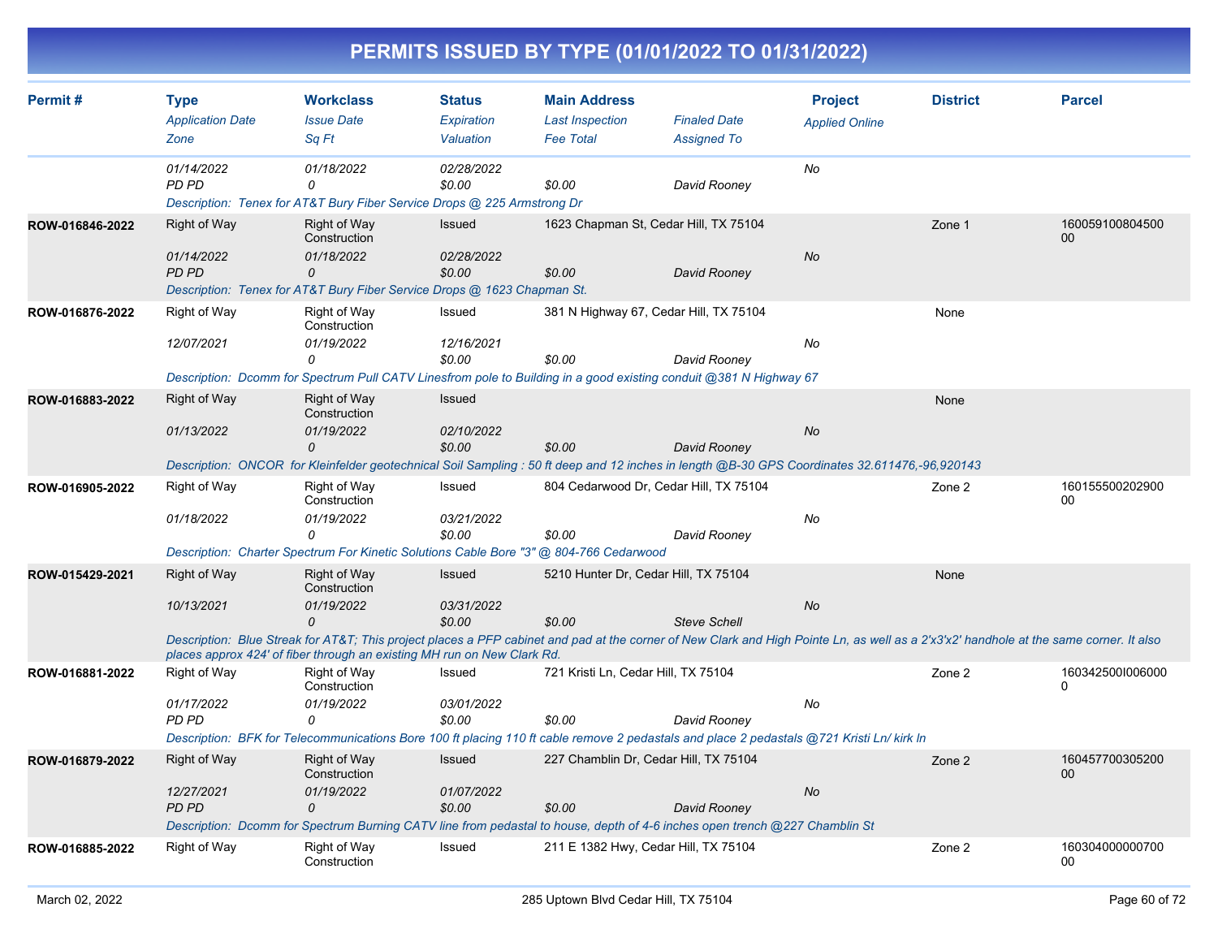| PERMITS ISSUED BY TYPE (01/01/2022 TO 01/31/2022) |
|---------------------------------------------------|
|---------------------------------------------------|

| Permit#         | <b>Type</b>                                | <b>Workclass</b>                                                                                                                                                                                                                                                 | <b>Status</b>                  | <b>Main Address</b>                             |                                           | <b>Project</b>        | <b>District</b> | <b>Parcel</b>                |
|-----------------|--------------------------------------------|------------------------------------------------------------------------------------------------------------------------------------------------------------------------------------------------------------------------------------------------------------------|--------------------------------|-------------------------------------------------|-------------------------------------------|-----------------------|-----------------|------------------------------|
|                 | <b>Application Date</b><br>Zone            | <b>Issue Date</b><br>Sq Ft                                                                                                                                                                                                                                       | Expiration<br>Valuation        | <b>Last Inspection</b><br><b>Fee Total</b>      | <b>Finaled Date</b><br><b>Assigned To</b> | <b>Applied Online</b> |                 |                              |
|                 | 01/14/2022<br>PD PD                        | 01/18/2022<br>$\Omega$<br>Description: Tenex for AT&T Bury Fiber Service Drops @ 225 Armstrong Dr                                                                                                                                                                | 02/28/2022<br>\$0.00           | \$0.00                                          | David Rooney                              | No                    |                 |                              |
| ROW-016846-2022 | Right of Way<br>01/14/2022<br><b>PD PD</b> | <b>Right of Way</b><br>Construction<br>01/18/2022<br>$\mathcal{O}$                                                                                                                                                                                               | Issued<br>02/28/2022<br>\$0.00 | 1623 Chapman St, Cedar Hill, TX 75104<br>\$0.00 | David Rooney                              | No                    | Zone 1          | 160059100804500<br>00        |
|                 |                                            | Description: Tenex for AT&T Bury Fiber Service Drops @ 1623 Chapman St.                                                                                                                                                                                          |                                |                                                 |                                           |                       |                 |                              |
| ROW-016876-2022 | Right of Way                               | <b>Right of Way</b><br>Construction                                                                                                                                                                                                                              | Issued                         | 381 N Highway 67, Cedar Hill, TX 75104          |                                           |                       | None            |                              |
|                 | 12/07/2021                                 | 01/19/2022<br>0                                                                                                                                                                                                                                                  | 12/16/2021<br>\$0.00           | \$0.00                                          | David Rooney                              | No                    |                 |                              |
|                 |                                            | Description: Dcomm for Spectrum Pull CATV Linesfrom pole to Building in a good existing conduit @381 N Highway 67                                                                                                                                                |                                |                                                 |                                           |                       |                 |                              |
| ROW-016883-2022 | Right of Way                               | <b>Right of Way</b><br>Construction                                                                                                                                                                                                                              | Issued                         |                                                 |                                           |                       | None            |                              |
|                 | 01/13/2022                                 | 01/19/2022<br>$\Omega$                                                                                                                                                                                                                                           | 02/10/2022<br>\$0.00           | \$0.00                                          | David Rooney                              | <b>No</b>             |                 |                              |
|                 |                                            | Description: ONCOR for Kleinfelder geotechnical Soil Sampling: 50 ft deep and 12 inches in length @B-30 GPS Coordinates 32.611476,-96,920143                                                                                                                     |                                |                                                 |                                           |                       |                 |                              |
| ROW-016905-2022 | Right of Way                               | Right of Way<br>Construction                                                                                                                                                                                                                                     | Issued                         | 804 Cedarwood Dr, Cedar Hill, TX 75104          |                                           |                       | Zone 2          | 160155500202900<br>00        |
|                 | 01/18/2022                                 | 01/19/2022<br>$\Omega$                                                                                                                                                                                                                                           | 03/21/2022<br>\$0.00           | \$0.00                                          | David Rooney                              | No                    |                 |                              |
|                 |                                            | Description: Charter Spectrum For Kinetic Solutions Cable Bore "3" @ 804-766 Cedarwood                                                                                                                                                                           |                                |                                                 |                                           |                       |                 |                              |
| ROW-015429-2021 | Right of Way                               | <b>Right of Way</b><br>Construction                                                                                                                                                                                                                              | Issued                         | 5210 Hunter Dr, Cedar Hill, TX 75104            |                                           |                       | None            |                              |
|                 | 10/13/2021                                 | 01/19/2022<br>$\Omega$                                                                                                                                                                                                                                           | 03/31/2022<br>\$0.00           | \$0.00                                          | <b>Steve Schell</b>                       | <b>No</b>             |                 |                              |
|                 |                                            | Description: Blue Streak for AT&T This project places a PFP cabinet and pad at the corner of New Clark and High Pointe Ln, as well as a 2'x3'x2' handhole at the same corner. It also<br>places approx 424' of fiber through an existing MH run on New Clark Rd. |                                |                                                 |                                           |                       |                 |                              |
| ROW-016881-2022 | Right of Way                               | Right of Way<br>Construction                                                                                                                                                                                                                                     | Issued                         | 721 Kristi Ln, Cedar Hill, TX 75104             |                                           |                       | Zone 2          | 1603425001006000<br>$\Omega$ |
|                 | 01/17/2022<br>PD PD                        | 01/19/2022<br>0                                                                                                                                                                                                                                                  | 03/01/2022<br>\$0.00           | \$0.00                                          | David Rooney                              | No                    |                 |                              |
|                 |                                            | Description: BFK for Telecommunications Bore 100 ft placing 110 ft cable remove 2 pedastals and place 2 pedastals @721 Kristi Ln/ kirk In                                                                                                                        |                                |                                                 |                                           |                       |                 |                              |
| ROW-016879-2022 | Right of Way                               | <b>Right of Way</b><br>Construction                                                                                                                                                                                                                              | Issued                         | 227 Chamblin Dr. Cedar Hill, TX 75104           |                                           |                       | Zone 2          | 160457700305200<br>00        |
|                 | 12/27/2021<br><b>PD PD</b>                 | 01/19/2022<br>$\Omega$                                                                                                                                                                                                                                           | 01/07/2022<br>\$0.00           | \$0.00                                          | David Rooney                              | No                    |                 |                              |
|                 |                                            | Description: Dcomm for Spectrum Burning CATV line from pedastal to house, depth of 4-6 inches open trench @227 Chamblin St                                                                                                                                       |                                |                                                 |                                           |                       |                 |                              |
| ROW-016885-2022 | Right of Way                               | <b>Right of Way</b><br>Construction                                                                                                                                                                                                                              | Issued                         | 211 E 1382 Hwy, Cedar Hill, TX 75104            |                                           |                       | Zone 2          | 160304000000700<br>00        |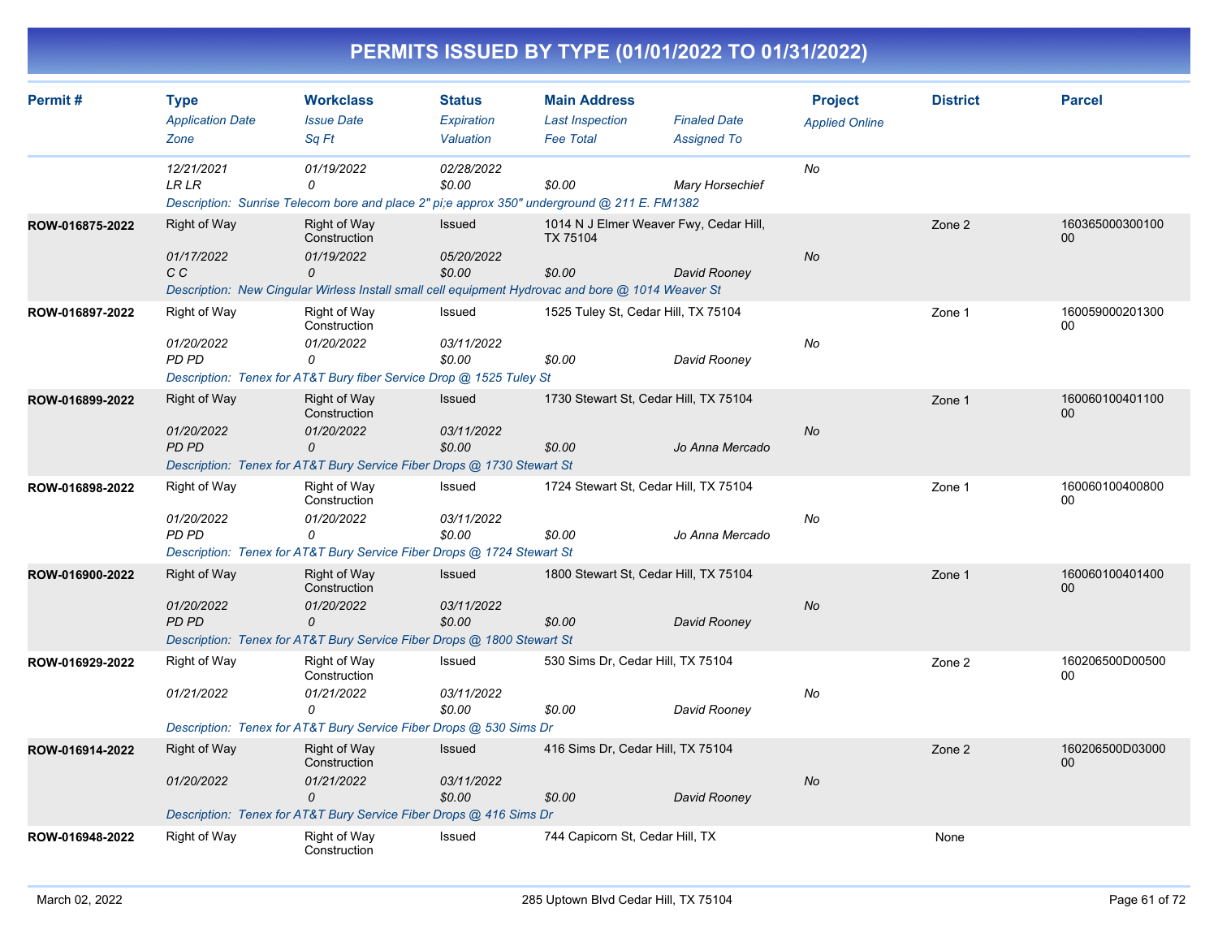| Permit#         | <b>Type</b>                     | <b>Workclass</b>                                                                                  | <b>Status</b>           | <b>Main Address</b>                                |                                           | <b>Project</b>        | <b>District</b> | <b>Parcel</b>         |
|-----------------|---------------------------------|---------------------------------------------------------------------------------------------------|-------------------------|----------------------------------------------------|-------------------------------------------|-----------------------|-----------------|-----------------------|
|                 | <b>Application Date</b><br>Zone | <b>Issue Date</b><br>Sq Ft                                                                        | Expiration<br>Valuation | <b>Last Inspection</b><br><b>Fee Total</b>         | <b>Finaled Date</b><br><b>Assigned To</b> | <b>Applied Online</b> |                 |                       |
|                 |                                 |                                                                                                   |                         |                                                    |                                           |                       |                 |                       |
|                 | 12/21/2021<br><b>LR LR</b>      | 01/19/2022<br>0                                                                                   | 02/28/2022<br>\$0.00    | \$0.00                                             | <b>Mary Horsechief</b>                    | No                    |                 |                       |
|                 |                                 | Description: Sunrise Telecom bore and place 2" pi;e approx 350" underground @ 211 E. FM1382       |                         |                                                    |                                           |                       |                 |                       |
| ROW-016875-2022 | Right of Way                    | Right of Way<br>Construction                                                                      | Issued                  | 1014 N J Elmer Weaver Fwy, Cedar Hill,<br>TX 75104 |                                           |                       | Zone 2          | 160365000300100<br>00 |
|                 | 01/17/2022                      | 01/19/2022                                                                                        | 05/20/2022              |                                                    |                                           | No                    |                 |                       |
|                 | C C                             | 0                                                                                                 | \$0.00                  | \$0.00                                             | David Rooney                              |                       |                 |                       |
|                 |                                 | Description: New Cingular Wirless Install small cell equipment Hydrovac and bore @ 1014 Weaver St |                         |                                                    |                                           |                       |                 |                       |
| ROW-016897-2022 | Right of Way                    | Right of Way<br>Construction                                                                      | Issued                  | 1525 Tuley St, Cedar Hill, TX 75104                |                                           |                       | Zone 1          | 160059000201300<br>00 |
|                 | 01/20/2022                      | 01/20/2022                                                                                        | 03/11/2022              |                                                    |                                           | No                    |                 |                       |
|                 | PD PD                           | 0                                                                                                 | \$0.00                  | \$0.00                                             | David Rooney                              |                       |                 |                       |
|                 |                                 | Description: Tenex for AT&T Bury fiber Service Drop @ 1525 Tuley St                               |                         |                                                    |                                           |                       |                 |                       |
| ROW-016899-2022 | Right of Way                    | Right of Way<br>Construction                                                                      | <b>Issued</b>           | 1730 Stewart St, Cedar Hill, TX 75104              |                                           |                       | Zone 1          | 160060100401100<br>00 |
|                 | 01/20/2022                      | 01/20/2022                                                                                        | 03/11/2022              |                                                    |                                           | <b>No</b>             |                 |                       |
|                 | <b>PD PD</b>                    | 0<br>Description: Tenex for AT&T Bury Service Fiber Drops @ 1730 Stewart St                       | \$0.00                  | \$0.00                                             | Jo Anna Mercado                           |                       |                 |                       |
|                 |                                 |                                                                                                   |                         |                                                    |                                           |                       |                 |                       |
| ROW-016898-2022 | <b>Right of Way</b>             | Right of Way<br>Construction                                                                      | Issued                  | 1724 Stewart St, Cedar Hill, TX 75104              |                                           |                       | Zone 1          | 160060100400800<br>00 |
|                 | 01/20/2022<br>PD PD             | 01/20/2022<br>$\Omega$                                                                            | 03/11/2022<br>\$0.00    |                                                    |                                           | No                    |                 |                       |
|                 |                                 | Description: Tenex for AT&T Bury Service Fiber Drops @ 1724 Stewart St                            |                         | \$0.00                                             | Jo Anna Mercado                           |                       |                 |                       |
|                 |                                 |                                                                                                   |                         |                                                    |                                           |                       |                 |                       |
| ROW-016900-2022 | <b>Right of Way</b>             | Right of Way<br>Construction                                                                      | <b>Issued</b>           | 1800 Stewart St, Cedar Hill, TX 75104              |                                           |                       | Zone 1          | 160060100401400<br>00 |
|                 | 01/20/2022<br><b>PD PD</b>      | 01/20/2022<br>$\Omega$                                                                            | 03/11/2022              |                                                    |                                           | <b>No</b>             |                 |                       |
|                 |                                 | Description: Tenex for AT&T Bury Service Fiber Drops @ 1800 Stewart St                            | \$0.00                  | \$0.00                                             | David Rooney                              |                       |                 |                       |
|                 |                                 | Right of Way                                                                                      | Issued                  | 530 Sims Dr, Cedar Hill, TX 75104                  |                                           |                       |                 | 160206500D00500       |
| ROW-016929-2022 | Right of Way                    | Construction                                                                                      |                         |                                                    |                                           |                       | Zone 2          | 00                    |
|                 | 01/21/2022                      | 01/21/2022<br>0                                                                                   | 03/11/2022<br>\$0.00    | \$0.00                                             |                                           | <b>No</b>             |                 |                       |
|                 |                                 | Description: Tenex for AT&T Bury Service Fiber Drops @ 530 Sims Dr                                |                         |                                                    | David Rooney                              |                       |                 |                       |
| ROW-016914-2022 |                                 |                                                                                                   | <b>Issued</b>           | 416 Sims Dr, Cedar Hill, TX 75104                  |                                           |                       |                 | 160206500D03000       |
|                 | <b>Right of Way</b>             | <b>Right of Way</b><br>Construction                                                               |                         |                                                    |                                           |                       | Zone 2          | 00                    |
|                 | 01/20/2022                      | 01/21/2022<br>$\Omega$                                                                            | 03/11/2022<br>\$0.00    | \$0.00                                             | David Rooney                              | No                    |                 |                       |
|                 |                                 | Description: Tenex for AT&T Bury Service Fiber Drops @ 416 Sims Dr                                |                         |                                                    |                                           |                       |                 |                       |
| ROW-016948-2022 | <b>Right of Way</b>             | Right of Way<br>Construction                                                                      | Issued                  | 744 Capicorn St, Cedar Hill, TX                    |                                           |                       | None            |                       |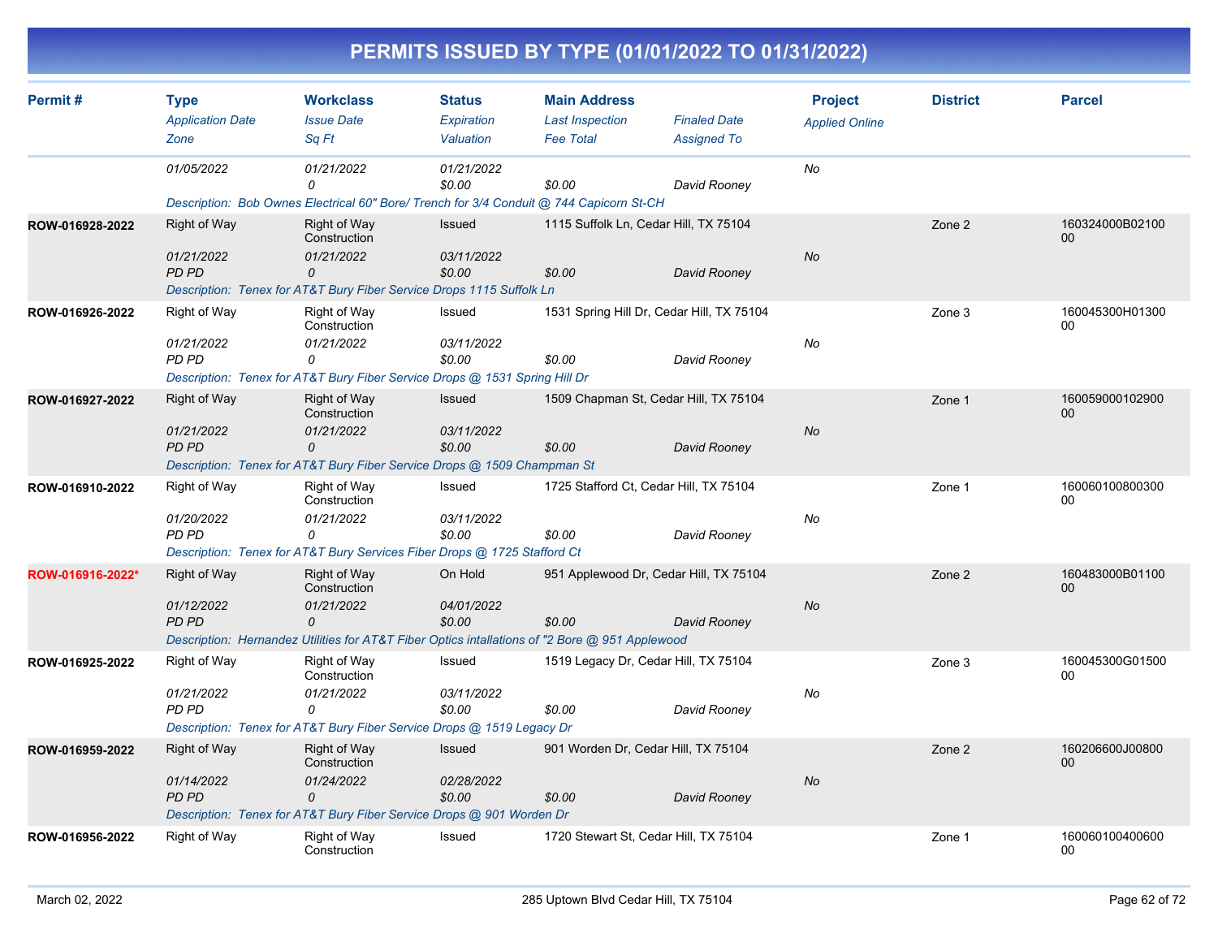| Permit#          | <b>Type</b>                | <b>Workclass</b>                                                                               | <b>Status</b>        | <b>Main Address</b>                       |                                        | <b>Project</b>        | <b>District</b> | <b>Parcel</b>         |
|------------------|----------------------------|------------------------------------------------------------------------------------------------|----------------------|-------------------------------------------|----------------------------------------|-----------------------|-----------------|-----------------------|
|                  | <b>Application Date</b>    | <b>Issue Date</b>                                                                              | Expiration           | <b>Last Inspection</b>                    | <b>Finaled Date</b>                    | <b>Applied Online</b> |                 |                       |
|                  | Zone                       | Sq Ft                                                                                          | Valuation            | <b>Fee Total</b>                          | <b>Assigned To</b>                     |                       |                 |                       |
|                  | 01/05/2022                 | 01/21/2022<br>0                                                                                | 01/21/2022<br>\$0.00 | \$0.00                                    | David Rooney                           | No                    |                 |                       |
|                  |                            | Description: Bob Ownes Electrical 60" Bore/ Trench for 3/4 Conduit @ 744 Capicorn St-CH        |                      |                                           |                                        |                       |                 |                       |
| ROW-016928-2022  | Right of Way               | <b>Right of Way</b><br>Construction                                                            | <b>Issued</b>        |                                           | 1115 Suffolk Ln, Cedar Hill, TX 75104  |                       | Zone 2          | 160324000B02100<br>00 |
|                  | 01/21/2022<br>PD PD        | 01/21/2022<br>$\mathcal{O}$                                                                    | 03/11/2022<br>\$0.00 | \$0.00                                    | David Rooney                           | <b>No</b>             |                 |                       |
|                  |                            | Description: Tenex for AT&T Bury Fiber Service Drops 1115 Suffolk Ln                           |                      |                                           |                                        |                       |                 |                       |
| ROW-016926-2022  | Right of Way               | Right of Way<br>Construction                                                                   | Issued               | 1531 Spring Hill Dr, Cedar Hill, TX 75104 |                                        |                       | Zone 3          | 160045300H01300<br>00 |
|                  | 01/21/2022                 | 01/21/2022                                                                                     | 03/11/2022           |                                           |                                        | No                    |                 |                       |
|                  | <b>PD PD</b>               | 0                                                                                              | \$0.00               | \$0.00                                    | David Rooney                           |                       |                 |                       |
|                  |                            | Description: Tenex for AT&T Bury Fiber Service Drops @ 1531 Spring Hill Dr                     |                      |                                           |                                        |                       |                 |                       |
| ROW-016927-2022  | Right of Way               | <b>Right of Way</b><br>Construction                                                            | Issued               |                                           | 1509 Chapman St, Cedar Hill, TX 75104  |                       | Zone 1          | 160059000102900<br>00 |
|                  | 01/21/2022                 | 01/21/2022                                                                                     | 03/11/2022           |                                           |                                        | <b>No</b>             |                 |                       |
|                  | PD PD                      | 0<br>Description: Tenex for AT&T Bury Fiber Service Drops @ 1509 Champman St                   | \$0.00               | \$0.00                                    | David Rooney                           |                       |                 |                       |
|                  | Right of Way               | <b>Right of Way</b>                                                                            | Issued               |                                           | 1725 Stafford Ct, Cedar Hill, TX 75104 |                       |                 | 160060100800300       |
| ROW-016910-2022  |                            | Construction                                                                                   |                      |                                           |                                        |                       | Zone 1          | 00                    |
|                  | 01/20/2022<br>PD PD        | 01/21/2022<br>$\Omega$                                                                         | 03/11/2022<br>\$0.00 | \$0.00                                    | David Rooney                           | No                    |                 |                       |
|                  |                            | Description: Tenex for AT&T Bury Services Fiber Drops @ 1725 Stafford Ct                       |                      |                                           |                                        |                       |                 |                       |
| ROW-016916-2022* | Right of Way               | Right of Way                                                                                   | On Hold              |                                           | 951 Applewood Dr. Cedar Hill, TX 75104 |                       | Zone 2          | 160483000B01100       |
|                  |                            | Construction                                                                                   |                      |                                           |                                        |                       |                 | 00                    |
|                  | 01/12/2022<br><b>PD PD</b> | 01/21/2022<br>$\Omega$                                                                         | 04/01/2022<br>\$0.00 | \$0.00                                    | David Rooney                           | <b>No</b>             |                 |                       |
|                  |                            | Description: Hernandez Utilities for AT&T Fiber Optics intallations of "2 Bore @ 951 Applewood |                      |                                           |                                        |                       |                 |                       |
| ROW-016925-2022  | Right of Way               | <b>Right of Way</b><br>Construction                                                            | Issued               |                                           | 1519 Legacy Dr, Cedar Hill, TX 75104   |                       | Zone 3          | 160045300G01500<br>00 |
|                  | 01/21/2022                 | 01/21/2022                                                                                     | 03/11/2022           |                                           |                                        | No                    |                 |                       |
|                  | <b>PD PD</b>               | 0                                                                                              | \$0.00               | \$0.00                                    | David Rooney                           |                       |                 |                       |
|                  |                            | Description: Tenex for AT&T Bury Fiber Service Drops @ 1519 Legacy Dr                          |                      |                                           |                                        |                       |                 |                       |
| ROW-016959-2022  | Right of Way               | <b>Right of Way</b><br>Construction                                                            | <b>Issued</b>        | 901 Worden Dr, Cedar Hill, TX 75104       |                                        |                       | Zone 2          | 160206600J00800<br>00 |
|                  | 01/14/2022                 | 01/24/2022                                                                                     | 02/28/2022           |                                           |                                        | <b>No</b>             |                 |                       |
|                  | PD PD                      | $\Omega$                                                                                       | \$0.00               | \$0.00                                    | David Rooney                           |                       |                 |                       |
|                  |                            | Description: Tenex for AT&T Bury Fiber Service Drops @ 901 Worden Dr                           |                      |                                           |                                        |                       |                 |                       |
| ROW-016956-2022  | Right of Way               | Right of Way<br>Construction                                                                   | Issued               |                                           | 1720 Stewart St, Cedar Hill, TX 75104  |                       | Zone 1          | 160060100400600<br>00 |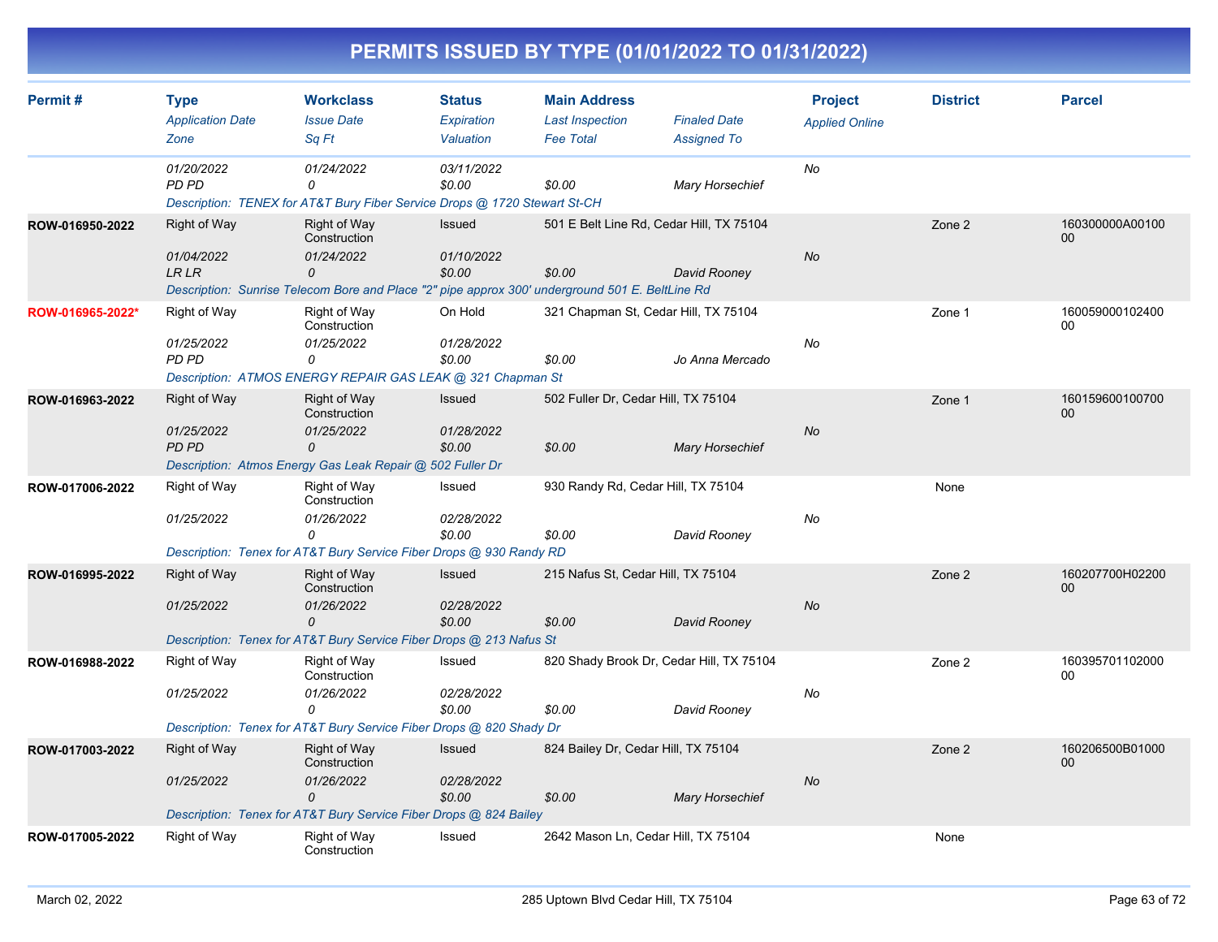| Permit#          | <b>Type</b>                                       | <b>Workclass</b><br><b>Issue Date</b>                                                                                                              | <b>Status</b><br>Expiration           | <b>Main Address</b><br><b>Last Inspection</b>      | <b>Finaled Date</b>    | <b>Project</b>        | <b>District</b> | <b>Parcel</b>             |
|------------------|---------------------------------------------------|----------------------------------------------------------------------------------------------------------------------------------------------------|---------------------------------------|----------------------------------------------------|------------------------|-----------------------|-----------------|---------------------------|
|                  | <b>Application Date</b><br>Zone                   | Sq Ft                                                                                                                                              | Valuation                             | <b>Fee Total</b>                                   | <b>Assigned To</b>     | <b>Applied Online</b> |                 |                           |
|                  | 01/20/2022<br><b>PD PD</b>                        | 01/24/2022<br>0<br>Description: TENEX for AT&T Bury Fiber Service Drops @ 1720 Stewart St-CH                                                       | 03/11/2022<br>\$0.00                  | \$0.00                                             | <b>Mary Horsechief</b> | No                    |                 |                           |
| ROW-016950-2022  | <b>Right of Way</b><br>01/04/2022<br><b>LR LR</b> | Right of Way<br>Construction<br>01/24/2022<br>0<br>Description: Sunrise Telecom Bore and Place "2" pipe approx 300' underground 501 E. BeltLine Rd | <b>Issued</b><br>01/10/2022<br>\$0.00 | 501 E Belt Line Rd, Cedar Hill, TX 75104<br>\$0.00 | David Rooney           | No                    | Zone 2          | 160300000A00100<br>$00\,$ |
| ROW-016965-2022* | Right of Way<br>01/25/2022<br>PD PD               | Right of Way<br>Construction<br>01/25/2022<br>0<br>Description: ATMOS ENERGY REPAIR GAS LEAK @ 321 Chapman St                                      | On Hold<br>01/28/2022<br>\$0.00       | 321 Chapman St, Cedar Hill, TX 75104<br>\$0.00     | Jo Anna Mercado        | No                    | Zone 1          | 160059000102400<br>00     |
| ROW-016963-2022  | Right of Way<br>01/25/2022<br><b>PD PD</b>        | <b>Right of Way</b><br>Construction<br>01/25/2022<br>0<br>Description: Atmos Energy Gas Leak Repair @ 502 Fuller Dr                                | Issued<br>01/28/2022<br>\$0.00        | 502 Fuller Dr, Cedar Hill, TX 75104<br>\$0.00      | <b>Mary Horsechief</b> | <b>No</b>             | Zone 1          | 160159600100700<br>00     |
| ROW-017006-2022  | Right of Way<br>01/25/2022                        | Right of Way<br>Construction<br>01/26/2022<br>0<br>Description: Tenex for AT&T Bury Service Fiber Drops @ 930 Randy RD                             | Issued<br>02/28/2022<br>\$0.00        | 930 Randy Rd, Cedar Hill, TX 75104<br>\$0.00       | David Rooney           | No                    | None            |                           |
| ROW-016995-2022  | <b>Right of Way</b><br>01/25/2022                 | <b>Right of Way</b><br>Construction<br>01/26/2022<br>$\Omega$<br>Description: Tenex for AT&T Bury Service Fiber Drops @ 213 Nafus St               | Issued<br>02/28/2022<br>\$0.00        | 215 Nafus St, Cedar Hill, TX 75104<br>\$0.00       | David Rooney           | <b>No</b>             | Zone 2          | 160207700H02200<br>00     |
| ROW-016988-2022  | Right of Way<br>01/25/2022                        | <b>Right of Way</b><br>Construction<br>01/26/2022<br>0<br>Description: Tenex for AT&T Bury Service Fiber Drops @ 820 Shady Dr                      | Issued<br>02/28/2022<br>\$0.00        | 820 Shady Brook Dr, Cedar Hill, TX 75104<br>\$0.00 | David Rooney           | No                    | Zone 2          | 160395701102000<br>00     |
| ROW-017003-2022  | <b>Right of Way</b><br>01/25/2022                 | <b>Right of Way</b><br>Construction<br>01/26/2022<br>0<br>Description: Tenex for AT&T Bury Service Fiber Drops @ 824 Bailey                        | Issued<br>02/28/2022<br>\$0.00        | 824 Bailey Dr, Cedar Hill, TX 75104<br>\$0.00      | <b>Mary Horsechief</b> | <b>No</b>             | Zone 2          | 160206500B01000<br>00     |
| ROW-017005-2022  | <b>Right of Way</b>                               | <b>Right of Way</b><br>Construction                                                                                                                | Issued                                | 2642 Mason Ln, Cedar Hill, TX 75104                |                        |                       | None            |                           |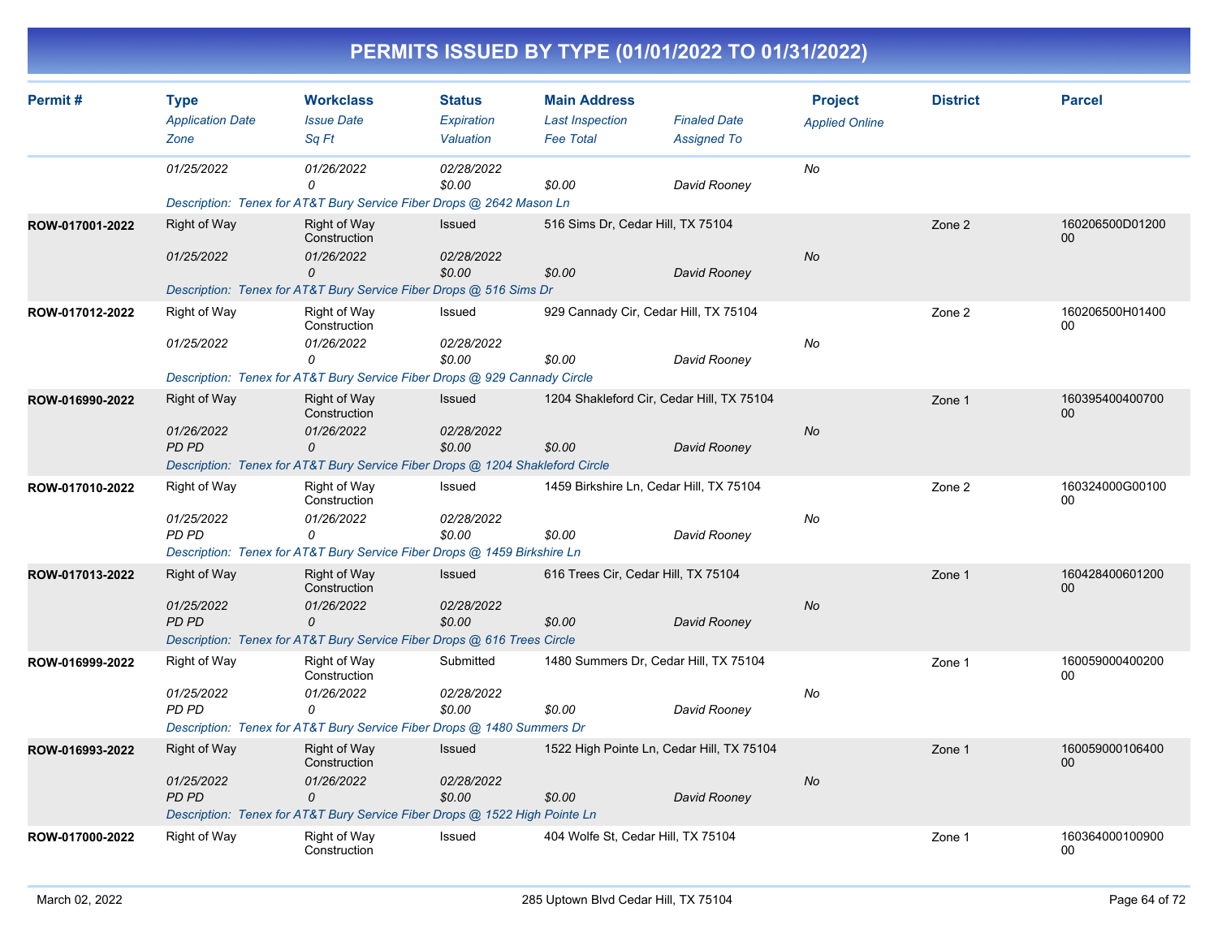|                 |                         |                                                                               |                      |                                         | PERMITS ISSUED BY TYPE (01/01/2022 TO 01/31/2022) |                       |                 |                           |
|-----------------|-------------------------|-------------------------------------------------------------------------------|----------------------|-----------------------------------------|---------------------------------------------------|-----------------------|-----------------|---------------------------|
| Permit#         | <b>Type</b>             | <b>Workclass</b>                                                              | <b>Status</b>        | <b>Main Address</b>                     |                                                   | <b>Project</b>        | <b>District</b> | <b>Parcel</b>             |
|                 | <b>Application Date</b> | <b>Issue Date</b>                                                             | Expiration           | <b>Last Inspection</b>                  | <b>Finaled Date</b>                               | <b>Applied Online</b> |                 |                           |
|                 | Zone                    | Sq Ft                                                                         | Valuation            | <b>Fee Total</b>                        | <b>Assigned To</b>                                |                       |                 |                           |
|                 | 01/25/2022              | 01/26/2022<br>0                                                               | 02/28/2022<br>\$0.00 | \$0.00                                  | David Rooney                                      | No                    |                 |                           |
|                 |                         | Description: Tenex for AT&T Bury Service Fiber Drops @ 2642 Mason Ln          |                      |                                         |                                                   |                       |                 |                           |
| ROW-017001-2022 | <b>Right of Way</b>     | <b>Right of Way</b><br>Construction                                           | Issued               | 516 Sims Dr, Cedar Hill, TX 75104       |                                                   |                       | Zone 2          | 160206500D01200<br>$00\,$ |
|                 | 01/25/2022              | 01/26/2022<br>0                                                               | 02/28/2022<br>\$0.00 | \$0.00                                  | David Rooney                                      | No                    |                 |                           |
|                 |                         | Description: Tenex for AT&T Bury Service Fiber Drops @ 516 Sims Dr            |                      |                                         |                                                   |                       |                 |                           |
| ROW-017012-2022 | <b>Right of Way</b>     | Right of Way<br>Construction                                                  | Issued               |                                         | 929 Cannady Cir, Cedar Hill, TX 75104             |                       | Zone 2          | 160206500H01400<br>00     |
|                 | 01/25/2022              | 01/26/2022                                                                    | 02/28/2022           |                                         |                                                   | No                    |                 |                           |
|                 |                         | 0                                                                             | \$0.00               | \$0.00                                  | David Rooney                                      |                       |                 |                           |
|                 |                         | Description: Tenex for AT&T Bury Service Fiber Drops @ 929 Cannady Circle     |                      |                                         |                                                   |                       |                 |                           |
| ROW-016990-2022 | <b>Right of Way</b>     | <b>Right of Way</b><br>Construction                                           | <b>Issued</b>        |                                         | 1204 Shakleford Cir, Cedar Hill, TX 75104         |                       | Zone 1          | 160395400400700<br>00     |
|                 | 01/26/2022              | 01/26/2022                                                                    | 02/28/2022           |                                         |                                                   | No                    |                 |                           |
|                 | PD PD                   | 0                                                                             | \$0.00               | \$0.00                                  | David Rooney                                      |                       |                 |                           |
|                 |                         | Description: Tenex for AT&T Bury Service Fiber Drops @ 1204 Shakleford Circle |                      |                                         |                                                   |                       |                 |                           |
| ROW-017010-2022 | <b>Right of Way</b>     | Right of Way<br>Construction                                                  | Issued               | 1459 Birkshire Ln, Cedar Hill, TX 75104 |                                                   |                       | Zone 2          | 160324000G00100<br>00     |
|                 | 01/25/2022<br>PD PD     | 01/26/2022<br>$\Omega$                                                        | 02/28/2022<br>\$0.00 | \$0.00                                  | David Rooney                                      | No                    |                 |                           |
|                 |                         | Description: Tenex for AT&T Bury Service Fiber Drops @ 1459 Birkshire Ln      |                      |                                         |                                                   |                       |                 |                           |
| ROW-017013-2022 | Right of Way            | <b>Right of Way</b><br>Construction                                           | <b>Issued</b>        |                                         | 616 Trees Cir, Cedar Hill, TX 75104               |                       | Zone 1          | 160428400601200<br>00     |
|                 | 01/25/2022              | 01/26/2022                                                                    | 02/28/2022           |                                         |                                                   | No                    |                 |                           |
|                 | PD PD                   | $\Omega$                                                                      | \$0.00               | \$0.00                                  | David Rooney                                      |                       |                 |                           |
|                 |                         | Description: Tenex for AT&T Bury Service Fiber Drops @ 616 Trees Circle       |                      |                                         |                                                   |                       |                 |                           |
| ROW-016999-2022 | Right of Way            | Right of Way<br>Construction                                                  | Submitted            |                                         | 1480 Summers Dr, Cedar Hill, TX 75104             |                       | Zone 1          | 160059000400200<br>00     |
|                 | 01/25/2022              | 01/26/2022                                                                    | 02/28/2022           |                                         |                                                   | No                    |                 |                           |
|                 | PD PD                   | 0<br>Description: Tenex for AT&T Bury Service Fiber Drops @ 1480 Summers Dr   | \$0.00               | \$0.00                                  | David Rooney                                      |                       |                 |                           |
| ROW-016993-2022 | <b>Right of Way</b>     | <b>Right of Way</b>                                                           | Issued               |                                         | 1522 High Pointe Ln, Cedar Hill, TX 75104         |                       | Zone 1          | 160059000106400           |
|                 |                         | Construction                                                                  |                      |                                         |                                                   |                       |                 | 00                        |
|                 | 01/25/2022              | 01/26/2022                                                                    | 02/28/2022           |                                         |                                                   | No                    |                 |                           |
|                 | PD PD                   | 0                                                                             | \$0.00               | \$0.00                                  | David Rooney                                      |                       |                 |                           |
|                 |                         | Description: Tenex for AT&T Bury Service Fiber Drops @ 1522 High Pointe Ln    |                      |                                         |                                                   |                       |                 |                           |
| ROW-017000-2022 | Right of Way            | Right of Way<br>Construction                                                  | Issued               | 404 Wolfe St, Cedar Hill, TX 75104      |                                                   |                       | Zone 1          | 160364000100900<br>00     |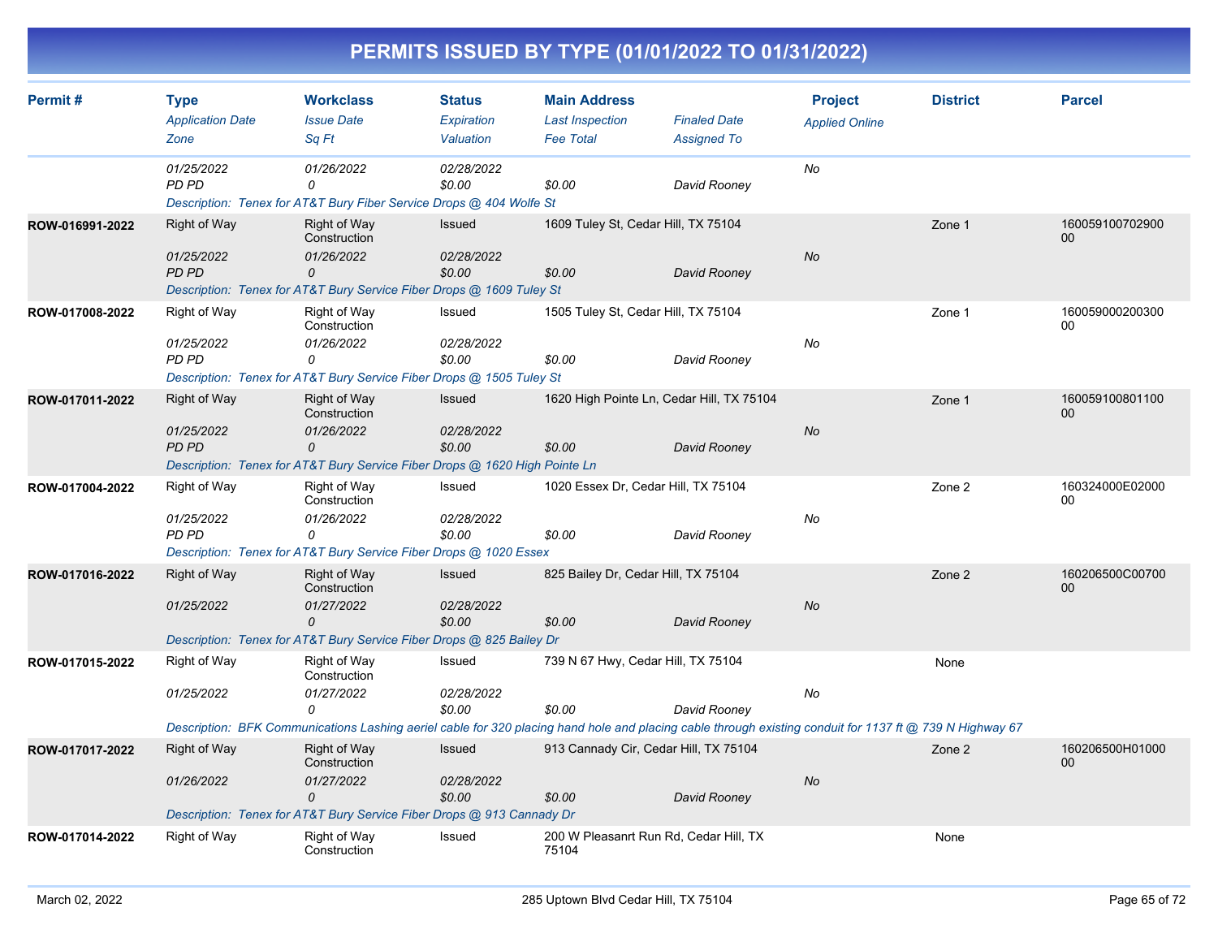| Permit#         | <b>Type</b><br><b>Application Date</b>            | <b>Workclass</b><br><b>Issue Date</b>                                                                                                                                                                       | <b>Status</b><br><b>Expiration</b>    | <b>Main Address</b><br><b>Last Inspection</b>       | <b>Finaled Date</b> | <b>Project</b><br><b>Applied Online</b> | <b>District</b> | <b>Parcel</b>             |
|-----------------|---------------------------------------------------|-------------------------------------------------------------------------------------------------------------------------------------------------------------------------------------------------------------|---------------------------------------|-----------------------------------------------------|---------------------|-----------------------------------------|-----------------|---------------------------|
|                 | Zone                                              | Sq Ft                                                                                                                                                                                                       | Valuation                             | <b>Fee Total</b>                                    | <b>Assigned To</b>  |                                         |                 |                           |
|                 | 01/25/2022<br>PD PD                               | 01/26/2022<br>$\Omega$<br>Description: Tenex for AT&T Bury Fiber Service Drops @ 404 Wolfe St                                                                                                               | 02/28/2022<br>\$0.00                  | \$0.00                                              | David Rooney        | No                                      |                 |                           |
| ROW-016991-2022 | <b>Right of Way</b><br>01/25/2022<br><b>PD PD</b> | <b>Right of Way</b><br>Construction<br>01/26/2022<br>$\Omega$<br>Description: Tenex for AT&T Bury Service Fiber Drops @ 1609 Tuley St                                                                       | <b>Issued</b><br>02/28/2022<br>\$0.00 | 1609 Tuley St, Cedar Hill, TX 75104<br>\$0.00       | David Rooney        | <b>No</b>                               | Zone 1          | 160059100702900<br>$00\,$ |
| ROW-017008-2022 | Right of Way<br>01/25/2022<br>PD PD               | Right of Way<br>Construction<br>01/26/2022<br>0<br>Description: Tenex for AT&T Bury Service Fiber Drops @ 1505 Tuley St                                                                                     | Issued<br>02/28/2022<br>\$0.00        | 1505 Tuley St, Cedar Hill, TX 75104<br>\$0.00       | David Rooney        | No                                      | Zone 1          | 160059000200300<br>$00\,$ |
| ROW-017011-2022 | Right of Way<br>01/25/2022<br><b>PD PD</b>        | <b>Right of Way</b><br>Construction<br>01/26/2022<br>0<br>Description: Tenex for AT&T Bury Service Fiber Drops @ 1620 High Pointe Ln                                                                        | <b>Issued</b><br>02/28/2022<br>\$0.00 | 1620 High Pointe Ln, Cedar Hill, TX 75104<br>\$0.00 | David Rooney        | <b>No</b>                               | Zone 1          | 160059100801100<br>$00\,$ |
| ROW-017004-2022 | <b>Right of Way</b><br>01/25/2022<br>PD PD        | Right of Way<br>Construction<br>01/26/2022<br>0<br>Description: Tenex for AT&T Bury Service Fiber Drops @ 1020 Essex                                                                                        | Issued<br>02/28/2022<br>\$0.00        | 1020 Essex Dr, Cedar Hill, TX 75104<br>\$0.00       | David Rooney        | No                                      | Zone 2          | 160324000E02000<br>00     |
| ROW-017016-2022 | Right of Way<br>01/25/2022                        | <b>Right of Way</b><br>Construction<br>01/27/2022<br>$\Omega$<br>Description: Tenex for AT&T Bury Service Fiber Drops @ 825 Bailey Dr                                                                       | Issued<br>02/28/2022<br>\$0.00        | 825 Bailey Dr, Cedar Hill, TX 75104<br>\$0.00       | David Rooney        | <b>No</b>                               | Zone 2          | 160206500C00700<br>$00\,$ |
| ROW-017015-2022 | Right of Way<br>01/25/2022                        | Right of Way<br>Construction<br>01/27/2022<br>0<br>Description: BFK Communications Lashing aeriel cable for 320 placing hand hole and placing cable through existing conduit for 1137 ft @ 739 N Highway 67 | Issued<br>02/28/2022<br>\$0.00        | 739 N 67 Hwy, Cedar Hill, TX 75104<br>\$0.00        | David Rooney        | No                                      | None            |                           |
| ROW-017017-2022 | <b>Right of Way</b><br>01/26/2022                 | <b>Right of Way</b><br>Construction<br>01/27/2022<br>0<br>Description: Tenex for AT&T Bury Service Fiber Drops @ 913 Cannady Dr                                                                             | <b>Issued</b><br>02/28/2022<br>\$0.00 | 913 Cannady Cir, Cedar Hill, TX 75104<br>\$0.00     | David Rooney        | <b>No</b>                               | Zone 2          | 160206500H01000<br>00     |
| ROW-017014-2022 | Right of Way                                      | Right of Way<br>Construction                                                                                                                                                                                | Issued                                | 200 W Pleasanrt Run Rd, Cedar Hill, TX<br>75104     |                     |                                         | None            |                           |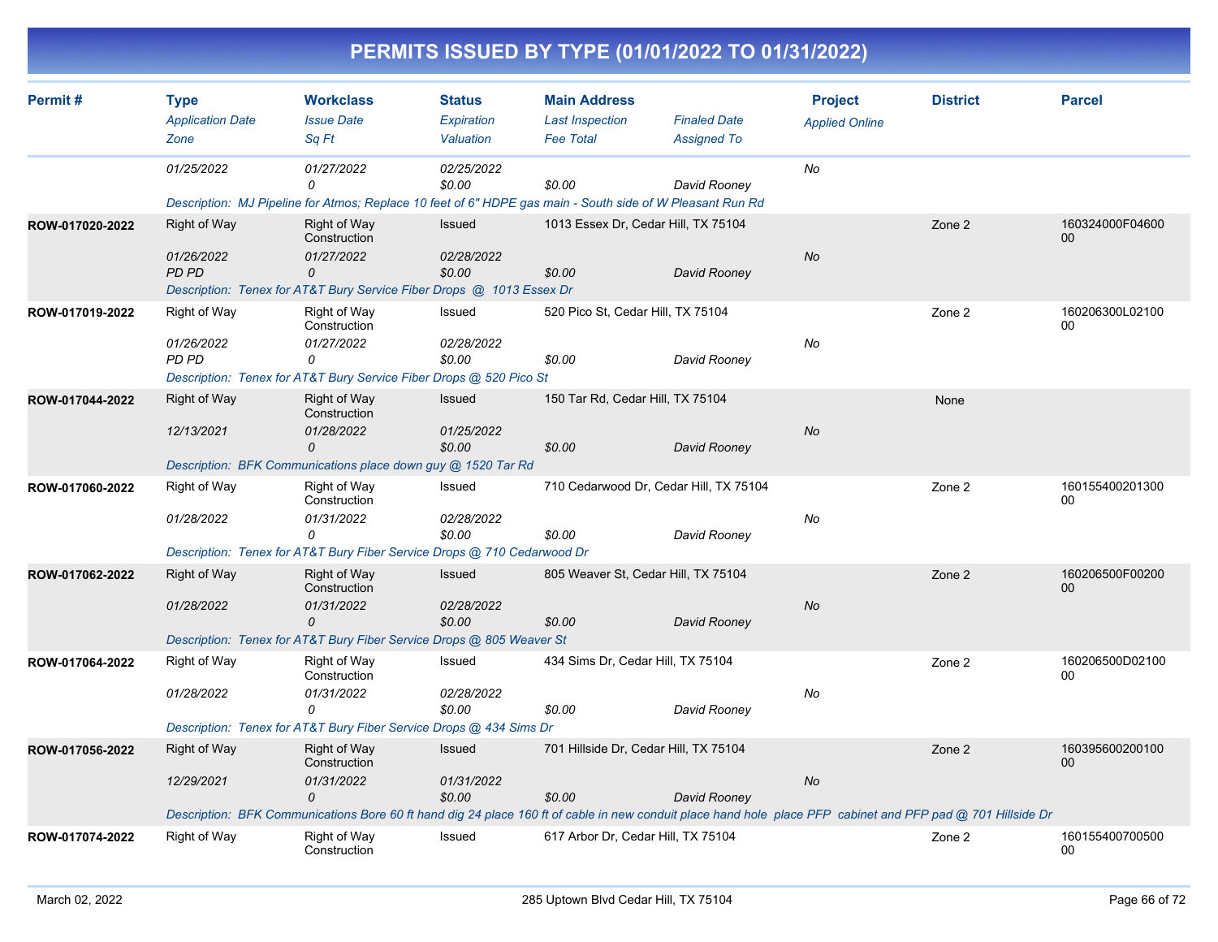|                 |                                                |                                                                                                                                   |                                          |                                                                   | PERMITS ISSUED BY TYPE (01/01/2022 TO 01/31/2022)                                                                                                                           |                                         |                 |                       |
|-----------------|------------------------------------------------|-----------------------------------------------------------------------------------------------------------------------------------|------------------------------------------|-------------------------------------------------------------------|-----------------------------------------------------------------------------------------------------------------------------------------------------------------------------|-----------------------------------------|-----------------|-----------------------|
| Permit#         | <b>Type</b><br><b>Application Date</b><br>Zone | <b>Workclass</b><br><b>Issue Date</b><br>Sq Ft                                                                                    | <b>Status</b><br>Expiration<br>Valuation | <b>Main Address</b><br><b>Last Inspection</b><br><b>Fee Total</b> | <b>Finaled Date</b><br><b>Assigned To</b>                                                                                                                                   | <b>Project</b><br><b>Applied Online</b> | <b>District</b> | <b>Parcel</b>         |
|                 | 01/25/2022                                     | 01/27/2022<br>n<br>Description: MJ Pipeline for Atmos; Replace 10 feet of 6" HDPE gas main - South side of W Pleasant Run Rd      | 02/25/2022<br>\$0.00                     | \$0.00                                                            | David Rooney                                                                                                                                                                | No                                      |                 |                       |
| ROW-017020-2022 | Right of Way<br>01/26/2022<br>PD PD            | Right of Way<br>Construction<br>01/27/2022<br>0<br>Description: Tenex for AT&T Bury Service Fiber Drops @ 1013 Essex Dr           | Issued<br>02/28/2022<br>\$0.00           | 1013 Essex Dr, Cedar Hill, TX 75104<br>\$0.00                     | David Rooney                                                                                                                                                                | <b>No</b>                               | Zone 2          | 160324000F04600<br>00 |
| ROW-017019-2022 | Right of Way<br>01/26/2022<br>PD PD            | Right of Way<br>Construction<br>01/27/2022<br>0<br>Description: Tenex for AT&T Bury Service Fiber Drops @ 520 Pico St             | Issued<br>02/28/2022<br>\$0.00           | 520 Pico St, Cedar Hill, TX 75104<br>\$0.00                       | David Rooney                                                                                                                                                                | No                                      | Zone 2          | 160206300L02100<br>00 |
| ROW-017044-2022 | Right of Way<br>12/13/2021                     | Right of Way<br>Construction<br>01/28/2022<br>0<br>Description: BFK Communications place down guy @ 1520 Tar Rd                   | Issued<br>01/25/2022<br>\$0.00           | 150 Tar Rd, Cedar Hill, TX 75104<br>\$0.00                        | David Rooney                                                                                                                                                                | No                                      | None            |                       |
| ROW-017060-2022 | Right of Way<br>01/28/2022                     | Right of Way<br>Construction<br>01/31/2022<br>$\Omega$<br>Description: Tenex for AT&T Bury Fiber Service Drops @ 710 Cedarwood Dr | Issued<br>02/28/2022<br>\$0.00           | \$0.00                                                            | 710 Cedarwood Dr, Cedar Hill, TX 75104<br>David Rooney                                                                                                                      | No                                      | Zone 2          | 160155400201300<br>00 |
| ROW-017062-2022 | <b>Right of Way</b><br>01/28/2022              | Right of Way<br>Construction<br>01/31/2022<br>$\Omega$<br>Description: Tenex for AT&T Bury Fiber Service Drops @ 805 Weaver St    | Issued<br>02/28/2022<br>\$0.00           | \$0.00                                                            | 805 Weaver St, Cedar Hill, TX 75104<br>David Rooney                                                                                                                         | No                                      | Zone 2          | 160206500F00200<br>00 |
| ROW-017064-2022 | Right of Way<br>01/28/2022                     | Right of Way<br>Construction<br>01/31/2022<br>0<br>Description: Tenex for AT&T Bury Fiber Service Drops @ 434 Sims Dr             | Issued<br>02/28/2022<br>\$0.00           | 434 Sims Dr, Cedar Hill, TX 75104<br>\$0.00                       | David Rooney                                                                                                                                                                | No                                      | Zone 2          | 160206500D02100<br>00 |
| ROW-017056-2022 | <b>Right of Way</b><br>12/29/2021              | Right of Way<br>Construction<br>01/31/2022<br>0                                                                                   | Issued<br>01/31/2022<br>\$0.00           | 701 Hillside Dr, Cedar Hill, TX 75104<br>\$0.00                   | David Rooney<br>Description: BFK Communications Bore 60 ft hand dig 24 place 160 ft of cable in new conduit place hand hole place PFP cabinet and PFP pad @ 701 Hillside Dr | $N\sigma$                               | Zone 2          | 160395600200100<br>00 |
| ROW-017074-2022 | Right of Way                                   | Right of Way<br>Construction                                                                                                      | Issued                                   | 617 Arbor Dr, Cedar Hill, TX 75104                                |                                                                                                                                                                             |                                         | Zone 2          | 160155400700500<br>00 |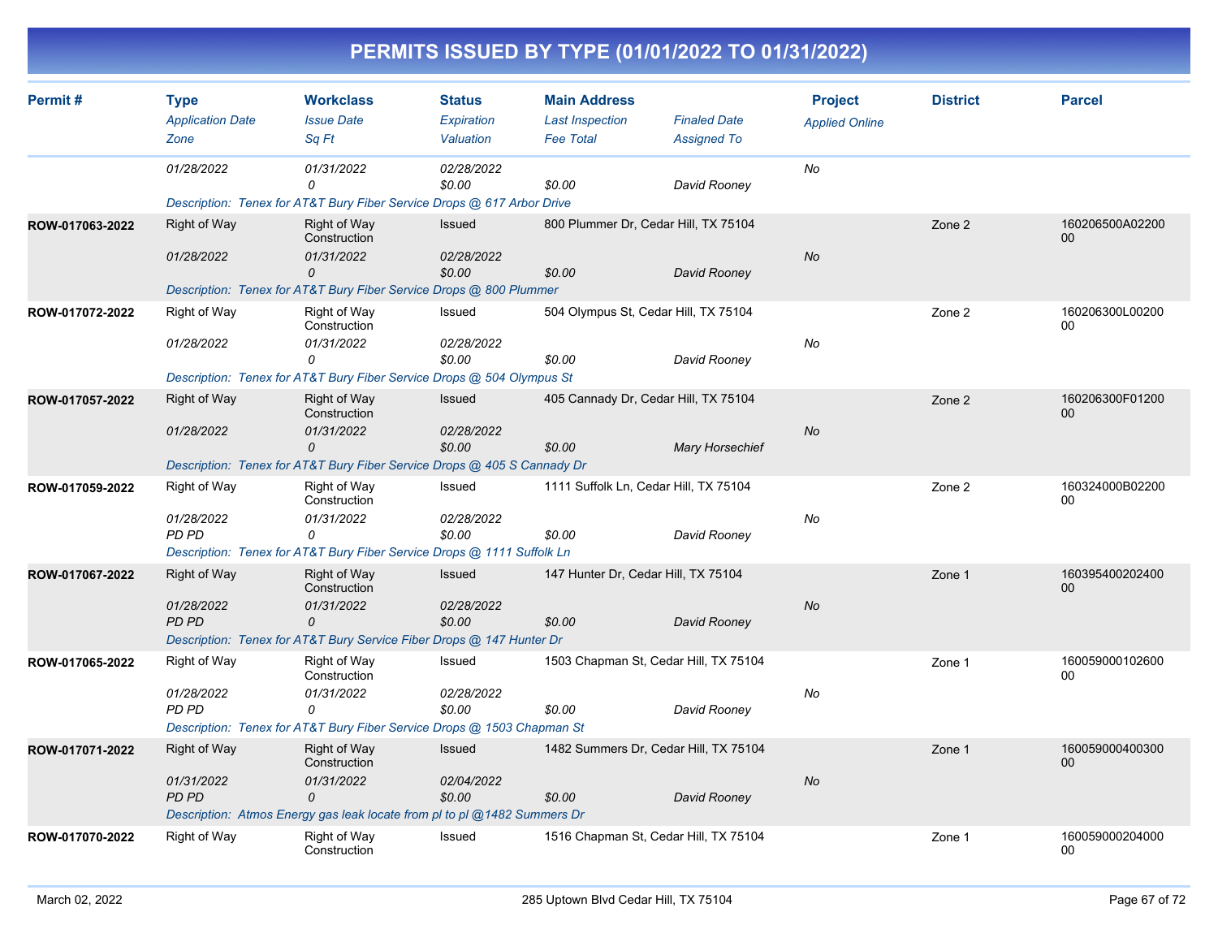|                 |                                                   |                                                                                                                                          |                                                 |                                                                   | PERMITS ISSUED BY TYPE (01/01/2022 TO 01/31/2022)              |                                         |                 |                       |
|-----------------|---------------------------------------------------|------------------------------------------------------------------------------------------------------------------------------------------|-------------------------------------------------|-------------------------------------------------------------------|----------------------------------------------------------------|-----------------------------------------|-----------------|-----------------------|
| Permit#         | <b>Type</b><br><b>Application Date</b><br>Zone    | <b>Workclass</b><br><b>Issue Date</b><br>Sq Ft                                                                                           | <b>Status</b><br><b>Expiration</b><br>Valuation | <b>Main Address</b><br><b>Last Inspection</b><br><b>Fee Total</b> | <b>Finaled Date</b><br><b>Assigned To</b>                      | <b>Project</b><br><b>Applied Online</b> | <b>District</b> | <b>Parcel</b>         |
|                 | 01/28/2022                                        | 01/31/2022<br>$\Omega$<br>Description: Tenex for AT&T Bury Fiber Service Drops @ 617 Arbor Drive                                         | 02/28/2022<br>\$0.00                            | \$0.00                                                            | David Rooney                                                   | No                                      |                 |                       |
| ROW-017063-2022 | <b>Right of Way</b><br>01/28/2022                 | Right of Way<br>Construction<br>01/31/2022<br>$\Omega$<br>Description: Tenex for AT&T Bury Fiber Service Drops @ 800 Plummer             | Issued<br>02/28/2022<br>\$0.00                  | \$0.00                                                            | 800 Plummer Dr, Cedar Hill, TX 75104<br>David Rooney           | <b>No</b>                               | Zone 2          | 160206500A02200<br>00 |
| ROW-017072-2022 | <b>Right of Way</b><br>01/28/2022                 | Right of Way<br>Construction<br>01/31/2022<br>$\Omega$<br>Description: Tenex for AT&T Bury Fiber Service Drops @ 504 Olympus St          | Issued<br>02/28/2022<br>\$0.00                  | \$0.00                                                            | 504 Olympus St, Cedar Hill, TX 75104<br>David Rooney           | No                                      | Zone 2          | 160206300L00200<br>00 |
| ROW-017057-2022 | Right of Way<br>01/28/2022                        | <b>Right of Way</b><br>Construction<br>01/31/2022<br>$\Omega$<br>Description: Tenex for AT&T Bury Fiber Service Drops @ 405 S Cannady Dr | Issued<br>02/28/2022<br>\$0.00                  | \$0.00                                                            | 405 Cannady Dr, Cedar Hill, TX 75104<br><b>Mary Horsechief</b> | No                                      | Zone 2          | 160206300F01200<br>00 |
| ROW-017059-2022 | <b>Right of Way</b><br>01/28/2022<br>PD PD        | <b>Right of Way</b><br>Construction<br>01/31/2022<br>$\Omega$<br>Description: Tenex for AT&T Bury Fiber Service Drops @ 1111 Suffolk Ln  | Issued<br>02/28/2022<br>\$0.00                  | \$0.00                                                            | 1111 Suffolk Ln, Cedar Hill, TX 75104<br>David Rooney          | No                                      | Zone 2          | 160324000B02200<br>00 |
| ROW-017067-2022 | <b>Right of Way</b><br>01/28/2022<br><b>PD PD</b> | <b>Right of Way</b><br>Construction<br>01/31/2022<br>$\Omega$<br>Description: Tenex for AT&T Bury Service Fiber Drops @ 147 Hunter Dr    | Issued<br>02/28/2022<br>\$0.00                  | \$0.00                                                            | 147 Hunter Dr, Cedar Hill, TX 75104<br>David Rooney            | No                                      | Zone 1          | 160395400202400<br>00 |
| ROW-017065-2022 | Right of Way<br>01/28/2022<br>PD PD               | Right of Way<br>Construction<br>01/31/2022<br>0<br>Description: Tenex for AT&T Bury Fiber Service Drops @ 1503 Chapman St                | Issued<br>02/28/2022<br>\$0.00                  | \$0.00                                                            | 1503 Chapman St, Cedar Hill, TX 75104<br>David Rooney          | No                                      | Zone 1          | 160059000102600<br>00 |
| ROW-017071-2022 | Right of Way<br>01/31/2022<br><b>PD PD</b>        | <b>Right of Way</b><br>Construction<br>01/31/2022<br>$\mathcal{O}$                                                                       | Issued<br>02/04/2022<br>\$0.00                  | \$0.00                                                            | 1482 Summers Dr, Cedar Hill, TX 75104<br>David Rooney          | <b>No</b>                               | Zone 1          | 160059000400300<br>00 |

Right of Way **Right of Way** 

**ROW-017070-2022**

*Description: Atmos Energy gas leak locate from pl to pl @1482 Summers Dr*

Construction

Issued 1516 Chapman St, Cedar Hill, TX 75104 Zone 1 160059000204000

160059000204000<br>00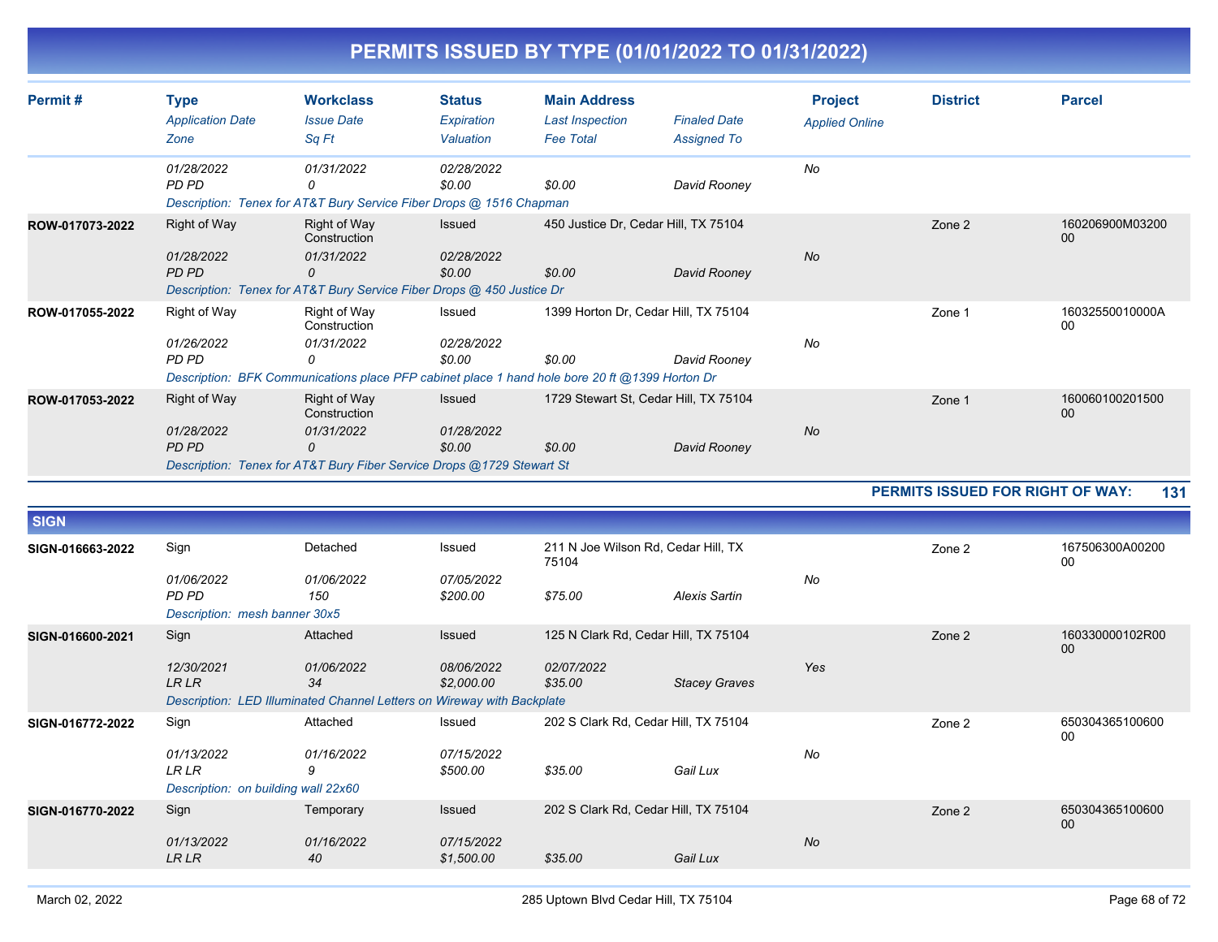| Permit#          | <b>Type</b>                           | <b>Workclass</b>                                                                               | <b>Status</b>            | <b>Main Address</b>                          |                                       | <b>Project</b>        | <b>District</b>                  | <b>Parcel</b>         |
|------------------|---------------------------------------|------------------------------------------------------------------------------------------------|--------------------------|----------------------------------------------|---------------------------------------|-----------------------|----------------------------------|-----------------------|
|                  | <b>Application Date</b>               | <b>Issue Date</b>                                                                              | <b>Expiration</b>        | <b>Last Inspection</b>                       | <b>Finaled Date</b>                   | <b>Applied Online</b> |                                  |                       |
|                  | Zone                                  | Sa Ft                                                                                          | Valuation                | <b>Fee Total</b>                             | <b>Assigned To</b>                    |                       |                                  |                       |
|                  | 01/28/2022<br>PD PD                   | 01/31/2022<br>0                                                                                | 02/28/2022<br>\$0.00     | \$0.00                                       |                                       | No                    |                                  |                       |
|                  |                                       | Description: Tenex for AT&T Bury Service Fiber Drops @ 1516 Chapman                            |                          |                                              | David Rooney                          |                       |                                  |                       |
| ROW-017073-2022  | Right of Way                          | Right of Way<br>Construction                                                                   | Issued                   | 450 Justice Dr, Cedar Hill, TX 75104         |                                       |                       | Zone 2                           | 160206900M03200<br>00 |
|                  | 01/28/2022<br>PD PD                   | 01/31/2022<br>0                                                                                | 02/28/2022<br>\$0.00     | \$0.00                                       | David Rooney                          | No                    |                                  |                       |
|                  |                                       | Description: Tenex for AT&T Bury Service Fiber Drops @ 450 Justice Dr                          |                          |                                              |                                       |                       |                                  |                       |
| ROW-017055-2022  | Right of Way                          | Right of Way<br>Construction                                                                   | Issued                   |                                              | 1399 Horton Dr, Cedar Hill, TX 75104  |                       | Zone 1                           | 16032550010000A<br>00 |
|                  | 01/26/2022<br>PD PD                   | 01/31/2022<br>$\Omega$                                                                         | 02/28/2022<br>\$0.00     | \$0.00                                       |                                       | No                    |                                  |                       |
|                  |                                       | Description: BFK Communications place PFP cabinet place 1 hand hole bore 20 ft @1399 Horton Dr |                          |                                              | David Rooney                          |                       |                                  |                       |
| ROW-017053-2022  | Right of Way                          | Right of Way<br>Construction                                                                   | Issued                   |                                              | 1729 Stewart St, Cedar Hill, TX 75104 |                       | Zone 1                           | 160060100201500<br>00 |
|                  | 01/28/2022                            | 01/31/2022                                                                                     | 01/28/2022               |                                              |                                       | <b>No</b>             |                                  |                       |
|                  | PD PD                                 | $\Omega$                                                                                       | \$0.00                   | \$0.00                                       | David Rooney                          |                       |                                  |                       |
|                  |                                       | Description: Tenex for AT&T Bury Fiber Service Drops @1729 Stewart St                          |                          |                                              |                                       |                       |                                  |                       |
|                  |                                       |                                                                                                |                          |                                              |                                       |                       |                                  |                       |
|                  |                                       |                                                                                                |                          |                                              |                                       |                       | PERMITS ISSUED FOR RIGHT OF WAY: | 131                   |
| <b>SIGN</b>      |                                       |                                                                                                |                          |                                              |                                       |                       |                                  |                       |
| SIGN-016663-2022 | Sign                                  | Detached                                                                                       | Issued                   | 211 N Joe Wilson Rd, Cedar Hill, TX<br>75104 |                                       |                       | Zone 2                           | 167506300A00200<br>00 |
|                  | 01/06/2022                            | 01/06/2022                                                                                     | 07/05/2022               |                                              |                                       | No                    |                                  |                       |
|                  | PD PD                                 | 150                                                                                            | \$200.00                 | \$75.00                                      | <b>Alexis Sartin</b>                  |                       |                                  |                       |
| SIGN-016600-2021 | Description: mesh banner 30x5<br>Sign | Attached                                                                                       | Issued                   |                                              | 125 N Clark Rd, Cedar Hill, TX 75104  |                       | Zone 2                           | 160330000102R00       |
|                  |                                       |                                                                                                |                          |                                              |                                       |                       |                                  | 00                    |
|                  | 12/30/2021<br><b>LR LR</b>            | 01/06/2022<br>34                                                                               | 08/06/2022<br>\$2,000.00 | 02/07/2022<br>\$35.00                        | <b>Stacey Graves</b>                  | Yes                   |                                  |                       |
|                  |                                       | Description: LED Illuminated Channel Letters on Wireway with Backplate                         |                          |                                              |                                       |                       |                                  |                       |
| SIGN-016772-2022 | Sign                                  | Attached                                                                                       | Issued                   |                                              | 202 S Clark Rd, Cedar Hill, TX 75104  |                       | Zone 2                           | 650304365100600<br>00 |
|                  | 01/13/2022                            | 01/16/2022                                                                                     | 07/15/2022               |                                              |                                       | No                    |                                  |                       |
|                  | <b>LR LR</b>                          | 9                                                                                              | \$500.00                 | \$35.00                                      | Gail Lux                              |                       |                                  |                       |
|                  | Description: on building wall 22x60   |                                                                                                |                          |                                              |                                       |                       |                                  |                       |
| SIGN-016770-2022 | Sign                                  | Temporary                                                                                      | Issued                   |                                              | 202 S Clark Rd, Cedar Hill, TX 75104  |                       | Zone 2                           | 650304365100600<br>00 |
|                  | 01/13/2022<br><b>LR LR</b>            | 01/16/2022<br>40                                                                               | 07/15/2022<br>\$1,500.00 | \$35.00                                      | Gail Lux                              | <b>No</b>             |                                  |                       |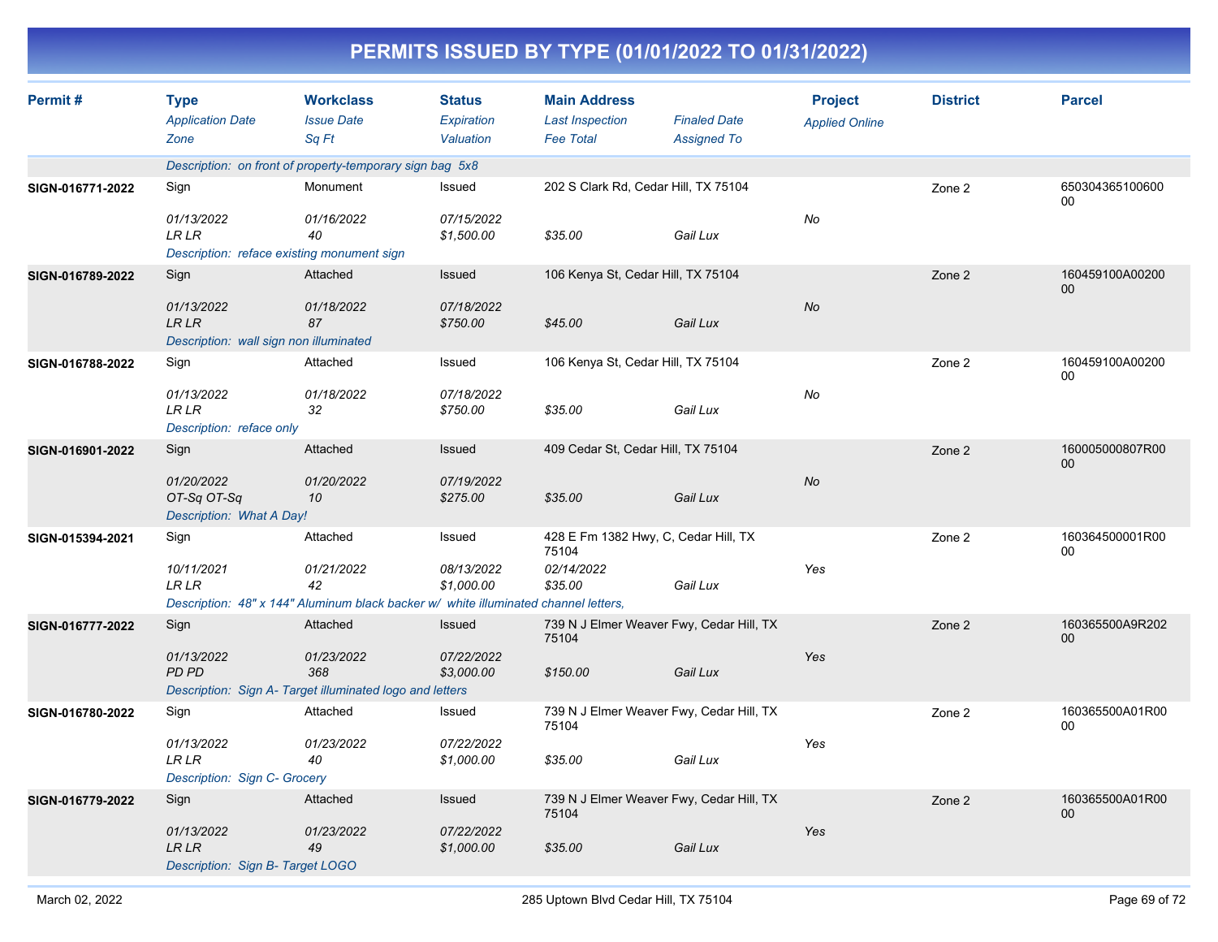| PERMITS ISSUED BY TYPE (01/01/2022 TO 01/31/2022) |
|---------------------------------------------------|
|---------------------------------------------------|

| Permit#          | <b>Type</b><br><b>Application Date</b><br>Zone                                   | <b>Workclass</b><br><b>Issue Date</b><br>Sa Ft                                                                      | <b>Status</b><br>Expiration<br>Valuation | <b>Main Address</b><br><b>Last Inspection</b><br><b>Fee Total</b>      | <b>Finaled Date</b><br><b>Assigned To</b> | <b>Project</b><br><b>Applied Online</b> | <b>District</b> | <b>Parcel</b>             |
|------------------|----------------------------------------------------------------------------------|---------------------------------------------------------------------------------------------------------------------|------------------------------------------|------------------------------------------------------------------------|-------------------------------------------|-----------------------------------------|-----------------|---------------------------|
|                  |                                                                                  | Description: on front of property-temporary sign bag 5x8                                                            |                                          |                                                                        |                                           |                                         |                 |                           |
| SIGN-016771-2022 | Sign<br>01/13/2022<br><b>LR LR</b><br>Description: reface existing monument sign | Monument<br>01/16/2022<br>40                                                                                        | Issued<br>07/15/2022<br>\$1,500.00       | 202 S Clark Rd, Cedar Hill, TX 75104<br>\$35.00                        | Gail Lux                                  | No                                      | Zone 2          | 650304365100600<br>00     |
| SIGN-016789-2022 | Sign<br>01/13/2022<br><b>LR LR</b><br>Description: wall sign non illuminated     | Attached<br>01/18/2022<br>87                                                                                        | Issued<br>07/18/2022<br>\$750.00         | 106 Kenya St, Cedar Hill, TX 75104<br>\$45.00                          | Gail Lux                                  | <b>No</b>                               | Zone 2          | 160459100A00200<br>$00\,$ |
| SIGN-016788-2022 | Sign<br>01/13/2022<br>LR LR<br>Description: reface only                          | Attached<br>01/18/2022<br>32                                                                                        | Issued<br>07/18/2022<br>\$750.00         | 106 Kenya St, Cedar Hill, TX 75104<br>\$35.00                          | Gail Lux                                  | No                                      | Zone 2          | 160459100A00200<br>00     |
| SIGN-016901-2022 | Sign<br>01/20/2022<br>OT-Sq OT-Sq<br>Description: What A Day!                    | Attached<br>01/20/2022<br>10                                                                                        | Issued<br>07/19/2022<br>\$275.00         | 409 Cedar St, Cedar Hill, TX 75104<br>\$35.00                          | Gail Lux                                  | No                                      | Zone 2          | 160005000807R00<br>$00\,$ |
| SIGN-015394-2021 | Sign<br>10/11/2021<br><b>LR LR</b>                                               | Attached<br>01/21/2022<br>42<br>Description: 48" x 144" Aluminum black backer w/ white illuminated channel letters, | Issued<br>08/13/2022<br>\$1,000.00       | 428 E Fm 1382 Hwy, C, Cedar Hill, TX<br>75104<br>02/14/2022<br>\$35.00 | Gail Lux                                  | Yes                                     | Zone 2          | 160364500001R00<br>00     |
| SIGN-016777-2022 | Sign<br>01/13/2022<br>PD PD                                                      | Attached<br>01/23/2022<br>368<br>Description: Sign A- Target illuminated logo and letters                           | Issued<br>07/22/2022<br>\$3,000.00       | 739 N J Elmer Weaver Fwy, Cedar Hill, TX<br>75104<br>\$150.00          | Gail Lux                                  | Yes                                     | Zone 2          | 160365500A9R202<br>$00\,$ |
| SIGN-016780-2022 | Sign<br>01/13/2022<br>LR LR<br>Description: Sign C- Grocery                      | Attached<br>01/23/2022<br>40                                                                                        | Issued<br>07/22/2022<br>\$1,000.00       | 739 N J Elmer Weaver Fwy, Cedar Hill, TX<br>75104<br>\$35.00           | Gail Lux                                  | Yes                                     | Zone 2          | 160365500A01R00<br>00     |
| SIGN-016779-2022 | Sign<br>01/13/2022<br>LR LR<br>Description: Sign B- Target LOGO                  | Attached<br>01/23/2022<br>49                                                                                        | Issued<br>07/22/2022<br>\$1,000.00       | 739 N J Elmer Weaver Fwy, Cedar Hill, TX<br>75104<br>\$35.00           | Gail Lux                                  | Yes                                     | Zone 2          | 160365500A01R00<br>$00\,$ |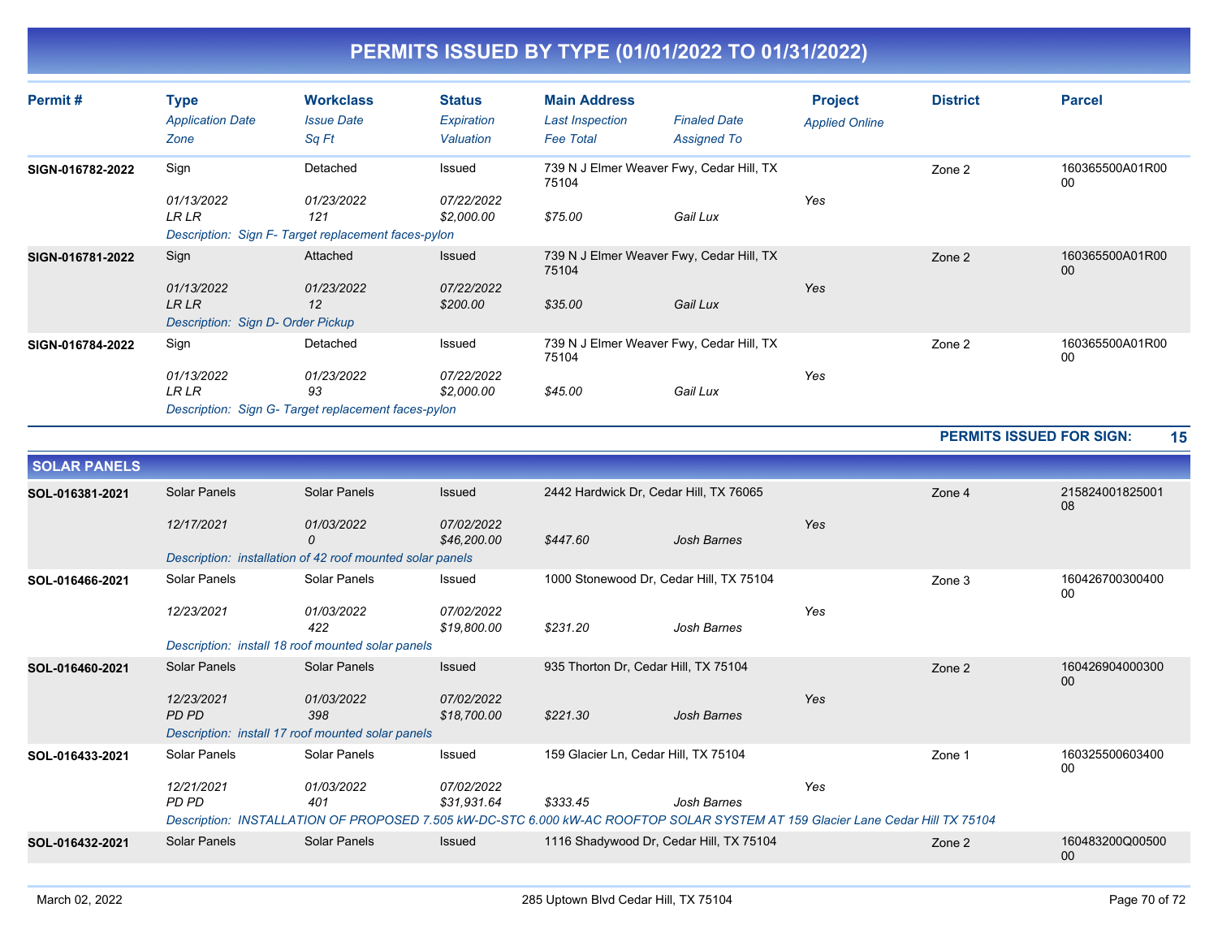| Permit#          | Type<br><b>Application Date</b><br>Zone                          | <b>Workclass</b><br><b>Issue Date</b><br>Sq Ft                                      | <b>Status</b><br>Expiration<br>Valuation | <b>Main Address</b><br><b>Last Inspection</b><br><b>Fee Total</b> | <b>Finaled Date</b><br><b>Assigned To</b> | <b>Project</b><br><b>Applied Online</b> | <b>District</b> | <b>Parcel</b>             |
|------------------|------------------------------------------------------------------|-------------------------------------------------------------------------------------|------------------------------------------|-------------------------------------------------------------------|-------------------------------------------|-----------------------------------------|-----------------|---------------------------|
| SIGN-016782-2022 | Sign<br>01/13/2022<br><b>LR LR</b>                               | Detached<br>01/23/2022<br>121<br>Description: Sign F-Target replacement faces-pylon | Issued<br>07/22/2022<br>\$2,000.00       | 739 N J Elmer Weaver Fwy, Cedar Hill, TX<br>75104<br>\$75.00      | Gail Lux                                  | Yes                                     | Zone 2          | 160365500A01R00<br>00     |
| SIGN-016781-2022 | Sign<br>01/13/2022<br>LR LR<br>Description: Sign D- Order Pickup | Attached<br>01/23/2022<br>12                                                        | Issued<br>07/22/2022<br>\$200.00         | 739 N J Elmer Weaver Fwy, Cedar Hill, TX<br>75104<br>\$35.00      | Gail Lux                                  | Yes                                     | Zone 2          | 160365500A01R00<br>$00\,$ |
| SIGN-016784-2022 | Sign<br>01/13/2022<br><b>LR LR</b>                               | Detached<br>01/23/2022<br>93<br>Description: Sign G- Target replacement faces-pylon | Issued<br>07/22/2022<br>\$2,000.00       | 739 N J Elmer Weaver Fwy, Cedar Hill, TX<br>75104<br>\$45.00      | Gail Lux                                  | Yes                                     | Zone 2          | 160365500A01R00<br>00     |

**PERMITS ISSUED FOR SIGN: 15**

| <b>SOLAR PANELS</b> |                     |                                                                                                                                |                           |                                         |                    |     |        |                       |
|---------------------|---------------------|--------------------------------------------------------------------------------------------------------------------------------|---------------------------|-----------------------------------------|--------------------|-----|--------|-----------------------|
| SOL-016381-2021     | Solar Panels        | Solar Panels                                                                                                                   | Issued                    | 2442 Hardwick Dr, Cedar Hill, TX 76065  |                    |     | Zone 4 | 215824001825001<br>08 |
|                     | 12/17/2021          | 01/03/2022<br>0                                                                                                                | 07/02/2022<br>\$46,200.00 | \$447.60                                | <b>Josh Barnes</b> | Yes |        |                       |
|                     |                     | Description: installation of 42 roof mounted solar panels                                                                      |                           |                                         |                    |     |        |                       |
| SOL-016466-2021     | Solar Panels        | Solar Panels                                                                                                                   | Issued                    | 1000 Stonewood Dr. Cedar Hill, TX 75104 |                    |     | Zone 3 | 160426700300400<br>00 |
|                     | 12/23/2021          | 01/03/2022<br>422                                                                                                              | 07/02/2022<br>\$19,800.00 | \$231.20                                | Josh Barnes        | Yes |        |                       |
|                     |                     | Description: install 18 roof mounted solar panels                                                                              |                           |                                         |                    |     |        |                       |
| SOL-016460-2021     | <b>Solar Panels</b> | Solar Panels                                                                                                                   | Issued                    | 935 Thorton Dr, Cedar Hill, TX 75104    |                    |     | Zone 2 | 160426904000300<br>00 |
|                     | 12/23/2021<br>PD PD | 01/03/2022<br>398                                                                                                              | 07/02/2022<br>\$18,700.00 | \$221.30                                | Josh Barnes        | Yes |        |                       |
|                     |                     | Description: install 17 roof mounted solar panels                                                                              |                           |                                         |                    |     |        |                       |
| SOL-016433-2021     | Solar Panels        | Solar Panels                                                                                                                   | Issued                    | 159 Glacier Ln, Cedar Hill, TX 75104    |                    |     | Zone 1 | 160325500603400<br>00 |
|                     | 12/21/2021          | 01/03/2022                                                                                                                     | 07/02/2022                |                                         |                    | Yes |        |                       |
|                     | PD PD               | 401                                                                                                                            | \$31,931.64               | \$333.45                                | Josh Barnes        |     |        |                       |
|                     |                     | Description: INSTALLATION OF PROPOSED 7.505 kW-DC-STC 6.000 kW-AC ROOFTOP SOLAR SYSTEM AT 159 Glacier Lane Cedar Hill TX 75104 |                           |                                         |                    |     |        |                       |
| SOL-016432-2021     | Solar Panels        | Solar Panels                                                                                                                   | Issued                    | 1116 Shadywood Dr, Cedar Hill, TX 75104 |                    |     | Zone 2 | 160483200Q00500<br>00 |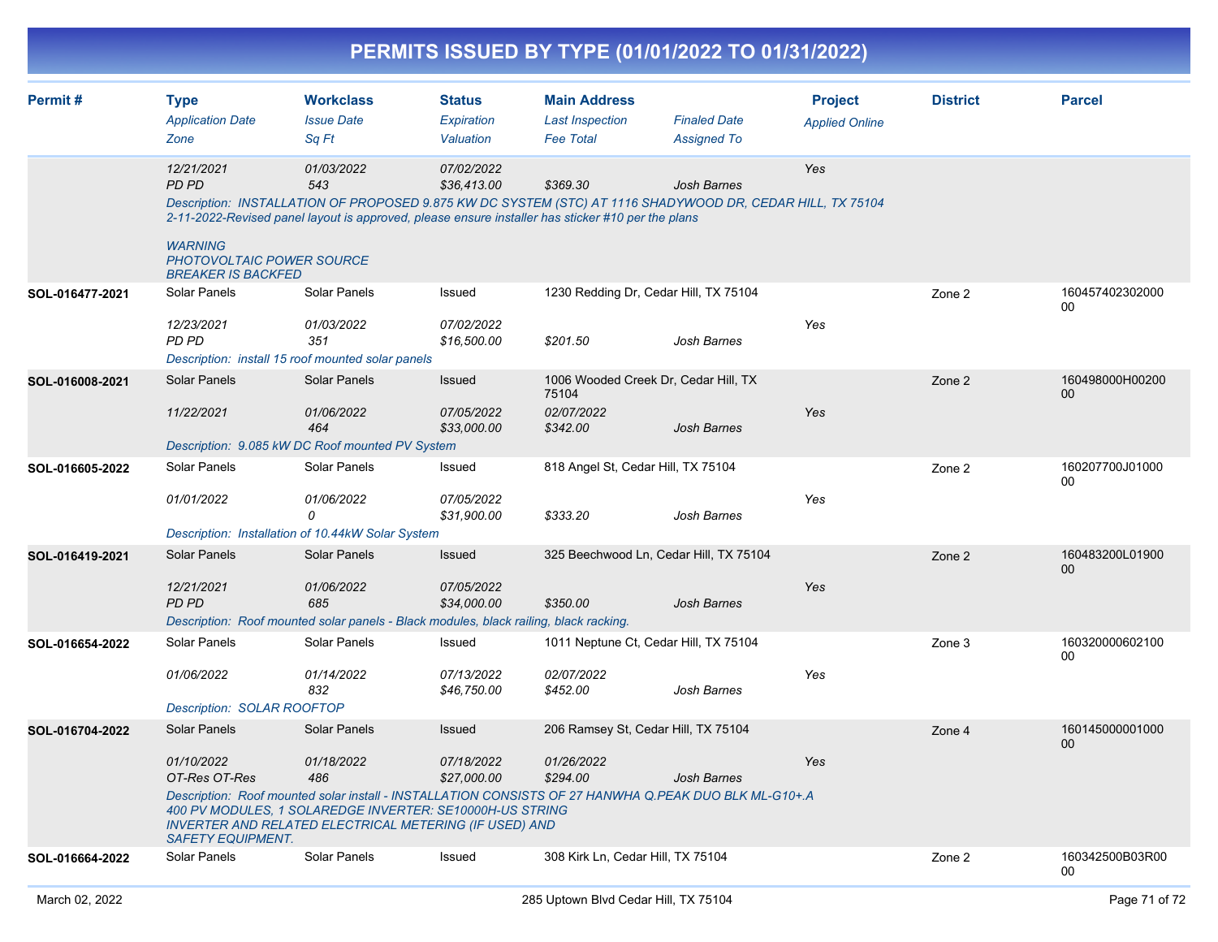|                 |                                                                                                               |                                                                                                                                                                |                                          |                                                                   | PERMITS ISSUED BY TYPE (01/01/2022 TO 01/31/2022)                                                                                                           |                                         |                 |                           |
|-----------------|---------------------------------------------------------------------------------------------------------------|----------------------------------------------------------------------------------------------------------------------------------------------------------------|------------------------------------------|-------------------------------------------------------------------|-------------------------------------------------------------------------------------------------------------------------------------------------------------|-----------------------------------------|-----------------|---------------------------|
| Permit#         | <b>Type</b><br><b>Application Date</b><br>Zone                                                                | <b>Workclass</b><br><b>Issue Date</b><br>Sq Ft                                                                                                                 | <b>Status</b><br>Expiration<br>Valuation | <b>Main Address</b><br><b>Last Inspection</b><br><b>Fee Total</b> | <b>Finaled Date</b><br><b>Assigned To</b>                                                                                                                   | <b>Project</b><br><b>Applied Online</b> | <b>District</b> | <b>Parcel</b>             |
|                 | 12/21/2021<br><b>PD PD</b><br><b>WARNING</b><br><b>PHOTOVOLTAIC POWER SOURCE</b><br><b>BREAKER IS BACKFED</b> | 01/03/2022<br>543<br>2-11-2022-Revised panel layout is approved, please ensure installer has sticker #10 per the plans                                         | 07/02/2022<br>\$36,413.00                | \$369.30                                                          | Josh Barnes<br>Description: INSTALLATION OF PROPOSED 9.875 KW DC SYSTEM (STC) AT 1116 SHADYWOOD DR, CEDAR HILL, TX 75104                                    | Yes                                     |                 |                           |
| SOL-016477-2021 | Solar Panels<br>12/23/2021<br><b>PD PD</b>                                                                    | Solar Panels<br>01/03/2022<br>351<br>Description: install 15 roof mounted solar panels                                                                         | Issued<br>07/02/2022<br>\$16,500.00      | \$201.50                                                          | 1230 Redding Dr, Cedar Hill, TX 75104<br>Josh Barnes                                                                                                        | Yes                                     | Zone 2          | 160457402302000<br>00     |
| SOL-016008-2021 | <b>Solar Panels</b><br>11/22/2021                                                                             | Solar Panels<br>01/06/2022<br>464<br>Description: 9.085 kW DC Roof mounted PV System                                                                           | Issued<br>07/05/2022<br>\$33,000.00      | 75104<br>02/07/2022<br>\$342.00                                   | 1006 Wooded Creek Dr, Cedar Hill, TX<br>Josh Barnes                                                                                                         | Yes                                     | Zone 2          | 160498000H00200<br>00     |
| SOL-016605-2022 | Solar Panels<br>01/01/2022                                                                                    | Solar Panels<br>01/06/2022<br>$\Omega$<br>Description: Installation of 10.44kW Solar System                                                                    | Issued<br>07/05/2022<br>\$31,900.00      | 818 Angel St, Cedar Hill, TX 75104<br>\$333.20                    | Josh Barnes                                                                                                                                                 | Yes                                     | Zone 2          | 160207700J01000<br>00     |
| SOL-016419-2021 | <b>Solar Panels</b><br>12/21/2021<br><b>PD PD</b>                                                             | <b>Solar Panels</b><br>01/06/2022<br>685<br>Description: Roof mounted solar panels - Black modules, black railing, black racking.                              | Issued<br>07/05/2022<br>\$34,000.00      | \$350.00                                                          | 325 Beechwood Ln, Cedar Hill, TX 75104<br>Josh Barnes                                                                                                       | Yes                                     | Zone 2          | 160483200L01900<br>00     |
| SOL-016654-2022 | Solar Panels<br>01/06/2022<br><b>Description: SOLAR ROOFTOP</b>                                               | Solar Panels<br>01/14/2022<br>832                                                                                                                              | Issued<br>07/13/2022<br>\$46,750.00      | 02/07/2022<br>\$452.00                                            | 1011 Neptune Ct, Cedar Hill, TX 75104<br>Josh Barnes                                                                                                        | Yes                                     | Zone 3          | 160320000602100<br>00     |
| SOL-016704-2022 | Solar Panels<br>01/10/2022<br>OT-Res OT-Res<br><b>SAFETY EQUIPMENT.</b>                                       | Solar Panels<br>01/18/2022<br>486<br>400 PV MODULES, 1 SOLAREDGE INVERTER: SE10000H-US STRING<br><b>INVERTER AND RELATED ELECTRICAL METERING (IF USED) AND</b> | Issued<br>07/18/2022<br>\$27,000.00      | 01/26/2022<br>\$294.00                                            | 206 Ramsey St, Cedar Hill, TX 75104<br>Josh Barnes<br>Description: Roof mounted solar install - INSTALLATION CONSISTS OF 27 HANWHA Q.PEAK DUO BLK ML-G10+.A | Yes                                     | Zone 4          | 160145000001000<br>$00\,$ |
| SOL-016664-2022 | Solar Panels                                                                                                  | Solar Panels                                                                                                                                                   | Issued                                   | 308 Kirk Ln, Cedar Hill, TX 75104                                 |                                                                                                                                                             |                                         | Zone 2          | 160342500B03R00<br>00     |